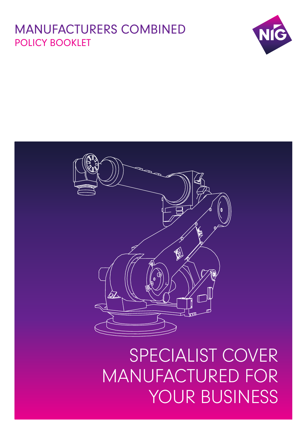# MANUFACTURERS COMBINED POLICY BOOKLET





SPECIALIST COVER MANUFACTURED FOR YOUR BUSINESS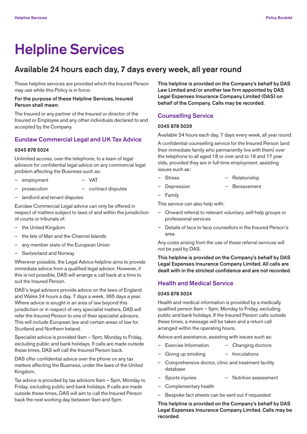# **Helpline Services**

# **Available 24 hours each day, 7 days every week, all year round**

These helpline services are provided which the Insured Person may use while this Policy is in force:

# **For the purpose of these Helpline Services, Insured Person shall mean:**

The Insured or any partner of the Insured or director of the Insured or Employee and any other individuals declared to and accepted by the Company.

# **Eurolaw Commercial Legal and UK Tax Advice**

# **0345 878 5024**

Unlimited access, over the telephone, to a team of legal advisors for confidential legal advice on any commercial legal problem affecting the Business such as:

- employment VAT
- prosecution contract disputes
- landlord and tenant disputes

Eurolaw Commercial Legal advice can only be offered in respect of matters subject to laws of and within the jurisdiction of courts or tribunals of:

- the United Kingdom
- the Isle of Man and the Channel Islands
- any member state of the European Union
- Switzerland and Norway

Wherever possible, the Legal Advice helpline aims to provide immediate advice from a qualified legal advisor. However, if this is not possible, DAS will arrange a call back at a time to suit the Insured Person.

DAS's legal advisors provide advice on the laws of England and Wales 24 hours a day, 7 days a week, 365 days a year. Where advice is sought in an area of law beyond this jurisdiction or in respect of very specialist matters, DAS will refer the Insured Person to one of their specialist advisors. This will include European law and certain areas of law for Scotland and Northern Ireland.

Specialist advice is provided 9am – 5pm, Monday to Friday, excluding public and bank holidays. If calls are made outside these times, DAS will call the Insured Person back.

DAS offer confidential advice over the phone on any tax matters affecting the Business, under the laws of the United Kingdom.

Tax advice is provided by tax advisors 9am – 5pm, Monday to Friday, excluding public and bank holidays. If calls are made outside these times, DAS will aim to call the Insured Person back the next working day between 9am and 5pm.

**This helpline is provided on the Company's behalf by DAS Law Limited and/or another law firm appointed by DAS Legal Expenses Insurance Company Limited (DAS) on behalf of the Company. Calls may be recorded**.

# **Counselling Service**

# **0345 878 5029**

Available 24 hours each day, 7 days every week, all year round.

A confidential counselling service for the Insured Person (and their immediate family who permanently live with them) over the telephone to all aged 18 or over and to 16 and 17 year olds, provided they are in full-time employment, assisting issues such as:

- Stress Relationship
- Depression Bereavement
- **Family**

This service can also help with:

- Onward referral to relevant voluntary, self-help groups or professional services
- Details of face to face counsellors in the Insured Person's area

Any costs arising from the use of these referral services will not be paid by DAS.

**This helpline is provided on the Company's behalf by DAS Legal Expenses Insurance Company Limited. All calls are dealt with in the strictest confidence and are not recorded**.

# **Health and Medical Service**

#### **0345 878 5024**

Health and medical information is provided by a medically qualified person 9am – 5pm, Monday to Friday, excluding public and bank holidays. If the Insured Person calls outside these times, a message will be taken and a return call arranged within the operating hours.

Advice and assistance, assisting with issues such as:

- Exercise Information Changing doctors
	- Giving up smoking Inoculations
- Comprehensive doctor, clinic and treatment facility database
	- Sports injuries Nutrition assessment
- Complementary health
- Bespoke fact sheets can be sent out if requested

**This helpline is provided on the Company's behalf by DAS Legal Expenses Insurance Company Limited. Calls may be recorded**.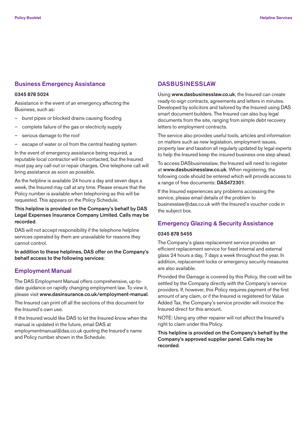# **Business Emergency Assistance**

#### **0345 878 5024**

Assistance in the event of an emergency affecting the Business, such as:

- burst pipes or blocked drains causing flooding
- complete failure of the gas or electricity supply
- serious damage to the roof
- escape of water or oil from the central heating system

In the event of emergency assistance being required, a reputable local contractor will be contacted, but the Insured must pay any call-out or repair charges. One telephone call will bring assistance as soon as possible.

As the helpline is available 24 hours a day and seven days a week, the Insured may call at any time. Please ensure that the Policy number is available when telephoning as this will be requested. This appears on the Policy Schedule.

# **This helpline is provided on the Company's behalf by DAS Legal Expenses Insurance Company Limited. Calls may be recorded**.

DAS will not accept responsibility if the telephone helpline services operated by them are unavailable for reasons they cannot control.

**In addition to these helplines, DAS offer on the Company's behalf access to the following services**:

# **Employment Manual**

The DAS Employment Manual offers comprehensive, up-todate guidance on rapidly changing employment law. To view it, please visit **www.dasinsurance.co.uk/employment-manual**.

The Insured can print off all the sections of this document for the Insured's own use.

If the Insured would like DAS to let the Insured know when the manual is updated in the future, email DAS at employmentmanual@das.co.uk quoting the Insured's name and Policy number shown in the Schedule.

# **DASBUSINESSLAW**

Using **www.dasbusinesslaw.co.uk**, the Insured can create ready-to-sign contracts, agreements and letters in minutes. Developed by solicitors and tailored by the Insured using DAS smart document builders. The Insured can also buy legal documents from the site, ranging from simple debt recovery letters to employment contracts.

The service also provides useful tools, articles and information on matters such as new legislation, employment issues, property law and taxation all regularly updated by legal experts to help the Insured keep the insured business one step ahead.

To access DASbusinesslaw, the Insured will need to register at **www.dasbusinesslaw.co.uk**. When registering, the following code should be entered which will provide access to a range of free documents: **DAS472301**.

If the Insured experiences any problems accessing the service, please email details of the problem to businesslaw@das.co.uk with the Insured's voucher code in the subject box.

# **Emergency Glazing & Security Assistance**

## **0345 878 5455**

The Company's glass replacement service provides an efficient replacement service for fixed internal and external glass 24 hours a day, 7 days a week throughout the year. In addition, replacement locks or emergency security measures are also available.

Provided the Damage is covered by this Policy, the cost will be settled by the Company directly with the Company's service providers. If, however, this Policy requires payment of the first amount of any claim, or if the Insured is registered for Value Added Tax, the Company's service provider will invoice the Insured direct for this amount.

NOTE: Using any other repairer will not affect the Insured's right to claim under this Policy.

**This helpline is provided on the Company's behalf by the Company's approved supplier panel. Calls may be recorded**.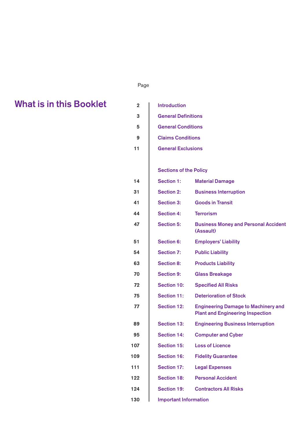# **Attached Page 2014, Attached Page 2014, Attached Page**

# **2 What is in this Booklet**

| <b>What is in this Booklet</b> | $\overline{2}$ | <b>Introduction</b>           |                                                                                       |
|--------------------------------|----------------|-------------------------------|---------------------------------------------------------------------------------------|
|                                | $\mathbf{3}$   | <b>General Definitions</b>    |                                                                                       |
|                                | 5              | <b>General Conditions</b>     |                                                                                       |
|                                | 9              | <b>Claims Conditions</b>      |                                                                                       |
|                                | 11             | <b>General Exclusions</b>     |                                                                                       |
|                                |                |                               |                                                                                       |
|                                |                | <b>Sections of the Policy</b> |                                                                                       |
|                                | 14             | <b>Section 1:</b>             | <b>Material Damage</b>                                                                |
|                                | 31             | <b>Section 2:</b>             | <b>Business Interruption</b>                                                          |
|                                | 41             | <b>Section 3:</b>             | <b>Goods in Transit</b>                                                               |
|                                | 44             | <b>Section 4:</b>             | <b>Terrorism</b>                                                                      |
|                                | 47             | <b>Section 5:</b>             | <b>Business Money and Personal Accident</b><br>(Assault)                              |
|                                | 51             | <b>Section 6:</b>             | <b>Employers' Liability</b>                                                           |
|                                | 54             | <b>Section 7:</b>             | <b>Public Liability</b>                                                               |
|                                | 63             | <b>Section 8:</b>             | <b>Products Liability</b>                                                             |
|                                | 70             | <b>Section 9:</b>             | <b>Glass Breakage</b>                                                                 |
|                                | 72             | <b>Section 10:</b>            | <b>Specified All Risks</b>                                                            |
|                                | 75             | <b>Section 11:</b>            | <b>Deterioration of Stock</b>                                                         |
|                                | 77             | <b>Section 12:</b>            | <b>Engineering Damage to Machinery and</b><br><b>Plant and Engineering Inspection</b> |
|                                | 89             | <b>Section 13:</b>            | <b>Engineering Business Interruption</b>                                              |
|                                | 95             | <b>Section 14:</b>            | <b>Computer and Cyber</b>                                                             |
|                                | 107            | <b>Section 15:</b>            | <b>Loss of Licence</b>                                                                |
|                                | 109            | <b>Section 16:</b>            | <b>Fidelity Guarantee</b>                                                             |
|                                | 111            | <b>Section 17:</b>            | <b>Legal Expenses</b>                                                                 |
|                                | 122            | <b>Section 18:</b>            | <b>Personal Accident</b>                                                              |
|                                | 124            | <b>Section 19:</b>            | <b>Contractors All Risks</b>                                                          |
|                                | 130            | <b>Important Information</b>  |                                                                                       |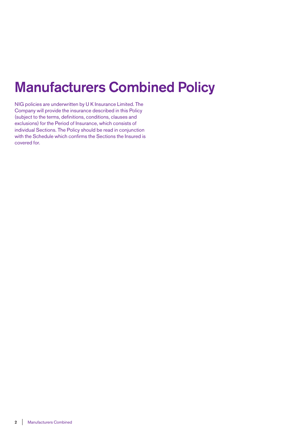# **Manufacturers Combined Policy**

NIG policies are underwritten by U K Insurance Limited. The Company will provide the insurance described in this Policy (subject to the terms, definitions, conditions, clauses and exclusions) for the Period of Insurance, which consists of individual Sections. The Policy should be read in conjunction with the Schedule which confirms the Sections the Insured is covered for.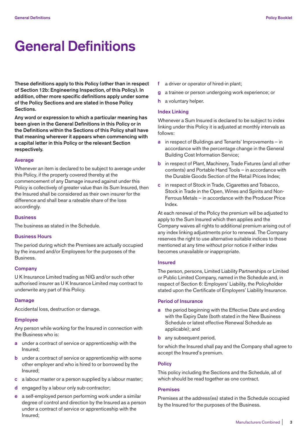# **General Definitions**

**These definitions apply to this Policy (other than in respect of Section 12b: Engineering Inspection, of this Policy). In addition, other more specific definitions apply under some of the Policy Sections and are stated in those Policy Sections.** 

**Any word or expression to which a particular meaning has been given in the General Definitions in this Policy or in the Definitions within the Sections of this Policy shall have that meaning wherever it appears when commencing with a capital letter in this Policy or the relevant Section respectively.** 

#### **Average**

Whenever an item is declared to be subject to average under this Policy, if the property covered thereby at the commencement of any Damage insured against under this Policy is collectively of greater value than its Sum Insured, then the Insured shall be considered as their own insurer for the difference and shall bear a rateable share of the loss accordingly.

#### **Business**

The business as stated in the Schedule.

# **Business Hours**

The period during which the Premises are actually occupied by the insured and/or Employees for the purposes of the Business.

#### **Company**

U K Insurance Limited trading as NIG and/or such other authorised insurer as U K Insurance Limited may contract to underwrite any part of this Policy.

#### **Damage**

Accidental loss, destruction or damage.

#### **Employee**

Any person while working for the Insured in connection with the Business who is:

- **a** under a contract of service or apprenticeship with the Insured;
- **b** under a contract of service or apprenticeship with some other employer and who is hired to or borrowed by the Insured;
- **c** a labour master or a person supplied by a labour master;
- **d** engaged by a labour only sub-contractor;
- **e** a self-employed person performing work under a similar degree of control and direction by the Insured as a person under a contract of service or apprenticeship with the Insured;
- **f** a driver or operator of hired-in plant;
- **g** a trainee or person undergoing work experience; or
- **h** a voluntary helper.

#### **Index Linking**

Whenever a Sum Insured is declared to be subject to index linking under this Policy it is adjusted at monthly intervals as follows:

- **a** in respect of Buildings and Tenants' Improvements in accordance with the percentage change in the General Building Cost Information Service;
- **b** in respect of Plant, Machinery, Trade Fixtures (and all other contents) and Portable Hand Tools – in accordance with the Durable Goods Section of the Retail Prices Index;
- **c** in respect of Stock in Trade, Cigarettes and Tobacco, Stock in Trade in the Open, Wines and Spirits and Non-Ferrous Metals – in accordance with the Producer Price Index.

At each renewal of the Policy the premium will be adjusted to apply to the Sum Insured which then applies and the Company waives all rights to additional premium arising out of any index linking adjustments prior to renewal. The Company reserves the right to use alternative suitable indices to those mentioned at any time without prior notice if either index becomes unavailable or inappropriate.

# **Insured**

The person, persons, Limited Liability Partnerships or Limited or Public Limited Company, named in the Schedule and, in respect of Section 6: Employers' Liability, the Policyholder stated upon the Certificate of Employers' Liability Insurance.

#### **Period of Insurance**

- **a** the period beginning with the Effective Date and ending with the Expiry Date (both stated in the New Business Schedule or latest effective Renewal Schedule as applicable); and
- **b** any subsequent period,

for which the Insured shall pay and the Company shall agree to accept the Insured's premium.

#### **Policy**

This policy including the Sections and the Schedule, all of which should be read together as one contract.

#### **Premises**

Premises at the address(es) stated in the Schedule occupied by the Insured for the purposes of the Business.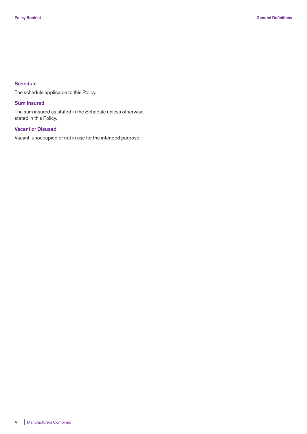# **Schedule**

The schedule applicable to this Policy.

# **Sum Insured**

The sum insured as stated in the Schedule unless otherwise stated in this Policy.

# **Vacant or Disused**

Vacant, unoccupied or not in use for the intended purpose.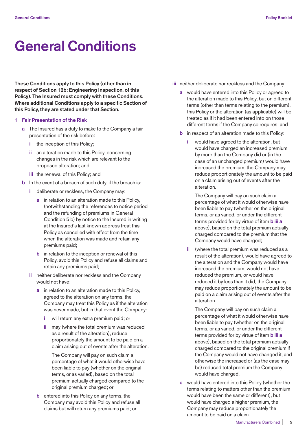# **General Conditions**

**These Conditions apply to this Policy (other than in respect of Section 12b: Engineering Inspection, of this Policy). The Insured must comply with these Conditions. Where additional Conditions apply to a specific Section of this Policy, they are stated under that Section.** 

- **1 Fair Presentation of the Risk** 
	- **a** The Insured has a duty to make to the Company a fair presentation of the risk before:
		- **i** the inception of this Policy;
		- **ii** an alteration made to this Policy, concerning changes in the risk which are relevant to the proposed alteration; and
		- **iii** the renewal of this Policy; and
	- **b** In the event of a breach of such duty, if the breach is:
		- **i** deliberate or reckless, the Company may:
			- **a** in relation to an alteration made to this Policy, (notwithstanding the references to notice period and the refunding of premiums in General Condition 5 b) by notice to the Insured in writing at the Insured's last known address treat this Policy as cancelled with effect from the time when the alteration was made and retain any premiums paid;
			- **b** in relation to the inception or renewal of this Policy, avoid this Policy and refuse all claims and retain any premiums paid;
		- **ii** neither deliberate nor reckless and the Company would not have:
			- **a** in relation to an alteration made to this Policy, agreed to the alteration on any terms, the Company may treat this Policy as if the alteration was never made, but in that event the Company:
				- **i** will return any extra premium paid; or
				- **ii** may (where the total premium was reduced as a result of the alteration), reduce proportionately the amount to be paid on a claim arising out of events after the alteration.

 The Company will pay on such claim a percentage of what it would otherwise have been liable to pay (whether on the original terms, or as varied), based on the total premium actually charged compared to the original premium charged; or

**b** entered into this Policy on any terms, the Company may avoid this Policy and refuse all claims but will return any premiums paid; or

- **iii** neither deliberate nor reckless and the Company:
	- **a** would have entered into this Policy or agreed to the alteration made to this Policy, but on different terms (other than terms relating to the premium), this Policy or the alteration (as applicable) will be treated as if it had been entered into on those different terms if the Company so requires; and
	- **b** in respect of an alteration made to this Policy:
		- **i** would have agreed to the alteration, but would have charged an increased premium by more than the Company did or (in the case of an unchanged premium) would have increased the premium, the Company may reduce proportionately the amount to be paid on a claim arising out of events after the alteration.

 The Company will pay on such claim a percentage of what it would otherwise have been liable to pay (whether on the original terms, or as varied, or under the different terms provided for by virtue of item **b iii a**  above), based on the total premium actually charged compared to the premium that the Company would have charged;

 **ii** (where the total premium was reduced as a result of the alteration), would have agreed to the alteration and the Company would have increased the premium, would not have reduced the premium, or would have reduced it by less than it did, the Company may reduce proportionately the amount to be paid on a claim arising out of events after the alteration.

 The Company will pay on such claim a percentage of what it would otherwise have been liable to pay (whether on the original terms, or as varied, or under the different terms provided for by virtue of item **b iii a**  above), based on the total premium actually charged compared to the original premium if the Company would not have changed it, and otherwise the increased or (as the case may be) reduced total premium the Company would have charged.

 **c** would have entered into this Policy (whether the terms relating to matters other than the premium would have been the same or different), but would have charged a higher premium, the Company may reduce proportionately the amount to be paid on a claim.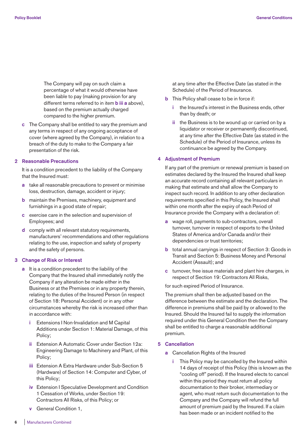The Company will pay on such claim a percentage of what it would otherwise have been liable to pay (making provision for any different terms referred to in item **b iii a** above), based on the premium actually charged compared to the higher premium.

 **c** The Company shall be entitled to vary the premium and any terms in respect of any ongoing acceptance of cover (where agreed by the Company), in relation to a breach of the duty to make to the Company a fair presentation of the risk.

#### **2 Reasonable Precautions**

 It is a condition precedent to the liability of the Company that the Insured must:

- **a** take all reasonable precautions to prevent or minimise loss, destruction, damage, accident or injury;
- **b** maintain the Premises, machinery, equipment and furnishings in a good state of repair;
- **c** exercise care in the selection and supervision of Employees; and
- **d** comply with all relevant statutory requirements, manufacturers' recommendations and other regulations relating to the use, inspection and safety of property and the safety of persons.

#### **3 Change of Risk or Interest**

- **a** It is a condition precedent to the liability of the Company that the Insured shall immediately notify the Company if any alteration be made either in the Business or at the Premises or in any property therein, relating to the duties of the Insured Person (in respect of Section 18: Personal Accident) or in any other circumstances whereby the risk is increased other than in accordance with:
	- **i** Extensions I Non-Invalidation and M Capital Additions under Section 1: Material Damage, of this Policy;
	- **ii** Extension A Automatic Cover under Section 12a: Engineering Damage to Machinery and Plant, of this Policy;
	- **iii** Extension A Extra Hardware under Sub-Section 5 (Hardware) of Section 14: Computer and Cyber, of this Policy;
	- **iv** Extension I Speculative Development and Condition 1 Cessation of Works, under Section 19: Contractors All Risks, of this Policy; or
	- **v** General Condition 1,

 at any time after the Effective Date (as stated in the Schedule) of the Period of Insurance.

- **b** This Policy shall cease to be in force if:
	- **i** the Insured's interest in the Business ends, other than by death; or
	- **ii** the Business is to be wound up or carried on by a liquidator or receiver or permanently discontinued, at any time after the Effective Date (as stated in the Schedule) of the Period of Insurance, unless its continuance be agreed by the Company.

#### **4 Adjustment of Premium**

 If any part of the premium or renewal premium is based on estimates declared by the Insured the Insured shall keep an accurate record containing all relevant particulars in making that estimate and shall allow the Company to inspect such record. In addition to any other declaration requirements specified in this Policy, the Insured shall within one month after the expiry of each Period of Insurance provide the Company with a declaration of:

- **a** wage roll, payments to sub-contractors, overall turnover, turnover in respect of exports to the United States of America and/or Canada and/or their dependencies or trust territories;
- **b** total annual carryings in respect of Section 3: Goods in Transit and Section 5: Business Money and Personal Accident (Assault); and
- **c** turnover, free issue materials and plant hire charges, in respect of Section 19: Contractors All Risks,

for such expired Period of Insurance.

 The premium shall then be adjusted based on the difference between the estimate and the declaration. The difference in premiums shall be paid by or allowed to the Insured. Should the Insured fail to supply the information required under this General Condition then the Company shall be entitled to charge a reasonable additional premium.

#### **5 Cancellation**

- **a** Cancellation Rights of the Insured
	- **i** This Policy may be cancelled by the Insured within 14 days of receipt of this Policy (this is known as the "cooling off" period). If the Insured elects to cancel within this period they must return all policy documentation to their broker, intermediary or agent, who must return such documentation to the Company and the Company will refund the full amount of premium paid by the Insured. If a claim has been made or an incident notified to the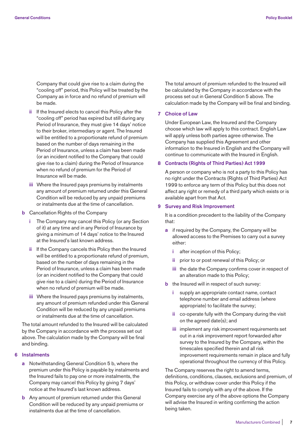Company that could give rise to a claim during the "cooling off" period, this Policy will be treated by the Company as in force and no refund of premium will be made.

- **ii** If the Insured elects to cancel this Policy after the "cooling off" period has expired but still during any Period of Insurance, they must give 14 days' notice to their broker, intermediary or agent. The Insured will be entitled to a proportionate refund of premium based on the number of days remaining in the Period of Insurance, unless a claim has been made (or an incident notified to the Company that could give rise to a claim) during the Period of Insurance when no refund of premium for the Period of Insurance will be made.
- **iii** Where the Insured pays premiums by instalments any amount of premium returned under this General Condition will be reduced by any unpaid premiums or instalments due at the time of cancellation.
- **b** Cancellation Rights of the Company
	- The Company may cancel this Policy (or any Section of it) at any time and in any Period of Insurance by giving a minimum of 14 days' notice to the Insured at the Insured's last known address.
	- **ii** If the Company cancels this Policy then the Insured will be entitled to a proportionate refund of premium, based on the number of days remaining in the Period of Insurance, unless a claim has been made (or an incident notified to the Company that could give rise to a claim) during the Period of Insurance when no refund of premium will be made.
	- **iii** Where the Insured pays premiums by instalments, any amount of premium refunded under this General Condition will be reduced by any unpaid premiums or instalments due at the time of cancellation.

 The total amount refunded to the Insured will be calculated by the Company in accordance with the process set out above. The calculation made by the Company will be final and binding.

# **6 Instalments**

- **a** Notwithstanding General Condition 5 b, where the premium under this Policy is payable by instalments and the Insured fails to pay one or more instalments, the Company may cancel this Policy by giving 7 days' notice at the Insured's last known address.
- **b** Any amount of premium returned under this General Condition will be reduced by any unpaid premiums or instalments due at the time of cancellation.

 The total amount of premium refunded to the Insured will be calculated by the Company in accordance with the process set out in General Condition 5 above. The calculation made by the Company will be final and binding.

#### **7 Choice of Law**

 Under European Law, the Insured and the Company choose which law will apply to this contract. English Law will apply unless both parties agree otherwise. The Company has supplied this Agreement and other information to the Insured in English and the Company will continue to communicate with the Insured in English.

#### **8 Contracts (Rights of Third Parties) Act 1999**

 A person or company who is not a party to this Policy has no right under the Contracts (Rights of Third Parties) Act 1999 to enforce any term of this Policy but this does not affect any right or remedy of a third party which exists or is available apart from that Act.

## **9 Survey and Risk Improvement**

 It is a condition precedent to the liability of the Company that:

- **a** if required by the Company, the Company will be allowed access to the Premises to carry out a survey either:
	- **i** after inception of this Policy;
	- **ii** prior to or post renewal of this Policy; or
	- **iii** the date the Company confirms cover in respect of an alteration made to this Policy;
- **b** the Insured will in respect of such survey:
	- **i** supply an appropriate contact name, contact telephone number and email address (where appropriate) to facilitate the survey;
	- **ii** co-operate fully with the Company during the visit on the agreed date(s); and
	- **iii** implement any risk improvement requirements set out in a risk improvement report forwarded after survey to the Insured by the Company, within the timescales specified therein and all risk improvement requirements remain in place and fully operational throughout the currency of this Policy.

 The Company reserves the right to amend terms, definitions, conditions, clauses, exclusions and premium, of this Policy, or withdraw cover under this Policy if the Insured fails to comply with any of the above. If the Company exercise any of the above options the Company will advise the Insured in writing confirming the action being taken.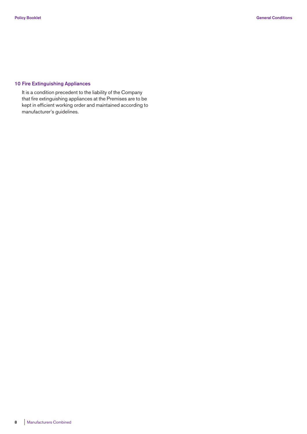# **10 Fire Extinguishing Appliances**

 It is a condition precedent to the liability of the Company that fire extinguishing appliances at the Premises are to be kept in efficient working order and maintained according to manufacturer's guidelines.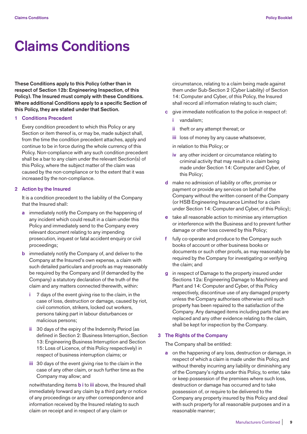# **Claims Conditions**

**These Conditions apply to this Policy (other than in respect of Section 12b: Engineering Inspection, of this Policy). The Insured must comply with these Conditions. Where additional Conditions apply to a specific Section of this Policy, they are stated under that Section.** 

#### **1 Conditions Precedent**

 Every condition precedent to which this Policy or any Section or item thereof is, or may be, made subject shall, from the time the condition precedent attaches, apply and continue to be in force during the whole currency of this Policy. Non-compliance with any such condition precedent shall be a bar to any claim under the relevant Section(s) of this Policy, where the subject matter of the claim was caused by the non-compliance or to the extent that it was increased by the non-compliance.

# **2 Action by the Insured**

 It is a condition precedent to the liability of the Company that the Insured shall:

- **a** immediately notify the Company on the happening of any incident which could result in a claim under this Policy and immediately send to the Company every relevant document relating to any impending prosecution, inquest or fatal accident enquiry or civil proceedings;
- **b** immediately notify the Company of, and deliver to the Company at the Insured's own expense, a claim with such detailed particulars and proofs as may reasonably be required by the Company and (if demanded by the Company) a statutory declaration of the truth of the claim and any matters connected therewith, within:
	- **i** 7 days of the event giving rise to the claim, in the case of loss, destruction or damage, caused by riot, civil commotion, strikers, locked out workers, persons taking part in labour disturbances or malicious persons;
	- **ii** 30 days of the expiry of the Indemnity Period (as defined in Section 2: Business Interruption, Section 13: Engineering Business Interruption and Section 15: Loss of Licence, of this Policy respectively) in respect of business interruption claims; or
	- **iii** 30 days of the event giving rise to the claim in the case of any other claim, or such further time as the Company may allow; and

 notwithstanding items **b i** to **iii** above, the Insured shall immediately forward any claim by a third party or notice of any proceedings or any other correspondence and information received by the Insured relating to such claim on receipt and in respect of any claim or

circumstance, relating to a claim being made against them under Sub-Section 2 (Cyber Liability) of Section 14: Computer and Cyber, of this Policy, the Insured shall record all information relating to such claim;

- **c** give immediate notification to the police in respect of:
	- **i** vandalism;
	- **ii** theft or any attempt thereat; or
	- **iii** loss of money by any cause whatsoever,

in relation to this Policy; or

- **iv** any other incident or circumstance relating to criminal activity that may result in a claim being made under Section 14: Computer and Cyber, of this Policy;
- **d** make no admission of liability or offer, promise or payment or provide any services on behalf of the Company without the written consent of the Company (or HSB Engineering Insurance Limited for a claim under Section 14: Computer and Cyber, of this Policy);
- **e** take all reasonable action to minimise any interruption or interference with the Business and to prevent further damage or other loss covered by this Policy;
- fully co-operate and produce to the Company such books of account or other business books or documents or such other proofs, as may reasonably be required by the Company for investigating or verifying the claim; and
- in respect of Damage to the property insured under Sections 12a: Engineering Damage to Machinery and Plant and 14: Computer and Cyber, of this Policy respectively, discontinue use of any damaged property unless the Company authorises otherwise until such property has been repaired to the satisfaction of the Company. Any damaged items including parts that are replaced and any other evidence relating to the claim, shall be kept for inspection by the Company.

#### **3 The Rights of the Company**

The Company shall be entitled:

 **a** on the happening of any loss, destruction or damage, in respect of which a claim is made under this Policy, and without thereby incurring any liability or diminishing any of the Company's rights under this Policy, to enter, take or keep possession of the premises where such loss, destruction or damage has occurred and to take possession of, or require to be delivered to the Company any property insured by this Policy and deal with such property for all reasonable purposes and in a reasonable manner;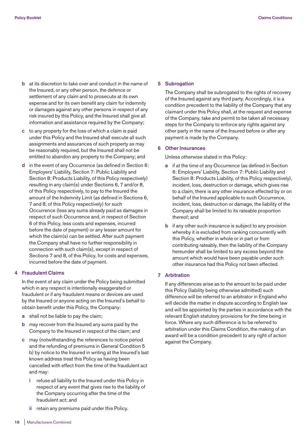- **b** at its discretion to take over and conduct in the name of the Insured, or any other person, the defence or settlement of any claim and to prosecute at its own expense and for its own benefit any claim for indemnity or damages against any other persons in respect of any risk insured by this Policy, and the Insured shall give all information and assistance required by the Company;
- **c** to any property for the loss of which a claim is paid under this Policy and the Insured shall execute all such assignments and assurances of such property as may be reasonably required, but the Insured shall not be entitled to abandon any property to the Company; and
- **d** in the event of any Occurrence (as defined in Section 6: Employers' Liability, Section 7: Public Liability and Section 8: Products Liability, of this Policy respectively) resulting in any claim(s) under Sections 6, 7 and/or 8, of this Policy respectively, to pay to the Insured the amount of the Indemnity Limit (as defined in Sections 6, 7 and 8, of this Policy respectively) for such Occurrence (less any sums already paid as damages in respect of such Occurrence and, in respect of Section 6 of this Policy, less costs and expenses, incurred before the date of payment) or any lesser amount for which the claim(s) can be settled. After such payment the Company shall have no further responsibility in connection with such claim(s), except in respect of Sections 7 and 8, of this Policy, for costs and expenses, incurred before the date of payment.

# **4 Fraudulent Claims**

 In the event of any claim under the Policy being submitted which in any respect is intentionally exaggerated or fraudulent or if any fraudulent means or devices are used by the Insured or anyone acting on the Insured's behalf to obtain benefit under this Policy, the Company:

- **a** shall not be liable to pay the claim;
- **b** may recover from the Insured any sums paid by the Company to the Insured in respect of the claim; and
- **c** may (notwithstanding the references to notice period and the refunding of premiums in General Condition 5 b) by notice to the Insured in writing at the Insured's last known address treat this Policy as having been cancelled with effect from the time of the fraudulent act and may:
	- **i** refuse all liability to the Insured under this Policy in respect of any event that gives rise to the liability of the Company occurring after the time of the fraudulent act; and

#### **5 Subrogation**

 The Company shall be subrogated to the rights of recovery of the Insured against any third party. Accordingly, it is a condition precedent to the liability of the Company that any claimant under this Policy shall, at the request and expense of the Company, take and permit to be taken all necessary steps for the Company to enforce any rights against any other party in the name of the Insured before or after any payment is made by the Company.

#### **6 Other Insurances**

Unless otherwise stated in this Policy:

- **a** if at the time of any Occurrence (as defined in Section 6: Employers' Liability, Section 7: Public Liability and Section 8: Products Liability, of this Policy respectively), incident, loss, destruction or damage, which gives rise to a claim, there is any other insurance effected by or on behalf of the Insured applicable to such Occurrence, incident, loss, destruction or damage, the liability of the Company shall be limited to its rateable proportion thereof; and
- **b** if any other such insurance is subject to any provision whereby it is excluded from ranking concurrently with this Policy, whether in whole or in part or from contributing rateably, then the liability of the Company hereunder shall be limited to any excess beyond the amount which would have been payable under such other insurance had this Policy not been effected.

### **7 Arbitration**

 If any differences arise as to the amount to be paid under this Policy (liability being otherwise admitted) such difference will be referred to an arbitrator in England who will decide the matter in dispute according to English law and will be appointed by the parties in accordance with the relevant English statutory provisions for the time being in force. Where any such difference is to be referred to arbitration under this Claims Condition, the making of an award will be a condition precedent to any right of action against the Company.

**ii** retain any premiums paid under this Policy.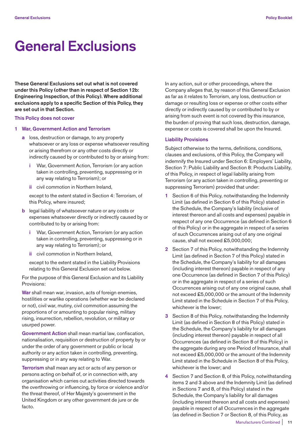# **General Exclusions**

**These General Exclusions set out what is not covered under this Policy (other than in respect of Section 12b: Engineering Inspection, of this Policy). Where additional exclusions apply to a specific Section of this Policy, they are set out in that Section.** 

#### **This Policy does not cover**

#### **1 War, Government Action and Terrorism**

- **a** loss, destruction or damage, to any property whatsoever or any loss or expense whatsoever resulting or arising therefrom or any other costs directly or indirectly caused by or contributed to by or arising from:
	- **i** War, Government Action, Terrorism (or any action taken in controlling, preventing, suppressing or in any way relating to Terrorism); or
	- **ii** civil commotion in Northern Ireland,

 except to the extent stated in Section 4: Terrorism, of this Policy, where insured;

- **b** legal liability of whatsoever nature or any costs or expenses whatsoever directly or indirectly caused by or contributed to by or arising from:
	- **i** War, Government Action, Terrorism (or any action taken in controlling, preventing, suppressing or in any way relating to Terrorism); or
	- **ii** civil commotion in Northern Ireland,

 except to the extent stated in the Liability Provisions relating to this General Exclusion set out below.

 For the purpose of this General Exclusion and its Liability Provisions:

 **War** shall mean war, invasion, acts of foreign enemies, hostilities or warlike operations (whether war be declared or not), civil war, mutiny, civil commotion assuming the proportions of or amounting to popular rising, military rising, insurrection, rebellion, revolution, or military or usurped power.

 **Government Action** shall mean martial law, confiscation, nationalisation, requisition or destruction of property by or under the order of any government or public or local authority or any action taken in controlling, preventing, suppressing or in any way relating to War.

 **Terrorism** shall mean any act or acts of any person or persons acting on behalf of, or in connection with, any organisation which carries out activities directed towards the overthrowing or influencing, by force or violence and/or the threat thereof, of Her Majesty's government in the United Kingdom or any other government de jure or de facto.

 In any action, suit or other proceedings, where the Company alleges that, by reason of this General Exclusion as far as it relates to Terrorism, any loss, destruction or damage or resulting loss or expense or other costs either directly or indirectly caused by or contributed to by or arising from such event is not covered by this insurance, the burden of proving that such loss, destruction, damage, expense or costs is covered shall be upon the Insured.

#### **Liability Provisions**

 Subject otherwise to the terms, definitions, conditions, clauses and exclusions, of this Policy, the Company will indemnify the Insured under Section 6: Employers' Liability, Section 7: Public Liability and Section 8: Products Liability, of this Policy, in respect of legal liability arising from Terrorism (or any action taken in controlling, preventing or suppressing Terrorism) provided that under:

- **1** Section 6 of this Policy, notwithstanding the Indemnity Limit (as defined in Section 6 of this Policy) stated in the Schedule, the Company's liability (inclusive of interest thereon and all costs and expenses) payable in respect of any one Occurrence (as defined in Section 6 of this Policy) or in the aggregate in respect of a series of such Occurrences arising out of any one original cause, shall not exceed £5,000,000;
- **2** Section 7 of this Policy, notwithstanding the Indemnity Limit (as defined in Section 7 of this Policy) stated in the Schedule, the Company's liability for all damages (including interest thereon) payable in respect of any one Occurrence (as defined in Section 7 of this Policy) or in the aggregate in respect of a series of such Occurrences arising out of any one original cause, shall not exceed £5,000,000 or the amount of the Indemnity Limit stated in the Schedule in Section 7 of this Policy, whichever is the lower;
- **3** Section 8 of this Policy, notwithstanding the Indemnity Limit (as defined in Section 8 of this Policy) stated in the Schedule, the Company's liability for all damages (including interest thereon) payable in respect of all Occurrences (as defined in Section 8 of this Policy) in the aggregate during any one Period of Insurance, shall not exceed £5,000,000 or the amount of the Indemnity Limit stated in the Schedule in Section 8 of this Policy, whichever is the lower; and
- **4** Section 7 and Section 8, of this Policy, notwithstanding items 2 and 3 above and the Indemnity Limit (as defined in Sections 7 and 8, of this Policy) stated in the Schedule, the Company's liability for all damages (including interest thereon and all costs and expenses) payable in respect of all Occurrences in the aggregate (as defined in Section 7 or Section 8, of this Policy, as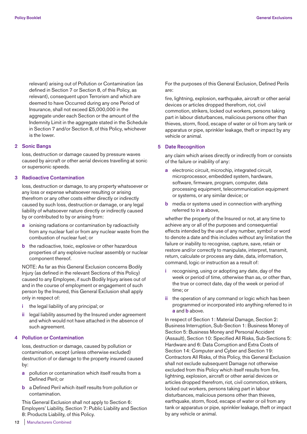relevant) arising out of Pollution or Contamination (as defined in Section 7 or Section 8, of this Policy, as relevant), consequent upon Terrorism and which are deemed to have Occurred during any one Period of Insurance, shall not exceed £5,000,000 in the aggregate under each Section or the amount of the Indemnity Limit in the aggregate stated in the Schedule in Section 7 and/or Section 8, of this Policy, whichever is the lower.

## **2 Sonic Bangs**

 loss, destruction or damage caused by pressure waves caused by aircraft or other aerial devices travelling at sonic or supersonic speeds.

#### **3 Radioactive Contamination**

 loss, destruction or damage, to any property whatsoever or any loss or expense whatsoever resulting or arising therefrom or any other costs either directly or indirectly caused by such loss, destruction or damage, or any legal liability of whatsoever nature directly or indirectly caused by or contributed to by or arising from:

- **a** ionising radiations or contamination by radioactivity from any nuclear fuel or from any nuclear waste from the combustion of nuclear fuel; or
- **b** the radioactive, toxic, explosive or other hazardous properties of any explosive nuclear assembly or nuclear component thereof.

 NOTE: As far as this General Exclusion concerns Bodily Injury (as defined in the relevant Sections of this Policy) caused to any Employee, if such Bodily Injury arises out of and in the course of employment or engagement of such person by the Insured, this General Exclusion shall apply only in respect of:

- **i** the legal liability of any principal; or
- **ii** legal liability assumed by the Insured under agreement and which would not have attached in the absence of such agreement.

# **4 Pollution or Contamination**

 loss, destruction or damage, caused by pollution or contamination, except (unless otherwise excluded) destruction of or damage to the property insured caused by:

- **a** pollution or contamination which itself results from a Defined Peril; or
- **b** a Defined Peril which itself results from pollution or contamination.

 This General Exclusion shall not apply to Section 6: Employers' Liability, Section 7: Public Liability and Section 8: Products Liability, of this Policy.

 For the purposes of this General Exclusion, Defined Perils are:

 fire, lightning, explosion, earthquake, aircraft or other aerial devices or articles dropped therefrom, riot, civil commotion, strikers, locked out workers, persons taking part in labour disturbances, malicious persons other than thieves, storm, flood, escape of water or oil from any tank or apparatus or pipe, sprinkler leakage, theft or impact by any vehicle or animal.

#### **5 Date Recognition**

 any claim which arises directly or indirectly from or consists of the failure or inability of any:

- **a** electronic circuit, microchip, integrated circuit, microprocessor, embedded system, hardware, software, firmware, program, computer, data processing equipment, telecommunication equipment or systems, or any similar device; or
- **b** media or systems used in connection with anything referred to in **a** above,

 whether the property of the Insured or not, at any time to achieve any or all of the purposes and consequential effects intended by the use of any number, symbol or word to denote a date and this includes without any limitation the failure or inability to recognise, capture, save, retain or restore and/or correctly to manipulate, interpret, transmit, return, calculate or process any date, data, information, command, logic or instruction as a result of:

- **i** recognising, using or adopting any date, day of the week or period of time, otherwise than as, or other than, the true or correct date, day of the week or period of time; or
- **ii** the operation of any command or logic which has been programmed or incorporated into anything referred to in **a** and **b** above.

 In respect of Section 1: Material Damage, Section 2: Business Interruption, Sub-Section 1: Business Money of Section 5: Business Money and Personal Accident (Assault), Section 10: Specified All Risks, Sub-Sections 5: Hardware and 6: Data Corruption and Extra Costs of Section 14: Computer and Cyber and Section 19: Contractors All Risks, of this Policy, this General Exclusion shall not exclude subsequent Damage not otherwise excluded from this Policy which itself results from fire, lightning, explosion, aircraft or other aerial devices or articles dropped therefrom, riot, civil commotion, strikers, locked out workers, persons taking part in labour disturbances, malicious persons other than thieves, earthquake, storm, flood, escape of water or oil from any tank or apparatus or pipe, sprinkler leakage, theft or impact by any vehicle or animal.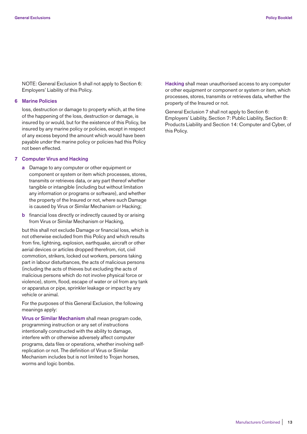NOTE: General Exclusion 5 shall not apply to Section 6: Employers' Liability of this Policy.

# **6 Marine Policies**

 loss, destruction or damage to property which, at the time of the happening of the loss, destruction or damage, is insured by or would, but for the existence of this Policy, be insured by any marine policy or policies, except in respect of any excess beyond the amount which would have been payable under the marine policy or policies had this Policy not been effected.

#### **7 Computer Virus and Hacking**

- **a** Damage to any computer or other equipment or component or system or item which processes, stores, transmits or retrieves data, or any part thereof whether tangible or intangible (including but without limitation any information or programs or software), and whether the property of the Insured or not, where such Damage is caused by Virus or Similar Mechanism or Hacking;
- **b** financial loss directly or indirectly caused by or arising from Virus or Similar Mechanism or Hacking,

 but this shall not exclude Damage or financial loss, which is not otherwise excluded from this Policy and which results from fire, lightning, explosion, earthquake, aircraft or other aerial devices or articles dropped therefrom, riot, civil commotion, strikers, locked out workers, persons taking part in labour disturbances, the acts of malicious persons (including the acts of thieves but excluding the acts of malicious persons which do not involve physical force or violence), storm, flood, escape of water or oil from any tank or apparatus or pipe, sprinkler leakage or impact by any vehicle or animal.

 For the purposes of this General Exclusion, the following meanings apply:

 **Virus or Similar Mechanism** shall mean program code, programming instruction or any set of instructions intentionally constructed with the ability to damage, interfere with or otherwise adversely affect computer programs, data files or operations, whether involving selfreplication or not. The definition of Virus or Similar Mechanism includes but is not limited to Trojan horses, worms and logic bombs.

 **Hacking** shall mean unauthorised access to any computer or other equipment or component or system or item, which processes, stores, transmits or retrieves data, whether the property of the Insured or not.

 General Exclusion 7 shall not apply to Section 6: Employers' Liability, Section 7: Public Liability, Section 8: Products Liability and Section 14: Computer and Cyber, of this Policy.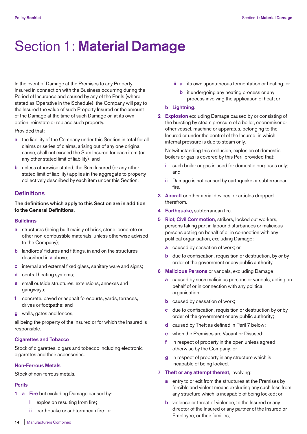# Section 1: **Material Damage**

In the event of Damage at the Premises to any Property Insured in connection with the Business occurring during the Period of Insurance and caused by any of the Perils (where stated as Operative in the Schedule), the Company will pay to the Insured the value of such Property Insured or the amount of the Damage at the time of such Damage or, at its own option, reinstate or replace such property.

Provided that:

- **a** the liability of the Company under this Section in total for all claims or series of claims, arising out of any one original cause, shall not exceed the Sum Insured for each item (or any other stated limit of liability); and
- **b** unless otherwise stated, the Sum Insured (or any other stated limit of liability) applies in the aggregate to property collectively described by each item under this Section.

# **Definitions**

**The definitions which apply to this Section are in addition to the General Definitions.** 

#### **Buildings**

- **a** structures (being built mainly of brick, stone, concrete or other non-combustible materials, unless otherwise advised to the Company);
- **b** landlords' fixtures and fittings, in and on the structures described in **a** above;
- **c** internal and external fixed glass, sanitary ware and signs;
- **d** central heating systems;
- **e** small outside structures, extensions, annexes and gangways;
- **f** concrete, paved or asphalt forecourts, yards, terraces, drives or footpaths; and
- **g** walls, gates and fences,

all being the property of the Insured or for which the Insured is responsible.

# **Cigarettes and Tobacco**

Stock of cigarettes, cigars and tobacco including electronic cigarettes and their accessories.

### **Non-Ferrous Metals**

Stock of non-ferrous metals.

#### **Perils**

- **1 a Fire** but excluding Damage caused by:
	- **i** explosion resulting from fire;
	- **ii** earthquake or subterranean fire; or
- **iii a** its own spontaneous fermentation or heating; or
	- **b** it undergoing any heating process or any process involving the application of heat; or

## **b Lightning**.

**2 Explosion** excluding Damage caused by or consisting of the bursting by steam pressure of a boiler, economiser or other vessel, machine or apparatus, belonging to the Insured or under the control of the Insured, in which internal pressure is due to steam only.

 Notwithstanding this exclusion, explosion of domestic boilers or gas is covered by this Peril provided that:

- **i** such boiler or gas is used for domestic purposes only; and
- **ii** Damage is not caused by earthquake or subterranean fire.
- **3 Aircraft** or other aerial devices, or articles dropped therefrom.
- **4 Earthquake,** subterranean fire.
- **5 Riot, Civil Commotion**, strikers, locked out workers, persons taking part in labour disturbances or malicious persons acting on behalf of or in connection with any political organisation, excluding Damage:
	- **a** caused by cessation of work; or
	- **b** due to confiscation, requisition or destruction, by or by order of the government or any public authority.
- **6 Malicious Persons** or vandals, excluding Damage:
	- **a** caused by such malicious persons or vandals, acting on behalf of or in connection with any political organisation;
	- **b** caused by cessation of work;
	- **c** due to confiscation, requisition or destruction by or by order of the government or any public authority;
	- **d** caused by Theft as defined in Peril 7 below;
	- **e** when the Premises are Vacant or Disused;
	- **f** in respect of property in the open unless agreed otherwise by the Company; or
	- **g** in respect of property in any structure which is incapable of being locked.
- **7 Theft or any attempt thereat**, involving:
	- **a** entry to or exit from the structures at the Premises by forcible and violent means excluding any such loss from any structure which is incapable of being locked; or
	- **b** violence or threat of violence, to the Insured or any director of the Insured or any partner of the Insured or Employee, or their families,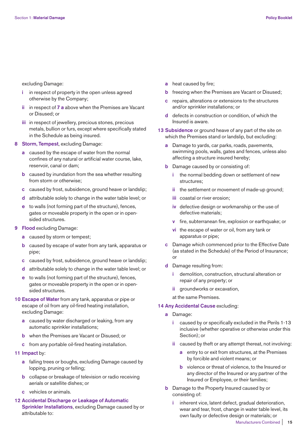excluding Damage:

- **i** in respect of property in the open unless agreed otherwise by the Company;
- **ii** in respect of **7 a** above when the Premises are Vacant or Disused; or
- **iii** in respect of jewellery, precious stones, precious metals, bullion or furs, except where specifically stated in the Schedule as being insured.
- **8 Storm, Tempest**, excluding Damage:
	- **a** caused by the escape of water from the normal confines of any natural or artificial water course, lake, reservoir, canal or dam;
	- **b** caused by inundation from the sea whether resulting from storm or otherwise;
	- **c** caused by frost, subsidence, ground heave or landslip;
	- **d** attributable solely to change in the water table level; or
	- **e** to walls (not forming part of the structure), fences, gates or moveable property in the open or in opensided structures.
- **9 Flood** excluding Damage:
	- **a** caused by storm or tempest;
	- **b** caused by escape of water from any tank, apparatus or pipe;
	- **c** caused by frost, subsidence, ground heave or landslip;
	- **d** attributable solely to change in the water table level; or
	- **e** to walls (not forming part of the structure), fences, gates or moveable property in the open or in opensided structures.
- **10 Escape of Water** from any tank, apparatus or pipe or escape of oil from any oil-fired heating installation, excluding Damage:
	- **a** caused by water discharged or leaking, from any automatic sprinkler installations;
	- **b** when the Premises are Vacant or Disused; or
	- **c** from any portable oil-fired heating installation.
- **11 Impact** by:
	- **a** falling trees or boughs, excluding Damage caused by lopping, pruning or felling;
	- **b** collapse or breakage of television or radio receiving aerials or satellite dishes; or
	- **c** vehicles or animals.
- **12 Accidental Discharge or Leakage of Automatic Sprinkler Installations**, excluding Damage caused by or attributable to:
- **a** heat caused by fire;
- **b** freezing when the Premises are Vacant or Disused;
- **c** repairs, alterations or extensions to the structures and/or sprinkler installations; or
- **d** defects in construction or condition, of which the Insured is aware.
- **13 Subsidence** or ground heave of any part of the site on which the Premises stand or landslip, but excluding:
	- **a** Damage to yards, car parks, roads, pavements, swimming pools, walls, gates and fences, unless also affecting a structure insured hereby;
	- **b** Damage caused by or consisting of:
		- **i** the normal bedding down or settlement of new structures;
		- **ii** the settlement or movement of made-up ground;
		- **iii** coastal or river erosion;
		- **iv** defective design or workmanship or the use of defective materials;
		- **v** fire, subterranean fire, explosion or earthquake; or
		- **vi** the escape of water or oil, from any tank or apparatus or pipe;
	- **c** Damage which commenced prior to the Effective Date (as stated in the Schedule) of the Period of Insurance; or
	- **d** Damage resulting from:
		- **i** demolition, construction, structural alteration or repair of any property; or
		- **ii** groundworks or excavation,
		- at the same Premises.

#### **14 Any Accidental Cause** excluding:

- **a** Damage:
	- **i** caused by or specifically excluded in the Perils 1-13 inclusive (whether operative or otherwise under this Section); or
	- **ii** caused by theft or any attempt thereat, not involving:
		- **a** entry to or exit from structures, at the Premises by forcible and violent means; or
		- **b** violence or threat of violence, to the Insured or any director of the Insured or any partner of the Insured or Employee, or their families;
- **b** Damage to the Property Insured caused by or consisting of:
	- **i** inherent vice, latent defect, gradual deterioration, wear and tear, frost, change in water table level, its own faulty or defective design or materials; or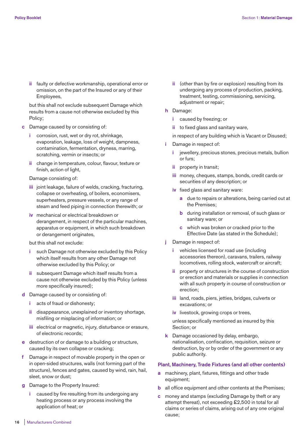**ii** faulty or defective workmanship, operational error or omission, on the part of the Insured or any of their Employees,

 but this shall not exclude subsequent Damage which results from a cause not otherwise excluded by this Policy;

- **c** Damage caused by or consisting of:
	- **i** corrosion, rust, wet or dry rot, shrinkage, evaporation, leakage, loss of weight, dampness, contamination, fermentation, dryness, marring, scratching, vermin or insects; or
	- **ii** change in temperature, colour, flavour, texture or finish, action of light,

Damage consisting of:

- **iii** joint leakage, failure of welds, cracking, fracturing, collapse or overheating, of boilers, economisers, superheaters, pressure vessels, or any range of steam and feed piping in connection therewith; or
- **iv** mechanical or electrical breakdown or derangement, in respect of the particular machines, apparatus or equipment, in which such breakdown or derangement originates,

but this shall not exclude:

- such Damage not otherwise excluded by this Policy which itself results from any other Damage not otherwise excluded by this Policy; or
- **ii** subsequent Damage which itself results from a cause not otherwise excluded by this Policy (unless more specifically insured);
- **d** Damage caused by or consisting of:
	- **i** acts of fraud or dishonesty:
	- **ii** disappearance, unexplained or inventory shortage, misfiling or misplacing of information; or
	- **iii** electrical or magnetic, injury, disturbance or erasure, of electronic records;
- **e** destruction of or damage to a building or structure, caused by its own collapse or cracking;
- **f** Damage in respect of movable property in the open or in open-sided structures, walls (not forming part of the structure), fences and gates, caused by wind, rain, hail, sleet, snow or dust;
- **g** Damage to the Property Insured:
	- **i** caused by fire resulting from its undergoing any heating process or any process involving the application of heat; or
- **ii** (other than by fire or explosion) resulting from its undergoing any process of production, packing, treatment, testing, commissioning, servicing, adjustment or repair;
- **h** Damage:
	- **i** caused by freezing; or
	- **ii** to fixed glass and sanitary ware,

in respect of any building which is Vacant or Disused;

- Damage in respect of:
	- **i** jewellery, precious stones, precious metals, bullion or furs;
	- **ii** property in transit;
	- **iii** money, cheques, stamps, bonds, credit cards or securities of any description; or
	- **iv** fixed glass and sanitary ware:
		- **a** due to repairs or alterations, being carried out at the Premises;
		- **b** during installation or removal, of such glass or sanitary ware; or
		- **c** which was broken or cracked prior to the Effective Date (as stated in the Schedule);
- **j** Damage in respect of:
	- **i** vehicles licensed for road use (including accessories thereon), caravans, trailers, railway locomotives, rolling stock, watercraft or aircraft;
	- **ii** property or structures in the course of construction or erection and materials or supplies in connection with all such property in course of construction or erection;
	- **iii** land, roads, piers, jetties, bridges, culverts or excavations; or
	- **iv** livestock, growing crops or trees,

 unless specifically mentioned as insured by this Section; or

 **k** Damage occasioned by delay, embargo, nationalisation, confiscation, requisition, seizure or destruction, by or by order of the government or any public authority.

# **Plant, Machinery, Trade Fixtures (and all other contents)**

- **a** machinery, plant, fixtures, fittings and other trade equipment;
- **b** all office equipment and other contents at the Premises;
- **c** money and stamps (excluding Damage by theft or any attempt thereat), not exceeding £2,500 in total for all claims or series of claims, arising out of any one original cause;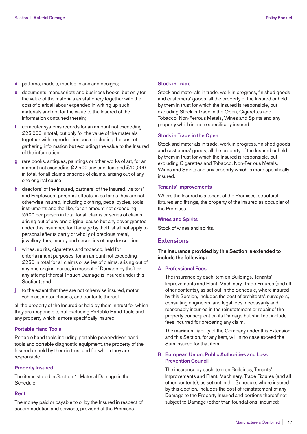- **d** patterns, models, moulds, plans and designs;
- **e** documents, manuscripts and business books, but only for the value of the materials as stationery together with the cost of clerical labour expended in writing up such materials and not for the value to the Insured of the information contained therein;
- **f** computer systems records for an amount not exceeding £25,000 in total, but only for the value of the materials together with reproduction costs including the cost of gathering information but excluding the value to the Insured of the information;
- **g** rare books, antiques, paintings or other works of art, for an amount not exceeding £2,500 any one item and £10,000 in total, for all claims or series of claims, arising out of any one original cause;
- **h** directors' of the Insured, partners' of the Insured, visitors' and Employees', personal effects, in so far as they are not otherwise insured, including clothing, pedal cycles, tools, instruments and the like, for an amount not exceeding £500 per person in total for all claims or series of claims, arising out of any one original cause but any cover granted under this insurance for Damage by theft, shall not apply to personal effects partly or wholly of precious metal, jewellery, furs, money and securities of any description;
- **i** wines, spirits, cigarettes and tobacco, held for entertainment purposes, for an amount not exceeding £250 in total for all claims or series of claims, arising out of any one original cause, in respect of Damage by theft or any attempt thereat (if such Damage is insured under this Section); and
- **j** to the extent that they are not otherwise insured, motor vehicles, motor chassis, and contents thereof,

all the property of the Insured or held by them in trust for which they are responsible, but excluding Portable Hand Tools and any property which is more specifically insured.

# **Portable Hand Tools**

Portable hand tools including portable power-driven hand tools and portable diagnostic equipment, the property of the Insured or held by them in trust and for which they are responsible.

#### **Property Insured**

The items stated in Section 1: Material Damage in the Schedule.

#### **Rent**

The money paid or payable to or by the Insured in respect of accommodation and services, provided at the Premises.

#### **Stock in Trade**

Stock and materials in trade, work in progress, finished goods and customers' goods, all the property of the Insured or held by them in trust for which the Insured is responsible, but excluding Stock in Trade in the Open, Cigarettes and Tobacco, Non-Ferrous Metals, Wines and Spirits and any property which is more specifically insured.

#### **Stock in Trade in the Open**

Stock and materials in trade, work in progress, finished goods and customers' goods, all the property of the Insured or held by them in trust for which the Insured is responsible, but excluding Cigarettes and Tobacco, Non-Ferrous Metals, Wines and Spirits and any property which is more specifically insured.

#### **Tenants' Improvements**

Where the Insured is a tenant of the Premises, structural fixtures and fittings, the property of the Insured as occupier of the Premises.

#### **Wines and Spirits**

Stock of wines and spirits.

# **Extensions**

**The insurance provided by this Section is extended to include the following:** 

#### **A Professional Fees**

 The insurance by each item on Buildings, Tenants' Improvements and Plant, Machinery, Trade Fixtures (and all other contents), as set out in the Schedule, where insured by this Section, includes the cost of architects', surveyors', consulting engineers' and legal fees, necessarily and reasonably incurred in the reinstatement or repair of the property consequent on its Damage but shall not include fees incurred for preparing any claim.

 The maximum liability of the Company under this Extension and this Section, for any item, will in no case exceed the Sum Insured for that item.

# **B European Union, Public Authorities and Loss Prevention Council**

 The insurance by each item on Buildings, Tenants' Improvements and Plant, Machinery, Trade Fixtures (and all other contents), as set out in the Schedule, where insured by this Section, includes the cost of reinstatement of any Damage to the Property Insured and portions thereof not subject to Damage (other than foundations) incurred: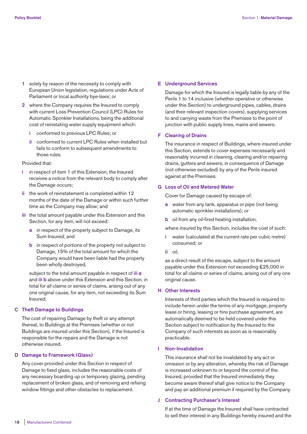- **1** solely by reason of the necessity to comply with European Union legislation, regulations under Acts of Parliament or local authority bye-laws; or
- **2** where the Company requires the Insured to comply with current Loss Prevention Council (LPC) Rules for Automatic Sprinkler Installations, being the additional cost of reinstating water supply equipment which:
	- **i** conformed to previous LPC Rules; or
	- **ii** conformed to current LPC Rules when installed but fails to conform to subsequent amendments to those rules.

#### Provided that:

- **i** in respect of item 1 of this Extension, the Insured receives a notice from the relevant body to comply after the Damage occurs;
- **ii** the work of reinstatement is completed within 12 months of the date of the Damage or within such further time as the Company may allow; and
- **iii** the total amount payable under this Extension and this Section, for any item, will not exceed:
	- **a** in respect of the property subject to Damage, its Sum Insured; and
	- **b** in respect of portions of the property not subject to Damage, 15% of the total amount for which the Company would have been liable had the property been wholly destroyed,

 subject to the total amount payable in respect of **iii a** and **iii b** above under this Extension and this Section, in total for all claims or series of claims, arising out of any one original cause, for any item, not exceeding its Sum Insured.

# **C Theft Damage to Buildings**

 The cost of repairing Damage by theft or any attempt thereat, to Buildings at the Premises (whether or not Buildings are insured under this Section), if the Insured is responsible for the repairs and the Damage is not otherwise insured.

# **D Damage to Framework (Glass)**

 Any cover provided under this Section in respect of Damage to fixed glass, includes the reasonable costs of any necessary boarding up or temporary glazing, pending replacement of broken glass, and of removing and refixing window fittings and other obstacles to replacement.

### **E Underground Services**

 Damage for which the Insured is legally liable by any of the Perils 1 to 14 inclusive (whether operative or otherwise under this Section) to underground pipes, cables, drains (and their relevant inspection covers), supplying services to and carrying waste from the Premises to the point of junction with public supply lines, mains and sewers.

#### **F Clearing of Drains**

 The insurance in respect of Buildings, where insured under this Section, extends to cover expenses necessarily and reasonably incurred in cleaning, clearing and/or repairing drains, gutters and sewers, in consequence of Damage (not otherwise excluded) by any of the Perils insured against at the Premises.

#### **G Loss of Oil and Metered Water**

Cover for Damage caused by escape of:

- **a** water from any tank, apparatus or pipe (not being automatic sprinkler installations); or
- **b** oil from any oil-fired heating installation,

where insured by this Section, includes the cost of such:

- **i** water (calculated at the current rate per cubic metre) consumed; or
- **ii** oil,

 as a direct result of the escape, subject to the amount payable under this Extension not exceeding £25,000 in total for all claims or series of claims, arising out of any one original cause.

# **H Other Interests**

 Interests of third parties which the Insured is required to include herein under the terms of any mortgage, property lease or hiring, leasing or hire purchase agreement, are automatically deemed to be held covered under this Section subject to notification by the Insured to the Company of such interests as soon as is reasonably practicable.

#### **I Non-Invalidation**

 This insurance shall not be invalidated by any act or omission or by any alteration, whereby the risk of Damage is increased unknown to or beyond the control of the Insured, provided that the Insured immediately they become aware thereof shall give notice to the Company and pay an additional premium if required by the Company.

# **J Contracting Purchaser's Interest**

 If at the time of Damage the Insured shall have contracted to sell their interest in any Buildings hereby insured and the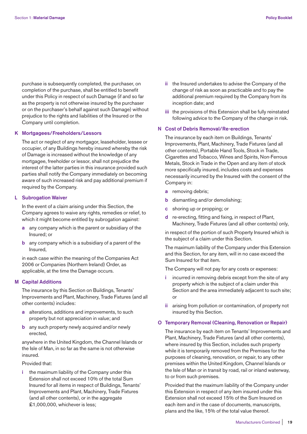purchase is subsequently completed, the purchaser, on completion of the purchase, shall be entitled to benefit under this Policy in respect of such Damage (if and so far as the property is not otherwise insured by the purchaser or on the purchaser's behalf against such Damage) without prejudice to the rights and liabilities of the Insured or the Company until completion.

# **K Mortgagees/Freeholders/Lessors**

 The act or neglect of any mortgagor, leaseholder, lessee or occupier, of any Buildings hereby insured whereby the risk of Damage is increased without the knowledge of any mortgagee, freeholder or lessor, shall not prejudice the interest of the latter parties in this insurance provided such parties shall notify the Company immediately on becoming aware of such increased risk and pay additional premium if required by the Company.

# **L Subrogation Waiver**

 In the event of a claim arising under this Section, the Company agrees to waive any rights, remedies or relief, to which it might become entitled by subrogation against:

- **a** any company which is the parent or subsidiary of the Insured; or
- **b** any company which is a subsidiary of a parent of the Insured,

 in each case within the meaning of the Companies Act 2006 or Companies (Northern Ireland) Order, as applicable, at the time the Damage occurs.

# **M Capital Additions**

 The insurance by this Section on Buildings, Tenants' Improvements and Plant, Machinery, Trade Fixtures (and all other contents) includes:

- **a** alterations, additions and improvements, to such property but not appreciation in value; and
- **b** any such property newly acquired and/or newly erected,

 anywhere in the United Kingdom, the Channel Islands or the Isle of Man, in so far as the same is not otherwise insured.

# Provided that:

 **i** the maximum liability of the Company under this Extension shall not exceed 10% of the total Sum Insured for all items in respect of Buildings, Tenants' Improvements and Plant, Machinery, Trade Fixtures (and all other contents), or in the aggregate £1,000,000, whichever is less;

- **ii** the Insured undertakes to advise the Company of the change of risk as soon as practicable and to pay the additional premium required by the Company from its inception date; and
- **iii** the provisions of this Extension shall be fully reinstated following advice to the Company of the change in risk.

# **N Cost of Debris Removal/Re-erection**

 The insurance by each item on Buildings, Tenants' Improvements, Plant, Machinery, Trade Fixtures (and all other contents), Portable Hand Tools, Stock in Trade, Cigarettes and Tobacco, Wines and Spirits, Non-Ferrous Metals, Stock in Trade in the Open and any item of stock more specifically insured, includes costs and expenses necessarily incurred by the Insured with the consent of the Company in:

- **a** removing debris;
- **b** dismantling and/or demolishing;
- **c** shoring up or propping; or
- **d** re-erecting, fitting and fixing, in respect of Plant, Machinery, Trade Fixtures (and all other contents) only,

 in respect of the portion of such Property Insured which is the subject of a claim under this Section.

 The maximum liability of the Company under this Extension and this Section, for any item, will in no case exceed the Sum Insured for that item.

The Company will not pay for any costs or expenses:

- **i** incurred in removing debris except from the site of any property which is the subject of a claim under this Section and the area immediately adjacent to such site; or
- **ii** arising from pollution or contamination, of property not insured by this Section.

# **O Temporary Removal (Cleaning, Renovation or Repair)**

 The insurance by each item on Tenants' Improvements and Plant, Machinery, Trade Fixtures (and all other contents), where insured by this Section, includes such property while it is temporarily removed from the Premises for the purposes of cleaning, renovation, or repair, to any other premises within the United Kingdom, Channel Islands or the Isle of Man or in transit by road, rail or inland waterway, to or from such premises.

 Provided that the maximum liability of the Company under this Extension in respect of any item insured under this Extension shall not exceed 15% of the Sum Insured on each item and in the case of documents, manuscripts, plans and the like, 15% of the total value thereof.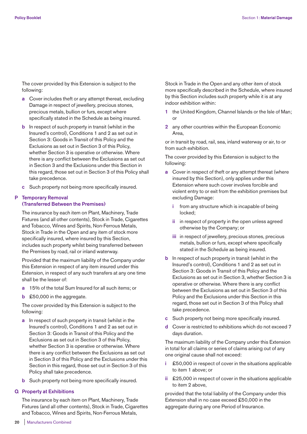The cover provided by this Extension is subject to the following:

- **a** Cover includes theft or any attempt thereat, excluding Damage in respect of jewellery, precious stones, precious metals, bullion or furs, except where specifically stated in the Schedule as being insured.
- **b** In respect of such property in transit (whilst in the Insured's control), Conditions 1 and 2 as set out in Section 3: Goods in Transit of this Policy and the Exclusions as set out in Section 3 of this Policy, whether Section 3 is operative or otherwise. Where there is any conflict between the Exclusions as set out in Section 3 and the Exclusions under this Section in this regard, those set out in Section 3 of this Policy shall take precedence.
- **c** Such property not being more specifically insured.

# **P Temporary Removal (Transferred Between the Premises)**

 The insurance by each item on Plant, Machinery, Trade Fixtures (and all other contents), Stock in Trade, Cigarettes and Tobacco, Wines and Spirits, Non-Ferrous Metals, Stock in Trade in the Open and any item of stock more specifically insured, where insured by this Section, includes such property whilst being transferred between the Premises by road, rail or inland waterway.

 Provided that the maximum liability of the Company under this Extension in respect of any item insured under this Extension, in respect of any such transfers at any one time shall be the lesser of:

- **a** 15% of the total Sum Insured for all such items; or
- **b** £50,000 in the aggregate.

 The cover provided by this Extension is subject to the following:

- **a** In respect of such property in transit (whilst in the Insured's control), Conditions 1 and 2 as set out in Section 3: Goods in Transit of this Policy and the Exclusions as set out in Section 3 of this Policy, whether Section 3 is operative or otherwise. Where there is any conflict between the Exclusions as set out in Section 3 of this Policy and the Exclusions under this Section in this regard, those set out in Section 3 of this Policy shall take precedence.
- **b** Such property not being more specifically insured.

# **Q Property at Exhibitions**

 The insurance by each item on Plant, Machinery, Trade Fixtures (and all other contents), Stock in Trade, Cigarettes and Tobacco, Wines and Spirits, Non-Ferrous Metals,

Stock in Trade in the Open and any other item of stock more specifically described in the Schedule, where insured by this Section includes such property while it is at any indoor exhibition within:

- **1** the United Kingdom, Channel Islands or the Isle of Man; or
- **2** any other countries within the European Economic Area,

 or in transit by road, rail, sea, inland waterway or air, to or from such exhibition.

 The cover provided by this Extension is subject to the following:

- **a** Cover in respect of theft or any attempt thereat (where insured by this Section), only applies under this Extension where such cover involves forcible and violent entry to or exit from the exhibition premises but excluding Damage:
	- **i** from any structure which is incapable of being locked;
	- **ii** in respect of property in the open unless agreed otherwise by the Company; or
	- **iii** in respect of jewellery, precious stones, precious metals, bullion or furs, except where specifically stated in the Schedule as being insured.
- **b** In respect of such property in transit (whilst in the Insured's control), Conditions 1 and 2 as set out in Section 3: Goods in Transit of this Policy and the Exclusions as set out in Section 3, whether Section 3 is operative or otherwise. Where there is any conflict between the Exclusions as set out in Section 3 of this Policy and the Exclusions under this Section in this regard, those set out in Section 3 of this Policy shall take precedence.
- **c** Such property not being more specifically insured.
- **d** Cover is restricted to exhibitions which do not exceed 7 days duration.

 The maximum liability of the Company under this Extension in total for all claims or series of claims arising out of any one original cause shall not exceed:

- **i** £50,000 in respect of cover in the situations applicable to item 1 above; or
- **ii** £25,000 in respect of cover in the situations applicable to item 2 above,

 provided that the total liability of the Company under this Extension shall in no case exceed £50,000 in the aggregate during any one Period of Insurance.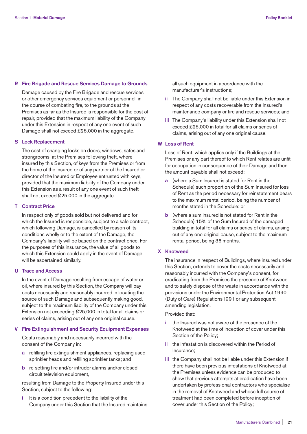## **R Fire Brigade and Rescue Services Damage to Grounds**

 Damage caused by the Fire Brigade and rescue services or other emergency services equipment or personnel, in the course of combating fire, to the grounds at the Premises as far as the Insured is responsible for the cost of repair, provided that the maximum liability of the Company under this Extension in respect of any one event of such Damage shall not exceed £25,000 in the aggregate.

#### **S Lock Replacement**

 The cost of changing locks on doors, windows, safes and strongrooms, at the Premises following theft, where insured by this Section, of keys from the Premises or from the home of the Insured or of any partner of the Insured or director of the Insured or Employee entrusted with keys, provided that the maximum liability of the Company under this Extension as a result of any one event of such theft shall not exceed £25,000 in the aggregate.

#### **T Contract Price**

 In respect only of goods sold but not delivered and for which the Insured is responsible, subject to a sale contract, which following Damage, is cancelled by reason of its conditions wholly or to the extent of the Damage, the Company's liability will be based on the contract price. For the purposes of this insurance, the value of all goods to which this Extension could apply in the event of Damage will be ascertained similarly.

# **U Trace and Access**

 In the event of Damage resulting from escape of water or oil, where insured by this Section, the Company will pay costs necessarily and reasonably incurred in locating the source of such Damage and subsequently making good, subject to the maximum liability of the Company under this Extension not exceeding £25,000 in total for all claims or series of claims, arising out of any one original cause.

#### **V Fire Extinguishment and Security Equipment Expenses**

 Costs reasonably and necessarily incurred with the consent of the Company in:

- **a** refilling fire extinguishment appliances, replacing used sprinkler heads and refilling sprinkler tanks; and
- **b** re-setting fire and/or intruder alarms and/or closedcircuit television equipment,

 resulting from Damage to the Property Insured under this Section, subject to the following:

 **i** It is a condition precedent to the liability of the Company under this Section that the Insured maintains all such equipment in accordance with the manufacturer's instructions;

- **ii** The Company shall not be liable under this Extension in respect of any costs recoverable from the Insured's maintenance company or fire and rescue services; and
- **iii** The Company's liability under this Extension shall not exceed £25,000 in total for all claims or series of claims, arising out of any one original cause.

# **W Loss of Rent**

 Loss of Rent, which applies only if the Buildings at the Premises or any part thereof to which Rent relates are unfit for occupation in consequence of their Damage and then the amount payable shall not exceed:

- **a** (where a Sum Insured is stated for Rent in the Schedule) such proportion of the Sum Insured for loss of Rent as the period necessary for reinstatement bears to the maximum rental period, being the number of months stated in the Schedule; or
- **b** (where a sum insured is not stated for Rent in the Schedule) 15% of the Sum Insured of the damaged building in total for all claims or series of claims, arising out of any one original cause, subject to the maximum rental period, being 36 months.

# **X Knotweed**

 The insurance in respect of Buildings, where insured under this Section, extends to cover the costs necessarily and reasonably incurred with the Company's consent, for eradicating from the Premises the presence of Knotweed and to safely dispose of the waste in accordance with the provisions under the Environmental Protection Act 1990 (Duty of Care) Regulations1991 or any subsequent amending legislation.

Provided that:

- **i** the Insured was not aware of the presence of the Knotweed at the time of inception of cover under this Section of the Policy;
- **ii** the infestation is discovered within the Period of Insurance;
- **iii** the Company shall not be liable under this Extension if there have been previous infestations of Knotweed at the Premises unless evidence can be produced to show that previous attempts at eradication have been undertaken by professional contractors who specialise in the removal of Knotweed and whose full course of treatment had been completed before inception of cover under this Section of the Policy;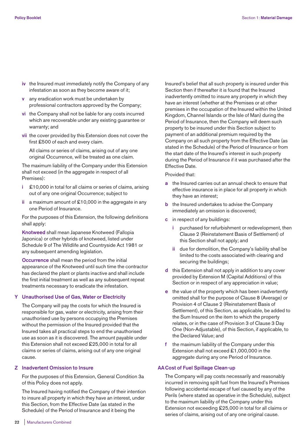- **iv** the Insured must immediately notify the Company of any infestation as soon as they become aware of it;
- **v** any eradication work must be undertaken by professional contractors approved by the Company;
- **vi** the Company shall not be liable for any costs incurred which are recoverable under any existing guarantee or warranty; and
- **vii** the cover provided by this Extension does not cover the first £500 of each and every claim.

 All claims or series of claims, arising out of any one original Occurrence, will be treated as one claim.

 The maximum liability of the Company under this Extension shall not exceed (in the aggregate in respect of all Premises):

- **i** £10,000 in total for all claims or series of claims, arising out of any one original Occurrence; subject to
- **ii** a maximum amount of £10,000 in the aggregate in any one Period of Insurance.

 For the purposes of this Extension, the following definitions shall apply:

 **Knotweed** shall mean Japanese Knotweed (Fallopia Japonica) or other hybrids of knotweed, listed under Schedule 9 of The Wildlife and Countryside Act 1981 or any subsequent amending legislation.

 **Occurrence** shall mean the period from the initial appearance of the Knotweed until such time the contractor has declared the plant or plants inactive and shall include the first initial treatment as well as any subsequent repeat treatments necessary to eradicate the infestation.

# **Y Unauthorised Use of Gas, Water or Electricity**

 The Company will pay the costs for which the Insured is responsible for gas, water or electricity, arising from their unauthorised use by persons occupying the Premises without the permission of the Insured provided that the Insured takes all practical steps to end the unauthorised use as soon as it is discovered. The amount payable under this Extension shall not exceed £25,000 in total for all claims or series of claims, arising out of any one original cause.

#### **Z Inadvertent Omission to Insure**

 For the purposes of this Extension, General Condition 3a of this Policy does not apply.

 The Insured having notified the Company of their intention to insure all property in which they have an interest, under this Section, from the Effective Date (as stated in the Schedule) of the Period of Insurance and it being the

Insured's belief that all such property is insured under this Section then if thereafter it is found that the Insured inadvertently omitted to insure any property in which they have an interest (whether at the Premises or at other premises in the occupation of the Insured within the United Kingdom, Channel Islands or the Isle of Man) during the Period of Insurance, then the Company will deem such property to be insured under this Section subject to payment of an additional premium required by the Company on all such property from the Effective Date (as stated in the Schedule) of the Period of Insurance or from the start date of the Insured's interest in such property during the Period of Insurance if it was purchased after the Effective Date.

Provided that:

- **a** the Insured carries out an annual check to ensure that effective insurance is in place for all property in which they have an interest;
- **b** the Insured undertakes to advise the Company immediately an omission is discovered;
- **c** in respect of any buildings:
	- **i** purchased for refurbishment or redevelopment, then Clause 2 (Reinstatement Basis of Settlement) of this Section shall not apply; and
	- **ii** due for demolition, the Company's liability shall be limited to the costs associated with clearing and securing the buildings;
- **d** this Extension shall not apply in addition to any cover provided by Extension M (Capital Additions) of this Section or in respect of any appreciation in value;
- **e** the value of the property which has been inadvertently omitted shall for the purpose of Clause 8 (Average) or Provision 4 of Clause 2 (Reinstatement Basis of Settlement), of this Section, as applicable, be added to the Sum Insured on the item to which the property relates, or in the case of Provision 3 of Clause 3 Day One (Non-Adjustable), of this Section, if applicable, to the Declared Value; and
- **f** the maximum liability of the Company under this Extension shall not exceed £1,000,000 in the aggregate during any one Period of Insurance.

# **AACost of Fuel Spillage Clean-up**

 The Company will pay costs necessarily and reasonably incurred in removing spilt fuel from the Insured's Premises following accidental escape of fuel caused by any of the Perils (where stated as operative in the Schedule), subject to the maximum liability of the Company under this Extension not exceeding £25,000 in total for all claims or series of claims, arising out of any one original cause.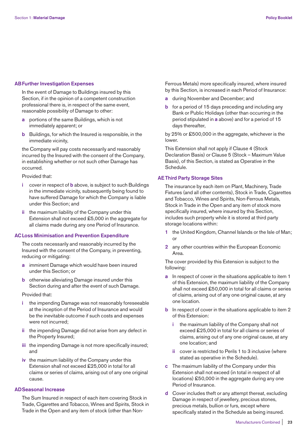## **ABFurther Investigation Expenses**

 In the event of Damage to Buildings insured by this Section, if in the opinion of a competent construction professional there is, in respect of the same event, reasonable possibility of Damage to other:

- **a** portions of the same Buildings, which is not immediately apparent; or
- **b** Buildings, for which the Insured is responsible, in the immediate vicinity,

 the Company will pay costs necessarily and reasonably incurred by the Insured with the consent of the Company, in establishing whether or not such other Damage has occurred.

Provided that:

- **i** cover in respect of **b** above, is subject to such Buildings in the immediate vicinity, subsequently being found to have suffered Damage for which the Company is liable under this Section; and
- **ii** the maximum liability of the Company under this Extension shall not exceed £5,000 in the aggregate for all claims made during any one Period of Insurance.

# **ACLoss Minimisation and Prevention Expenditure**

 The costs necessarily and reasonably incurred by the Insured with the consent of the Company, in preventing, reducing or mitigating:

- **a** imminent Damage which would have been insured under this Section; or
- **b** otherwise alleviating Damage insured under this Section during and after the event of such Damage.

#### Provided that:

- **i** the impending Damage was not reasonably foreseeable at the inception of the Period of Insurance and would be the inevitable outcome if such costs and expenses were not incurred;
- **ii** the impending Damage did not arise from any defect in the Property Insured;
- **iii** the impending Damage is not more specifically insured; and
- **iv** the maximum liability of the Company under this Extension shall not exceed £25,000 in total for all claims or series of claims, arising out of any one original cause.

#### **ADSeasonal Increase**

 The Sum Insured in respect of each item covering Stock in Trade, Cigarettes and Tobacco, Wines and Spirits, Stock in Trade in the Open and any item of stock (other than NonFerrous Metals) more specifically insured, where insured by this Section, is increased in each Period of Insurance:

- **a** during November and December; and
- **b** for a period of 15 days preceding and including any Bank or Public Holidays (other than occurring in the period stipulated in **a** above) and for a period of 15 days thereafter,

 by 25% or £500,000 in the aggregate, whichever is the lower.

 This Extension shall not apply if Clause 4 (Stock Declaration Basis) or Clause 5 (Stock – Maximum Value Basis), of this Section, is stated as Operative in the Schedule.

#### **AE Third Party Storage Sites**

 The insurance by each item on Plant, Machinery, Trade Fixtures (and all other contents), Stock in Trade, Cigarettes and Tobacco, Wines and Spirits, Non-Ferrous Metals, Stock in Trade in the Open and any item of stock more specifically insured, where insured by this Section, includes such property while it is stored at third party storage locations within:

- **1** the United Kingdom, Channel Islands or the Isle of Man; or
- **2** any other countries within the European Economic Area.

 The cover provided by this Extension is subject to the following:

- **a** In respect of cover in the situations applicable to item 1 of this Extension, the maximum liability of the Company shall not exceed £50,000 in total for all claims or series of claims, arising out of any one original cause, at any one location.
- **b** In respect of cover in the situations applicable to item 2 of this Extension:
	- **i** the maximum liability of the Company shall not exceed £25,000 in total for all claims or series of claims, arising out of any one original cause, at any one location; and
	- **ii** cover is restricted to Perils 1 to 3 inclusive (where stated as operative in the Schedule).
- **c** The maximum liability of the Company under this Extension shall not exceed (in total in respect of all locations) £50,000 in the aggregate during any one Period of Insurance.
- **d** Cover includes theft or any attempt thereat, excluding Damage in respect of jewellery, precious stones, precious metals, bullion or furs, except where specifically stated in the Schedule as being insured.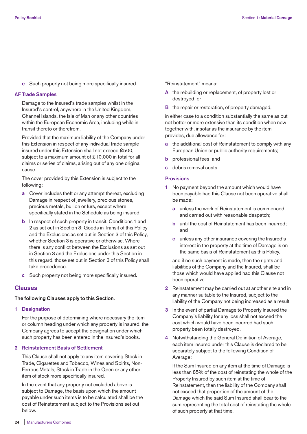**e** Such property not being more specifically insured.

### **AF Trade Samples**

 Damage to the Insured's trade samples whilst in the Insured's control, anywhere in the United Kingdom, Channel Islands, the Isle of Man or any other countries within the European Economic Area, including while in transit thereto or therefrom.

 Provided that the maximum liability of the Company under this Extension in respect of any individual trade sample insured under this Extension shall not exceed £500, subject to a maximum amount of £10,000 in total for all claims or series of claims, arising out of any one original cause.

 The cover provided by this Extension is subject to the following:

- **a** Cover includes theft or any attempt thereat, excluding Damage in respect of jewellery, precious stones, precious metals, bullion or furs, except where specifically stated in the Schedule as being insured.
- **b** In respect of such property in transit, Conditions 1 and 2 as set out in Section 3: Goods in Transit of this Policy and the Exclusions as set out in Section 3 of this Policy, whether Section 3 is operative or otherwise. Where there is any conflict between the Exclusions as set out in Section 3 and the Exclusions under this Section in this regard, those set out in Section 3 of this Policy shall take precedence.
- **c** Such property not being more specifically insured.

# **Clauses**

# **The following Clauses apply to this Section.**

**1 Designation** 

 For the purpose of determining where necessary the item or column heading under which any property is insured, the Company agrees to accept the designation under which such property has been entered in the Insured's books.

# **2 Reinstatement Basis of Settlement**

 This Clause shall not apply to any item covering Stock in Trade, Cigarettes and Tobacco, Wines and Spirits, Non-Ferrous Metals, Stock in Trade in the Open or any other item of stock more specifically insured.

 In the event that any property not excluded above is subject to Damage, the basis upon which the amount payable under such items is to be calculated shall be the cost of Reinstatement subject to the Provisions set out below.

"Reinstatement" means:

- **A** the rebuilding or replacement, of property lost or destroyed; or
- **B** the repair or restoration, of property damaged,

 in either case to a condition substantially the same as but not better or more extensive than its condition when new together with, insofar as the insurance by the item provides, due allowance for:

- **a** the additional cost of Reinstatement to comply with any European Union or public authority requirements;
- **b** professional fees; and
- **c** debris removal costs.

#### **Provisions**

- **1** No payment beyond the amount which would have been payable had this Clause not been operative shall be made:
	- **a** unless the work of Reinstatement is commenced and carried out with reasonable despatch;
	- **b** until the cost of Reinstatement has been incurred; and
	- **c** unless any other insurance covering the Insured's interest in the property at the time of Damage is on the same basis of Reinstatement as this Policy,

 and if no such payment is made, then the rights and liabilities of the Company and the Insured, shall be those which would have applied had this Clause not been operative.

- **2** Reinstatement may be carried out at another site and in any manner suitable to the Insured, subject to the liability of the Company not being increased as a result.
- **3** In the event of partial Damage to Property Insured the Company's liability for any loss shall not exceed the cost which would have been incurred had such property been totally destroyed.
- **4** Notwithstanding the General Definition of Average, each item insured under this Clause is declared to be separately subject to the following Condition of Average:

 If the Sum Insured on any item at the time of Damage is less than 85% of the cost of reinstating the whole of the Property Insured by such item at the time of Reinstatement, then the liability of the Company shall not exceed that proportion of the amount of the Damage which the said Sum Insured shall bear to the sum representing the total cost of reinstating the whole of such property at that time.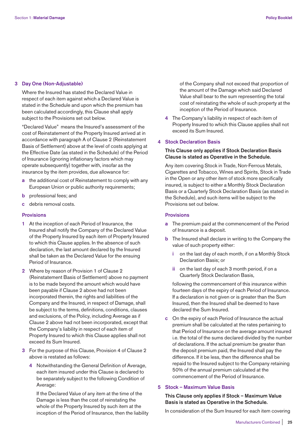## **3 Day One (Non-Adjustable)**

 Where the Insured has stated the Declared Value in respect of each item against which a Declared Value is stated in the Schedule and upon which the premium has been calculated accordingly, this Clause shall apply subject to the Provisions set out below.

 "Declared Value" means the Insured's assessment of the cost of Reinstatement of the Property Insured arrived at in accordance with paragraph A of Clause 2 (Reinstatement Basis of Settlement) above at the level of costs applying at the Effective Date (as stated in the Schedule) of the Period of Insurance (ignoring inflationary factors which may operate subsequently) together with, insofar as the insurance by the item provides, due allowance for:

- **a** the additional cost of Reinstatement to comply with any European Union or public authority requirements;
- **b** professional fees; and
- **c** debris removal costs.

# **Provisions**

- **1** At the inception of each Period of Insurance, the Insured shall notify the Company of the Declared Value of the Property Insured by each item of Property Insured to which this Clause applies. In the absence of such declaration, the last amount declared by the Insured shall be taken as the Declared Value for the ensuing Period of Insurance.
- **2** Where by reason of Provision 1 of Clause 2 (Reinstatement Basis of Settlement) above no payment is to be made beyond the amount which would have been payable if Clause 2 above had not been incorporated therein, the rights and liabilities of the Company and the Insured, in respect of Damage, shall be subject to the terms, definitions, conditions, clauses and exclusions, of the Policy, including Average as if Clause 2 above had not been incorporated, except that the Company's liability in respect of each item of Property Insured to which this Clause applies shall not exceed its Sum Insured.
- **3** For the purpose of this Clause, Provision 4 of Clause 2 above is restated as follows:
	- **4** Notwithstanding the General Definition of Average, each item insured under this Clause is declared to be separately subject to the following Condition of Average:

 If the Declared Value of any item at the time of the Damage is less than the cost of reinstating the whole of the Property Insured by such item at the inception of the Period of Insurance, then the liability of the Company shall not exceed that proportion of the amount of the Damage which said Declared Value shall bear to the sum representing the total cost of reinstating the whole of such property at the inception of the Period of Insurance.

 **4** The Company's liability in respect of each item of Property Insured to which this Clause applies shall not exceed its Sum Insured.

#### **4 Stock Declaration Basis**

# **This Clause only applies if Stock Declaration Basis Clause is stated as Operative in the Schedule.**

 Any item covering Stock in Trade, Non-Ferrous Metals, Cigarettes and Tobacco, Wines and Spirits, Stock in Trade in the Open or any other item of stock more specifically insured, is subject to either a Monthly Stock Declaration Basis or a Quarterly Stock Declaration Basis (as stated in the Schedule), and such items will be subject to the Provisions set out below.

## **Provisions**

- **a** The premium paid at the commencement of the Period of Insurance is a deposit.
- **b** The Insured shall declare in writing to the Company the value of such property either:
	- **i** on the last day of each month, if on a Monthly Stock Declaration Basis; or
	- **ii** on the last day of each 3 month period, if on a Quarterly Stock Declaration Basis,

 following the commencement of this insurance within fourteen days of the expiry of each Period of Insurance. If a declaration is not given or is greater than the Sum Insured, then the Insured shall be deemed to have declared the Sum Insured.

 **c** On the expiry of each Period of Insurance the actual premium shall be calculated at the rates pertaining to that Period of Insurance on the average amount insured i.e. the total of the sums declared divided by the number of declarations. If the actual premium be greater than the deposit premium paid, the Insured shall pay the difference. If it be less, then the difference shall be repaid to the Insured subject to the Company retaining 50% of the annual premium calculated at the commencement of the Period of Insurance.

# **5 Stock – Maximum Value Basis**

# **This Clause only applies if Stock – Maximum Value Basis is stated as Operative in the Schedule.**

In consideration of the Sum Insured for each item covering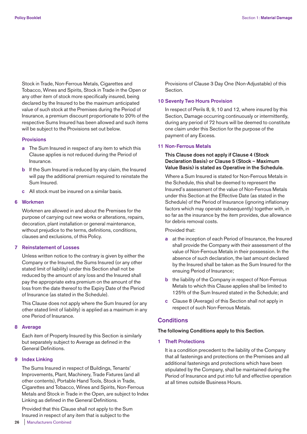Stock in Trade, Non-Ferrous Metals, Cigarettes and Tobacco, Wines and Spirits, Stock in Trade in the Open or any other item of stock more specifically insured, being declared by the Insured to be the maximum anticipated value of such stock at the Premises during the Period of Insurance, a premium discount proportionate to 20% of the respective Sums Insured has been allowed and such items will be subject to the Provisions set out below.

#### **Provisions**

- **a** The Sum Insured in respect of any item to which this Clause applies is not reduced during the Period of Insurance.
- **b** If the Sum Insured is reduced by any claim, the Insured will pay the additional premium required to reinstate the Sum Insured.
- **c** All stock must be insured on a similar basis.

## **6 Workmen**

 Workmen are allowed in and about the Premises for the purpose of carrying out new works or alterations, repairs, decoration, plant installation or general maintenance, without prejudice to the terms, definitions, conditions, clauses and exclusions, of this Policy.

# **7 Reinstatement of Losses**

 Unless written notice to the contrary is given by either the Company or the Insured, the Sums Insured (or any other stated limit of liability) under this Section shall not be reduced by the amount of any loss and the Insured shall pay the appropriate extra premium on the amount of the loss from the date thereof to the Expiry Date of the Period of Insurance (as stated in the Schedule).

 This Clause does not apply where the Sum Insured (or any other stated limit of liability) is applied as a maximum in any one Period of Insurance.

#### **8 Average**

 Each item of Property Insured by this Section is similarly but separately subject to Average as defined in the General Definitions.

#### **9 Index Linking**

 The Sums Insured in respect of Buildings, Tenants' Improvements, Plant, Machinery, Trade Fixtures (and all other contents), Portable Hand Tools, Stock in Trade, Cigarettes and Tobacco, Wines and Spirits, Non-Ferrous Metals and Stock in Trade in the Open, are subject to Index Linking as defined in the General Definitions.

 Provided that this Clause shall not apply to the Sum Insured in respect of any item that is subject to the

Provisions of Clause 3 Day One (Non-Adjustable) of this **Section** 

### **10 Seventy Two Hours Provision**

 In respect of Perils 8, 9, 10 and 12, where insured by this Section, Damage occurring continuously or intermittently, during any period of 72 hours will be deemed to constitute one claim under this Section for the purpose of the payment of any Excess.

#### **11 Non-Ferrous Metals**

# **This Clause does not apply if Clause 4 (Stock Declaration Basis) or Clause 5 (Stock – Maximum Value Basis) is stated as Operative in the Schedule.**

 Where a Sum Insured is stated for Non-Ferrous Metals in the Schedule, this shall be deemed to represent the Insured's assessment of the value of Non-Ferrous Metals under this Section at the Effective Date (as stated in the Schedule) of the Period of Insurance (ignoring inflationary factors which may operate subsequently) together with, in so far as the insurance by the item provides, due allowance for debris removal costs.

Provided that:

- **a** at the inception of each Period of Insurance, the Insured shall provide the Company with their assessment of the value of Non-Ferrous Metals in their possession. In the absence of such declaration, the last amount declared by the Insured shall be taken as the Sum Insured for the ensuing Period of Insurance;
- **b** the liability of the Company in respect of Non-Ferrous Metals to which this Clause applies shall be limited to 125% of the Sum Insured stated in the Schedule; and
- **c** Clause 8 (Average) of this Section shall not apply in respect of such Non-Ferrous Metals.

# **Conditions**

**The following Conditions apply to this Section.** 

**1 Theft Protections** 

 It is a condition precedent to the liability of the Company that all fastenings and protections on the Premises and all additional fastenings and protections which have been stipulated by the Company, shall be maintained during the Period of Insurance and put into full and effective operation at all times outside Business Hours.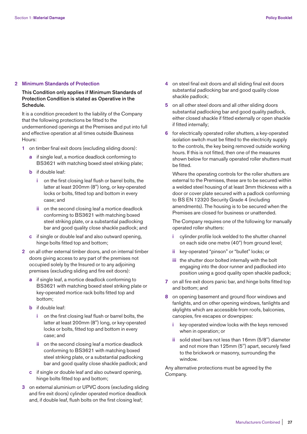## **2 Minimum Standards of Protection**

# **This Condition only applies if Minimum Standards of Protection Condition is stated as Operative in the Schedule.**

 It is a condition precedent to the liability of the Company that the following protections be fitted to the undermentioned openings at the Premises and put into full and effective operation at all times outside Business Hours:

- **1** on timber final exit doors (excluding sliding doors):
	- **a** if single leaf, a mortice deadlock conforming to BS3621 with matching boxed steel striking plate;
	- **b** if double leaf:
		- **i** on the first closing leaf flush or barrel bolts, the latter at least 200mm (8") long, or key-operated locks or bolts, fitted top and bottom in every case; and
		- **ii** on the second closing leaf a mortice deadlock conforming to BS3621 with matching boxed steel striking plate, or a substantial padlocking bar and good quality close shackle padlock; and
	- **c** if single or double leaf and also outward opening, hinge bolts fitted top and bottom;
- **2** on all other external timber doors, and on internal timber doors giving access to any part of the premises not occupied solely by the Insured or to any adjoining premises (excluding sliding and fire exit doors):
	- **a** if single leaf, a mortice deadlock conforming to BS3621 with matching boxed steel striking plate or key-operated mortice rack bolts fitted top and bottom;
	- **b** if double leaf:
		- **i** on the first closing leaf flush or barrel bolts, the latter at least 200mm (8'') long, or key-operated locks or bolts, fitted top and bottom in every case; and
		- **ii** on the second closing leaf a mortice deadlock conforming to BS3621 with matching boxed steel striking plate, or a substantial padlocking bar and good quality close shackle padlock; and
	- **c** if single or double leaf and also outward opening, hinge bolts fitted top and bottom;
- **3** on external aluminium or UPVC doors (excluding sliding and fire exit doors) cylinder operated mortice deadlock and, if double leaf, flush bolts on the first closing leaf;
- **4** on steel final exit doors and all sliding final exit doors substantial padlocking bar and good quality close shackle padlock;
- **5** on all other steel doors and all other sliding doors substantial padlocking bar and good quality padlock, either closed shackle if fitted externally or open shackle if fitted internally;
- **6** for electrically operated roller shutters, a key-operated isolation switch must be fitted to the electricity supply to the controls, the key being removed outside working hours. If this is not fitted, then one of the measures shown below for manually operated roller shutters must be fitted.

 Where the operating controls for the roller shutters are external to the Premises, these are to be secured within a welded steel housing of at least 3mm thickness with a door or cover plate secured with a padlock conforming to BS EN 12320 Security Grade 4 (including amendments). The housing is to be secured when the Premises are closed for business or unattended.

 The Company requires one of the following for manually operated roller shutters:

- **i** cylinder profile lock welded to the shutter channel on each side one metre (40") from ground level;
- **ii** key-operated "pinson" or "bullet" locks; or
- **iii** the shutter door bolted internally with the bolt engaging into the door runner and padlocked into position using a good quality open shackle padlock;
- **7** on all fire exit doors panic bar, and hinge bolts fitted top and bottom; and
- **8** on opening basement and ground floor windows and fanlights, and on other opening windows, fanlights and skylights which are accessible from roofs, balconies, canopies, fire escapes or downpipes:
	- **i** key-operated window locks with the keys removed when in operation; or
	- **ii** solid steel bars not less than 16mm (5/8'') diameter and not more than 125mm (5'') apart, securely fixed to the brickwork or masonry, surrounding the window.

 Any alternative protections must be agreed by the Company.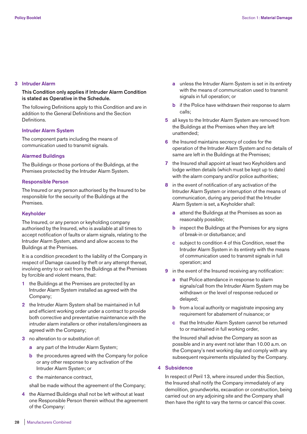# **3 Intruder Alarm**

# **This Condition only applies if Intruder Alarm Condition is stated as Operative in the Schedule.**

 The following Definitions apply to this Condition and are in addition to the General Definitions and the Section **Definitions** 

# **Intruder Alarm System**

 The component parts including the means of communication used to transmit signals.

# **Alarmed Buildings**

 The Buildings or those portions of the Buildings, at the Premises protected by the Intruder Alarm System.

# **Responsible Person**

 The Insured or any person authorised by the Insured to be responsible for the security of the Buildings at the Premises.

# **Keyholder**

 The Insured, or any person or keyholding company authorised by the Insured, who is available at all times to accept notification of faults or alarm signals, relating to the Intruder Alarm System, attend and allow access to the Buildings at the Premises.

 It is a condition precedent to the liability of the Company in respect of Damage caused by theft or any attempt thereat, involving entry to or exit from the Buildings at the Premises by forcible and violent means, that:

- **1** the Buildings at the Premises are protected by an Intruder Alarm System installed as agreed with the Company;
- **2** the Intruder Alarm System shall be maintained in full and efficient working order under a contract to provide both corrective and preventative maintenance with the intruder alarm installers or other installers/engineers as agreed with the Company;
- **3** no alteration to or substitution of:
	- **a** any part of the Intruder Alarm System;
	- **b** the procedures agreed with the Company for police or any other response to any activation of the Intruder Alarm System; or
	- **c** the maintenance contract,

shall be made without the agreement of the Company;

 **4** the Alarmed Buildings shall not be left without at least one Responsible Person therein without the agreement of the Company:

- **a** unless the Intruder Alarm System is set in its entirety with the means of communication used to transmit signals in full operation; or
- **b** if the Police have withdrawn their response to alarm calls;
- **5** all keys to the Intruder Alarm System are removed from the Buildings at the Premises when they are left unattended;
- **6** the Insured maintains secrecy of codes for the operation of the Intruder Alarm System and no details of same are left in the Buildings at the Premises;
- **7** the Insured shall appoint at least two Keyholders and lodge written details (which must be kept up to date) with the alarm company and/or police authorities;
- **8** in the event of notification of any activation of the Intruder Alarm System or interruption of the means of communication, during any period that the Intruder Alarm System is set, a Keyholder shall:
	- **a** attend the Buildings at the Premises as soon as reasonably possible;
	- **b** inspect the Buildings at the Premises for any signs of break-in or disturbance; and
	- **c** subject to condition 4 of this Condition, reset the Intruder Alarm System in its entirety with the means of communication used to transmit signals in full operation; and
- **9** in the event of the Insured receiving any notification:
	- **a** that Police attendance in response to alarm signals/call from the Intruder Alarm System may be withdrawn or the level of response reduced or delayed;
	- **b** from a local authority or magistrate imposing any requirement for abatement of nuisance; or
	- **c** that the Intruder Alarm System cannot be returned to or maintained in full working order,

 the Insured shall advise the Company as soon as possible and in any event not later than 10.00 a.m. on the Company's next working day and comply with any subsequent requirements stipulated by the Company.

# **4 Subsidence**

 In respect of Peril 13, where insured under this Section, the Insured shall notify the Company immediately of any demolition, groundworks, excavation or construction, being carried out on any adjoining site and the Company shall then have the right to vary the terms or cancel this cover.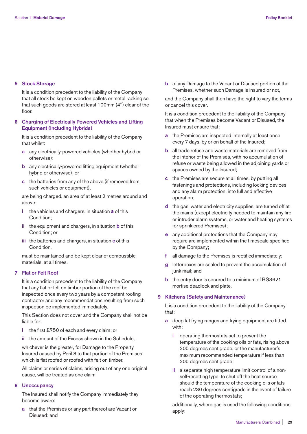#### **5 Stock Storage**

 It is a condition precedent to the liability of the Company that all stock be kept on wooden pallets or metal racking so that such goods are stored at least 100mm (4'') clear of the floor.

# **6 Charging of Electrically Powered Vehicles and Lifting Equipment (including Hybrids)**

 It is a condition precedent to the liability of the Company that whilst:

- **a** any electrically-powered vehicles (whether hybrid or otherwise);
- **b** any electrically-powered lifting equipment (whether hybrid or otherwise); or
- **c** the batteries from any of the above (if removed from such vehicles or equipment),

 are being charged, an area of at least 2 metres around and above:

- **i** the vehicles and chargers, in situation **a** of this Condition;
- **ii** the equipment and chargers, in situation **b** of this Condition; or
- **iii** the batteries and chargers, in situation **c** of this Condition,

 must be maintained and be kept clear of combustible materials, at all times.

# **7 Flat or Felt Roof**

 It is a condition precedent to the liability of the Company that any flat or felt on timber portion of the roof be inspected once every two years by a competent roofing contractor and any recommendations resulting from such inspection be implemented immediately.

 This Section does not cover and the Company shall not be liable for:

- **i** the first £750 of each and every claim; or
- **ii** the amount of the Excess shown in the Schedule,

 whichever is the greater, for Damage to the Property Insured caused by Peril 8 to that portion of the Premises which is flat roofed or roofed with felt on timber.

 All claims or series of claims, arising out of any one original cause, will be treated as one claim.

#### **8 Unoccupancy**

 The Insured shall notify the Company immediately they become aware:

 **a** that the Premises or any part thereof are Vacant or Disused; and

 **b** of any Damage to the Vacant or Disused portion of the Premises, whether such Damage is insured or not,

 and the Company shall then have the right to vary the terms or cancel this cover.

 It is a condition precedent to the liability of the Company that when the Premises become Vacant or Disused, the Insured must ensure that:

- **a** the Premises are inspected internally at least once every 7 days, by or on behalf of the Insured;
- **b** all trade refuse and waste materials are removed from the interior of the Premises, with no accumulation of refuse or waste being allowed in the adjoining yards or spaces owned by the Insured;
- **c** the Premises are secure at all times, by putting all fastenings and protections, including locking devices and any alarm protection, into full and effective operation;
- **d** the gas, water and electricity supplies, are turned off at the mains (except electricity needed to maintain any fire or intruder alarm systems, or water and heating systems for sprinklered Premises);
- **e** any additional protections that the Company may require are implemented within the timescale specified by the Company;
- **f** all damage to the Premises is rectified immediately;
- letterboxes are sealed to prevent the accumulation of junk mail; and
- **h** the entry door is secured to a minimum of BS3621 mortise deadlock and plate.

#### **9 Kitchens (Safety and Maintenance)**

 It is a condition precedent to the liability of the Company that:

- **a** deep fat frying ranges and frying equipment are fitted with:
	- **i** operating thermostats set to prevent the temperature of the cooking oils or fats, rising above 205 degrees centigrade, or the manufacturer's maximum recommended temperature if less than 205 degrees centigrade;
	- **ii** a separate high temperature limit control of a nonself-resetting type, to shut off the heat source should the temperature of the cooking oils or fats reach 230 degrees centigrade in the event of failure of the operating thermostats;

 additionally, where gas is used the following conditions apply: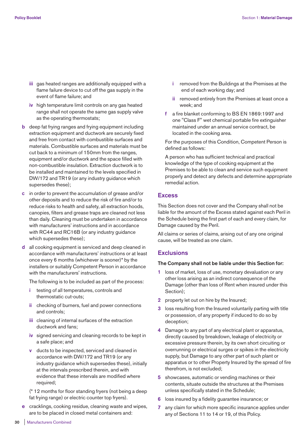- **iii** gas heated ranges are additionally equipped with a flame failure device to cut off the gas supply in the event of flame failure; and
- **iv** high temperature limit controls on any gas heated range shall not operate the same gas supply valve as the operating thermostats;
- **b** deep fat frying ranges and frying equipment including extraction equipment and ductwork are securely fixed and free from contact with combustible surfaces and materials. Combustible surfaces and materials must be cut back to a minimum of 150mm from the ranges, equipment and/or ductwork and the space filled with non-combustible insulation. Extraction ductwork is to be installed and maintained to the levels specified in DW/172 and TR19 (or any industry guidance which supersedes these);
- **c** in order to prevent the accumulation of grease and/or other deposits and to reduce the risk of fire and/or to reduce risks to health and safety, all extraction hoods, canopies, filters and grease traps are cleaned not less than daily. Cleaning must be undertaken in accordance with manufacturers' instructions and in accordance with RC44 and RC16B (or any industry guidance which supersedes these);
- **d** all cooking equipment is serviced and deep cleaned in accordance with manufacturers' instructions or at least once every 6 months (whichever is sooner)\* by the installers or suitably Competent Person in accordance with the manufacturers' instructions.

The following is to be included as part of the process:

- **i** testing of all temperatures, controls and thermostatic cut-outs;
- **ii** checking of burners, fuel and power connections and controls;
- **iii** cleaning of internal surfaces of the extraction ductwork and fans;
- **iv** signed servicing and cleaning records to be kept in a safe place; and
- **v** ducts to be inspected, serviced and cleaned in accordance with DW/172 and TR19 (or any industry guidance which supersedes these), initially at the intervals prescribed therein, and with evidence that these intervals are modified where required;

 (\* 12 months for floor standing fryers (not being a deep fat frying range) or electric counter top fryers).

 **e** cracklings, cooking residue, cleaning waste and wipes, are to be placed in closed metal containers and:

- **i** removed from the Buildings at the Premises at the end of each working day; and
- **ii** removed entirely from the Premises at least once a week; and
- **f** a fire blanket conforming to BS EN 1869:1997 and one "Class F" wet chemical portable fire extinguisher maintained under an annual service contract, be located in the cooking area.

 For the purposes of this Condition, Competent Person is defined as follows:

 A person who has sufficient technical and practical knowledge of the type of cooking equipment at the Premises to be able to clean and service such equipment properly and detect any defects and determine appropriate remedial action.

# **Excess**

This Section does not cover and the Company shall not be liable for the amount of the Excess stated against each Peril in the Schedule being the first part of each and every claim, for Damage caused by the Peril.

All claims or series of claims, arising out of any one original cause, will be treated as one claim.

# **Exclusions**

# **The Company shall not be liable under this Section for:**

- **1** loss of market, loss of use, monetary devaluation or any other loss arising as an indirect consequence of the Damage (other than loss of Rent when insured under this Section);
- **2** property let out on hire by the Insured;
- **3** loss resulting from the Insured voluntarily parting with title or possession, of any property if induced to do so by deception;
- **4** Damage to any part of any electrical plant or apparatus, directly caused by breakdown, leakage of electricity or excessive pressure therein, by its own short circuiting or overrunning or electrical surges or spikes in the electricity supply, but Damage to any other part of such plant or apparatus or to other Property Insured by the spread of fire therefrom, is not excluded;
- **5** showcases, automatic or vending machines or their contents, situate outside the structures at the Premises unless specifically stated in the Schedule;
- **6** loss insured by a fidelity guarantee insurance; or
- **7** any claim for which more specific insurance applies under any of Sections 11 to 14 or 19, of this Policy.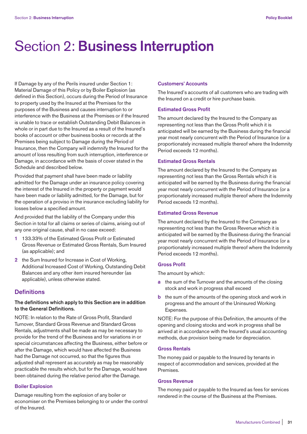# Section 2: **Business Interruption**

If Damage by any of the Perils insured under Section 1: Material Damage of this Policy or by Boiler Explosion (as defined in this Section), occurs during the Period of Insurance to property used by the Insured at the Premises for the purposes of the Business and causes interruption to or interference with the Business at the Premises or if the Insured is unable to trace or establish Outstanding Debit Balances in whole or in part due to the Insured as a result of the Insured's books of account or other business books or records at the Premises being subject to Damage during the Period of Insurance, then the Company will indemnify the Insured for the amount of loss resulting from such interruption, interference or Damage, in accordance with the basis of cover stated in the Schedule and described below.

Provided that payment shall have been made or liability admitted for the Damage under an insurance policy covering the interest of the Insured in the property or payment would have been made or liability admitted, for the Damage, but for the operation of a proviso in the insurance excluding liability for losses below a specified amount.

And provided that the liability of the Company under this Section in total for all claims or series of claims, arising out of any one original cause, shall in no case exceed:

- **1** 133.33% of the Estimated Gross Profit or Estimated Gross Revenue or Estimated Gross Rentals, Sum Insured (as applicable); and
- **2** the Sum Insured for Increase in Cost of Working, Additional Increased Cost of Working, Outstanding Debit Balances and any other item insured hereunder (as applicable), unless otherwise stated.

# **Definitions**

# **The definitions which apply to this Section are in addition to the General Definitions.**

NOTE: In relation to the Rate of Gross Profit, Standard Turnover, Standard Gross Revenue and Standard Gross Rentals, adjustments shall be made as may be necessary to provide for the trend of the Business and for variations in or special circumstances affecting the Business, either before or after the Damage, which would have affected the Business had the Damage not occurred, so that the figures thus adjusted shall represent as accurately as may be reasonably practicable the results which, but for the Damage, would have been obtained during the relative period after the Damage.

# **Boiler Explosion**

Damage resulting from the explosion of any boiler or economiser on the Premises belonging to or under the control of the Insured.

#### **Customers' Accounts**

The Insured's accounts of all customers who are trading with the Insured on a credit or hire purchase basis.

#### **Estimated Gross Profit**

The amount declared by the Insured to the Company as representing not less than the Gross Profit which it is anticipated will be earned by the Business during the financial year most nearly concurrent with the Period of Insurance (or a proportionately increased multiple thereof where the Indemnity Period exceeds 12 months).

# **Estimated Gross Rentals**

The amount declared by the Insured to the Company as representing not less than the Gross Rentals which it is anticipated will be earned by the Business during the financial year most nearly concurrent with the Period of Insurance (or a proportionately increased multiple thereof where the Indemnity Period exceeds 12 months).

## **Estimated Gross Revenue**

The amount declared by the Insured to the Company as representing not less than the Gross Revenue which it is anticipated will be earned by the Business during the financial year most nearly concurrent with the Period of Insurance (or a proportionately increased multiple thereof where the Indemnity Period exceeds 12 months).

#### **Gross Profit**

The amount by which:

- **a** the sum of the Turnover and the amounts of the closing stock and work in progress shall exceed
- **b** the sum of the amounts of the opening stock and work in progress and the amount of the Uninsured Working Expenses.

NOTE: For the purpose of this Definition, the amounts of the opening and closing stocks and work in progress shall be arrived at in accordance with the Insured's usual accounting methods, due provision being made for depreciation.

# **Gross Rentals**

The money paid or payable to the Insured by tenants in respect of accommodation and services, provided at the Premises.

# **Gross Revenue**

The money paid or payable to the Insured as fees for services rendered in the course of the Business at the Premises.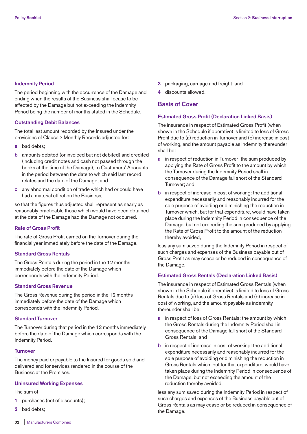#### **Indemnity Period**

The period beginning with the occurrence of the Damage and ending when the results of the Business shall cease to be affected by the Damage but not exceeding the Indemnity Period being the number of months stated in the Schedule.

#### **Outstanding Debit Balances**

The total last amount recorded by the Insured under the provisions of Clause 7 Monthly Records adjusted for:

- **a** bad debts;
- **b** amounts debited (or invoiced but not debited) and credited (including credit notes and cash not passed through the books at the time of the Damage), to Customers' Accounts in the period between the date to which said last record relates and the date of the Damage; and
- **c** any abnormal condition of trade which had or could have had a material effect on the Business,

so that the figures thus adjusted shall represent as nearly as reasonably practicable those which would have been obtained at the date of the Damage had the Damage not occurred.

# **Rate of Gross Profit**

The rate of Gross Profit earned on the Turnover during the financial year immediately before the date of the Damage.

#### **Standard Gross Rentals**

The Gross Rentals during the period in the 12 months immediately before the date of the Damage which corresponds with the Indemnity Period.

# **Standard Gross Revenue**

The Gross Revenue during the period in the 12 months immediately before the date of the Damage which corresponds with the Indemnity Period.

# **Standard Turnover**

The Turnover during that period in the 12 months immediately before the date of the Damage which corresponds with the Indemnity Period.

#### **Turnover**

The money paid or payable to the Insured for goods sold and delivered and for services rendered in the course of the Business at the Premises.

#### **Uninsured Working Expenses**

The sum of:

- **1** purchases (net of discounts);
- **2** bad debts;
- **3** packaging, carriage and freight; and
- **4** discounts allowed.

# **Basis of Cover**

# **Estimated Gross Profit (Declaration Linked Basis)**

The insurance in respect of Estimated Gross Profit (when shown in the Schedule if operative) is limited to loss of Gross Profit due to (a) reduction in Turnover and (b) increase in cost of working, and the amount payable as indemnity thereunder shall be:

- **a** in respect of reduction in Turnover: the sum produced by applying the Rate of Gross Profit to the amount by which the Turnover during the Indemnity Period shall in consequence of the Damage fall short of the Standard Turnover; and
- **b** in respect of increase in cost of working: the additional expenditure necessarily and reasonably incurred for the sole purpose of avoiding or diminishing the reduction in Turnover which, but for that expenditure, would have taken place during the Indemnity Period in consequence of the Damage, but not exceeding the sum produced by applying the Rate of Gross Profit to the amount of the reduction thereby avoided,

less any sum saved during the Indemnity Period in respect of such charges and expenses of the Business payable out of Gross Profit as may cease or be reduced in consequence of the Damage.

# **Estimated Gross Rentals (Declaration Linked Basis)**

The insurance in respect of Estimated Gross Rentals (when shown in the Schedule if operative) is limited to loss of Gross Rentals due to (a) loss of Gross Rentals and (b) increase in cost of working, and the amount payable as indemnity thereunder shall be:

- **a** in respect of loss of Gross Rentals: the amount by which the Gross Rentals during the Indemnity Period shall in consequence of the Damage fall short of the Standard Gross Rentals; and
- **b** in respect of increase in cost of working: the additional expenditure necessarily and reasonably incurred for the sole purpose of avoiding or diminishing the reduction in Gross Rentals which, but for that expenditure, would have taken place during the Indemnity Period in consequence of the Damage, but not exceeding the amount of the reduction thereby avoided,

less any sum saved during the Indemnity Period in respect of such charges and expenses of the Business payable out of Gross Rentals as may cease or be reduced in consequence of the Damage.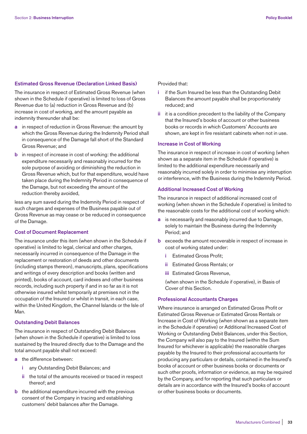## **Estimated Gross Revenue (Declaration Linked Basis)**

The insurance in respect of Estimated Gross Revenue (when shown in the Schedule if operative) is limited to loss of Gross Revenue due to (a) reduction in Gross Revenue and (b) increase in cost of working, and the amount payable as indemnity thereunder shall be:

- **a** in respect of reduction in Gross Revenue: the amount by which the Gross Revenue during the Indemnity Period shall in consequence of the Damage fall short of the Standard Gross Revenue; and
- **b** in respect of increase in cost of working: the additional expenditure necessarily and reasonably incurred for the sole purpose of avoiding or diminishing the reduction in Gross Revenue which, but for that expenditure, would have taken place during the Indemnity Period in consequence of the Damage, but not exceeding the amount of the reduction thereby avoided,

less any sum saved during the Indemnity Period in respect of such charges and expenses of the Business payable out of Gross Revenue as may cease or be reduced in consequence of the Damage.

# **Cost of Document Replacement**

The insurance under this item (when shown in the Schedule if operative) is limited to legal, clerical and other charges, necessarily incurred in consequence of the Damage in the replacement or restoration of deeds and other documents (including stamps thereon), manuscripts, plans, specifications and writings of every description and books (written and printed), books of account, card indexes and other business records, including such property if and in so far as it is not otherwise insured whilst temporarily at premises not in the occupation of the Insured or whilst in transit, in each case, within the United Kingdom, the Channel Islands or the Isle of Man.

#### **Outstanding Debit Balances**

The insurance in respect of Outstanding Debit Balances (when shown in the Schedule if operative) is limited to loss sustained by the Insured directly due to the Damage and the total amount payable shall not exceed:

- **a** the difference between:
	- **i** any Outstanding Debit Balances; and
	- **ii** the total of the amounts received or traced in respect thereof; and
- **b** the additional expenditure incurred with the previous consent of the Company in tracing and establishing customers' debit balances after the Damage.

Provided that:

- **i** if the Sum Insured be less than the Outstanding Debit Balances the amount payable shall be proportionately reduced; and
- **ii** it is a condition precedent to the liability of the Company that the Insured's books of account or other business books or records in which Customers' Accounts are shown, are kept in fire resistant cabinets when not in use.

# **Increase in Cost of Working**

The insurance in respect of increase in cost of working (when shown as a separate item in the Schedule if operative) is limited to the additional expenditure necessarily and reasonably incurred solely in order to minimise any interruption or interference, with the Business during the Indemnity Period.

# **Additional Increased Cost of Working**

The insurance in respect of additional increased cost of working (when shown in the Schedule if operative) is limited to the reasonable costs for the additional cost of working which:

- **a** is necessarily and reasonably incurred due to Damage, solely to maintain the Business during the Indemnity Period; and
- **b** exceeds the amount recoverable in respect of increase in cost of working stated under:
	- **i** Estimated Gross Profit;
	- **ii** Estimated Gross Rentals; or
	- **iii** Estimated Gross Revenue,

 (when shown in the Schedule if operative), in Basis of Cover of this Section.

#### **Professional Accountants Charges**

Where insurance is arranged on Estimated Gross Profit or Estimated Gross Revenue or Estimated Gross Rentals or Increase in Cost of Working (when shown as a separate item in the Schedule if operative) or Additional Increased Cost of Working or Outstanding Debit Balances, under this Section, the Company will also pay to the Insured (within the Sum Insured for whichever is applicable) the reasonable charges payable by the Insured to their professional accountants for producing any particulars or details, contained in the Insured's books of account or other business books or documents or such other proofs, information or evidence, as may be required by the Company, and for reporting that such particulars or details are in accordance with the Insured's books of account or other business books or documents.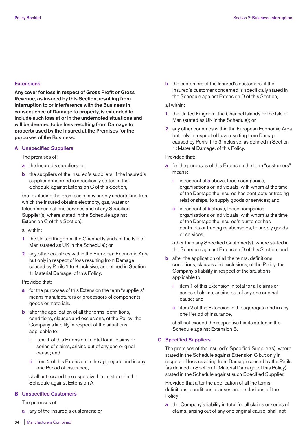# **Extensions**

**Any cover for loss in respect of Gross Profit or Gross Revenue, as insured by this Section, resulting from interruption to or interference with the Business in consequence of Damage to property, is extended to include such loss at or in the undernoted situations and will be deemed to be loss resulting from Damage to property used by the Insured at the Premises for the purposes of the Business:** 

# **A Unspecified Suppliers**

The premises of:

- **a** the Insured's suppliers; or
- **b** the suppliers of the Insured's suppliers, if the Insured's supplier concerned is specifically stated in the Schedule against Extension C of this Section,

 (but excluding the premises of any supply undertaking from which the Insured obtains electricity, gas, water or telecommunications services and of any Specified Supplier(s) where stated in the Schedule against Extension C of this Section),

all within:

- **1** the United Kingdom, the Channel Islands or the Isle of Man (stated as UK in the Schedule); or
- **2** any other countries within the European Economic Area but only in respect of loss resulting from Damage caused by Perils 1 to 3 inclusive, as defined in Section 1: Material Damage, of this Policy.

# Provided that:

- **a** for the purposes of this Extension the term "suppliers" means manufacturers or processors of components, goods or materials.
- **b** after the application of all the terms, definitions, conditions, clauses and exclusions, of the Policy, the Company's liability in respect of the situations applicable to:
	- **i** item 1 of this Extension in total for all claims or series of claims, arising out of any one original cause; and
	- **ii** item 2 of this Extension in the aggregate and in any one Period of Insurance,

 shall not exceed the respective Limits stated in the Schedule against Extension A.

# **B Unspecified Customers**

The premises of:

**a** any of the Insured's customers; or

**b** the customers of the Insured's customers, if the Insured's customer concerned is specifically stated in the Schedule against Extension D of this Section,

## all within:

- **1** the United Kingdom, the Channel Islands or the Isle of Man (stated as UK in the Schedule); or
- **2** any other countries within the European Economic Area but only in respect of loss resulting from Damage caused by Perils 1 to 3 inclusive, as defined in Section 1: Material Damage, of this Policy.

# Provided that:

- **a** for the purposes of this Extension the term "customers" means:
	- **i** in respect of **a** above, those companies, organisations or individuals, with whom at the time of the Damage the Insured has contracts or trading relationships, to supply goods or services; and
	- **ii** in respect of **b** above, those companies, organisations or individuals, with whom at the time of the Damage the Insured's customer has contracts or trading relationships, to supply goods or services,

 other than any Specified Customer(s), where stated in the Schedule against Extension D of this Section; and

- **b** after the application of all the terms, definitions, conditions, clauses and exclusions, of the Policy, the Company's liability in respect of the situations applicable to:
	- **i** item 1 of this Extension in total for all claims or series of claims, arising out of any one original cause; and
	- **ii** item 2 of this Extension in the aggregate and in any one Period of Insurance,

 shall not exceed the respective Limits stated in the Schedule against Extension B.

# **C Specified Suppliers**

 The premises of the Insured's Specified Supplier(s), where stated in the Schedule against Extension C but only in respect of loss resulting from Damage caused by the Perils (as defined in Section 1: Material Damage, of this Policy) stated in the Schedule against such Specified Supplier.

 Provided that after the application of all the terms, definitions, conditions, clauses and exclusions, of the Policy:

 **a** the Company's liability in total for all claims or series of claims, arising out of any one original cause, shall not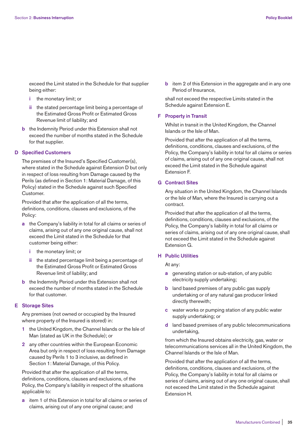exceed the Limit stated in the Schedule for that supplier being either:

- **i** the monetary limit; or
- **ii** the stated percentage limit being a percentage of the Estimated Gross Profit or Estimated Gross Revenue limit of liability; and
- **b** the Indemnity Period under this Extension shall not exceed the number of months stated in the Schedule for that supplier.

## **D Specified Customers**

 The premises of the Insured's Specified Customer(s), where stated in the Schedule against Extension D but only in respect of loss resulting from Damage caused by the Perils (as defined in Section 1: Material Damage, of this Policy) stated in the Schedule against such Specified Customer.

 Provided that after the application of all the terms, definitions, conditions, clauses and exclusions, of the Policy:

- **a** the Company's liability in total for all claims or series of claims, arising out of any one original cause, shall not exceed the Limit stated in the Schedule for that customer being either:
	- **i** the monetary limit; or
	- **ii** the stated percentage limit being a percentage of the Estimated Gross Profit or Estimated Gross Revenue limit of liability; and
- **b** the Indemnity Period under this Extension shall not exceed the number of months stated in the Schedule for that customer.

# **E Storage Sites**

 Any premises (not owned or occupied by the Insured where property of the Insured is stored) in:

- **1** the United Kingdom, the Channel Islands or the Isle of Man (stated as UK in the Schedule); or
- **2** any other countries within the European Economic Area but only in respect of loss resulting from Damage caused by Perils 1 to 3 inclusive, as defined in Section 1: Material Damage, of this Policy.

 Provided that after the application of all the terms, definitions, conditions, clauses and exclusions, of the Policy, the Company's liability in respect of the situations applicable to:

 **a** item 1 of this Extension in total for all claims or series of claims, arising out of any one original cause; and

**b** item 2 of this Extension in the aggregate and in any one Period of Insurance,

 shall not exceed the respective Limits stated in the Schedule against Extension E.

## **F Property in Transit**

 Whilst in transit in the United Kingdom, the Channel Islands or the Isle of Man.

 Provided that after the application of all the terms, definitions, conditions, clauses and exclusions, of the Policy, the Company's liability in total for all claims or series of claims, arising out of any one original cause, shall not exceed the Limit stated in the Schedule against Extension F.

# **G Contract Sites**

 Any situation in the United Kingdom, the Channel Islands or the Isle of Man, where the Insured is carrying out a contract.

 Provided that after the application of all the terms, definitions, conditions, clauses and exclusions, of the Policy, the Company's liability in total for all claims or series of claims, arising out of any one original cause, shall not exceed the Limit stated in the Schedule against Extension G.

## **H Public Utilities**

At any:

- **a** generating station or sub-station, of any public electricity supply undertaking;
- **b** land based premises of any public gas supply undertaking or of any natural gas producer linked directly therewith;
- **c** water works or pumping station of any public water supply undertaking; or
- **d** land based premises of any public telecommunications undertaking,

 from which the Insured obtains electricity, gas, water or telecommunications services all in the United Kingdom, the Channel Islands or the Isle of Man.

 Provided that after the application of all the terms, definitions, conditions, clauses and exclusions, of the Policy, the Company's liability in total for all claims or series of claims, arising out of any one original cause, shall not exceed the Limit stated in the Schedule against Extension H.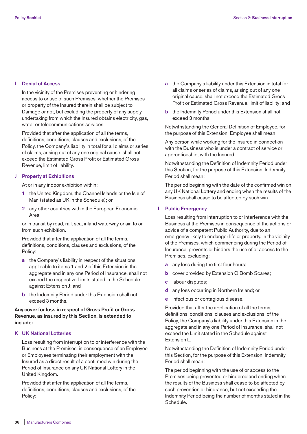## **I Denial of Access**

 In the vicinity of the Premises preventing or hindering access to or use of such Premises, whether the Premises or property of the Insured therein shall be subject to Damage or not, but excluding the property of any supply undertaking from which the Insured obtains electricity, gas, water or telecommunications services.

 Provided that after the application of all the terms, definitions, conditions, clauses and exclusions, of the Policy, the Company's liability in total for all claims or series of claims, arising out of any one original cause, shall not exceed the Estimated Gross Profit or Estimated Gross Revenue, limit of liability.

## **J Property at Exhibitions**

At or in any indoor exhibition within:

- **1** the United Kingdom, the Channel Islands or the Isle of Man (stated as UK in the Schedule); or
- **2** any other countries within the European Economic Area,

 or in transit by road, rail, sea, inland waterway or air, to or from such exhibition.

 Provided that after the application of all the terms, definitions, conditions, clauses and exclusions, of the Policy:

- **a** the Company's liability in respect of the situations applicable to items 1 and 2 of this Extension in the aggregate and in any one Period of Insurance, shall not exceed the respective Limits stated in the Schedule against Extension J; and
- **b** the Indemnity Period under this Extension shall not exceed 3 months.

# **Any cover for loss in respect of Gross Profit or Gross Revenue, as insured by this Section, is extended to include:**

# **K UK National Lotteries**

 Loss resulting from interruption to or interference with the Business at the Premises, in consequence of an Employee or Employees terminating their employment with the Insured as a direct result of a confirmed win during the Period of Insurance on any UK National Lottery in the United Kingdom.

 Provided that after the application of all the terms, definitions, conditions, clauses and exclusions, of the Policy:

- **a** the Company's liability under this Extension in total for all claims or series of claims, arising out of any one original cause, shall not exceed the Estimated Gross Profit or Estimated Gross Revenue, limit of liability; and
- **b** the Indemnity Period under this Extension shall not exceed 3 months.

 Notwithstanding the General Definition of Employee, for the purpose of this Extension, Employee shall mean:

 Any person while working for the Insured in connection with the Business who is under a contract of service or apprenticeship, with the Insured.

 Notwithstanding the Definition of Indemnity Period under this Section, for the purpose of this Extension, Indemnity Period shall mean:

 The period beginning with the date of the confirmed win on any UK National Lottery and ending when the results of the Business shall cease to be affected by such win.

## **L Public Emergency**

 Loss resulting from interruption to or interference with the Business at the Premises in consequence of the actions or advice of a competent Public Authority, due to an emergency likely to endanger life or property, in the vicinity of the Premises, which commencing during the Period of Insurance, prevents or hinders the use of or access to the Premises, excluding:

- **a** any loss during the first four hours;
- **b** cover provided by Extension O Bomb Scares;
- **c** labour disputes;
- **d** any loss occurring in Northern Ireland; or
- **e** infectious or contagious disease.

 Provided that after the application of all the terms, definitions, conditions, clauses and exclusions, of the Policy, the Company's liability under this Extension in the aggregate and in any one Period of Insurance, shall not exceed the Limit stated in the Schedule against Extension L.

 Notwithstanding the Definition of Indemnity Period under this Section, for the purpose of this Extension, Indemnity Period shall mean:

 The period beginning with the use of or access to the Premises being prevented or hindered and ending when the results of the Business shall cease to be affected by such prevention or hindrance, but not exceeding the Indemnity Period being the number of months stated in the Schedule.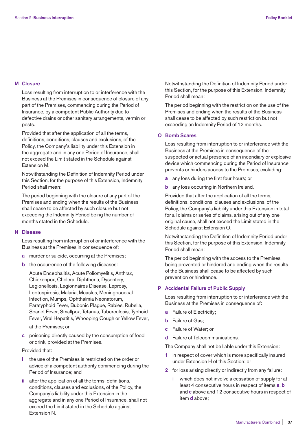## **M Closure**

 Loss resulting from interruption to or interference with the Business at the Premises in consequence of closure of any part of the Premises, commencing during the Period of Insurance, by a competent Public Authority due to defective drains or other sanitary arrangements, vermin or pests.

 Provided that after the application of all the terms, definitions, conditions, clauses and exclusions, of the Policy, the Company's liability under this Extension in the aggregate and in any one Period of Insurance, shall not exceed the Limit stated in the Schedule against Extension M.

 Notwithstanding the Definition of Indemnity Period under this Section, for the purpose of this Extension, Indemnity Period shall mean:

 The period beginning with the closure of any part of the Premises and ending when the results of the Business shall cease to be affected by such closure but not exceeding the Indemnity Period being the number of months stated in the Schedule.

## **N Disease**

 Loss resulting from interruption of or interference with the Business at the Premises in consequence of:

- **a** murder or suicide, occurring at the Premises;
- **b** the occurrence of the following diseases:

 Acute Encephalitis, Acute Poliomyelitis, Anthrax, Chickenpox, Cholera, Diphtheria, Dysentery, Legionellosis, Legionnaires Disease, Leprosy, Leptospirosis, Malaria, Measles, Meningococcal Infection, Mumps, Ophthalmia Neonatorum, Paratyphoid Fever, Bubonic Plague, Rabies, Rubella, Scarlet Fever, Smallpox, Tetanus, Tuberculosis, Typhoid Fever, Viral Hepatitis, Whooping Cough or Yellow Fever,

at the Premises; or

 **c** poisoning directly caused by the consumption of food or drink, provided at the Premises.

## Provided that:

- **i** the use of the Premises is restricted on the order or advice of a competent authority commencing during the Period of Insurance; and
- **ii** after the application of all the terms, definitions, conditions, clauses and exclusions, of the Policy, the Company's liability under this Extension in the aggregate and in any one Period of Insurance, shall not exceed the Limit stated in the Schedule against Extension N.

 Notwithstanding the Definition of Indemnity Period under this Section, for the purpose of this Extension, Indemnity Period shall mean:

 The period beginning with the restriction on the use of the Premises and ending when the results of the Business shall cease to be affected by such restriction but not exceeding an Indemnity Period of 12 months.

# **O Bomb Scares**

 Loss resulting from interruption to or interference with the Business at the Premises in consequence of the suspected or actual presence of an incendiary or explosive device which commencing during the Period of Insurance, prevents or hinders access to the Premises, excluding:

- **a** any loss during the first four hours; or
- **b** any loss occurring in Northern Ireland.

 Provided that after the application of all the terms, definitions, conditions, clauses and exclusions, of the Policy, the Company's liability under this Extension in total for all claims or series of claims, arising out of any one original cause, shall not exceed the Limit stated in the Schedule against Extension O.

 Notwithstanding the Definition of Indemnity Period under this Section, for the purpose of this Extension, Indemnity Period shall mean:

 The period beginning with the access to the Premises being prevented or hindered and ending when the results of the Business shall cease to be affected by such prevention or hindrance.

# **P Accidental Failure of Public Supply**

 Loss resulting from interruption to or interference with the Business at the Premises in consequence of:

- **a** Failure of Electricity;
- **b** Failure of Gas;
- **c** Failure of Water; or
- **d** Failure of Telecommunications.

The Company shall not be liable under this Extension:

- **1** in respect of cover which is more specifically insured under Extension H of this Section; or
- **2** for loss arising directly or indirectly from any failure:
	- **i** which does not involve a cessation of supply for at least 4 consecutive hours in respect of items **a**, **b** and **c** above and 12 consecutive hours in respect of item **d** above;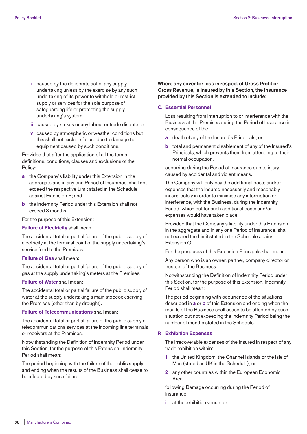- **ii** caused by the deliberate act of any supply undertaking unless by the exercise by any such undertaking of its power to withhold or restrict supply or services for the sole purpose of safeguarding life or protecting the supply undertaking's system;
- **iii** caused by strikes or any labour or trade dispute; or
- **iv** caused by atmospheric or weather conditions but this shall not exclude failure due to damage to equipment caused by such conditions.

 Provided that after the application of all the terms, definitions, conditions, clauses and exclusions of the Policy:

- **a** the Company's liability under this Extension in the aggregate and in any one Period of Insurance, shall not exceed the respective Limit stated in the Schedule against Extension P; and
- **b** the Indemnity Period under this Extension shall not exceed 3 months.

For the purpose of this Extension:

## **Failure of Electricity** shall mean:

 The accidental total or partial failure of the public supply of electricity at the terminal point of the supply undertaking's service feed to the Premises.

# **Failure of Gas** shall mean:

 The accidental total or partial failure of the public supply of gas at the supply undertaking's meters at the Premises.

## **Failure of Water** shall mean:

 The accidental total or partial failure of the public supply of water at the supply undertaking's main stopcock serving the Premises (other than by drought).

#### **Failure of Telecommunications** shall mean:

 The accidental total or partial failure of the public supply of telecommunications services at the incoming line terminals or receivers at the Premises.

 Notwithstanding the Definition of Indemnity Period under this Section, for the purpose of this Extension, Indemnity Period shall mean:

 The period beginning with the failure of the public supply and ending when the results of the Business shall cease to be affected by such failure.

**Where any cover for loss in respect of Gross Profit or Gross Revenue, is insured by this Section, the insurance provided by this Section is extended to include:** 

## **Q Essential Personnel**

 Loss resulting from interruption to or interference with the Business at the Premises during the Period of Insurance in consequence of the:

- **a** death of any of the Insured's Principals; or
- **b** total and permanent disablement of any of the Insured's Principals, which prevents them from attending to their normal occupation,

 occurring during the Period of Insurance due to injury caused by accidental and violent means.

 The Company will only pay the additional costs and/or expenses that the Insured necessarily and reasonably incurs, solely in order to minimise any interruption or interference, with the Business, during the Indemnity Period, which but for such additional costs and/or expenses would have taken place.

 Provided that the Company's liability under this Extension in the aggregate and in any one Period of Insurance, shall not exceed the Limit stated in the Schedule against Extension Q.

For the purposes of this Extension Principals shall mean:

 Any person who is an owner, partner, company director or trustee, of the Business.

 Notwithstanding the Definition of Indemnity Period under this Section, for the purpose of this Extension, Indemnity Period shall mean:

 The period beginning with occurrence of the situations described in **a** or **b** of this Extension and ending when the results of the Business shall cease to be affected by such situation but not exceeding the Indemnity Period being the number of months stated in the Schedule.

## **R Exhibition Expenses**

 The irrecoverable expenses of the Insured in respect of any trade exhibition within:

- **1** the United Kingdom, the Channel Islands or the Isle of Man (stated as UK in the Schedule); or
- **2** any other countries within the European Economic Area,

 following Damage occurring during the Period of Insurance:

**i** at the exhibition venue; or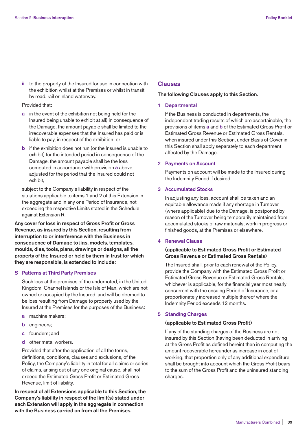**ii** to the property of the Insured for use in connection with the exhibition whilst at the Premises or whilst in transit by road, rail or inland waterway.

## Provided that:

- **a** in the event of the exhibition not being held (or the Insured being unable to exhibit at all) in consequence of the Damage, the amount payable shall be limited to the irrecoverable expenses that the Insured has paid or is liable to pay, in respect of the exhibition; or
- **b** if the exhibition does not run (or the Insured is unable to exhibit) for the intended period in consequence of the Damage, the amount payable shall be the loss computed in accordance with provision **a** above, adjusted for the period that the Insured could not exhibit,

 subject to the Company's liability in respect of the situations applicable to items 1 and 2 of this Extension in the aggregate and in any one Period of Insurance, not exceeding the respective Limits stated in the Schedule against Extension R.

**Any cover for loss in respect of Gross Profit or Gross Revenue, as insured by this Section, resulting from interruption to or interference with the Business in consequence of Damage to jigs, models, templates, moulds, dies, tools, plans, drawings or designs, all the property of the Insured or held by them in trust for which they are responsible, is extended to include:** 

## **S Patterns at Third Party Premises**

 Such loss at the premises of the undernoted, in the United Kingdom, Channel Islands or the Isle of Man, which are not owned or occupied by the Insured, and will be deemed to be loss resulting from Damage to property used by the Insured at the Premises for the purposes of the Business:

- **a** machine makers;
- **b** engineers;
- **c** founders; and
- **d** other metal workers.

 Provided that after the application of all the terms, definitions, conditions, clauses and exclusions, of the Policy, the Company's liability in total for all claims or series of claims, arising out of any one original cause, shall not exceed the Estimated Gross Profit or Estimated Gross Revenue, limit of liability.

**In respect of all Extensions applicable to this Section, the Company's liability in respect of the limit(s) stated under each Extension will apply in the aggregate in connection with the Business carried on from all the Premises.**

# **Clauses**

## **The following Clauses apply to this Section.**

## **1 Departmental**

 If the Business is conducted in departments, the independent trading results of which are ascertainable, the provisions of items **a** and **b** of the Estimated Gross Profit or Estimated Gross Revenue or Estimated Gross Rentals, when insured under this Section, under Basis of Cover in this Section shall apply separately to each department affected by the Damage.

## **2 Payments on Account**

 Payments on account will be made to the Insured during the Indemnity Period if desired.

# **3 Accumulated Stocks**

 In adjusting any loss, account shall be taken and an equitable allowance made if any shortage in Turnover (where applicable) due to the Damage, is postponed by reason of the Turnover being temporarily maintained from accumulated stocks of raw materials, work in progress or finished goods, at the Premises or elsewhere.

## **4 Renewal Clause**

# **(applicable to Estimated Gross Profit or Estimated Gross Revenue or Estimated Gross Rentals)**

 The Insured shall, prior to each renewal of the Policy, provide the Company with the Estimated Gross Profit or Estimated Gross Revenue or Estimated Gross Rentals, whichever is applicable, for the financial year most nearly concurrent with the ensuing Period of Insurance, or a proportionately increased multiple thereof where the Indemnity Period exceeds 12 months.

# **5 Standing Charges**

## **(applicable to Estimated Gross Profit)**

 If any of the standing charges of the Business are not insured by this Section (having been deducted in arriving at the Gross Profit as defined herein) then in computing the amount recoverable hereunder as increase in cost of working, that proportion only of any additional expenditure shall be brought into account which the Gross Profit bears to the sum of the Gross Profit and the uninsured standing charges.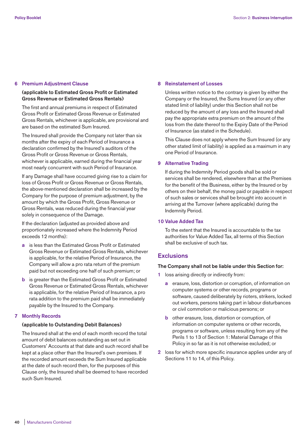## **6 Premium Adjustment Clause**

# **(applicable to Estimated Gross Profit or Estimated Gross Revenue or Estimated Gross Rentals)**

 The first and annual premiums in respect of Estimated Gross Profit or Estimated Gross Revenue or Estimated Gross Rentals, whichever is applicable, are provisional and are based on the estimated Sum Insured.

 The Insured shall provide the Company not later than six months after the expiry of each Period of Insurance a declaration confirmed by the Insured's auditors of the Gross Profit or Gross Revenue or Gross Rentals, whichever is applicable, earned during the financial year most nearly concurrent with such Period of Insurance.

 If any Damage shall have occurred giving rise to a claim for loss of Gross Profit or Gross Revenue or Gross Rentals, the above-mentioned declaration shall be increased by the Company for the purpose of premium adjustment, by the amount by which the Gross Profit, Gross Revenue or Gross Rentals, was reduced during the financial year solely in consequence of the Damage.

 If the declaration (adjusted as provided above and proportionately increased where the Indemnity Period exceeds 12 months):

- **a** is less than the Estimated Gross Profit or Estimated Gross Revenue or Estimated Gross Rentals, whichever is applicable, for the relative Period of Insurance, the Company will allow a pro rata return of the premium paid but not exceeding one half of such premium; or
- **b** is greater than the Estimated Gross Profit or Estimated Gross Revenue or Estimated Gross Rentals, whichever is applicable, for the relative Period of Insurance, a pro rata addition to the premium paid shall be immediately payable by the Insured to the Company.

# **7 Monthly Records**

# **(applicable to Outstanding Debit Balances)**

 The Insured shall at the end of each month record the total amount of debit balances outstanding as set out in Customers' Accounts at that date and such record shall be kept at a place other than the Insured's own premises. If the recorded amount exceeds the Sum Insured applicable at the date of such record then, for the purposes of this Clause only, the Insured shall be deemed to have recorded such Sum Insured.

## **8 Reinstatement of Losses**

 Unless written notice to the contrary is given by either the Company or the Insured, the Sums Insured (or any other stated limit of liability) under this Section shall not be reduced by the amount of any loss and the Insured shall pay the appropriate extra premium on the amount of the loss from the date thereof to the Expiry Date of the Period of Insurance (as stated in the Schedule).

 This Clause does not apply where the Sum Insured (or any other stated limit of liability) is applied as a maximum in any one Period of Insurance.

# **9 Alternative Trading**

 If during the Indemnity Period goods shall be sold or services shall be rendered, elsewhere than at the Premises for the benefit of the Business, either by the Insured or by others on their behalf, the money paid or payable in respect of such sales or services shall be brought into account in arriving at the Turnover (where applicable) during the Indemnity Period.

# **10 Value Added Tax**

 To the extent that the Insured is accountable to the tax authorities for Value Added Tax, all terms of this Section shall be exclusive of such tax.

# **Exclusions**

# **The Company shall not be liable under this Section for:**

- **1** loss arising directly or indirectly from:
	- **a** erasure, loss, distortion or corruption, of information on computer systems or other records, programs or software, caused deliberately by rioters, strikers, locked out workers, persons taking part in labour disturbances or civil commotion or malicious persons; or
	- **b** other erasure, loss, distortion or corruption, of information on computer systems or other records, programs or software, unless resulting from any of the Perils 1 to 13 of Section 1: Material Damage of this Policy in so far as it is not otherwise excluded; or
- **2** loss for which more specific insurance applies under any of Sections 11 to 14, of this Policy.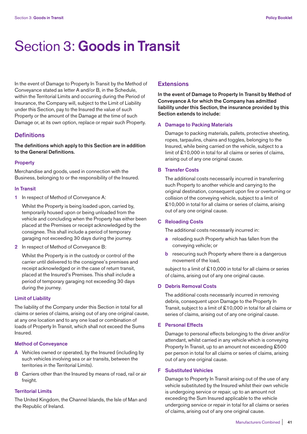# Section 3: **Goods in Transit**

In the event of Damage to Property In Transit by the Method of Conveyance stated as letter A and/or B, in the Schedule, within the Territorial Limits and occurring during the Period of Insurance, the Company will, subject to the Limit of Liability under this Section, pay to the Insured the value of such Property or the amount of the Damage at the time of such Damage or, at its own option, replace or repair such Property.

# **Definitions**

**The definitions which apply to this Section are in addition to the General Definitions.** 

## **Property**

Merchandise and goods, used in connection with the Business, belonging to or the responsibility of the Insured.

## **In Transit**

**1** In respect of Method of Conveyance A:

 Whilst the Property is being loaded upon, carried by, temporarily housed upon or being unloaded from the vehicle and concluding when the Property has either been placed at the Premises or receipt acknowledged by the consignee. This shall include a period of temporary garaging not exceeding 30 days during the journey.

**2** In respect of Method of Conveyance B:

 Whilst the Property is in the custody or control of the carrier until delivered to the consignee's premises and receipt acknowledged or in the case of return transit, placed at the Insured's Premises. This shall include a period of temporary garaging not exceeding 30 days during the journey.

# **Limit of Liability**

The liability of the Company under this Section in total for all claims or series of claims, arising out of any one original cause, at any one location and to any one load or combination of loads of Property In Transit, which shall not exceed the Sums Insured.

## **Method of Conveyance**

- **A** Vehicles owned or operated, by the Insured (including by such vehicles involving sea or air transits, between the territories in the Territorial Limits).
- **B** Carriers other than the Insured by means of road, rail or air freight.

## **Territorial Limits**

The United Kingdom, the Channel Islands, the Isle of Man and the Republic of Ireland.

# **Extensions**

**In the event of Damage to Property In Transit by Method of Conveyance A for which the Company has admitted liability under this Section, the insurance provided by this Section extends to include:** 

## **A Damage to Packing Materials**

 Damage to packing materials, pallets, protective sheeting, ropes, tarpaulins, chains and toggles, belonging to the Insured, while being carried on the vehicle, subject to a limit of £10,000 in total for all claims or series of claims, arising out of any one original cause.

## **B Transfer Costs**

 The additional costs necessarily incurred in transferring such Property to another vehicle and carrying to the original destination, consequent upon fire or overturning or collision of the conveying vehicle, subject to a limit of £10,000 in total for all claims or series of claims, arising out of any one original cause.

## **C Reloading Costs**

The additional costs necessarily incurred in:

- **a** reloading such Property which has fallen from the conveying vehicle; or
- **b** resecuring such Property where there is a dangerous movement of the load,

subject to a limit of £10,000 in total for all claims or series of claims, arising out of any one original cause.

# **D Debris Removal Costs**

 The additional costs necessarily incurred in removing debris, consequent upon Damage to the Property In Transit, subject to a limit of £10,000 in total for all claims or series of claims, arising out of any one original cause.

# **E Personal Effects**

 Damage to personal effects belonging to the driver and/or attendant, whilst carried in any vehicle which is conveying Property In Transit, up to an amount not exceeding £500 per person in total for all claims or series of claims, arising out of any one original cause.

# **F Substituted Vehicles**

 Damage to Property In Transit arising out of the use of any vehicle substituted by the Insured whilst their own vehicle is undergoing service or repair, up to an amount not exceeding the Sum Insured applicable to the vehicle undergoing service or repair in total for all claims or series of claims, arising out of any one original cause.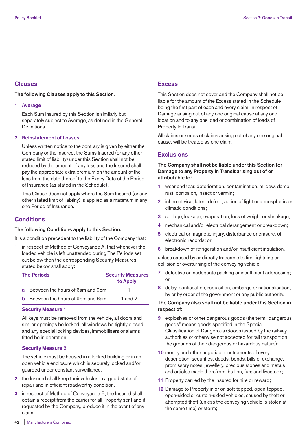# **Clauses**

# **The following Clauses apply to this Section.**

## **1 Average**

 Each Sum Insured by this Section is similarly but separately subject to Average, as defined in the General Definitions.

## **2 Reinstatement of Losses**

 Unless written notice to the contrary is given by either the Company or the Insured, the Sums Insured (or any other stated limit of liability) under this Section shall not be reduced by the amount of any loss and the Insured shall pay the appropriate extra premium on the amount of the loss from the date thereof to the Expiry Date of the Period of Insurance (as stated in the Schedule).

 This Clause does not apply where the Sum Insured (or any other stated limit of liability) is applied as a maximum in any one Period of Insurance.

# **Conditions**

# **The following Conditions apply to this Section.**

It is a condition precedent to the liability of the Company that:

**1** in respect of Method of Conveyance A, that whenever the loaded vehicle is left unattended during The Periods set out below then the corresponding Security Measures stated below shall apply:

| <b>The Periods</b> |                                           | <b>Security Measures</b> |
|--------------------|-------------------------------------------|--------------------------|
|                    |                                           | to Apply                 |
|                    | a Between the hours of 6am and 9pm        |                          |
|                    | <b>b</b> Between the hours of 9pm and 6am | 1 and $2$                |

## **Security Measure 1**

 All keys must be removed from the vehicle, all doors and similar openings be locked, all windows be tightly closed and any special locking devices, immobilisers or alarms fitted be in operation.

# **Security Measure 2**

 The vehicle must be housed in a locked building or in an open vehicle enclosure which is securely locked and/or guarded under constant surveillance.

- **2** the Insured shall keep their vehicles in a good state of repair and in efficient roadworthy condition.
- **3** in respect of Method of Conveyance B, the Insured shall obtain a receipt from the carrier for all Property sent and if requested by the Company, produce it in the event of any claim.

# **Excess**

This Section does not cover and the Company shall not be liable for the amount of the Excess stated in the Schedule being the first part of each and every claim, in respect of Damage arising out of any one original cause at any one location and to any one load or combination of loads of Property In Transit.

All claims or series of claims arising out of any one original cause, will be treated as one claim.

# **Exclusions**

# **The Company shall not be liable under this Section for Damage to any Property In Transit arising out of or attributable to:**

- **1** wear and tear, deterioration, contamination, mildew, damp, rust, corrosion, insect or vermin;
- **2** inherent vice, latent defect, action of light or atmospheric or climatic conditions;
- **3** spillage, leakage, evaporation, loss of weight or shrinkage;
- **4** mechanical and/or electrical derangement or breakdown;
- **5** electrical or magnetic injury, disturbance or erasure, of electronic records; or
- **6** breakdown of refrigeration and/or insufficient insulation,

unless caused by or directly traceable to fire, lightning or collision or overturning of the conveying vehicle;

- **7** defective or inadequate packing or insufficient addressing; or
- **8** delay, confiscation, requisition, embargo or nationalisation, by or by order of the government or any public authority.

# **The Company also shall not be liable under this Section in respect of:**

- **9** explosives or other dangerous goods (the term "dangerous goods" means goods specified in the Special Classification of Dangerous Goods issued by the railway authorities or otherwise not accepted for rail transport on the grounds of their dangerous or hazardous nature);
- **10** money and other negotiable instruments of every description, securities, deeds, bonds, bills of exchange, promissory notes, jewellery, precious stones and metals and articles made therefrom, bullion, furs and livestock;
- **11** Property carried by the Insured for hire or reward;
- **12** Damage to Property in or on soft-topped, open-topped, open-sided or curtain-sided vehicles, caused by theft or attempted theft (unless the conveying vehicle is stolen at the same time) or storm;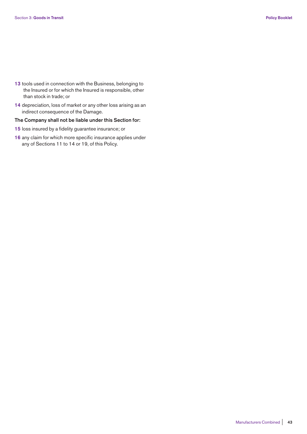- **13** tools used in connection with the Business, belonging to the Insured or for which the Insured is responsible, other than stock in trade; or
- **14** depreciation, loss of market or any other loss arising as an indirect consequence of the Damage.

## **The Company shall not be liable under this Section for:**

- **15** loss insured by a fidelity guarantee insurance; or
- **16** any claim for which more specific insurance applies under any of Sections 11 to 14 or 19, of this Policy.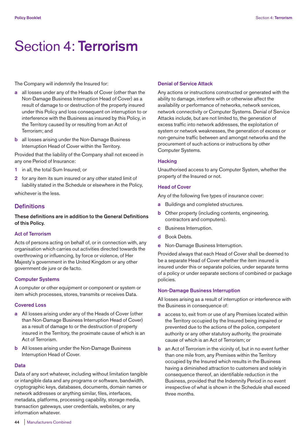# Section 4: **Terrorism**

The Company will indemnify the Insured for:

- **a** all losses under any of the Heads of Cover (other than the Non-Damage Business Interruption Head of Cover) as a result of damage to or destruction of the property insured under this Policy and loss consequent on interruption to or interference with the Business as insured by this Policy, in the Territory caused by or resulting from an Act of Terrorism; and
- **b** all losses arising under the Non-Damage Business Interruption Head of Cover within the Territory.

Provided that the liability of the Company shall not exceed in any one Period of Insurance:

- **1** in all, the total Sum Insured; or
- **2** for any item its sum insured or any other stated limit of liability stated in the Schedule or elsewhere in the Policy,

whichever is the less.

# **Definitions**

**These definitions are in addition to the General Definitions of this Policy.** 

# **Act of Terrorism**

Acts of persons acting on behalf of, or in connection with, any organisation which carries out activities directed towards the overthrowing or influencing, by force or violence, of Her Majesty's government in the United Kingdom or any other government de jure or de facto.

# **Computer Systems**

A computer or other equipment or component or system or item which processes, stores, transmits or receives Data.

## **Covered Loss**

- **a** All losses arising under any of the Heads of Cover (other than Non-Damage Business Interruption Head of Cover) as a result of damage to or the destruction of property insured in the Territory, the proximate cause of which is an Act of Terrorism.
- **b** All losses arising under the Non-Damage Business Interruption Head of Cover.

## **Data**

Data of any sort whatever, including without limitation tangible or intangible data and any programs or software, bandwidth, cryptographic keys, databases, documents, domain names or network addresses or anything similar, files, interfaces, metadata, platforms, processing capability, storage media, transaction gateways, user credentials, websites, or any information whatever.

## **Denial of Service Attack**

Any actions or instructions constructed or generated with the ability to damage, interfere with or otherwise affect the availability or performance of networks, network services, network connectivity or Computer Systems. Denial of Service Attacks include, but are not limited to, the generation of excess traffic into network addresses, the exploitation of system or network weaknesses, the generation of excess or non-genuine traffic between and amongst networks and the procurement of such actions or instructions by other Computer Systems.

## **Hacking**

Unauthorised access to any Computer System, whether the property of the Insured or not.

## **Head of Cover**

Any of the following five types of insurance cover:

- **a** Buildings and completed structures.
- **b** Other property (including contents, engineering, contractors and computers).
- **c** Business Interruption.
- **d** Book Debts.
- **e** Non-Damage Business Interruption.

Provided always that each Head of Cover shall be deemed to be a separate Head of Cover whether the item insured is insured under this or separate policies, under separate terms of a policy or under separate sections of combined or package policies.

## **Non-Damage Business Interruption**

All losses arising as a result of interruption or interference with the Business in consequence of:

- **a** access to, exit from or use of any Premises located within the Territory occupied by the Insured being impaired or prevented due to the actions of the police, competent authority or any other statutory authority, the proximate cause of which is an Act of Terrorism; or
- **b** an Act of Terrorism in the vicinity of, but in no event further than one mile from, any Premises within the Territory occupied by the Insured which results in the Business having a diminished attraction to customers and solely in consequence thereof, an identifiable reduction in the Business, provided that the Indemnity Period in no event irrespective of what is shown in the Schedule shall exceed three months.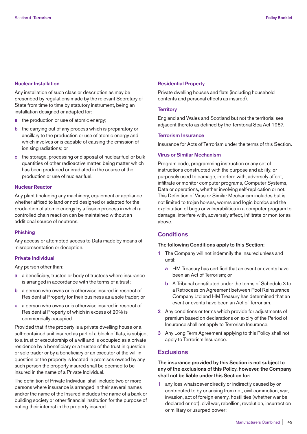## **Nuclear Installation**

Any installation of such class or description as may be prescribed by regulations made by the relevant Secretary of State from time to time by statutory instrument, being an installation designed or adapted for:

- **a** the production or use of atomic energy;
- **b** the carrying out of any process which is preparatory or ancillary to the production or use of atomic energy and which involves or is capable of causing the emission of ionising radiations; or
- **c** the storage, processing or disposal of nuclear fuel or bulk quantities of other radioactive matter, being matter which has been produced or irradiated in the course of the production or use of nuclear fuel.

## **Nuclear Reactor**

Any plant (including any machinery, equipment or appliance whether affixed to land or not) designed or adapted for the production of atomic energy by a fission process in which a controlled chain reaction can be maintained without an additional source of neutrons.

## **Phishing**

Any access or attempted access to Data made by means of misrepresentation or deception.

## **Private Individual**

Any person other than:

- **a** a beneficiary, trustee or body of trustees where insurance is arranged in accordance with the terms of a trust;
- **b** a person who owns or is otherwise insured in respect of Residential Property for their business as a sole trader; or
- **c** a person who owns or is otherwise insured in respect of Residential Property of which in excess of 20% is commercially occupied.

Provided that if the property is a private dwelling house or a self-contained unit insured as part of a block of flats, is subject to a trust or executorship of a will and is occupied as a private residence by a beneficiary or a trustee of the trust in question or sole trader or by a beneficiary or an executor of the will in question or the property is located in premises owned by any such person the property insured shall be deemed to be insured in the name of a Private Individual.

The definition of Private Individual shall include two or more persons where insurance is arranged in their several names and/or the name of the Insured includes the name of a bank or building society or other financial institution for the purpose of noting their interest in the property insured.

#### **Residential Property**

Private dwelling houses and flats (including household contents and personal effects as insured).

#### **Territory**

England and Wales and Scotland but not the territorial sea adjacent thereto as defined by the Territorial Sea Act 1987.

## **Terrorism Insurance**

Insurance for Acts of Terrorism under the terms of this Section.

# **Virus or Similar Mechanism**

Program code, programming instruction or any set of instructions constructed with the purpose and ability, or purposely used to damage, interfere with, adversely affect, infiltrate or monitor computer programs, Computer Systems, Data or operations, whether involving self-replication or not. This Definition of Virus or Similar Mechanism includes but is not limited to trojan horses, worms and logic bombs and the exploitation of bugs or vulnerabilities in a computer program to damage, interfere with, adversely affect, infiltrate or monitor as above.

# **Conditions**

## **The following Conditions apply to this Section:**

- **1** The Company will not indemnify the Insured unless and until:
	- **a** HM Treasury has certified that an event or events have been an Act of Terrorism; or
	- **b** A Tribunal constituted under the terms of Schedule 3 to a Retrocession Agreement between Pool Reinsurance Company Ltd and HM Treasury has determined that an event or events have been an Act of Terrorism.
- **2** Any conditions or terms which provide for adjustments of premium based on declarations on expiry of the Period of Insurance shall not apply to Terrorism Insurance.
- **3** Any Long Term Agreement applying to this Policy shall not apply to Terrorism Insurance.

# **Exclusions**

**The insurance provided by this Section is not subject to any of the exclusions of this Policy, however, the Company shall not be liable under this Section for:** 

**1** any loss whatsoever directly or indirectly caused by or contributed to by or arising from riot, civil commotion, war, invasion, act of foreign enemy, hostilities (whether war be declared or not), civil war, rebellion, revolution, insurrection or military or usurped power;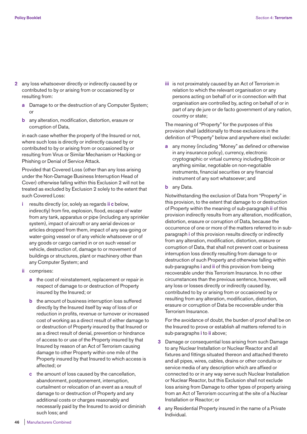- **2** any loss whatsoever directly or indirectly caused by or contributed to by or arising from or occasioned by or resulting from:
	- **a** Damage to or the destruction of any Computer System; or
	- **b** any alteration, modification, distortion, erasure or corruption of Data,

 in each case whether the property of the Insured or not, where such loss is directly or indirectly caused by or contributed to by or arising from or occasioned by or resulting from Virus or Similar Mechanism or Hacking or Phishing or Denial of Service Attack.

 Provided that Covered Loss (other than any loss arising under the Non-Damage Business Interruption Head of Cover) otherwise falling within this Exclusion 2 will not be treated as excluded by Exclusion 2 solely to the extent that such Covered Loss:

- **i** results directly (or, solely as regards **ii c** below, indirectly) from fire, explosion, flood, escape of water from any tank, apparatus or pipe (including any sprinkler system), impact of aircraft or any aerial devices or articles dropped from them, impact of any sea-going or water-going vessel or of any vehicle whatsoever or of any goods or cargo carried in or on such vessel or vehicle, destruction of, damage to or movement of buildings or structures, plant or machinery other than any Computer System; and
- **ii** comprises:
	- **a** the cost of reinstatement, replacement or repair in respect of damage to or destruction of Property insured by the Insured; or
	- **b** the amount of business interruption loss suffered directly by the Insured itself by way of loss of or reduction in profits, revenue or turnover or increased cost of working as a direct result of either damage to or destruction of Property insured by that Insured or as a direct result of denial, prevention or hindrance of access to or use of the Property insured by that Insured by reason of an Act of Terrorism causing damage to other Property within one mile of the Property insured by that Insured to which access is affected; or
	- **c** the amount of loss caused by the cancellation, abandonment, postponement, interruption, curtailment or relocation of an event as a result of damage to or destruction of Property and any additional costs or charges reasonably and necessarily paid by the Insured to avoid or diminish such loss; and

 **iii** is not proximately caused by an Act of Terrorism in relation to which the relevant organisation or any persons acting on behalf of or in connection with that organisation are controlled by, acting on behalf of or in part of any de jure or de facto government of any nation, country or state;

 The meaning of "Property" for the purposes of this provision shall (additionally to those exclusions in the definition of "Property" below and anywhere else) exclude:

- **a** any money (including "Money" as defined or otherwise in any insurance policy), currency, electronic cryptographic or virtual currency including Bitcoin or anything similar, negotiable on non-negotiable instruments, financial securities or any financial instrument of any sort whatsoever; and
- **b** any Data.

 Notwithstanding the exclusion of Data from "Property" in this provision, to the extent that damage to or destruction of Property within the meaning of sub-paragraph **ii** of this provision indirectly results from any alteration, modification, distortion, erasure or corruption of Data, because the occurrence of one or more of the matters referred to in subparagraph **i** of this provision results directly or indirectly from any alteration, modification, distortion, erasure or corruption of Data, that shall not prevent cost or business interruption loss directly resulting from damage to or destruction of such Property and otherwise falling within sub-paragraphs **i** and **ii** of this provision from being recoverable under this Terrorism Insurance. In no other circumstances than the previous sentence, however, will any loss or losses directly or indirectly caused by, contributed to by or arising from or occasioned by or resulting from any alteration, modification, distortion, erasure or corruption of Data be recoverable under this Terrorism Insurance.

 For the avoidance of doubt, the burden of proof shall be on the Insured to prove or establish all matters referred to in sub-paragraphs **i** to **ii** above;

- **3** Damage or consequential loss arising from such Damage to any Nuclear Installation or Nuclear Reactor and all fixtures and fittings situated thereon and attached thereto and all pipes, wires, cables, drains or other conduits or service media of any description which are affixed or connected to or in any way serve such Nuclear Installation or Nuclear Reactor, but this Exclusion shall not exclude loss arising from Damage to other types of property arising from an Act of Terrorism occurring at the site of a Nuclear Installation or Reactor; or
- **4** any Residential Property insured in the name of a Private Individual.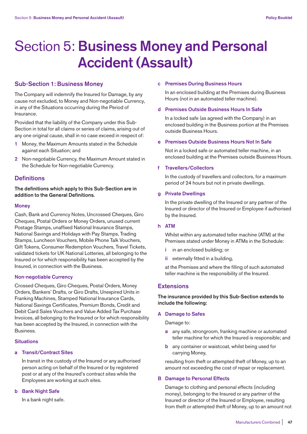# Section 5: **Business Money and Personal Accident (Assault)**

# **Sub-Section 1: Business Money**

The Company will indemnify the Insured for Damage, by any cause not excluded, to Money and Non-negotiable Currency, in any of the Situations occurring during the Period of Insurance.

Provided that the liability of the Company under this Sub-Section in total for all claims or series of claims, arising out of any one original cause, shall in no case exceed in respect of:

- **1** Money, the Maximum Amounts stated in the Schedule against each Situation; and
- **2** Non-negotiable Currency, the Maximum Amount stated in the Schedule for Non-negotiable Currency.

# **Definitions**

**The definitions which apply to this Sub-Section are in addition to the General Definitions.** 

## **Money**

Cash, Bank and Currency Notes, Uncrossed Cheques, Giro Cheques, Postal Orders or Money Orders, unused current Postage Stamps, unaffixed National Insurance Stamps, National Savings and Holidays with Pay Stamps, Trading Stamps, Luncheon Vouchers, Mobile Phone Talk Vouchers, Gift Tokens, Consumer Redemption Vouchers, Travel Tickets, validated tickets for UK National Lotteries, all belonging to the Insured or for which responsibility has been accepted by the Insured, in connection with the Business.

# **Non-negotiable Currency**

Crossed Cheques, Giro Cheques, Postal Orders, Money Orders, Bankers' Drafts, or Giro Drafts, Unexpired Units in Franking Machines, Stamped National Insurance Cards, National Savings Certificates, Premium Bonds, Credit and Debit Card Sales Vouchers and Value Added Tax Purchase Invoices, all belonging to the Insured or for which responsibility has been accepted by the Insured, in connection with the Business.

# **Situations**

# **a Transit/Contract Sites**

 In transit in the custody of the Insured or any authorised person acting on behalf of the Insured or by registered post or at any of the Insured's contract sites while the Employees are working at such sites.

## **b Bank Night Safe**

In a bank night safe.

## **c Premises During Business Hours**

 In an enclosed building at the Premises during Business Hours (not in an automated teller machine).

## **d Premises Outside Business Hours In Safe**

 In a locked safe (as agreed with the Company) in an enclosed building in the Business portion at the Premises outside Business Hours.

# **e Premises Outside Business Hours Not In Safe**

 Not in a locked safe or automated teller machine, in an enclosed building at the Premises outside Business Hours.

## **f Travellers/Collectors**

 In the custody of travellers and collectors, for a maximum period of 24 hours but not in private dwellings.

## **g Private Dwellings**

 In the private dwelling of the Insured or any partner of the Insured or director of the Insured or Employee if authorised by the Insured.

# **h ATM**

 Whilst within any automated teller machine (ATM) at the Premises stated under Money in ATMs in the Schedule:

- **i** in an enclosed building; or
- **ii** externally fitted in a building,

 at the Premises and where the filling of such automated teller machine is the responsibility of the Insured.

# **Extensions**

# **The insurance provided by this Sub-Section extends to include the following:**

# **A Damage to Safes**

Damage to:

- **a** any safe, strongroom, franking machine or automated teller machine for which the Insured is responsible; and
- **b** any container or waistcoat, whilst being used for carrying Money,

 resulting from theft or attempted theft of Money, up to an amount not exceeding the cost of repair or replacement.

## **B Damage to Personal Effects**

 Damage to clothing and personal effects (including money), belonging to the Insured or any partner of the Insured or director of the Insured or Employee, resulting from theft or attempted theft of Money, up to an amount not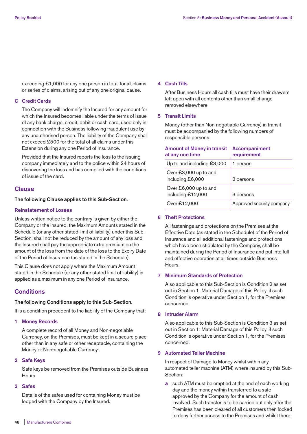exceeding £1,000 for any one person in total for all claims or series of claims, arising out of any one original cause.

## **C Credit Cards**

 The Company will indemnify the Insured for any amount for which the Insured becomes liable under the terms of issue of any bank charge, credit, debit or cash card, used only in connection with the Business following fraudulent use by any unauthorised person. The liability of the Company shall not exceed £500 for the total of all claims under this Extension during any one Period of Insurance.

 Provided that the Insured reports the loss to the issuing company immediately and to the police within 24 hours of discovering the loss and has complied with the conditions of issue of the card.

# **Clause**

## **The following Clause applies to this Sub-Section.**

#### **Reinstatement of Losses**

Unless written notice to the contrary is given by either the Company or the Insured, the Maximum Amounts stated in the Schedule (or any other stated limit of liability) under this Sub-Section, shall not be reduced by the amount of any loss and the Insured shall pay the appropriate extra premium on the amount of the loss from the date of the loss to the Expiry Date of the Period of Insurance (as stated in the Schedule).

This Clause does not apply where the Maximum Amount stated in the Schedule (or any other stated limit of liability) is applied as a maximum in any one Period of Insurance.

# **Conditions**

## **The following Conditions apply to this Sub-Section.**

It is a condition precedent to the liability of the Company that:

#### **1 Money Records**

 A complete record of all Money and Non-negotiable Currency, on the Premises, must be kept in a secure place other than in any safe or other receptacle, containing the Money or Non-negotiable Currency.

## **2 Safe Keys**

 Safe keys be removed from the Premises outside Business Hours.

# **3 Safes**

 Details of the safes used for containing Money must be lodged with the Company by the Insured.

## **4 Cash Tills**

 After Business Hours all cash tills must have their drawers left open with all contents other than small change removed elsewhere.

# **5 Transit Limits**

 Money (other than Non-negotiable Currency) in transit must be accompanied by the following numbers of responsible persons:

| <b>Amount of Money in transit</b><br>at any one time | <b>Accompaniment</b><br>requirement |  |
|------------------------------------------------------|-------------------------------------|--|
| Up to and including £3,000                           | 1 person                            |  |
| Over £3,000 up to and<br>including £6,000            | 2 persons                           |  |
| Over £6,000 up to and<br>including £12,000           | 3 persons                           |  |
| Over £12,000                                         | Approved security company           |  |

#### **6 Theft Protections**

 All fastenings and protections on the Premises at the Effective Date (as stated in the Schedule) of the Period of Insurance and all additional fastenings and protections which have been stipulated by the Company, shall be maintained during the Period of Insurance and put into full and effective operation at all times outside Business Hours.

## **7 Minimum Standards of Protection**

 Also applicable to this Sub-Section is Condition 2 as set out in Section 1: Material Damage of this Policy, if such Condition is operative under Section 1, for the Premises concerned.

## **8 Intruder Alarm**

 Also applicable to this Sub-Section is Condition 3 as set out in Section 1: Material Damage of this Policy, if such Condition is operative under Section 1, for the Premises concerned.

## **9 Automated Teller Machine**

 In respect of Damage to Money whilst within any automated teller machine (ATM) where insured by this Sub-Section:

 **a** such ATM must be emptied at the end of each working day and the money within transferred to a safe approved by the Company for the amount of cash involved. Such transfer is to be carried out only after the Premises has been cleared of all customers then locked to deny further access to the Premises and whilst there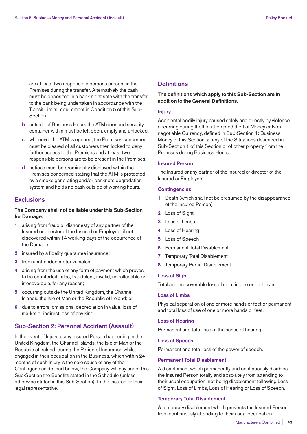are at least two responsible persons present in the Premises during the transfer. Alternatively the cash must be deposited in a bank night safe with the transfer to the bank being undertaken in accordance with the Transit Limits requirement in Condition 5 of this Sub-Section.

- **b** outside of Business Hours the ATM door and security container within must be left open, empty and unlocked.
- **c** whenever the ATM is opened, the Premises concerned must be cleared of all customers then locked to deny further access to the Premises and at least two responsible persons are to be present in the Premises.
- **d** notices must be prominently displayed within the Premises concerned stating that the ATM is protected by a smoke generating and/or banknote degradation system and holds no cash outside of working hours.

# **Exclusions**

# **The Company shall not be liable under this Sub-Section for Damage:**

- **1** arising from fraud or dishonesty of any partner of the Insured or director of the Insured or Employee, if not discovered within 14 working days of the occurrence of the Damage;
- **2** insured by a fidelity guarantee insurance;
- **3** from unattended motor vehicles;
- **4** arising from the use of any form of payment which proves to be counterfeit, false, fraudulent, invalid, uncollectible or irrecoverable, for any reason;
- **5** occurring outside the United Kingdom, the Channel Islands, the Isle of Man or the Republic of Ireland; or
- **6** due to errors, omissions, depreciation in value, loss of market or indirect loss of any kind.

# **Sub-Section 2: Personal Accident (Assault)**

In the event of Injury to any Insured Person happening in the United Kingdom, the Channel Islands, the Isle of Man or the Republic of Ireland, during the Period of Insurance whilst engaged in their occupation in the Business, which within 24 months of such Injury is the sole cause of any of the Contingencies defined below, the Company will pay under this Sub-Section the Benefits stated in the Schedule (unless otherwise stated in this Sub-Section), to the Insured or their legal representative.

# **Definitions**

# **The definitions which apply to this Sub-Section are in addition to the General Definitions.**

# **Injury**

Accidental bodily injury caused solely and directly by violence occurring during theft or attempted theft of Money or Nonnegotiable Currency, defined in Sub-Section 1: Business Money of this Section, at any of the Situations described in Sub-Section 1 of this Section or of other property from the Premises during Business Hours.

# **Insured Person**

The Insured or any partner of the Insured or director of the Insured or Employee.

## **Contingencies**

- **1** Death (which shall not be presumed by the disappearance of the Insured Person)
- **2** Loss of Sight
- **3** Loss of Limbs
- **4** Loss of Hearing
- **5** Loss of Speech
- **6** Permanent Total Disablement
- **7** Temporary Total Disablement
- **8** Temporary Partial Disablement

#### **Loss of Sight**

Total and irrecoverable loss of sight in one or both eyes.

#### **Loss of Limbs**

Physical separation of one or more hands or feet or permanent and total loss of use of one or more hands or feet.

## **Loss of Hearing**

Permanent and total loss of the sense of hearing.

## **Loss of Speech**

Permanent and total loss of the power of speech.

### **Permanent Total Disablement**

A disablement which permanently and continuously disables the Insured Person totally and absolutely from attending to their usual occupation, not being disablement following Loss of Sight, Loss of Limbs, Loss of Hearing or Loss of Speech.

## **Temporary Total Disablement**

A temporary disablement which prevents the Insured Person from continuously attending to their usual occupation.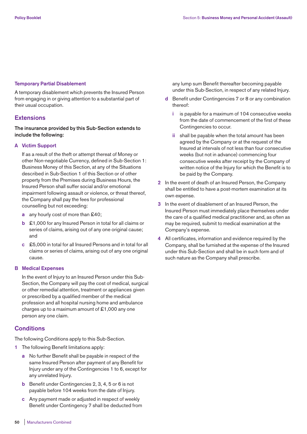# **Temporary Partial Disablement**

A temporary disablement which prevents the Insured Person from engaging in or giving attention to a substantial part of their usual occupation.

# **Extensions**

**The insurance provided by this Sub-Section extends to include the following:** 

# **A Victim Support**

 If as a result of the theft or attempt thereat of Money or other Non-negotiable Currency, defined in Sub-Section 1: Business Money of this Section, at any of the Situations described in Sub-Section 1 of this Section or of other property from the Premises during Business Hours, the Insured Person shall suffer social and/or emotional impairment following assault or violence, or threat thereof, the Company shall pay the fees for professional counselling but not exceeding:

- **a** any hourly cost of more than £40;
- **b** £1,000 for any Insured Person in total for all claims or series of claims, arising out of any one original cause; and
- **c** £5,000 in total for all Insured Persons and in total for all claims or series of claims, arising out of any one original cause.

# **B Medical Expenses**

 In the event of Injury to an Insured Person under this Sub-Section, the Company will pay the cost of medical, surgical or other remedial attention, treatment or appliances given or prescribed by a qualified member of the medical profession and all hospital nursing home and ambulance charges up to a maximum amount of £1,000 any one person any one claim.

# **Conditions**

The following Conditions apply to this Sub-Section.

- **1** The following Benefit limitations apply:
	- **a** No further Benefit shall be payable in respect of the same Insured Person after payment of any Benefit for Injury under any of the Contingencies 1 to 6, except for any unrelated Injury.
	- **b** Benefit under Contingencies 2, 3, 4, 5 or 6 is not payable before 104 weeks from the date of Injury.
	- **c** Any payment made or adjusted in respect of weekly Benefit under Contingency 7 shall be deducted from

any lump sum Benefit thereafter becoming payable under this Sub-Section, in respect of any related Injury.

- **d** Benefit under Contingencies 7 or 8 or any combination thereof:
	- **i** is payable for a maximum of 104 consecutive weeks from the date of commencement of the first of these Contingencies to occur.
	- **ii** shall be payable when the total amount has been agreed by the Company or at the request of the Insured at intervals of not less than four consecutive weeks (but not in advance) commencing four consecutive weeks after receipt by the Company of written notice of the Injury for which the Benefit is to be paid by the Company.
- **2** In the event of death of an Insured Person, the Company shall be entitled to have a post-mortem examination at its own expense.
- **3** In the event of disablement of an Insured Person, the Insured Person must immediately place themselves under the care of a qualified medical practitioner and, as often as may be required, submit to medical examination at the Company's expense.
- **4** All certificates, information and evidence required by the Company, shall be furnished at the expense of the Insured under this Sub-Section and shall be in such form and of such nature as the Company shall prescribe.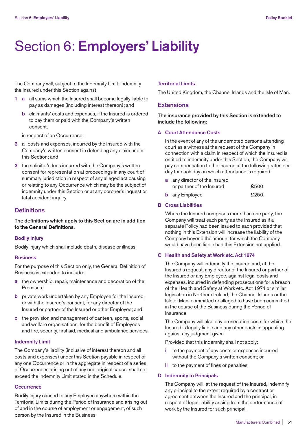# Section 6: **Employers' Liability**

The Company will, subject to the Indemnity Limit, indemnify the Insured under this Section against:

- **1 a** all sums which the Insured shall become legally liable to pay as damages (including interest thereon); and
	- **b** claimants' costs and expenses, if the Insured is ordered to pay them or paid with the Company's written consent,

in respect of an Occurrence;

- **2** all costs and expenses, incurred by the Insured with the Company's written consent in defending any claim under this Section; and
- **3** the solicitor's fees incurred with the Company's written consent for representation at proceedings in any court of summary jurisdiction in respect of any alleged act causing or relating to any Occurrence which may be the subject of indemnity under this Section or at any coroner's inquest or fatal accident inquiry.

# **Definitions**

**The definitions which apply to this Section are in addition to the General Definitions.** 

# **Bodily Injury**

Bodily injury which shall include death, disease or illness.

## **Business**

For the purpose of this Section only, the General Definition of Business is extended to include:

- **a** the ownership, repair, maintenance and decoration of the Premises;
- **b** private work undertaken by any Employee for the Insured, or with the Insured's consent, for any director of the Insured or partner of the Insured or other Employee; and
- **c** the provision and management of canteen, sports, social and welfare organisations, for the benefit of Employees and fire, security, first aid, medical and ambulance services.

## **Indemnity Limit**

The Company's liability (inclusive of interest thereon and all costs and expenses) under this Section payable in respect of any one Occurrence or in the aggregate in respect of a series of Occurrences arising out of any one original cause, shall not exceed the Indemnity Limit stated in the Schedule.

## **Occurrence**

Bodily Injury caused to any Employee anywhere within the Territorial Limits during the Period of Insurance and arising out of and in the course of employment or engagement, of such person by the Insured in the Business.

## **Territorial Limits**

The United Kingdom, the Channel Islands and the Isle of Man.

# **Extensions**

**The insurance provided by this Section is extended to include the following:** 

# **A Court Attendance Costs**

 In the event of any of the undernoted persons attending court as a witness at the request of the Company in connection with a claim in respect of which the Insured is entitled to indemnity under this Section, the Company will pay compensation to the Insured at the following rates per day for each day on which attendance is required:

| a any director of the Insured |       |  |
|-------------------------------|-------|--|
| or partner of the Insured     | £500  |  |
| <b>b</b> any Employee         | £250. |  |

## **B Cross Liabilities**

 Where the Insured comprises more than one party, the Company will treat each party as the Insured as if a separate Policy had been issued to each provided that nothing in this Extension will increase the liability of the Company beyond the amount for which the Company would have been liable had this Extension not applied.

## **C Health and Safety at Work etc. Act 1974**

 The Company will indemnify the Insured and, at the Insured's request, any director of the Insured or partner of the Insured or any Employee, against legal costs and expenses, incurred in defending prosecutions for a breach of the Health and Safety at Work etc. Act 1974 or similar legislation in Northern Ireland, the Channel Islands or the Isle of Man, committed or alleged to have been committed in the course of the Business during the Period of Insurance.

 The Company will also pay prosecution costs for which the Insured is legally liable and any other costs in appealing against any judgment given.

Provided that this indemnity shall not apply:

- **i** to the payment of any costs or expenses incurred without the Company's written consent; or
- **ii** to the payment of fines or penalties.

## **D Indemnity to Principals**

 The Company will, at the request of the Insured, indemnify any principal to the extent required by a contract or agreement between the Insured and the principal, in respect of legal liability arising from the performance of work by the Insured for such principal.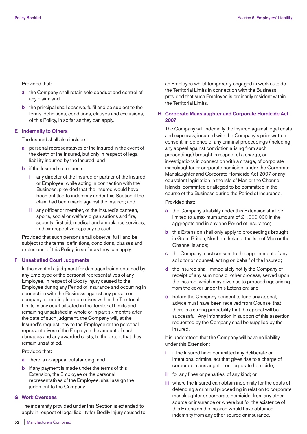Provided that:

- **a** the Company shall retain sole conduct and control of any claim; and
- **b** the principal shall observe, fulfil and be subject to the terms, definitions, conditions, clauses and exclusions, of this Policy, in so far as they can apply.

## **E Indemnity to Others**

The Insured shall also include:

- **a** personal representatives of the Insured in the event of the death of the Insured, but only in respect of legal liability incurred by the Insured; and
- **b** if the Insured so requests:
	- **i** any director of the Insured or partner of the Insured or Employee, while acting in connection with the Business, provided that the Insured would have been entitled to indemnity under this Section if the claim had been made against the Insured; and
	- **ii** any officer or member, of the Insured's canteen, sports, social or welfare organisations and fire, security, first aid, medical and ambulance services, in their respective capacity as such.

 Provided that such persons shall observe, fulfil and be subject to the terms, definitions, conditions, clauses and exclusions, of this Policy, in so far as they can apply.

## **F Unsatisfied Court Judgments**

 In the event of a judgment for damages being obtained by any Employee or the personal representatives of any Employee, in respect of Bodily Injury caused to the Employee during any Period of Insurance and occurring in connection with the Business against any person or company, operating from premises within the Territorial Limits in any court situated in the Territorial Limits and remaining unsatisfied in whole or in part six months after the date of such judgment, the Company will, at the Insured's request, pay to the Employee or the personal representatives of the Employee the amount of such damages and any awarded costs, to the extent that they remain unsatisfied.

Provided that:

- **a** there is no appeal outstanding; and
- **b** if any payment is made under the terms of this Extension, the Employee or the personal representatives of the Employee, shall assign the judgment to the Company.

# **G Work Overseas**

 The indemnity provided under this Section is extended to apply in respect of legal liability for Bodily Injury caused to an Employee whilst temporarily engaged in work outside the Territorial Limits in connection with the Business provided that such Employee is ordinarily resident within the Territorial Limits.

# **H Corporate Manslaughter and Corporate Homicide Act 2007**

 The Company will indemnify the Insured against legal costs and expenses, incurred with the Company's prior written consent, in defence of any criminal proceedings (including any appeal against conviction arising from such proceedings) brought in respect of a charge, or investigations in connection with a charge, of corporate manslaughter or corporate homicide, under the Corporate Manslaughter and Corporate Homicide Act 2007 or any equivalent legislation in the Isle of Man or the Channel Islands, committed or alleged to be committed in the course of the Business during the Period of Insurance.

Provided that:

- **a** the Company's liability under this Extension shall be limited to a maximum amount of £1,000,000 in the aggregate and in any one Period of Insurance;
- **b** this Extension shall only apply to proceedings brought in Great Britain, Northern Ireland, the Isle of Man or the Channel Islands;
- **c** the Company must consent to the appointment of any solicitor or counsel, acting on behalf of the Insured;
- **d** the Insured shall immediately notify the Company of receipt of any summons or other process, served upon the Insured, which may give rise to proceedings arising from the cover under this Extension; and
- **e** before the Company consent to fund any appeal. advice must have been received from Counsel that there is a strong probability that the appeal will be successful. Any information in support of this assertion requested by the Company shall be supplied by the Insured.

 It is understood that the Company will have no liability under this Extension:

- **i** if the Insured have committed any deliberate or intentional criminal act that gives rise to a charge of corporate manslaughter or corporate homicide;
- **ii** for any fines or penalties, of any kind; or
- **iii** where the Insured can obtain indemnity for the costs of defending a criminal proceeding in relation to corporate manslaughter or corporate homicide, from any other source or insurance or where but for the existence of this Extension the Insured would have obtained indemnity from any other source or insurance.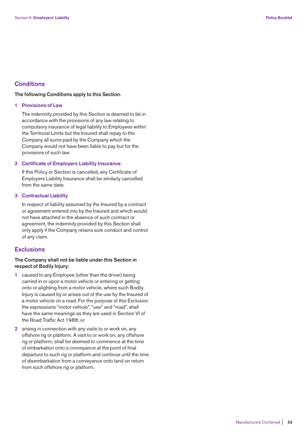# **Conditions**

# **The following Conditions apply to this Section.**

## **1 Provisions of Law**

 The indemnity provided by this Section is deemed to be in accordance with the provisions of any law relating to compulsory insurance of legal liability to Employees within the Territorial Limits but the Insured shall repay to the Company all sums paid by the Company which the Company would not have been liable to pay but for the provisions of such law.

## **2 Certificate of Employers Liability Insurance**

 If this Policy or Section is cancelled, any Certificate of Employers Liability Insurance shall be similarly cancelled from the same date.

## **3 Contractual Liability**

 In respect of liability assumed by the Insured by a contract or agreement entered into by the Insured and which would not have attached in the absence of such contract or agreement, the indemnity provided by this Section shall only apply if the Company retains sole conduct and control of any claim.

# **Exclusions**

# **The Company shall not be liable under this Section in respect of Bodily Injury:**

- **1** caused to any Employee (other than the driver) being carried in or upon a motor vehicle or entering or getting onto or alighting from a motor vehicle, where such Bodily Injury is caused by or arises out of the use by the Insured of a motor vehicle on a road. For the purpose of this Exclusion the expressions "motor vehicle", "use" and "road", shall have the same meanings as they are used in Section VI of the Road Traffic Act 1988; or
- **2** arising in connection with any visits to or work on, any offshore rig or platform. A visit to or work on, any offshore rig or platform, shall be deemed to commence at the time of embarkation onto a conveyance at the point of final departure to such rig or platform and continue until the time of disembarkation from a conveyance onto land on return from such offshore rig or platform.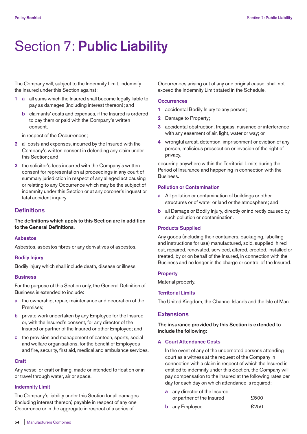# Section 7: **Public Liability**

The Company will, subject to the Indemnity Limit, indemnify the Insured under this Section against:

- **1 a** all sums which the Insured shall become legally liable to pay as damages (including interest thereon); and
	- **b** claimants' costs and expenses, if the Insured is ordered to pay them or paid with the Company's written consent,

in respect of the Occurrences;

- **2** all costs and expenses, incurred by the Insured with the Company's written consent in defending any claim under this Section; and
- **3** the solicitor's fees incurred with the Company's written consent for representation at proceedings in any court of summary jurisdiction in respect of any alleged act causing or relating to any Occurrence which may be the subject of indemnity under this Section or at any coroner's inquest or fatal accident inquiry.

# **Definitions**

**The definitions which apply to this Section are in addition to the General Definitions.** 

# **Asbestos**

Asbestos, asbestos fibres or any derivatives of asbestos.

# **Bodily Injury**

Bodily injury which shall include death, disease or illness.

## **Business**

For the purpose of this Section only, the General Definition of Business is extended to include:

- **a** the ownership, repair, maintenance and decoration of the Premises;
- **b** private work undertaken by any Employee for the Insured or, with the Insured's consent, for any director of the Insured or partner of the Insured or other Employee; and
- **c** the provision and management of canteen, sports, social and welfare organisations, for the benefit of Employees and fire, security, first aid, medical and ambulance services.

## **Craft**

Any vessel or craft or thing, made or intended to float on or in or travel through water, air or space.

# **Indemnity Limit**

The Company's liability under this Section for all damages (including interest thereon) payable in respect of any one Occurrence or in the aggregate in respect of a series of

Occurrences arising out of any one original cause, shall not exceed the Indemnity Limit stated in the Schedule.

## **Occurrences**

- **1** accidental Bodily Injury to any person;
- **2** Damage to Property;
- **3** accidental obstruction, trespass, nuisance or interference with any easement of air, light, water or way; or
- **4** wrongful arrest, detention, imprisonment or eviction of any person, malicious prosecution or invasion of the right of privacy,

occurring anywhere within the Territorial Limits during the Period of Insurance and happening in connection with the Business.

## **Pollution or Contamination**

- **a** All pollution or contamination of buildings or other structures or of water or land or the atmosphere; and
- **b** all Damage or Bodily Injury, directly or indirectly caused by such pollution or contamination.

# **Products Supplied**

Any goods (including their containers, packaging, labelling and instructions for use) manufactured, sold, supplied, hired out, repaired, renovated, serviced, altered, erected, installed or treated, by or on behalf of the Insured, in connection with the Business and no longer in the charge or control of the Insured.

## **Property**

Material property.

## **Territorial Limits**

The United Kingdom, the Channel Islands and the Isle of Man.

# **Extensions**

# **The insurance provided by this Section is extended to include the following:**

# **A Court Attendance Costs**

 In the event of any of the undernoted persons attending court as a witness at the request of the Company in connection with a claim in respect of which the Insured is entitled to indemnity under this Section, the Company will pay compensation to the Insured at the following rates per day for each day on which attendance is required:

- **a** any director of the Insured or partner of the Insured  $£500$
- **b** any Employee **£250**.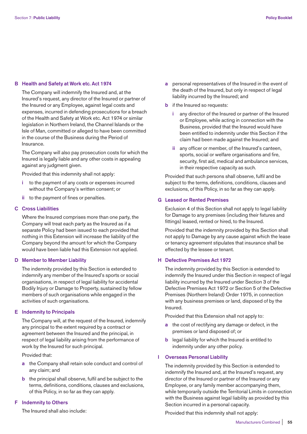## **B Health and Safety at Work etc. Act 1974**

 The Company will indemnify the Insured and, at the Insured's request, any director of the Insured or partner of the Insured or any Employee, against legal costs and expenses, incurred in defending prosecutions for a breach of the Health and Safety at Work etc. Act 1974 or similar legislation in Northern Ireland, the Channel Islands or the Isle of Man, committed or alleged to have been committed in the course of the Business during the Period of Insurance.

 The Company will also pay prosecution costs for which the Insured is legally liable and any other costs in appealing against any judgment given.

Provided that this indemnity shall not apply:

- **i** to the payment of any costs or expenses incurred without the Company's written consent; or
- **ii** to the payment of fines or penalties.

# **C Cross Liabilities**

 Where the Insured comprises more than one party, the Company will treat each party as the Insured as if a separate Policy had been issued to each provided that nothing in this Extension will increase the liability of the Company beyond the amount for which the Company would have been liable had this Extension not applied.

## **D Member to Member Liability**

 The indemnity provided by this Section is extended to indemnify any member of the Insured's sports or social organisations, in respect of legal liability for accidental Bodily Injury or Damage to Property, sustained by fellow members of such organisations while engaged in the activities of such organisations.

## **E Indemnity to Principals**

 The Company will, at the request of the Insured, indemnify any principal to the extent required by a contract or agreement between the Insured and the principal, in respect of legal liability arising from the performance of work by the Insured for such principal.

Provided that:

- **a** the Company shall retain sole conduct and control of any claim; and
- **b** the principal shall observe, fulfil and be subject to the terms, definitions, conditions, clauses and exclusions, of this Policy, in so far as they can apply.

# **F Indemnity to Others**

The Insured shall also include:

- **a** personal representatives of the Insured in the event of the death of the Insured, but only in respect of legal liability incurred by the Insured; and
- **b** if the Insured so requests:
	- **i** any director of the Insured or partner of the Insured or Employee, while acting in connection with the Business, provided that the Insured would have been entitled to indemnity under this Section if the claim had been made against the Insured; and
	- **ii** any officer or member, of the Insured's canteen, sports, social or welfare organisations and fire, security, first aid, medical and ambulance services, in their respective capacity as such.

 Provided that such persons shall observe, fulfil and be subject to the terms, definitions, conditions, clauses and exclusions, of this Policy, in so far as they can apply.

# **G Leased or Rented Premises**

 Exclusion 4 of this Section shall not apply to legal liability for Damage to any premises (including their fixtures and fittings) leased, rented or hired, to the Insured.

 Provided that the indemnity provided by this Section shall not apply to Damage by any cause against which the lease or tenancy agreement stipulates that insurance shall be effected by the lessee or tenant.

# **H Defective Premises Act 1972**

 The indemnity provided by this Section is extended to indemnify the Insured under this Section in respect of legal liability incurred by the Insured under Section 3 of the Defective Premises Act 1972 or Section 5 of the Defective Premises (Northern Ireland) Order 1975, in connection with any business premises or land, disposed of by the Insured.

Provided that this Extension shall not apply to:

- **a** the cost of rectifying any damage or defect, in the premises or land disposed of; or
- **b** legal liability for which the Insured is entitled to indemnity under any other policy.

## **I Overseas Personal Liability**

 The indemnity provided by this Section is extended to indemnify the Insured and, at the Insured's request, any director of the Insured or partner of the Insured or any Employee, or any family member accompanying them, while temporarily outside the Territorial Limits in connection with the Business against legal liability as provided by this Section incurred in a personal capacity.

Provided that this indemnity shall not apply: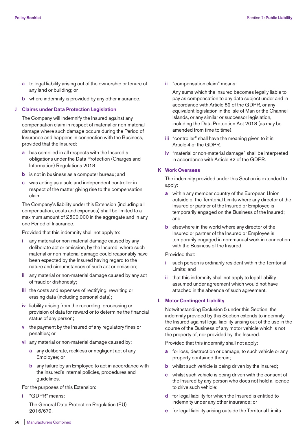- **a** to legal liability arising out of the ownership or tenure of any land or building; or
- **b** where indemnity is provided by any other insurance.

## **J Claims under Data Protection Legislation**

 The Company will indemnify the Insured against any compensation claim in respect of material or non-material damage where such damage occurs during the Period of Insurance and happens in connection with the Business, provided that the Insured:

- **a** has complied in all respects with the Insured's obligations under the Data Protection (Charges and Information) Regulations 2018;
- **b** is not in business as a computer bureau; and
- **c** was acting as a sole and independent controller in respect of the matter giving rise to the compensation claim.

 The Company's liability under this Extension (including all compensation, costs and expenses) shall be limited to a maximum amount of £500,000 in the aggregate and in any one Period of Insurance.

Provided that this indemnity shall not apply to:

- **i** any material or non-material damage caused by any deliberate act or omission, by the Insured, where such material or non-material damage could reasonably have been expected by the Insured having regard to the nature and circumstances of such act or omission;
- **ii** any material or non-material damage caused by any act of fraud or dishonesty;
- **iii** the costs and expenses of rectifying, rewriting or erasing data (including personal data);
- **iv** liability arising from the recording, processing or provision of data for reward or to determine the financial status of any person;
- **v** the payment by the Insured of any regulatory fines or penalties; or
- **vi** any material or non-material damage caused by:
	- **a** any deliberate, reckless or negligent act of any Employee; or
	- **b** any failure by an Employee to act in accordance with the Insured's internal policies, procedures and guidelines.

For the purposes of this Extension:

**i** "GDPR" means:

 The General Data Protection Regulation (EU) 2016/679.

**ii** "compensation claim" means:

 Any sums which the Insured becomes legally liable to pay as compensation to any data subject under and in accordance with Article 82 of the GDPR, or any equivalent legislation in the Isle of Man or the Channel Islands, or any similar or successor legislation, including the Data Protection Act 2018 (as may be amended from time to time).

- **iii** "controller" shall have the meaning given to it in Article 4 of the GDPR.
- **iv** "material or non-material damage" shall be interpreted in accordance with Article 82 of the GDPR.

## **K Work Overseas**

 The indemnity provided under this Section is extended to apply:

- **a** within any member country of the European Union outside of the Territorial Limits where any director of the Insured or partner of the Insured or Employee is temporarily engaged on the Business of the Insured; and
- **b** elsewhere in the world where any director of the Insured or partner of the Insured or Employee is temporarily engaged in non-manual work in connection with the Business of the Insured.

## Provided that:

- **i** such person is ordinarily resident within the Territorial Limits; and
- **ii** that this indemnity shall not apply to legal liability assumed under agreement which would not have attached in the absence of such agreement.

# **L Motor Contingent Liability**

 Notwithstanding Exclusion 5 under this Section, the indemnity provided by this Section extends to indemnify the Insured against legal liability arising out of the use in the course of the Business of any motor vehicle which is not the property of, nor provided by, the Insured.

Provided that this indemnity shall not apply:

- **a** for loss, destruction or damage, to such vehicle or any property contained therein;
- **b** whilst such vehicle is being driven by the Insured;
- **c** whilst such vehicle is being driven with the consent of the Insured by any person who does not hold a licence to drive such vehicle;
- **d** for legal liability for which the Insured is entitled to indemnity under any other insurance; or
- **e** for legal liability arising outside the Territorial Limits.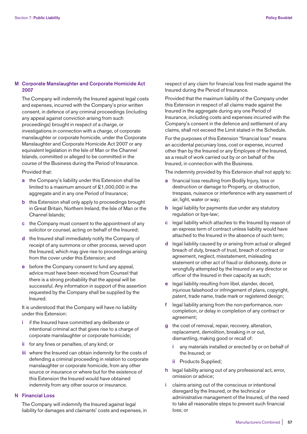# **M Corporate Manslaughter and Corporate Homicide Act 2007**

 The Company will indemnify the Insured against legal costs and expenses, incurred with the Company's prior written consent, in defence of any criminal proceedings (including any appeal against conviction arising from such proceedings) brought in respect of a charge, or investigations in connection with a charge, of corporate manslaughter or corporate homicide, under the Corporate Manslaughter and Corporate Homicide Act 2007 or any equivalent legislation in the Isle of Man or the Channel Islands, committed or alleged to be committed in the course of the Business during the Period of Insurance.

Provided that:

- **a** the Company's liability under this Extension shall be limited to a maximum amount of £1,000,000 in the aggregate and in any one Period of Insurance;
- **b** this Extension shall only apply to proceedings brought in Great Britain, Northern Ireland, the Isle of Man or the Channel Islands;
- **c** the Company must consent to the appointment of any solicitor or counsel, acting on behalf of the Insured;
- **d** the Insured shall immediately notify the Company of receipt of any summons or other process, served upon the Insured, which may give rise to proceedings arising from the cover under this Extension; and
- **e** before the Company consent to fund any appeal, advice must have been received from Counsel that there is a strong probability that the appeal will be successful. Any information in support of this assertion requested by the Company shall be supplied by the Insured.

 It is understood that the Company will have no liability under this Extension:

- **i** if the Insured have committed any deliberate or intentional criminal act that gives rise to a charge of corporate manslaughter or corporate homicide;
- **ii** for any fines or penalties, of any kind; or
- **iii** where the Insured can obtain indemnity for the costs of defending a criminal proceeding in relation to corporate manslaughter or corporate homicide, from any other source or insurance or where but for the existence of this Extension the Insured would have obtained indemnity from any other source or insurance.

## **N Financial Loss**

 The Company will indemnify the Insured against legal liability for damages and claimants' costs and expenses, in respect of any claim for financial loss first made against the Insured during the Period of Insurance.

 Provided that the maximum liability of the Company under this Extension in respect of all claims made against the Insured in the aggregate during any one Period of Insurance, including costs and expenses incurred with the Company's consent in the defence and settlement of any claims, shall not exceed the Limit stated in the Schedule.

 For the purposes of this Extension "financial loss" means an accidental pecuniary loss, cost or expense, incurred other than by the Insured or any Employee of the Insured, as a result of work carried out by or on behalf of the Insured, in connection with the Business.

The indemnity provided by this Extension shall not apply to:

- **a** financial loss resulting from Bodily Injury, loss or destruction or damage to Property, or obstruction, trespass, nuisance or interference with any easement of air, light, water or way;
- **b** legal liability for payments due under any statutory regulation or bye-law;
- **c** legal liability which attaches to the Insured by reason of an express term of contract unless liability would have attached to the Insured in the absence of such term;
- **d** legal liability caused by or arising from actual or alleged breach of duty, breach of trust, breach of contract or agreement, neglect, misstatement, misleading statement or other act of fraud or dishonesty, done or wrongfully attempted by the Insured or any director or officer of the Insured in their capacity as such;
- **e** legal liability resulting from libel, slander, deceit, injurious falsehood or infringement of plans, copyright, patent, trade name, trade mark or registered design;
- **f** legal liability arising from the non-performance, noncompletion, or delay in completion of any contract or agreement;
- **g** the cost of removal, repair, recovery, alteration, replacement, demolition, breaking in or out, dismantling, making good or recall of:
	- **i** any materials installed or erected by or on behalf of the Insured; or
	- **ii** Products Supplied;
- **h** legal liability arising out of any professional act, error, omission or advice;
- **i** claims arising out of the conscious or intentional disregard by the Insured, or the technical or administrative management of the Insured, of the need to take all reasonable steps to prevent such financial loss; or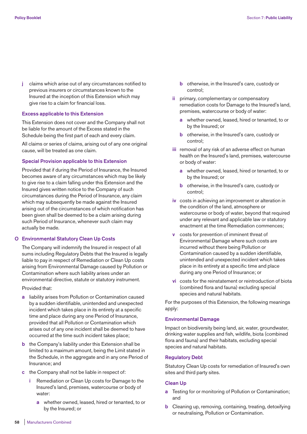**j** claims which arise out of any circumstances notified to previous insurers or circumstances known to the Insured at the inception of this Extension which may give rise to a claim for financial loss.

## **Excess applicable to this Extension**

 This Extension does not cover and the Company shall not be liable for the amount of the Excess stated in the Schedule being the first part of each and every claim.

 All claims or series of claims, arising out of any one original cause, will be treated as one claim.

## **Special Provision applicable to this Extension**

 Provided that if during the Period of Insurance, the Insured becomes aware of any circumstances which may be likely to give rise to a claim falling under this Extension and the Insured gives written notice to the Company of such circumstances during the Period of Insurance, any claim which may subsequently be made against the Insured arising out of the circumstances of which notification has been given shall be deemed to be a claim arising during such Period of Insurance, whenever such claim may actually be made.

## **O Environmental Statutory Clean Up Costs**

 The Company will indemnify the Insured in respect of all sums including Regulatory Debts that the Insured is legally liable to pay in respect of Remediation or Clean Up costs arising from Environmental Damage caused by Pollution or Contamination where such liability arises under an environmental directive, statute or statutory instrument.

## Provided that:

- **a** liability arises from Pollution or Contamination caused by a sudden identifiable, unintended and unexpected incident which takes place in its entirety at a specific time and place during any one Period of Insurance, provided that all Pollution or Contamination which arises out of any one incident shall be deemed to have occurred at the time such incident takes place;
- **b** the Company's liability under this Extension shall be limited to a maximum amount, being the Limit stated in the Schedule, in the aggregate and in any one Period of Insurance; and
- **c** the Company shall not be liable in respect of:
	- **i** Remediation or Clean Up costs for Damage to the Insured's land, premises, watercourse or body of water:
		- **a** whether owned, leased, hired or tenanted, to or by the Insured; or
- **b** otherwise, in the Insured's care, custody or control;
- **ii** primary, complementary or compensatory remediation costs for Damage to the Insured's land, premises, watercourse or body of water:
	- **a** whether owned, leased, hired or tenanted, to or by the Insured; or
	- **b** otherwise, in the Insured's care, custody or control;
- **iii** removal of any risk of an adverse effect on human health on the Insured's land, premises, watercourse or body of water:
	- **a** whether owned, leased, hired or tenanted, to or by the Insured; or
	- **b** otherwise, in the Insured's care, custody or control;
- **iv** costs in achieving an improvement or alteration in the condition of the land, atmosphere or watercourse or body of water, beyond that required under any relevant and applicable law or statutory enactment at the time Remediation commences;
- **v** costs for prevention of imminent threat of Environmental Damage where such costs are incurred without there being Pollution or Contamination caused by a sudden identifiable, unintended and unexpected incident which takes place in its entirety at a specific time and place during any one Period of Insurance; or
- **vi** costs for the reinstatement or reintroduction of biota (combined flora and fauna) excluding special species and natural habitats.

 For the purposes of this Extension, the following meanings apply:

# **Environmental Damage**

 Impact on biodiversity being land, air, water, groundwater, drinking water supplies and fish, wildlife, biota (combined flora and fauna) and their habitats, excluding special species and natural habitats.

# **Regulatory Debt**

 Statutory Clean Up costs for remediation of Insured's own sites and third party sites.

## **Clean Up**

- **a** Testing for or monitoring of Pollution or Contamination; and
- **b** Cleaning up, removing, containing, treating, detoxifying or neutralising, Pollution or Contamination.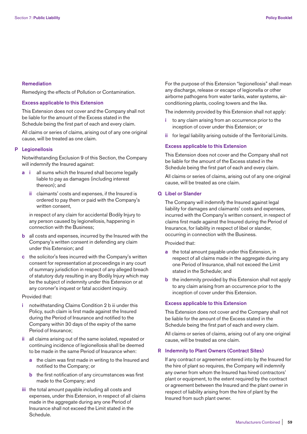## **Remediation**

Remedying the effects of Pollution or Contamination.

# **Excess applicable to this Extension**

 This Extension does not cover and the Company shall not be liable for the amount of the Excess stated in the Schedule being the first part of each and every claim.

 All claims or series of claims, arising out of any one original cause, will be treated as one claim.

## **P Legionellosis**

 Notwithstanding Exclusion 9 of this Section, the Company will indemnify the Insured against:

- **a i** all sums which the Insured shall become legally liable to pay as damages (including interest thereon); and
	- **ii** claimants' costs and expenses, if the Insured is ordered to pay them or paid with the Company's written consent,

 in respect of any claim for accidental Bodily Injury to any person caused by legionellosis, happening in connection with the Business;

- **b** all costs and expenses, incurred by the Insured with the Company's written consent in defending any claim under this Extension; and
- **c** the solicitor's fees incurred with the Company's written consent for representation at proceedings in any court of summary jurisdiction in respect of any alleged breach of statutory duty resulting in any Bodily Injury which may be the subject of indemnity under this Extension or at any coroner's inquest or fatal accident inquiry.

## Provided that:

- **i** notwithstanding Claims Condition 2 b iii under this Policy, such claim is first made against the Insured during the Period of Insurance and notified to the Company within 30 days of the expiry of the same Period of Insurance;
- **ii** all claims arising out of the same isolated, repeated or continuing incidence of legionellosis shall be deemed to be made in the same Period of Insurance when:
	- **a** the claim was first made in writing to the Insured and notified to the Company; or
	- **b** the first notification of any circumstances was first made to the Company; and
- **iii** the total amount payable including all costs and expenses, under this Extension, in respect of all claims made in the aggregate during any one Period of Insurance shall not exceed the Limit stated in the Schedule.

 For the purpose of this Extension "legionellosis" shall mean any discharge, release or escape of legionella or other airborne pathogens from water tanks, water systems, airconditioning plants, cooling towers and the like.

The indemnity provided by this Extension shall not apply:

- **i** to any claim arising from an occurrence prior to the inception of cover under this Extension; or
- **ii** for legal liability arising outside of the Territorial Limits.

## **Excess applicable to this Extension**

 This Extension does not cover and the Company shall not be liable for the amount of the Excess stated in the Schedule being the first part of each and every claim.

 All claims or series of claims, arising out of any one original cause, will be treated as one claim.

## **Q Libel or Slander**

 The Company will indemnify the Insured against legal liability for damages and claimants' costs and expenses, incurred with the Company's written consent, in respect of claims first made against the Insured during the Period of Insurance, for liability in respect of libel or slander, occurring in connection with the Business.

Provided that:

- **a** the total amount payable under this Extension, in respect of all claims made in the aggregate during any one Period of Insurance, shall not exceed the Limit stated in the Schedule; and
- **b** the indemnity provided by this Extension shall not apply to any claim arising from an occurrence prior to the inception of cover under this Extension.

#### **Excess applicable to this Extension**

 This Extension does not cover and the Company shall not be liable for the amount of the Excess stated in the Schedule being the first part of each and every claim.

 All claims or series of claims, arising out of any one original cause, will be treated as one claim.

#### **R Indemnity to Plant Owners (Contract Sites)**

 If any contract or agreement entered into by the Insured for the hire of plant so requires, the Company will indemnify any owner from whom the Insured has hired contractors' plant or equipment, to the extent required by the contract or agreement between the Insured and the plant owner in respect of liability arising from the hire of plant by the Insured from such plant owner.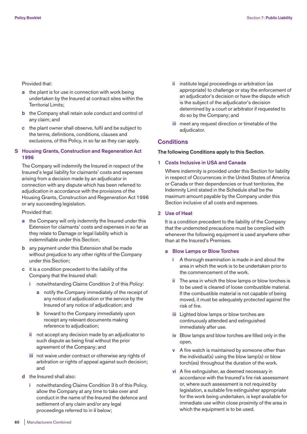## Provided that:

- **a** the plant is for use in connection with work being undertaken by the Insured at contract sites within the Territorial Limits;
- **b** the Company shall retain sole conduct and control of any claim; and
- **c** the plant owner shall observe, fulfil and be subject to the terms, definitions, conditions, clauses and exclusions, of this Policy, in so far as they can apply.

# **S Housing Grants, Construction and Regeneration Act 1996**

 The Company will indemnify the Insured in respect of the Insured's legal liability for claimants' costs and expenses arising from a decision made by an adjudicator in connection with any dispute which has been referred to adjudication in accordance with the provisions of the Housing Grants, Construction and Regeneration Act 1996 or any succeeding legislation.

Provided that:

- **a** the Company will only indemnity the Insured under this Extension for claimants' costs and expenses in so far as they relate to Damage or legal liability which is indemnifiable under this Section;
- **b** any payment under this Extension shall be made without prejudice to any other rights of the Company under this Section;
- **c** it is a condition precedent to the liability of the Company that the Insured shall:
	- **i** notwithstanding Claims Condition 2 of this Policy:
		- **a** notify the Company immediately of the receipt of any notice of adjudication or the service by the Insured of any notice of adjudication; and
		- **b** forward to the Company immediately upon receipt any relevant documents making reference to adjudication;
	- **ii** not accept any decision made by an adjudicator to such dispute as being final without the prior agreement of the Company; and
	- **iii** not waive under contract or otherwise any rights of arbitration or rights of appeal against such decision; and
- **d** the Insured shall also:
	- **i** notwithstanding Claims Condition 3 b of this Policy, allow the Company at any time to take over and conduct in the name of the Insured the defence and settlement of any claim and/or any legal proceedings referred to in **ii** below;
- **ii** institute legal proceedings or arbitration (as appropriate) to challenge or stay the enforcement of an adjudicator's decision or have the dispute which is the subject of the adjudicator's decision determined by a court or arbitrator if requested to do so by the Company; and
- **iii** meet any request direction or timetable of the adjudicator.

# **Conditions**

# **The following Conditions apply to this Section.**

## **1 Costs Inclusive in USA and Canada**

 Where indemnity is provided under this Section for liability in respect of Occurrences in the United States of America or Canada or their dependencies or trust territories, the Indemnity Limit stated in the Schedule shall be the maximum amount payable by the Company under this Section inclusive of all costs and expenses.

## **2 Use of Heat**

 It is a condition precedent to the liability of the Company that the undernoted precautions must be complied with whenever the following equipment is used anywhere other than at the Insured's Premises.

## **a Blow Lamps or Blow Torches**

- **i** A thorough examination is made in and about the area in which the work is to be undertaken prior to the commencement of the work.
- **ii** The area in which the blow lamps or blow torches is to be used is cleared of loose combustible material. If the combustible material is not capable of being moved, it must be adequately protected against the risk of fire.
- **iii** Lighted blow lamps or blow torches are continuously attended and extinguished immediately after use.
- **iv** Blow lamps and blow torches are filled only in the open.
- **v** A fire watch is maintained by someone other than the individual(s) using the blow lamp(s) or blow torch(es) throughout the duration of the work.
- **vi** A fire extinguisher, as deemed necessary in accordance with the Insured's fire risk assessment or, where such assessment is not required by legislation, a suitable fire extinguisher appropriate for the work being undertaken, is kept available for immediate use within close proximity of the area in which the equipment is to be used.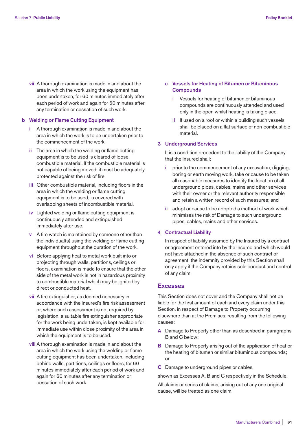**vii** A thorough examination is made in and about the area in which the work using the equipment has been undertaken, for 60 minutes immediately after each period of work and again for 60 minutes after any termination or cessation of such work.

# **b Welding or Flame Cutting Equipment**

- **i** A thorough examination is made in and about the area in which the work is to be undertaken prior to the commencement of the work.
- **ii** The area in which the welding or flame cutting equipment is to be used is cleared of loose combustible material. If the combustible material is not capable of being moved, it must be adequately protected against the risk of fire.
- **iii** Other combustible material, including floors in the area in which the welding or flame cutting equipment is to be used, is covered with overlapping sheets of incombustible material.
- **iv** Lighted welding or flame cutting equipment is continuously attended and extinguished immediately after use.
- **v** A fire watch is maintained by someone other than the individual(s) using the welding or flame cutting equipment throughout the duration of the work.
- **vi** Before applying heat to metal work built into or projecting through walls, partitions, ceilings or floors, examination is made to ensure that the other side of the metal work is not in hazardous proximity to combustible material which may be ignited by direct or conducted heat.
- **vii** A fire extinguisher, as deemed necessary in accordance with the Insured's fire risk assessment or, where such assessment is not required by legislation, a suitable fire extinguisher appropriate for the work being undertaken, is kept available for immediate use within close proximity of the area in which the equipment is to be used.
- **viii** A thorough examination is made in and about the area in which the work using the welding or flame cutting equipment has been undertaken, including behind walls, partitions, ceilings or floors, for 60 minutes immediately after each period of work and again for 60 minutes after any termination or cessation of such work.
- **c Vessels for Heating of Bitumen or Bituminous Compounds** 
	- **i** Vessels for heating of bitumen or bituminous compounds are continuously attended and used only in the open whilst heating is taking place.
	- **ii** If used on a roof or within a building such vessels shall be placed on a flat surface of non-combustible material.

# **3 Underground Services**

 It is a condition precedent to the liability of the Company that the Insured shall:

- prior to the commencement of any excavation, digging, boring or earth moving work, take or cause to be taken all reasonable measures to identify the location of all underground pipes, cables, mains and other services with their owner or the relevant authority responsible and retain a written record of such measures; and
- **ii** adopt or cause to be adopted a method of work which minimises the risk of Damage to such underground pipes, cables, mains and other services.

#### **4 Contractual Liability**

 In respect of liability assumed by the Insured by a contract or agreement entered into by the Insured and which would not have attached in the absence of such contract or agreement, the indemnity provided by this Section shall only apply if the Company retains sole conduct and control of any claim.

## **Excesses**

This Section does not cover and the Company shall not be liable for the first amount of each and every claim under this Section, in respect of Damage to Property occurring elsewhere than at the Premises, resulting from the following causes:

- **A** Damage to Property other than as described in paragraphs B and C below;
- **B** Damage to Property arising out of the application of heat or the heating of bitumen or similar bituminous compounds; or
- **C** Damage to underground pipes or cables,

shown as Excesses A, B and C respectively in the Schedule.

All claims or series of claims, arising out of any one original cause, will be treated as one claim.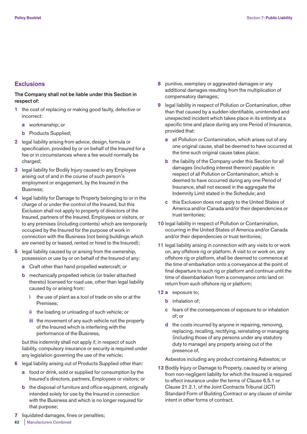# **Exclusions**

# **The Company shall not be liable under this Section in respect of:**

- **1** the cost of replacing or making good faulty, defective or incorrect:
	- **a** workmanship; or
	- **b** Products Supplied;
- **2** legal liability arising from advice, design, formula or specification, provided by or on behalf of the Insured for a fee or in circumstances where a fee would normally be charged;
- **3** legal liability for Bodily Injury caused to any Employee arising out of and in the course of such person's employment or engagement, by the Insured in the Business;
- **4** legal liability for Damage to Property belonging to or in the charge of or under the control of the Insured, but this Exclusion shall not apply to property of directors of the Insured, partners of the Insured, Employees or visitors, or to any premises (including contents) which are temporarily occupied by the Insured for the purpose of work in connection with the Business (not being buildings which are owned by or leased, rented or hired to the Insured);
- **5** legal liability caused by or arising from the ownership, possession or use by or on behalf of the Insured of any:
	- **a** Craft other than hand propelled watercraft; or
	- **b** mechanically propelled vehicle (or trailer attached thereto) licensed for road use, other than legal liability caused by or arising from:
		- **i** the use of plant as a tool of trade on site or at the Premises;
		- **ii** the loading or unloading of such vehicle; or
		- **iii** the movement of any such vehicle not the property of the Insured which is interfering with the performance of the Business,

 but this indemnity shall not apply if, in respect of such liability, compulsory insurance or security is required under any legislation governing the use of the vehicle;

- **6** legal liability arising out of Products Supplied other than:
	- **a** food or drink, sold or supplied for consumption by the Insured's directors, partners, Employees or visitors; or
	- **b** the disposal of furniture and office equipment, originally intended solely for use by the Insured in connection with the Business and which is no longer required for that purpose;
- **7** liquidated damages, fines or penalties;
- **8** punitive, exemplary or aggravated damages or any additional damages resulting from the multiplication of compensatory damages;
- **9** legal liability in respect of Pollution or Contamination, other than that caused by a sudden identifiable, unintended and unexpected incident which takes place in its entirety at a specific time and place during any one Period of Insurance, provided that:
	- **a** all Pollution or Contamination, which arises out of any one original cause, shall be deemed to have occurred at the time such original cause takes place;
	- **b** the liability of the Company under this Section for all damages (including interest thereon) payable in respect of all Pollution or Contamination, which is deemed to have occurred during any one Period of Insurance, shall not exceed in the aggregate the Indemnity Limit stated in the Schedule; and
	- **c** this Exclusion does not apply to the United States of America and/or Canada and/or their dependencies or trust territories;
- **10** legal liability in respect of Pollution or Contamination, occurring in the United States of America and/or Canada and/or their dependencies or trust territories;
- **11** legal liability arising in connection with any visits to or work on, any offshore rig or platform. A visit to or work on, any offshore rig or platform, shall be deemed to commence at the time of embarkation onto a conveyance at the point of final departure to such rig or platform and continue until the time of disembarkation from a conveyance onto land on return from such offshore rig or platform;
- **12 a** exposure to;
	- **b** inhalation of;
	- **c** fears of the consequences of exposure to or inhalation of; or
	- **d** the costs incurred by anyone in repairing, removing, replacing, recalling, rectifying, reinstating or managing (including those of any persons under any statutory duty to manage) any property arising out of the presence of,

Asbestos including any product containing Asbestos; or

**13** Bodily Injury or Damage to Property, caused by or arising from non-negligent liability for which the Insured is required to effect insurance under the terms of Clause 6.5.1 or Clause 21.2.1, of the Joint Contracts Tribunal (JCT) Standard Form of Building Contract or any clause of similar intent in other forms of contract.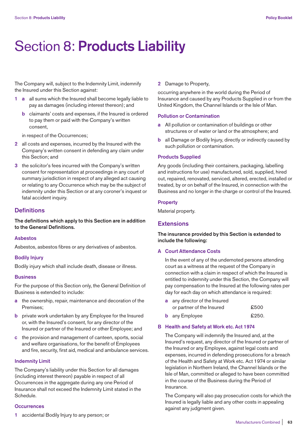# Section 8: **Products Liability**

The Company will, subject to the Indemnity Limit, indemnify the Insured under this Section against:

- **1 a** all sums which the Insured shall become legally liable to pay as damages (including interest thereon); and
	- **b** claimants' costs and expenses, if the Insured is ordered to pay them or paid with the Company's written consent,

in respect of the Occurrences;

- **2** all costs and expenses, incurred by the Insured with the Company's written consent in defending any claim under this Section; and
- **3** the solicitor's fees incurred with the Company's written consent for representation at proceedings in any court of summary jurisdiction in respect of any alleged act causing or relating to any Occurrence which may be the subject of indemnity under this Section or at any coroner's inquest or fatal accident inquiry.

# **Definitions**

**The definitions which apply to this Section are in addition to the General Definitions.** 

## **Asbestos**

Asbestos, asbestos fibres or any derivatives of asbestos.

# **Bodily Injury**

Bodily injury which shall include death, disease or illness.

## **Business**

For the purpose of this Section only, the General Definition of Business is extended to include:

- **a** the ownership, repair, maintenance and decoration of the Premises;
- **b** private work undertaken by any Employee for the Insured or, with the Insured's consent, for any director of the Insured or partner of the Insured or other Employee; and
- **c** the provision and management of canteen, sports, social and welfare organisations, for the benefit of Employees and fire, security, first aid, medical and ambulance services.

## **Indemnity Limit**

The Company's liability under this Section for all damages (including interest thereon) payable in respect of all Occurrences in the aggregate during any one Period of Insurance shall not exceed the Indemnity Limit stated in the Schedule.

## **Occurrences**

**1** accidental Bodily Injury to any person; or

**2** Damage to Property,

occurring anywhere in the world during the Period of Insurance and caused by any Products Supplied in or from the United Kingdom, the Channel Islands or the Isle of Man.

# **Pollution or Contamination**

- **a** All pollution or contamination of buildings or other structures or of water or land or the atmosphere; and
- **b** all Damage or Bodily Injury, directly or indirectly caused by such pollution or contamination.

## **Products Supplied**

Any goods (including their containers, packaging, labelling and instructions for use) manufactured, sold, supplied, hired out, repaired, renovated, serviced, altered, erected, installed or treated, by or on behalf of the Insured, in connection with the Business and no longer in the charge or control of the Insured.

## **Property**

Material property.

# **Extensions**

**The insurance provided by this Section is extended to include the following:** 

## **A Court Attendance Costs**

 In the event of any of the undernoted persons attending court as a witness at the request of the Company in connection with a claim in respect of which the Insured is entitled to indemnity under this Section, the Company will pay compensation to the Insured at the following rates per day for each day on which attendance is required:

 **a** any director of the Insured or partner of the Insured  $£500$ **b** any Employee **£250**.

## **B Health and Safety at Work etc. Act 1974**

 The Company will indemnify the Insured and, at the Insured's request, any director of the Insured or partner of the Insured or any Employee, against legal costs and expenses, incurred in defending prosecutions for a breach of the Health and Safety at Work etc. Act 1974 or similar legislation in Northern Ireland, the Channel Islands or the Isle of Man, committed or alleged to have been committed in the course of the Business during the Period of Insurance.

 The Company will also pay prosecution costs for which the Insured is legally liable and any other costs in appealing against any judgment given.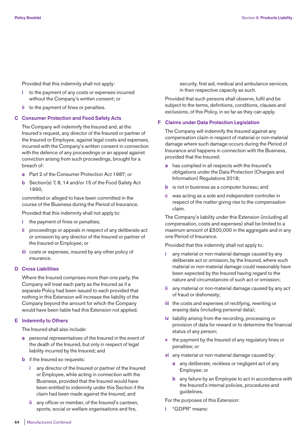Provided that this indemnity shall not apply:

- **i** to the payment of any costs or expenses incurred without the Company's written consent; or
- **ii** to the payment of fines or penalties.

## **C Consumer Protection and Food Safety Acts**

 The Company will indemnify the Insured and, at the Insured's request, any director of the Insured or partner of the Insured or Employee, against legal costs and expenses, incurred with the Company's written consent in connection with the defence of any proceedings or an appeal against conviction arising from such proceedings, brought for a breach of:

- **a** Part 2 of the Consumer Protection Act 1987; or
- **b** Section(s) 7, 8, 14 and/or 15 of the Food Safety Act 1990,

 committed or alleged to have been committed in the course of the Business during the Period of Insurance.

Provided that this indemnity shall not apply to:

- **i** the payment of fines or penalties;
- **ii** proceedings or appeals in respect of any deliberate act or omission by any director of the Insured or partner of the Insured or Employee; or
- **iii** costs or expenses, insured by any other policy of insurance.

#### **D Cross Liabilities**

 Where the Insured comprises more than one party, the Company will treat each party as the Insured as if a separate Policy had been issued to each provided that nothing in this Extension will increase the liability of the Company beyond the amount for which the Company would have been liable had this Extension not applied.

## **E Indemnity to Others**

The Insured shall also include:

- **a** personal representatives of the Insured in the event of the death of the Insured, but only in respect of legal liability incurred by the Insured; and
- **b** if the Insured so requests:
	- **i** any director of the Insured or partner of the Insured or Employee, while acting in connection with the Business, provided that the Insured would have been entitled to indemnity under this Section if the claim had been made against the Insured; and
	- **ii** any officer or member, of the Insured's canteen, sports, social or welfare organisations and fire,

security, first aid, medical and ambulance services, in their respective capacity as such.

 Provided that such persons shall observe, fulfil and be subject to the terms, definitions, conditions, clauses and exclusions, of this Policy, in so far as they can apply.

## **F Claims under Data Protection Legislation**

 The Company will indemnify the Insured against any compensation claim in respect of material or non-material damage where such damage occurs during the Period of Insurance and happens in connection with the Business, provided that the Insured:

- **a** has complied in all respects with the Insured's obligations under the Data Protection (Charges and Information) Regulations 2018;
- **b** is not in business as a computer bureau; and
- **c** was acting as a sole and independent controller in respect of the matter giving rise to the compensation claim.

 The Company's liability under this Extension (including all compensation, costs and expenses) shall be limited to a maximum amount of £500,000 in the aggregate and in any one Period of Insurance.

Provided that this indemnity shall not apply to:

- **i** any material or non-material damage caused by any deliberate act or omission, by the Insured, where such material or non-material damage could reasonably have been expected by the Insured having regard to the nature and circumstances of such act or omission;
- **ii** any material or non-material damage caused by any act of fraud or dishonesty;
- **iii** the costs and expenses of rectifying, rewriting or erasing data (including personal data);
- **iv** liability arising from the recording, processing or provision of data for reward or to determine the financial status of any person;
- **v** the payment by the Insured of any regulatory fines or penalties; or
- **vi** any material or non-material damage caused by:
	- **a** any deliberate, reckless or negligent act of any Employee; or
	- **b** any failure by an Employee to act in accordance with the Insured's internal policies, procedures and guidelines.

For the purposes of this Extension:

**i** "GDPR" means: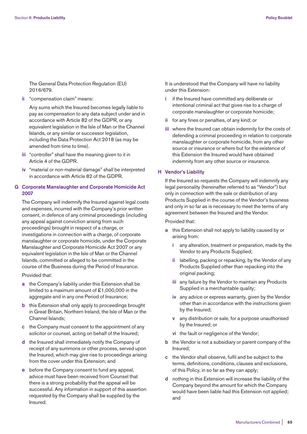The General Data Protection Regulation (EU) 2016/679.

**ii** "compensation claim" means:

 Any sums which the Insured becomes legally liable to pay as compensation to any data subject under and in accordance with Article 82 of the GDPR, or any equivalent legislation in the Isle of Man or the Channel Islands, or any similar or successor legislation, including the Data Protection Act 2018 (as may be amended from time to time).

- **iii** "controller" shall have the meaning given to it in Article 4 of the GDPR.
- **iv** "material or non-material damage" shall be interpreted in accordance with Article 82 of the GDPR.

# **G Corporate Manslaughter and Corporate Homicide Act 2007**

 The Company will indemnify the Insured against legal costs and expenses, incurred with the Company's prior written consent, in defence of any criminal proceedings (including any appeal against conviction arising from such proceedings) brought in respect of a charge, or investigations in connection with a charge, of corporate manslaughter or corporate homicide, under the Corporate Manslaughter and Corporate Homicide Act 2007 or any equivalent legislation in the Isle of Man or the Channel Islands, committed or alleged to be committed in the course of the Business during the Period of Insurance.

## Provided that:

- **a** the Company's liability under this Extension shall be limited to a maximum amount of £1,000,000 in the aggregate and in any one Period of Insurance:
- **b** this Extension shall only apply to proceedings brought in Great Britain, Northern Ireland, the Isle of Man or the Channel Islands;
- **c** the Company must consent to the appointment of any solicitor or counsel, acting on behalf of the Insured;
- **d** the Insured shall immediately notify the Company of receipt of any summons or other process, served upon the Insured, which may give rise to proceedings arising from the cover under this Extension; and
- **e** before the Company consent to fund any appeal, advice must have been received from Counsel that there is a strong probability that the appeal will be successful. Any information in support of this assertion requested by the Company shall be supplied by the Insured.

 It is understood that the Company will have no liability under this Extension:

- **i** if the Insured have committed any deliberate or intentional criminal act that gives rise to a charge of corporate manslaughter or corporate homicide;
- **ii** for any fines or penalties, of any kind; or
- **iii** where the Insured can obtain indemnity for the costs of defending a criminal proceeding in relation to corporate manslaughter or corporate homicide, from any other source or insurance or where but for the existence of this Extension the Insured would have obtained indemnity from any other source or insurance.

## **H Vendor's Liability**

 If the Insured so requests the Company will indemnify any legal personality (hereinafter referred to as "Vendor") but only in connection with the sale or distribution of any Products Supplied in the course of the Vendor's business and only in so far as is necessary to meet the terms of any agreement between the Insured and the Vendor.

Provided that:

- **a** this Extension shall not apply to liability caused by or arising from:
	- **i** any alteration, treatment or preparation, made by the Vendor to any Products Supplied;
	- **ii** labelling, packing or repacking, by the Vendor of any Products Supplied other than repacking into the original packing;
	- **iii** any failure by the Vendor to maintain any Products Supplied in a merchantable quality;
	- **iv** any advice or express warranty, given by the Vendor other than in accordance with the instructions given by the Insured;
	- **v** any distribution or sale, for a purpose unauthorised by the Insured; or
	- **vi** the fault or negligence of the Vendor;
- **b** the Vendor is not a subsidiary or parent company of the Insured;
- **c** the Vendor shall observe, fulfil and be subject to the terms, definitions, conditions, clauses and exclusions, of this Policy, in so far as they can apply;
- **d** nothing in this Extension will increase the liability of the Company beyond the amount for which the Company would have been liable had this Extension not applied; and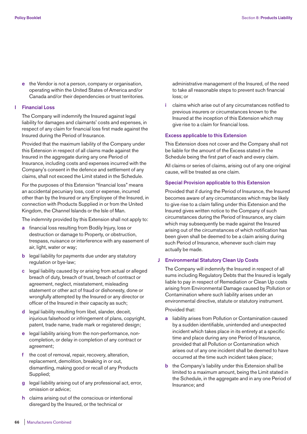**e** the Vendor is not a person, company or organisation, operating within the United States of America and/or Canada and/or their dependencies or trust territories.

## **I Financial Loss**

 The Company will indemnify the Insured against legal liability for damages and claimants' costs and expenses, in respect of any claim for financial loss first made against the Insured during the Period of Insurance.

 Provided that the maximum liability of the Company under this Extension in respect of all claims made against the Insured in the aggregate during any one Period of Insurance, including costs and expenses incurred with the Company's consent in the defence and settlement of any claims, shall not exceed the Limit stated in the Schedule.

 For the purposes of this Extension "financial loss" means an accidental pecuniary loss, cost or expense, incurred other than by the Insured or any Employee of the Insured, in connection with Products Supplied in or from the United Kingdom, the Channel Islands or the Isle of Man.

The indemnity provided by this Extension shall not apply to:

- **a** financial loss resulting from Bodily Injury, loss or destruction or damage to Property, or obstruction, trespass, nuisance or interference with any easement of air, light, water or way;
- **b** legal liability for payments due under any statutory regulation or bye-law;
- **c** legal liability caused by or arising from actual or alleged breach of duty, breach of trust, breach of contract or agreement, neglect, misstatement, misleading statement or other act of fraud or dishonesty, done or wrongfully attempted by the Insured or any director or officer of the Insured in their capacity as such;
- **d** legal liability resulting from libel, slander, deceit, injurious falsehood or infringement of plans, copyright, patent, trade name, trade mark or registered design;
- **e** legal liability arising from the non-performance, noncompletion, or delay in completion of any contract or agreement;
- **f** the cost of removal, repair, recovery, alteration, replacement, demolition, breaking in or out, dismantling, making good or recall of any Products Supplied;
- **g** legal liability arising out of any professional act, error, omission or advice;
- **h** claims arising out of the conscious or intentional disregard by the Insured, or the technical or

administrative management of the Insured, of the need to take all reasonable steps to prevent such financial loss; or

 **i** claims which arise out of any circumstances notified to previous insurers or circumstances known to the Insured at the inception of this Extension which may give rise to a claim for financial loss.

#### **Excess applicable to this Extension**

 This Extension does not cover and the Company shall not be liable for the amount of the Excess stated in the Schedule being the first part of each and every claim.

 All claims or series of claims, arising out of any one original cause, will be treated as one claim.

## **Special Provision applicable to this Extension**

 Provided that if during the Period of Insurance, the Insured becomes aware of any circumstances which may be likely to give rise to a claim falling under this Extension and the Insured gives written notice to the Company of such circumstances during the Period of Insurance, any claim which may subsequently be made against the Insured arising out of the circumstances of which notification has been given shall be deemed to be a claim arising during such Period of Insurance, whenever such claim may actually be made.

#### **J Environmental Statutory Clean Up Costs**

 The Company will indemnify the Insured in respect of all sums including Regulatory Debts that the Insured is legally liable to pay in respect of Remediation or Clean Up costs arising from Environmental Damage caused by Pollution or Contamination where such liability arises under an environmental directive, statute or statutory instrument.

# Provided that:

- **a** liability arises from Pollution or Contamination caused by a sudden identifiable, unintended and unexpected incident which takes place in its entirety at a specific time and place during any one Period of Insurance, provided that all Pollution or Contamination which arises out of any one incident shall be deemed to have occurred at the time such incident takes place;
- **b** the Company's liability under this Extension shall be limited to a maximum amount, being the Limit stated in the Schedule, in the aggregate and in any one Period of Insurance; and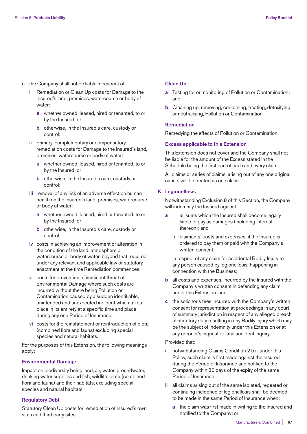- **c** the Company shall not be liable in respect of:
	- **i** Remediation or Clean Up costs for Damage to the Insured's land, premises, watercourse or body of water:
		- **a** whether owned, leased, hired or tenanted, to or by the Insured; or
		- **b** otherwise, in the Insured's care, custody or control;
	- **ii** primary, complementary or compensatory remediation costs for Damage to the Insured's land, premises, watercourse or body of water:
		- **a** whether owned, leased, hired or tenanted, to or by the Insured; or
		- **b** otherwise, in the Insured's care, custody or control;
	- **iii** removal of any risk of an adverse effect on human health on the Insured's land, premises, watercourse or body of water:
		- **a** whether owned, leased, hired or tenanted, to or by the Insured; or
		- **b** otherwise, in the Insured's care, custody or control;
	- **iv** costs in achieving an improvement or alteration in the condition of the land, atmosphere or watercourse or body of water, beyond that required under any relevant and applicable law or statutory enactment at the time Remediation commences.
	- **v** costs for prevention of imminent threat of Environmental Damage where such costs are incurred without there being Pollution or Contamination caused by a sudden identifiable, unintended and unexpected incident which takes place in its entirety at a specific time and place during any one Period of Insurance.
	- **vi** costs for the reinstatement or reintroduction of biota (combined flora and fauna) excluding special species and natural habitats.

 For the purposes of this Extension, the following meanings apply:

## **Environmental Damage**

 Impact on biodiversity being land, air, water, groundwater, drinking water supplies and fish, wildlife, biota (combined flora and fauna) and their habitats, excluding special species and natural habitats.

## **Regulatory Debt**

 Statutory Clean Up costs for remediation of Insured's own sites and third party sites.

## **Clean Up**

- **a** Testing for or monitoring of Pollution or Contamination; and
- **b** Cleaning up, removing, containing, treating, detoxifying or neutralising, Pollution or Contamination.

## **Remediation**

Remedying the effects of Pollution or Contamination.

## **Excess applicable to this Extension**

 This Extension does not cover and the Company shall not be liable for the amount of the Excess stated in the Schedule being the first part of each and every claim.

 All claims or series of claims, arising out of any one original cause, will be treated as one claim.

# **K Legionellosis**

 Notwithstanding Exclusion 8 of this Section, the Company will indemnify the Insured against:

- all sums which the Insured shall become legally liable to pay as damages (including interest thereon); and
	- **ii** claimants' costs and expenses, if the Insured is ordered to pay them or paid with the Company's written consent,

 in respect of any claim for accidental Bodily Injury to any person caused by legionellosis, happening in connection with the Business;

- **b** all costs and expenses, incurred by the Insured with the Company's written consent in defending any claim under this Extension; and
- **c** the solicitor's fees incurred with the Company's written consent for representation at proceedings in any court of summary jurisdiction in respect of any alleged breach of statutory duty resulting in any Bodily Injury which may be the subject of indemnity under this Extension or at any coroner's inquest or fatal accident inquiry.

# Provided that:

- **i** notwithstanding Claims Condition 2 b iii under this Policy, such claim is first made against the Insured during the Period of Insurance and notified to the Company within 30 days of the expiry of the same Period of Insurance;
- **ii** all claims arising out of the same isolated, repeated or continuing incidence of legionellosis shall be deemed to be made in the same Period of Insurance when:
	- **a** the claim was first made in writing to the Insured and notified to the Company; or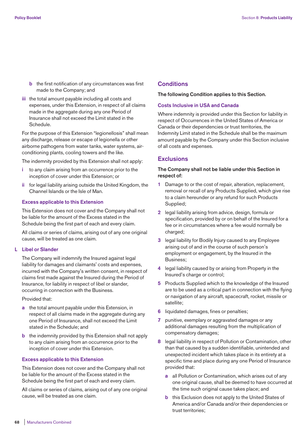- **b** the first notification of any circumstances was first made to the Company; and
- **iii** the total amount payable including all costs and expenses, under this Extension, in respect of all claims made in the aggregate during any one Period of Insurance shall not exceed the Limit stated in the Schedule.

 For the purpose of this Extension "legionellosis" shall mean any discharge, release or escape of legionella or other airborne pathogens from water tanks, water systems, airconditioning plants, cooling towers and the like.

The indemnity provided by this Extension shall not apply:

- **i** to any claim arising from an occurrence prior to the inception of cover under this Extension; or
- **ii** for legal liability arising outside the United Kingdom, the Channel Islands or the Isle of Man.

## **Excess applicable to this Extension**

 This Extension does not cover and the Company shall not be liable for the amount of the Excess stated in the Schedule being the first part of each and every claim.

 All claims or series of claims, arising out of any one original cause, will be treated as one claim.

## **L Libel or Slander**

 The Company will indemnify the Insured against legal liability for damages and claimants' costs and expenses, incurred with the Company's written consent, in respect of claims first made against the Insured during the Period of Insurance, for liability in respect of libel or slander, occurring in connection with the Business.

Provided that:

- **a** the total amount payable under this Extension, in respect of all claims made in the aggregate during any one Period of Insurance, shall not exceed the Limit stated in the Schedule; and
- **b** the indemnity provided by this Extension shall not apply to any claim arising from an occurrence prior to the inception of cover under this Extension.

## **Excess applicable to this Extension**

 This Extension does not cover and the Company shall not be liable for the amount of the Excess stated in the Schedule being the first part of each and every claim.

 All claims or series of claims, arising out of any one original cause, will be treated as one claim.

# **Conditions**

## **The following Condition applies to this Section.**

## **Costs Inclusive in USA and Canada**

Where indemnity is provided under this Section for liability in respect of Occurrences in the United States of America or Canada or their dependencies or trust territories, the Indemnity Limit stated in the Schedule shall be the maximum amount payable by the Company under this Section inclusive of all costs and expenses.

# **Exclusions**

# **The Company shall not be liable under this Section in respect of:**

- **1** Damage to or the cost of repair, alteration, replacement, removal or recall of any Products Supplied, which give rise to a claim hereunder or any refund for such Products Supplied;
- **2** legal liability arising from advice, design, formula or specification, provided by or on behalf of the Insured for a fee or in circumstances where a fee would normally be charged;
- **3** legal liability for Bodily Injury caused to any Employee arising out of and in the course of such person's employment or engagement, by the Insured in the Business;
- **4** legal liability caused by or arising from Property in the Insured's charge or control;
- **5** Products Supplied which to the knowledge of the Insured are to be used as a critical part in connection with the flying or navigation of any aircraft, spacecraft, rocket, missile or satellite;
- **6** liquidated damages, fines or penalties;
- **7** punitive, exemplary or aggravated damages or any additional damages resulting from the multiplication of compensatory damages;
- **8** legal liability in respect of Pollution or Contamination, other than that caused by a sudden identifiable, unintended and unexpected incident which takes place in its entirety at a specific time and place during any one Period of Insurance provided that:
	- **a** all Pollution or Contamination, which arises out of any one original cause, shall be deemed to have occurred at the time such original cause takes place; and
	- **b** this Exclusion does not apply to the United States of America and/or Canada and/or their dependencies or trust territories;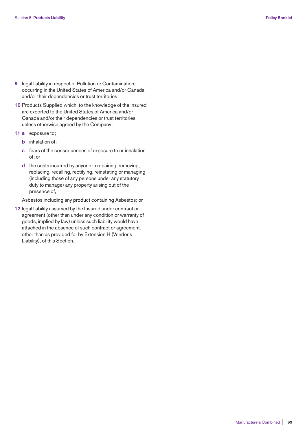- **9** legal liability in respect of Pollution or Contamination, occurring in the United States of America and/or Canada and/or their dependencies or trust territories;
- **10** Products Supplied which, to the knowledge of the Insured are exported to the United States of America and/or Canada and/or their dependencies or trust territories, unless otherwise agreed by the Company;
- **11 a** exposure to;
	- **b** inhalation of;
	- **c** fears of the consequences of exposure to or inhalation of; or
	- **d** the costs incurred by anyone in repairing, removing, replacing, recalling, rectifying, reinstating or managing (including those of any persons under any statutory duty to manage) any property arising out of the presence of,

Asbestos including any product containing Asbestos; or

**12** legal liability assumed by the Insured under contract or agreement (other than under any condition or warranty of goods, implied by law) unless such liability would have attached in the absence of such contract or agreement, other than as provided for by Extension H (Vendor's Liability), of this Section.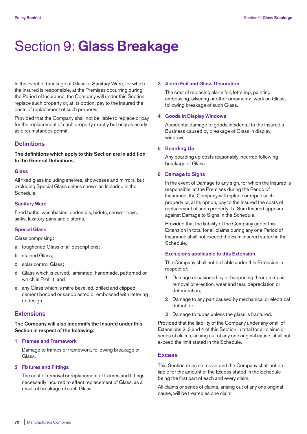# Section 9: **Glass Breakage**

In the event of breakage of Glass or Sanitary Ware, for which the Insured is responsible, at the Premises occurring during the Period of Insurance, the Company will under this Section, replace such property or, at its option, pay to the Insured the costs of replacement of such property.

Provided that the Company shall not be liable to replace or pay for the replacement of such property exactly but only as nearly as circumstances permit.

# **Definitions**

**The definitions which apply to this Section are in addition to the General Definitions.**

## **Glass**

All fixed glass including shelves, showcases and mirrors, but excluding Special Glass unless shown as Included in the Schedule.

#### **Sanitary Ware**

Fixed baths, washbasins, pedestals, bidets, shower trays, sinks, lavatory pans and cisterns.

## **Special Glass**

Glass comprising:

- **a** toughened Glass of all descriptions;
- **b** stained Glass;
- **c** solar control Glass;
- **d** Glass which is curved, laminated, handmade, patterned or which is Profilit; and
- **e** any Glass which is mitre bevelled, drilled and clipped, cement bonded or sandblasted or embossed with lettering or design.

# **Extensions**

**The Company will also indemnify the Insured under this Section in respect of the following:**

## **1 Frames and Framework**

 Damage to frames or framework, following breakage of Glass.

#### **2 Fixtures and Fittings**

 The cost of removal or replacement of fixtures and fittings necessarily incurred to effect replacement of Glass, as a result of breakage of such Glass.

#### **3 Alarm Foil and Glass Decoration**

 The cost of replacing alarm foil, lettering, painting, embossing, silvering or other ornamental work on Glass, following breakage of such Glass.

#### **4 Goods in Display Windows**

 Accidental damage to goods incidental to the Insured's Business caused by breakage of Glass in display windows.

#### **5 Boarding Up**

 Any boarding up costs reasonably incurred following breakage of Glass.

#### **6 Damage to Signs**

 In the event of Damage to any sign, for which the Insured is responsible, at the Premises during the Period of Insurance, the Company will replace or repair such property or, at its option, pay to the Insured the costs of replacement of such property if a Sum Insured appears against Damage to Signs in the Schedule.

 Provided that the liability of the Company under this Extension in total for all claims during any one Period of Insurance shall not exceed the Sum Insured stated in the Schedule.

## **Exclusions applicable to this Extension**

 The Company shall not be liable under this Extension in respect of:

- **1** Damage occasioned by or happening through repair, removal or erection, wear and tear, depreciation or deterioration;
- **2** Damage to any part caused by mechanical or electrical defect; or
- **3** Damage to tubes unless the glass is fractured.

Provided that the liability of the Company under any or all of Extensions 2, 3 and 4 of this Section in total for all claims or series of claims, arising out of any one original cause, shall not exceed the limit stated in the Schedule.

# **Excess**

This Section does not cover and the Company shall not be liable for the amount of the Excess stated in the Schedule being the first part of each and every claim.

All claims or series of claims, arising out of any one original cause, will be treated as one claim.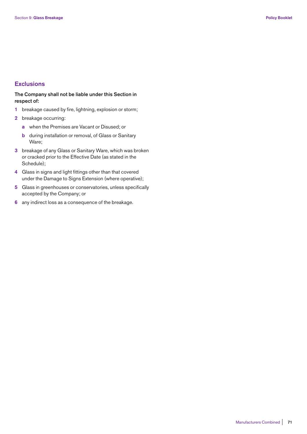# **Exclusions**

# **The Company shall not be liable under this Section in respect of:**

- **1** breakage caused by fire, lightning, explosion or storm;
- **2** breakage occurring:
	- **a** when the Premises are Vacant or Disused; or
	- **b** during installation or removal, of Glass or Sanitary Ware;
- **3** breakage of any Glass or Sanitary Ware, which was broken or cracked prior to the Effective Date (as stated in the Schedule);
- **4** Glass in signs and light fittings other than that covered under the Damage to Signs Extension (where operative);
- **5** Glass in greenhouses or conservatories, unless specifically accepted by the Company; or
- **6** any indirect loss as a consequence of the breakage.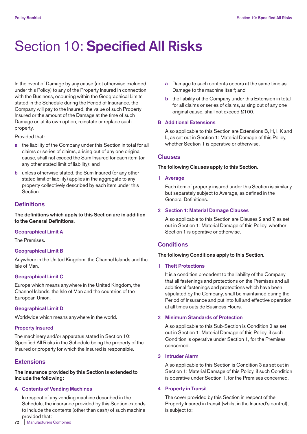# Section 10: **Specified All Risks**

In the event of Damage by any cause (not otherwise excluded under this Policy) to any of the Property Insured in connection with the Business, occurring within the Geographical Limits stated in the Schedule during the Period of Insurance, the Company will pay to the Insured, the value of such Property Insured or the amount of the Damage at the time of such Damage or, at its own option, reinstate or replace such property.

Provided that:

- **a** the liability of the Company under this Section in total for all claims or series of claims, arising out of any one original cause, shall not exceed the Sum Insured for each item (or any other stated limit of liability); and
- **b** unless otherwise stated, the Sum Insured (or any other stated limit of liability) applies in the aggregate to any property collectively described by each item under this Section.

# **Definitions**

**The definitions which apply to this Section are in addition to the General Definitions.** 

#### **Geographical Limit A**

The Premises.

#### **Geographical Limit B**

Anywhere in the United Kingdom, the Channel Islands and the Isle of Man.

#### **Geographical Limit C**

Europe which means anywhere in the United Kingdom, the Channel Islands, the Isle of Man and the countries of the European Union.

#### **Geographical Limit D**

Worldwide which means anywhere in the world.

#### **Property Insured**

The machinery and/or apparatus stated in Section 10: Specified All Risks in the Schedule being the property of the Insured or property for which the Insured is responsible.

# **Extensions**

**The insurance provided by this Section is extended to include the following:**

#### **A Contents of Vending Machines**

 In respect of any vending machine described in the Schedule, the insurance provided by this Section extends to include the contents (other than cash) of such machine provided that:

- **a** Damage to such contents occurs at the same time as Damage to the machine itself; and
- **b** the liability of the Company under this Extension in total for all claims or series of claims, arising out of any one original cause, shall not exceed £100.

#### **B Additional Extensions**

 Also applicable to this Section are Extensions B, H, I, K and L, as set out in Section 1: Material Damage of this Policy, whether Section 1 is operative or otherwise.

## **Clauses**

#### **The following Clauses apply to this Section.**

**1 Average** 

 Each item of property insured under this Section is similarly but separately subject to Average, as defined in the General Definitions.

#### **2 Section 1: Material Damage Clauses**

 Also applicable to this Section are Clauses 2 and 7, as set out in Section 1: Material Damage of this Policy, whether Section 1 is operative or otherwise.

# **Conditions**

#### **The following Conditions apply to this Section.**

#### **1 Theft Protections**

 It is a condition precedent to the liability of the Company that all fastenings and protections on the Premises and all additional fastenings and protections which have been stipulated by the Company, shall be maintained during the Period of Insurance and put into full and effective operation at all times outside Business Hours.

#### **2 Minimum Standards of Protection**

 Also applicable to this Sub-Section is Condition 2 as set out in Section 1: Material Damage of this Policy, if such Condition is operative under Section 1, for the Premises concerned.

#### **3 Intruder Alarm**

 Also applicable to this Section is Condition 3 as set out in Section 1: Material Damage of this Policy, if such Condition is operative under Section 1, for the Premises concerned.

#### **4 Property in Transit**

 The cover provided by this Section in respect of the Property Insured in transit (whilst in the Insured's control), is subject to: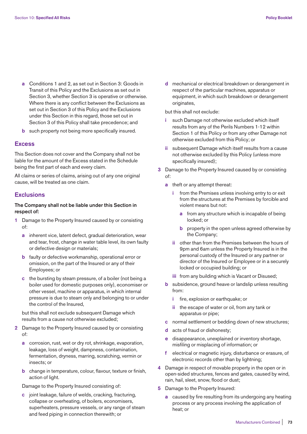- **a** Conditions 1 and 2, as set out in Section 3: Goods in Transit of this Policy and the Exclusions as set out in Section 3, whether Section 3 is operative or otherwise. Where there is any conflict between the Exclusions as set out in Section 3 of this Policy and the Exclusions under this Section in this regard, those set out in Section 3 of this Policy shall take precedence; and
- **b** such property not being more specifically insured.

# **Excess**

This Section does not cover and the Company shall not be liable for the amount of the Excess stated in the Schedule being the first part of each and every claim.

All claims or series of claims, arising out of any one original cause, will be treated as one claim.

# **Exclusions**

**The Company shall not be liable under this Section in respect of:** 

- **1** Damage to the Property Insured caused by or consisting of:
	- **a** inherent vice, latent defect, gradual deterioration, wear and tear, frost, change in water table level, its own faulty or defective design or materials;
	- **b** faulty or defective workmanship, operational error or omission, on the part of the Insured or any of their Employees; or
	- **c** the bursting by steam pressure, of a boiler (not being a boiler used for domestic purposes only), economiser or other vessel, machine or apparatus, in which internal pressure is due to steam only and belonging to or under the control of the Insured,

 but this shall not exclude subsequent Damage which results from a cause not otherwise excluded;

- **2** Damage to the Property Insured caused by or consisting of:
	- **a** corrosion, rust, wet or dry rot, shrinkage, evaporation, leakage, loss of weight, dampness, contamination, fermentation, dryness, marring, scratching, vermin or insects; or
	- **b** change in temperature, colour, flavour, texture or finish, action of light.

Damage to the Property Insured consisting of:

 **c** joint leakage, failure of welds, cracking, fracturing, collapse or overheating, of boilers, economisers, superheaters, pressure vessels, or any range of steam and feed piping in connection therewith; or

 **d** mechanical or electrical breakdown or derangement in respect of the particular machines, apparatus or equipment, in which such breakdown or derangement originates,

but this shall not exclude:

- such Damage not otherwise excluded which itself results from any of the Perils Numbers 1-12 within Section 1 of this Policy or from any other Damage not otherwise excluded from this Policy; or
- **ii** subsequent Damage which itself results from a cause not otherwise excluded by this Policy (unless more specifically insured);
- **3** Damage to the Property Insured caused by or consisting of:
	- **a** theft or any attempt thereat:
		- **i** from the Premises unless involving entry to or exit from the structures at the Premises by forcible and violent means but not:
			- **a** from any structure which is incapable of being locked; or
			- **b** property in the open unless agreed otherwise by the Company;
		- **ii** other than from the Premises between the hours of 9pm and 6am unless the Property Insured is in the personal custody of the Insured or any partner or director of the Insured or Employee or in a securely locked or occupied building; or
		- **iii** from any building which is Vacant or Disused;
	- **b** subsidence, ground heave or landslip unless resulting from:
		- **i** fire, explosion or earthquake; or
		- **ii** the escape of water or oil, from any tank or apparatus or pipe;
	- **c** normal settlement or bedding down of new structures;
	- **d** acts of fraud or dishonesty;
	- **e** disappearance, unexplained or inventory shortage, misfiling or misplacing of information; or
	- **f** electrical or magnetic injury, disturbance or erasure, of electronic records other than by lightning;
- **4** Damage in respect of movable property in the open or in open-sided structures, fences and gates, caused by wind, rain, hail, sleet, snow, flood or dust;
- **5** Damage to the Property Insured:
	- **a** caused by fire resulting from its undergoing any heating process or any process involving the application of heat; or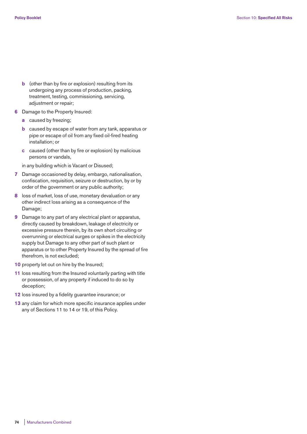- **b** (other than by fire or explosion) resulting from its undergoing any process of production, packing, treatment, testing, commissioning, servicing, adjustment or repair;
- **6** Damage to the Property Insured:
	- **a** caused by freezing;
	- **b** caused by escape of water from any tank, apparatus or pipe or escape of oil from any fixed oil-fired heating installation; or
	- **c** caused (other than by fire or explosion) by malicious persons or vandals,

in any building which is Vacant or Disused;

- **7** Damage occasioned by delay, embargo, nationalisation, confiscation, requisition, seizure or destruction, by or by order of the government or any public authority;
- **8** loss of market, loss of use, monetary devaluation or any other indirect loss arising as a consequence of the Damage;
- **9** Damage to any part of any electrical plant or apparatus, directly caused by breakdown, leakage of electricity or excessive pressure therein, by its own short circuiting or overrunning or electrical surges or spikes in the electricity supply but Damage to any other part of such plant or apparatus or to other Property Insured by the spread of fire therefrom, is not excluded;
- **10** property let out on hire by the Insured;
- **11** loss resulting from the Insured voluntarily parting with title or possession, of any property if induced to do so by deception;
- **12** loss insured by a fidelity guarantee insurance; or
- **13** any claim for which more specific insurance applies under any of Sections 11 to 14 or 19, of this Policy.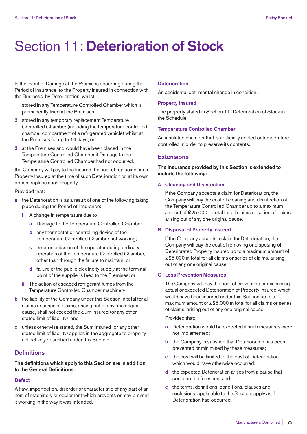# Section 11: **Deterioration of Stock**

In the event of Damage at the Premises occurring during the Period of Insurance, to the Property Insured in connection with the Business, by Deterioration, whilst:

- **1** stored in any Temperature Controlled Chamber which is permanently fixed at the Premises;
- **2** stored in any temporary replacement Temperature Controlled Chamber (including the temperature controlled chamber compartment of a refrigerated vehicle) whilst at the Premises for up to 14 days; or
- **3** at the Premises and would have been placed in the Temperature Controlled Chamber if Damage to the Temperature Controlled Chamber had not occurred,

the Company will pay to the Insured the cost of replacing such Property Insured at the time of such Deterioration or, at its own option, replace such property.

Provided that:

- **a** the Deterioration is as a result of one of the following taking place during the Period of Insurance:
	- **i** A change in temperature due to:
		- **a** Damage to the Temperature Controlled Chamber;
		- **b** any thermostat or controlling device of the Temperature Controlled Chamber not working;
		- **c** error or omission of the operator during ordinary operation of the Temperature Controlled Chamber, other than through the failure to maintain; or
		- **d** failure of the public electricity supply at the terminal point of the supplier's feed to the Premises; or
	- **ii** The action of escaped refrigerant fumes from the Temperature Controlled Chamber machinery;
- **b** the liability of the Company under this Section in total for all claims or series of claims, arising out of any one original cause, shall not exceed the Sum Insured (or any other stated limit of liability); and
- **c** unless otherwise stated, the Sum Insured (or any other stated limit of liability) applies in the aggregate to property collectively described under this Section.

# **Definitions**

**The definitions which apply to this Section are in addition to the General Definitions.** 

#### **Defect**

A flaw, imperfection, disorder or characteristic of any part of an item of machinery or equipment which prevents or may prevent it working in the way it was intended.

#### **Deterioration**

An accidental detrimental change in condition.

#### **Property Insured**

The property stated in Section 11: Deterioration of Stock in the Schedule.

#### **Temperature Controlled Chamber**

An insulated chamber that is artificially cooled or temperature controlled in order to preserve its contents.

# **Extensions**

**The insurance provided by this Section is extended to include the following:** 

## **A Cleaning and Disinfection**

 If the Company accepts a claim for Deterioration, the Company will pay the cost of cleaning and disinfection of the Temperature Controlled Chamber up to a maximum amount of £25,000 in total for all claims or series of claims, arising out of any one original cause.

#### **B Disposal of Property Insured**

 If the Company accepts a claim for Deterioration, the Company will pay the cost of removing or disposing of Deteriorated Property Insured up to a maximum amount of £25,000 in total for all claims or series of claims, arising out of any one original cause.

## **C Loss Prevention Measures**

 The Company will pay the cost of preventing or minimising actual or expected Deterioration of Property Insured which would have been insured under this Section up to a maximum amount of £25,000 in total for all claims or series of claims, arising out of any one original cause.

Provided that:

- **a** Deterioration would be expected if such measures were not implemented;
- **b** the Company is satisfied that Deterioration has been prevented or minimised by these measures;
- **c** the cost will be limited to the cost of Deterioration which would have otherwise occurred:
- **d** the expected Deterioration arises from a cause that could not be foreseen; and
- **e** the terms, definitions, conditions, clauses and exclusions, applicable to the Section, apply as if Deterioration had occurred.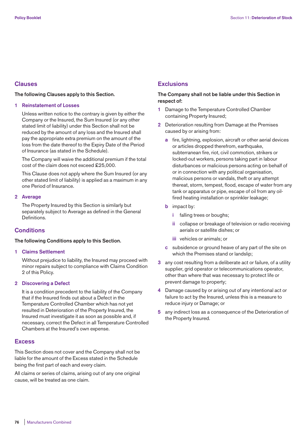# **Clauses**

## **The following Clauses apply to this Section.**

#### **1 Reinstatement of Losses**

 Unless written notice to the contrary is given by either the Company or the Insured, the Sum Insured (or any other stated limit of liability) under this Section shall not be reduced by the amount of any loss and the Insured shall pay the appropriate extra premium on the amount of the loss from the date thereof to the Expiry Date of the Period of Insurance (as stated in the Schedule).

 The Company will waive the additional premium if the total cost of the claim does not exceed £25,000.

 This Clause does not apply where the Sum Insured (or any other stated limit of liability) is applied as a maximum in any one Period of Insurance.

#### **2 Average**

 The Property Insured by this Section is similarly but separately subject to Average as defined in the General **Definitions** 

# **Conditions**

#### **The following Conditions apply to this Section.**

#### **1 Claims Settlement**

 Without prejudice to liability, the Insured may proceed with minor repairs subject to compliance with Claims Condition 2 of this Policy.

## **2 Discovering a Defect**

 It is a condition precedent to the liability of the Company that if the Insured finds out about a Defect in the Temperature Controlled Chamber which has not yet resulted in Deterioration of the Property Insured, the Insured must investigate it as soon as possible and, if necessary, correct the Defect in all Temperature Controlled Chambers at the Insured's own expense.

## **Excess**

This Section does not cover and the Company shall not be liable for the amount of the Excess stated in the Schedule being the first part of each and every claim.

All claims or series of claims, arising out of any one original cause, will be treated as one claim.

# **Exclusions**

# **The Company shall not be liable under this Section in respect of:**

- **1** Damage to the Temperature Controlled Chamber containing Property Insured;
- **2** Deterioration resulting from Damage at the Premises caused by or arising from:
	- **a** fire, lightning, explosion, aircraft or other aerial devices or articles dropped therefrom, earthquake, subterranean fire, riot, civil commotion, strikers or locked-out workers, persons taking part in labour disturbances or malicious persons acting on behalf of or in connection with any political organisation, malicious persons or vandals, theft or any attempt thereat, storm, tempest, flood, escape of water from any tank or apparatus or pipe, escape of oil from any oilfired heating installation or sprinkler leakage;
	- **b** impact by:
		- **i** falling trees or boughs;
		- **ii** collapse or breakage of television or radio receiving aerials or satellite dishes; or
		- **iii** vehicles or animals; or
	- **c** subsidence or ground heave of any part of the site on which the Premises stand or landslip;
- **3** any cost resulting from a deliberate act or failure, of a utility supplier, grid operator or telecommunications operator, other than where that was necessary to protect life or prevent damage to property;
- **4** Damage caused by or arising out of any intentional act or failure to act by the Insured, unless this is a measure to reduce injury or Damage; or
- **5** any indirect loss as a consequence of the Deterioration of the Property Insured.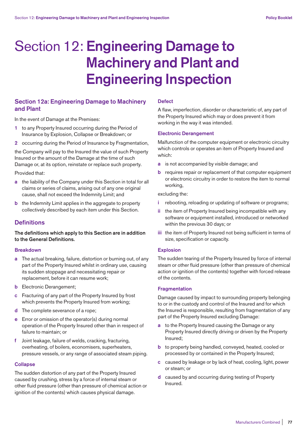# Section 12: **Engineering Damage to Machinery and Plant and Engineering Inspection**

# **Section 12a: Engineering Damage to Machinery and Plant**

In the event of Damage at the Premises:

- **1** to any Property Insured occurring during the Period of Insurance by Explosion, Collapse or Breakdown; or
- **2** occurring during the Period of Insurance by Fragmentation,

the Company will pay to the Insured the value of such Property Insured or the amount of the Damage at the time of such Damage or, at its option, reinstate or replace such property.

Provided that:

- **a** the liability of the Company under this Section in total for all claims or series of claims, arising out of any one original cause, shall not exceed the Indemnity Limit; and
- **b** the Indemnity Limit applies in the aggregate to property collectively described by each item under this Section.

# **Definitions**

**The definitions which apply to this Section are in addition to the General Definitions.** 

## **Breakdown**

- **a** The actual breaking, failure, distortion or burning out, of any part of the Property Insured whilst in ordinary use, causing its sudden stoppage and necessitating repair or replacement, before it can resume work;
- **b** Electronic Derangement;
- **c** Fracturing of any part of the Property Insured by frost which prevents the Property Insured from working;
- **d** The complete severance of a rope;
- **e** Error or omission of the operator(s) during normal operation of the Property Insured other than in respect of failure to maintain; or
- **f** Joint leakage, failure of welds, cracking, fracturing, overheating, of boilers, economisers, superheaters, pressure vessels, or any range of associated steam piping.

#### **Collapse**

The sudden distortion of any part of the Property Insured caused by crushing, stress by a force of internal steam or other fluid pressure (other than pressure of chemical action or ignition of the contents) which causes physical damage.

#### **Defect**

A flaw, imperfection, disorder or characteristic of, any part of the Property Insured which may or does prevent it from working in the way it was intended.

## **Electronic Derangement**

Malfunction of the computer equipment or electronic circuitry which controls or operates an item of Property Insured and which:

- **a** is not accompanied by visible damage; and
- **b** requires repair or replacement of that computer equipment or electronic circuitry in order to restore the item to normal working,

excluding the:

- **i** rebooting, reloading or updating of software or programs;
- **ii** the item of Property Insured being incompatible with any software or equipment installed, introduced or networked within the previous 30 days; or
- **iii** the item of Property Insured not being sufficient in terms of size, specification or capacity.

#### **Explosion**

The sudden tearing of the Property Insured by force of internal steam or other fluid pressure (other than pressure of chemical action or ignition of the contents) together with forced release of the contents.

#### **Fragmentation**

Damage caused by impact to surrounding property belonging to or in the custody and control of the Insured and for which the Insured is responsible, resulting from fragmentation of any part of the Property Insured excluding Damage:

- **a** to the Property Insured causing the Damage or any Property Insured directly driving or driven by the Property Insured;
- **b** to property being handled, conveyed, heated, cooled or processed by or contained in the Property Insured;
- **c** caused by leakage or by lack of heat, cooling, light, power or steam; or
- **d** caused by and occurring during testing of Property Insured.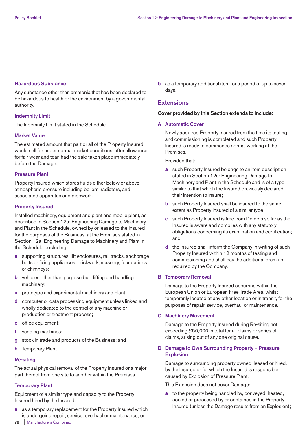#### **Hazardous Substance**

Any substance other than ammonia that has been declared to be hazardous to health or the environment by a governmental authority.

## **Indemnity Limit**

The Indemnity Limit stated in the Schedule.

## **Market Value**

The estimated amount that part or all of the Property Insured would sell for under normal market conditions, after allowance for fair wear and tear, had the sale taken place immediately before the Damage.

#### **Pressure Plant**

Property Insured which stores fluids either below or above atmospheric pressure including boilers, radiators, and associated apparatus and pipework.

## **Property Insured**

Installed machinery, equipment and plant and mobile plant, as described in Section 12a: Engineering Damage to Machinery and Plant in the Schedule, owned by or leased to the Insured for the purposes of the Business, at the Premises stated in Section 12a: Engineering Damage to Machinery and Plant in the Schedule, excluding:

- **a** supporting structures, lift enclosures, rail tracks, anchorage bolts or fixing appliances, brickwork, masonry, foundations or chimneys;
- **b** vehicles other than purpose built lifting and handling machinery;
- **c** prototype and experimental machinery and plant;
- **d** computer or data processing equipment unless linked and wholly dedicated to the control of any machine or production or treatment process;
- **e** office equipment;
- **f** vending machines;
- **g** stock in trade and products of the Business; and
- **h** Temporary Plant.

## **Re-siting**

The actual physical removal of the Property Insured or a major part thereof from one site to another within the Premises.

## **Temporary Plant**

Equipment of a similar type and capacity to the Property Insured hired by the Insured:

**a** as a temporary replacement for the Property Insured which is undergoing repair, service, overhaul or maintenance; or

**b** as a temporary additional item for a period of up to seven days.

# **Extensions**

#### **Cover provided by this Section extends to include:**

## **A Automatic Cover**

 Newly acquired Property Insured from the time its testing and commissioning is completed and such Property Insured is ready to commence normal working at the Premises.

Provided that:

- **a** such Property Insured belongs to an item description stated in Section 12a: Engineering Damage to Machinery and Plant in the Schedule and is of a type similar to that which the Insured previously declared their intention to insure;
- **b** such Property Insured shall be insured to the same extent as Property Insured of a similar type;
- **c** such Property Insured is free from Defects so far as the Insured is aware and complies with any statutory obligations concerning its examination and certification; and
- **d** the Insured shall inform the Company in writing of such Property Insured within 12 months of testing and commissioning and shall pay the additional premium required by the Company.

## **B Temporary Removal**

 Damage to the Property Insured occurring within the European Union or European Free Trade Area, whilst temporarily located at any other location or in transit, for the purposes of repair, service, overhaul or maintenance.

## **C Machinery Movement**

 Damage to the Property Insured during Re-siting not exceeding £50,000 in total for all claims or series of claims, arising out of any one original cause.

# **D Damage to Own Surrounding Property – Pressure Explosion**

 Damage to surrounding property owned, leased or hired, by the Insured or for which the Insured is responsible caused by Explosion of Pressure Plant.

This Extension does not cover Damage:

 **a** to the property being handled by, conveyed, heated, cooled or processed by or contained in the Property Insured (unless the Damage results from an Explosion);

**78** | Manufacturers Combined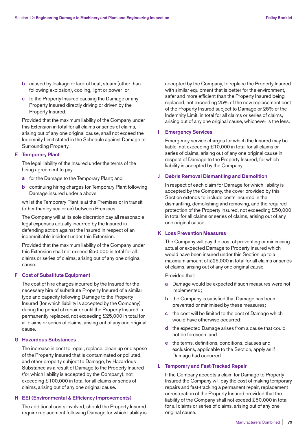- **b** caused by leakage or lack of heat, steam (other than following explosion), cooling, light or power; or
- **c** to the Property Insured causing the Damage or any Property Insured directly driving or driven by the Property Insured.

 Provided that the maximum liability of the Company under this Extension in total for all claims or series of claims, arising out of any one original cause, shall not exceed the Indemnity Limit stated in the Schedule against Damage to Surrounding Property.

#### **E Temporary Plant**

The legal liability of the Insured under the terms of the hiring agreement to pay:

- **a** for the Damage to the Temporary Plant; and
- **b** continuing hiring charges for Temporary Plant following Damage insured under a above,

 whilst the Temporary Plant is at the Premises or in transit (other than by sea or air) between Premises.

 The Company will at its sole discretion pay all reasonable legal expenses actually incurred by the Insured in defending action against the Insured in respect of an indemnifiable incident under this Extension.

 Provided that the maximum liability of the Company under this Extension shall not exceed £50,000 in total for all claims or series of claims, arising out of any one original cause.

## **F Cost of Substitute Equipment**

 The cost of hire charges incurred by the Insured for the necessary hire of substitute Property Insured of a similar type and capacity following Damage to the Property Insured (for which liability is accepted by the Company) during the period of repair or until the Property Insured is permanently replaced, not exceeding £25,000 in total for all claims or series of claims, arising out of any one original cause.

#### **G Hazardous Substances**

 The increase in cost to repair, replace, clean up or dispose of the Property Insured that is contaminated or polluted, and other property subject to Damage, by Hazardous Substance as a result of Damage to the Property Insured (for which liability is accepted by the Company), not exceeding £100,000 in total for all claims or series of claims, arising out of any one original cause.

# **H EEI (Environmental & Efficiency Improvements)**

 The additional costs involved, should the Property Insured require replacement following Damage for which liability is accepted by the Company, to replace the Property Insured with similar equipment that is better for the environment. safer and more efficient than the Property Insured being replaced, not exceeding 25% of the new replacement cost of the Property Insured subject to Damage or 25% of the Indemnity Limit, in total for all claims or series of claims, arising out of any one original cause, whichever is the less.

## **I Emergency Services**

 Emergency service charges for which the Insured may be liable, not exceeding £10,000 in total for all claims or series of claims, arising out of any one original cause in respect of Damage to the Property Insured, for which liability is accepted by the Company.

#### **J Debris Removal Dismantling and Demolition**

 In respect of each claim for Damage for which liability is accepted by the Company, the cover provided by this Section extends to include costs incurred in the dismantling, demolishing and removing, and the required protection of the Property Insured, not exceeding £50,000 in total for all claims or series of claims, arising out of any one original cause.

#### **K Loss Prevention Measures**

 The Company will pay the cost of preventing or minimising actual or expected Damage to Property Insured which would have been insured under this Section up to a maximum amount of £25,000 in total for all claims or series of claims, arising out of any one original cause.

Provided that:

- **a** Damage would be expected if such measures were not implemented;
- **b** the Company is satisfied that Damage has been prevented or minimised by these measures;
- **c** the cost will be limited to the cost of Damage which would have otherwise occurred;
- **d** the expected Damage arises from a cause that could not be foreseen; and
- **e** the terms, definitions, conditions, clauses and exclusions, applicable to the Section, apply as if Damage had occurred.

#### **L Temporary and Fast-Tracked Repair**

 If the Company accepts a claim for Damage to Property Insured the Company will pay the cost of making temporary repairs and fast-tracking a permanent repair, replacement or restoration of the Property Insured provided that the liability of the Company shall not exceed £50,000 in total for all claims or series of claims, arising out of any one original cause.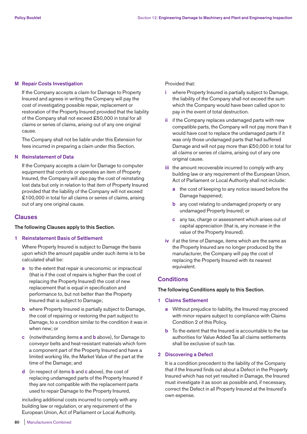#### **M Repair Costs Investigation**

 If the Company accepts a claim for Damage to Property Insured and agrees in writing the Company will pay the cost of investigating possible repair, replacement or restoration of the Property Insured provided that the liability of the Company shall not exceed £50,000 in total for all claims or series of claims, arising out of any one original cause.

 The Company shall not be liable under this Extension for fees incurred in preparing a claim under this Section.

## **N Reinstatement of Data**

 If the Company accepts a claim for Damage to computer equipment that controls or operates an item of Property Insured, the Company will also pay the cost of reinstating lost data but only in relation to that item of Property Insured provided that the liability of the Company will not exceed £100,000 in total for all claims or series of claims, arising out of any one original cause.

# **Clauses**

## **The following Clauses apply to this Section.**

#### **1 Reinstatement Basis of Settlement**

 Where Property Insured is subject to Damage the basis upon which the amount payable under such items is to be calculated shall be:

- **a** to the extent that repair is uneconomic or impractical (that is if the cost of repairs is higher than the cost of replacing the Property Insured) the cost of new replacement that is equal in specification and performance to, but not better than the Property Insured that is subject to Damage;
- **b** where Property Insured is partially subject to Damage, the cost of repairing or restoring the part subject to Damage, to a condition similar to the condition it was in when new; or
- **c** (notwithstanding items **a** and **b** above), for Damage to conveyor belts and heat-resistant materials which form a component part of the Property Insured and have a limited working life, the Market Value of the part at the time of the Damage; and
- **d** (in respect of items **b** and **c** above), the cost of replacing undamaged parts of the Property Insured if they are not compatible with the replacement parts used to repair Damage to the Property Insured,

 including additional costs incurred to comply with any building law or regulation, or any requirement of the European Union, Act of Parliament or Local Authority.

#### Provided that:

- **i** where Property Insured is partially subject to Damage, the liability of the Company shall not exceed the sum which the Company would have been called upon to pay in the event of total destruction.
- **ii** if the Company replaces undamaged parts with new compatible parts, the Company will not pay more than it would have cost to replace the undamaged parts if it was only those undamaged parts that had suffered Damage and will not pay more than £50,000 in total for all claims or series of claims, arising out of any one original cause.
- **iii** the amount recoverable incurred to comply with any building law or any requirement of the European Union, Act of Parliament or Local Authority shall not include:
	- **a** the cost of keeping to any notice issued before the Damage happened;
	- **b** any cost relating to undamaged property or any undamaged Property Insured; or
	- **c** any tax, charge or assessment which arises out of capital appreciation (that is, any increase in the value of the Property Insured).
- **iv** if at the time of Damage, items which are the same as the Property Insured are no longer produced by the manufacturer, the Company will pay the cost of replacing the Property Insured with its nearest equivalent.

# **Conditions**

## **The following Conditions apply to this Section.**

## **1 Claims Settlement**

- **a** Without prejudice to liability, the Insured may proceed with minor repairs subject to compliance with Claims Condition 2 of this Policy.
- **b** To the extent that the Insured is accountable to the tax authorities for Value Added Tax all claims settlements shall be exclusive of such tax.

## **2 Discovering a Defect**

 It is a condition precedent to the liability of the Company that if the Insured finds out about a Defect in the Property Insured which has not yet resulted in Damage, the Insured must investigate it as soon as possible and, if necessary, correct the Defect in all Property Insured at the Insured's own expense.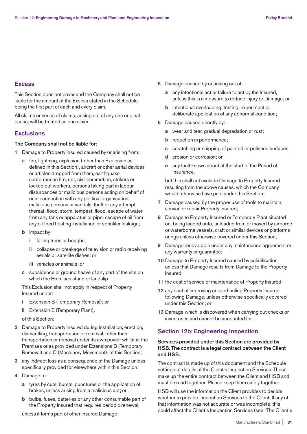# **Excess**

This Section does not cover and the Company shall not be liable for the amount of the Excess stated in the Schedule being the first part of each and every claim.

All claims or series of claims, arising out of any one original cause, will be treated as one claim.

# **Exclusions**

# **The Company shall not be liable for:**

- **1** Damage to Property Insured caused by or arising from:
	- **a** fire, lightning, explosion (other than Explosion as defined in this Section), aircraft or other aerial devices or articles dropped from them, earthquake, subterranean fire, riot, civil commotion, strikers or locked out workers, persons taking part in labour disturbances or malicious persons acting on behalf of or in connection with any political organisation, malicious persons or vandals, theft or any attempt thereat, flood, storm, tempest, flood, escape of water from any tank or apparatus or pipe, escape of oil from any oil-fired heating installation or sprinkler leakage;
	- **b** impact by:
		- **i** falling trees or boughs;
		- **ii** collapse or breakage of television or radio receiving aerials or satellite dishes; or
		- **iii** vehicles or animals; or
	- **c** subsidence or ground heave of any part of the site on which the Premises stand or landslip.

 This Exclusion shall not apply in respect of Property Insured under:

- **i** Extension B (Temporary Removal); or
- **ii** Extension E (Temporary Plant),

of this Section;

- **2** Damage to Property Insured during installation, erection, dismantling, transportation or removal, other than transportation or removal under its own power whilst at the Premises or as provided under Extensions B (Temporary Removal) and C (Machinery Movement), of this Section;
- **3** any indirect loss as a consequence of the Damage unless specifically provided for elsewhere within this Section;
- **4** Damage to:
	- **a** tyres by cuts, bursts, punctures or the application of brakes, unless arising from a malicious act; or
	- **b** bulbs, fuses, batteries or any other consumable part of the Property Insured that requires periodic renewal,

unless it forms part of other insured Damage;

- **5** Damage caused by or arising out of:
	- **a** any intentional act or failure to act by the Insured, unless this is a measure to reduce injury or Damage; or
	- **b** intentional overloading, testing, experiment or deliberate application of any abnormal condition;
- **6** Damage caused directly by:
	- **a** wear and tear, gradual degradation or rust;
	- **b** reduction in performance;
	- **c** scratching or chipping of painted or polished surfaces;
	- **d** erosion or corrosion; or
	- **e** any fault known about at the start of the Period of Insurance,

 but this shall not exclude Damage to Property Insured resulting from the above causes, which the Company would otherwise have paid under this Section;

- **7** Damage caused by the proper use of tools to maintain, service or repair Property Insured;
- **8** Damage to Property Insured or Temporary Plant situated on, being loaded onto, unloaded from or moved by airborne or waterborne vessels, craft or similar devices or platforms or rigs unless otherwise covered under this Section;
- **9** Damage recoverable under any maintenance agreement or any warranty or guarantee;
- **10** Damage to Property Insured caused by solidification unless that Damage results from Damage to the Property Insured;
- **11** the cost of service or maintenance of Property Insured;
- **12** any cost of improving or overhauling Property Insured following Damage, unless otherwise specifically covered under this Section; or
- **13** Damage which is discovered when carrying out checks or inventories and cannot be accounted for.

# **Section 12b: Engineering Inspection**

# **Services provided under this Section are provided by HSB. The contract is a legal contract between the Client and HSB.**

The contract is made up of this document and the Schedule setting out details of the Client's Inspection Services. These make up the entire contract between the Client and HSB and must be read together. Please keep them safely together.

HSB will use the information the Client provides to decide whether to provide Inspection Services to the Client. If any of that information was not accurate or was incomplete, this could affect the Client's Inspection Services (see "The Client's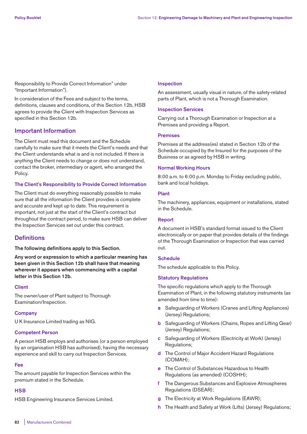Responsibility to Provide Correct Information" under "Important Information").

In consideration of the Fees and subject to the terms, definitions, clauses and conditions, of this Section 12b, HSB agrees to provide the Client with Inspection Services as specified in this Section 12b.

# **Important Information**

The Client must read this document and the Schedule carefully to make sure that it meets the Client's needs and that the Client understands what is and is not included. If there is anything the Client needs to change or does not understand, contact the broker, intermediary or agent, who arranged the Policy.

## **The Client's Responsibility to Provide Correct Information**

The Client must do everything reasonably possible to make sure that all the information the Client provides is complete and accurate and kept up to date. This requirement is important, not just at the start of the Client's contract but throughout the contract period, to make sure HSB can deliver the Inspection Services set out under this contract.

# **Definitions**

**The following definitions apply to this Section.** 

**Any word or expression to which a particular meaning has been given in this Section 12b shall have that meaning wherever it appears when commencing with a capital letter in this Section 12b.** 

## **Client**

The owner/user of Plant subject to Thorough Examination/Inspection.

## **Company**

U K Insurance Limited trading as NIG.

## **Competent Person**

A person HSB employs and authorises (or a person employed by an organisation HSB has authorised), having the necessary experience and skill to carry out Inspection Services.

#### **Fee**

The amount payable for Inspection Services within the premium stated in the Schedule.

## **HSB**

HSB Engineering Insurance Services Limited.

#### **Inspection**

An assessment, usually visual in nature, of the safety-related parts of Plant, which is not a Thorough Examination.

#### **Inspection Services**

Carrying out a Thorough Examination or Inspection at a Premises and providing a Report.

#### **Premises**

Premises at the address(es) stated in Section 12b of the Schedule occupied by the Insured for the purposes of the Business or as agreed by HSB in writing.

#### **Normal Working Hours**

8:00 a.m. to 6:00 p.m. Monday to Friday excluding public, bank and local holidays.

#### **Plant**

The machinery, appliances, equipment or installations, stated in the Schedule.

#### **Report**

A document in HSB's standard format issued to the Client electronically or on paper that provides details of the findings of the Thorough Examination or Inspection that was carried out.

# **Schedule**

The schedule applicable to this Policy.

## **Statutory Regulations**

The specific regulations which apply to the Thorough Examination of Plant, in the following statutory instruments (as amended from time to time):

- **a** Safeguarding of Workers (Cranes and Lifting Appliances) (Jersey) Regulations;
- **b** Safeguarding of Workers (Chains, Ropes and Lifting Gear) (Jersey) Regulations;
- **c** Safeguarding of Workers (Electricity at Work) (Jersey) Regulations;
- **d** The Control of Major Accident Hazard Regulations (COMAH);
- **e** The Control of Substances Hazardous to Health Regulations (as amended) (COSHH);
- **f** The Dangerous Substances and Explosive Atmospheres Regulations (DSEAR);
- **g** The Electricity at Work Regulations (EAWR);
- **h** The Health and Safety at Work (Lifts) (Jersey) Regulations;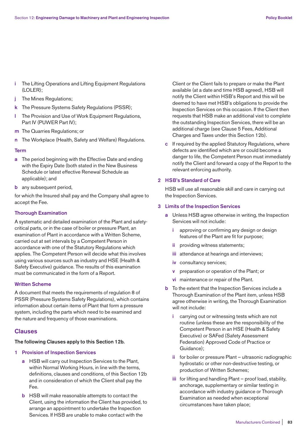- **i** The Lifting Operations and Lifting Equipment Regulations (LOLER);
- **j** The Mines Regulations;
- **k** The Pressure Systems Safety Regulations (PSSR);
- **l** The Provision and Use of Work Equipment Regulations, Part IV (PUWER Part IV);
- **m** The Quarries Regulations; or
- **n** The Workplace (Health, Safety and Welfare) Regulations.

#### **Term**

- **a** The period beginning with the Effective Date and ending with the Expiry Date (both stated in the New Business Schedule or latest effective Renewal Schedule as applicable); and
- **b** any subsequent period,

for which the Insured shall pay and the Company shall agree to accept the Fee.

#### **Thorough Examination**

A systematic and detailed examination of the Plant and safetycritical parts, or in the case of boiler or pressure Plant, an examination of Plant in accordance with a Written Scheme, carried out at set intervals by a Competent Person in accordance with one of the Statutory Regulations which applies. The Competent Person will decide what this involves using various sources such as industry and HSE (Health & Safety Executive) guidance. The results of this examination must be communicated in the form of a Report.

#### **Written Scheme**

A document that meets the requirements of regulation 8 of PSSR (Pressure Systems Safety Regulations), which contains information about certain items of Plant that form a pressure system, including the parts which need to be examined and the nature and frequency of those examinations.

## **Clauses**

# **The following Clauses apply to this Section 12b.**

# **1 Provision of Inspection Services**

- **a** HSB will carry out Inspection Services to the Plant, within Normal Working Hours, in line with the terms, definitions, clauses and conditions, of this Section 12b and in consideration of which the Client shall pay the Fee.
- **b** HSB will make reasonable attempts to contact the Client, using the information the Client has provided, to arrange an appointment to undertake the Inspection Services. If HSB are unable to make contact with the

Client or the Client fails to prepare or make the Plant available (at a date and time HSB agreed), HSB will notify the Client within HSB's Report and this will be deemed to have met HSB's obligations to provide the Inspection Services on this occasion. If the Client then requests that HSB make an additional visit to complete the outstanding Inspection Services, there will be an additional charge (see Clause 5 Fees, Additional Charges and Taxes under this Section 12b).

 **c** If required by the applied Statutory Regulations, where defects are identified which are or could become a danger to life, the Competent Person must immediately notify the Client and forward a copy of the Report to the relevant enforcing authority.

#### **2 HSB's Standard of Care**

 HSB will use all reasonable skill and care in carrying out the Inspection Services.

## **3 Limits of the Inspection Services**

- **a** Unless HSB agree otherwise in writing, the Inspection Services will not include:
	- **i** approving or confirming any design or design features of the Plant are fit for purpose;
	- **ii** providing witness statements;
	- **iii** attendance at hearings and interviews;
	- **iv** consultancy services;
	- **v** preparation or operation of the Plant; or
	- **vi** maintenance or repair of the Plant.
- **b** To the extent that the Inspection Services include a Thorough Examination of the Plant item, unless HSB agree otherwise in writing, the Thorough Examination will not include:
	- **i** carrying out or witnessing tests which are not routine (unless these are the responsibility of the Competent Person in an HSE (Health & Safety Executive) or SAFed (Safety Assessment Federation) Approved Code of Practice or Guidance);
	- **ii** for boiler or pressure Plant ultrasonic radiographic hydrostatic or other non-destructive testing, or production of Written Schemes;
	- **iii** for lifting and handling Plant proof load, stability, anchorage, supplementary or similar testing in accordance with industry guidance or Thorough Examination as needed when exceptional circumstances have taken place;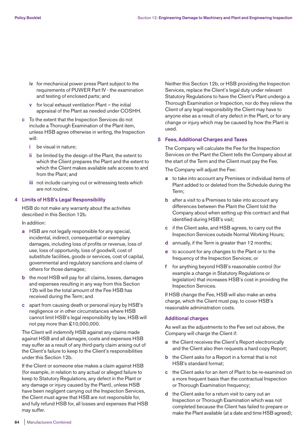- **iv** for mechanical power press Plant subject to the requirements of PUWER Part IV - the examination and testing of enclosed parts; and
- **v** for local exhaust ventilation Plant the initial appraisal of the Plant as needed under COSHH.
- **c** To the extent that the Inspection Services do not include a Thorough Examination of the Plant item, unless HSB agree otherwise in writing, the Inspection will:
	- **i** be visual in nature;
	- **ii** be limited by the design of the Plant, the extent to which the Client prepares the Plant and the extent to which the Client makes available safe access to and from the Plant; and
	- **iii** not include carrying out or witnessing tests which are not routine.

## **4 Limits of HSB's Legal Responsibility**

 HSB do not make any warranty about the activities described in this Section 12b.

In addition:

- **a** HSB are not legally responsible for any special, incidental, indirect, consequential or exemplary damages, including loss of profits or revenue, loss of use, loss of opportunity, loss of goodwill, cost of substitute facilities, goods or services, cost of capital, governmental and regulatory sanctions and claims of others for those damages;
- **b** the most HSB will pay for all claims, losses, damages and expenses resulting in any way from this Section 12b will be the total amount of the Fee HSB has received during the Term; and
- **c** apart from causing death or personal injury by HSB's negligence or in other circumstances where HSB cannot limit HSB's legal responsibility by law, HSB will not pay more than £10,000,000.

 The Client will indemnify HSB against any claims made against HSB and all damages, costs and expenses HSB may suffer as a result of any third-party claim arising out of the Client's failure to keep to the Client's responsibilities under this Section 12b.

 If the Client or someone else makes a claim against HSB (for example, in relation to any actual or alleged failure to keep to Statutory Regulations, any defect in the Plant or any damage or injury caused by the Plant), unless HSB have been negligent carrying out the Inspection Services, the Client must agree that HSB are not responsible for, and fully refund HSB for, all losses and expenses that HSB may suffer.

 Neither this Section 12b, or HSB providing the Inspection Services, replace the Client's legal duty under relevant Statutory Regulations to have the Client's Plant undergo a Thorough Examination or Inspection, nor do they relieve the Client of any legal responsibility the Client may have to anyone else as a result of any defect in the Plant, or for any change or injury which may be caused by how the Plant is used.

#### **5 Fees, Additional Charges and Taxes**

 The Company will calculate the Fee for the Inspection Services on the Plant the Client tells the Company about at the start of the Term and the Client must pay the Fee.

The Company will adjust the Fee:

- **a** to take into account any Premises or individual items of Plant added to or deleted from the Schedule during the Term;
- **b** after a visit to a Premises to take into account any differences between the Plant the Client told the Company about when setting up this contract and that identified during HSB's visit;
- **c** if the Client asks, and HSB agrees, to carry out the Inspection Services outside Normal Working Hours;
- **d** annually, if the Term is greater than 12 months;
- **e** to account for any changes to the Plant or to the frequency of the Inspection Services; or
- **f** for anything beyond HSB's reasonable control (for example a change in Statutory Regulations or legislation) that increases HSB's cost in providing the Inspection Services.

 If HSB change the Fee, HSB will also make an extra charge, which the Client must pay, to cover HSB's reasonable administration costs.

#### **Additional charges**

 As well as the adjustments to the Fee set out above, the Company will charge the Client if:

- **a** the Client receives the Client's Report electronically and the Client also then requests a hard copy Report;
- **b** the Client asks for a Report in a format that is not HSB's standard format;
- **c** the Client asks for an item of Plant to be re-examined on a more frequent basis than the contractual Inspection or Thorough Examination frequency;
- **d** the Client asks for a return visit to carry out an Inspection or Thorough Examination which was not completed because the Client has failed to prepare or make the Plant available (at a date and time HSB agreed);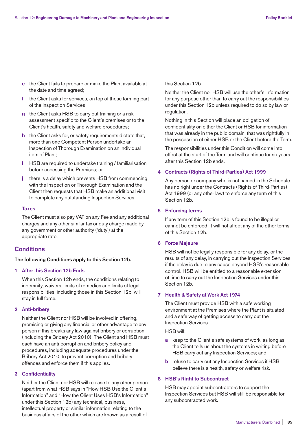- **e** the Client fails to prepare or make the Plant available at the date and time agreed;
- **f** the Client asks for services, on top of those forming part of the Inspection Services;
- **g** the Client asks HSB to carry out training or a risk assessment specific to the Client's premises or to the Client's health, safety and welfare procedures;
- **h** the Client asks for, or safety requirements dictate that, more than one Competent Person undertake an Inspection of Thorough Examination on an individual item of Plant;
- **i** HSB are required to undertake training / familiarisation before accessing the Premises; or
- **j** there is a delay which prevents HSB from commencing with the Inspection or Thorough Examination and the Client then requests that HSB make an additional visit to complete any outstanding Inspection Services.

#### **Taxes**

 The Client must also pay VAT on any Fee and any additional charges and any other similar tax or duty charge made by any government or other authority ('duty') at the appropriate rate.

# **Conditions**

#### **The following Conditions apply to this Section 12b.**

#### **1 After this Section 12b Ends**

 When this Section 12b ends, the conditions relating to indemnity, waivers, limits of remedies and limits of legal responsibilities, including those in this Section 12b, will stay in full force.

#### **2 Anti-bribery**

 Neither the Client nor HSB will be involved in offering, promising or giving any financial or other advantage to any person if this breaks any law against bribery or corruption (including the Bribery Act 2010). The Client and HSB must each have an anti-corruption and bribery policy and procedures, including adequate procedures under the Bribery Act 2010, to prevent corruption and bribery offences and enforce them if this applies.

#### **3 Confidentiality**

 Neither the Client nor HSB will release to any other person (apart from what HSB says in "How HSB Use the Client's Information" and "How the Client Uses HSB's Information" under this Section 12b) any technical, business, intellectual property or similar information relating to the business affairs of the other which are known as a result of

this Section 12b.

 Neither the Client nor HSB will use the other's information for any purpose other than to carry out the responsibilities under this Section 12b unless required to do so by law or regulation.

 Nothing in this Section will place an obligation of confidentiality on either the Client or HSB for information that was already in the public domain, that was rightfully in the possession of either HSB or the Client before the Term.

 The responsibilities under this Condition will come into effect at the start of the Term and will continue for six years after this Section 12b ends.

## **4 Contracts (Rights of Third-Parties) Act 1999**

 Any person or company who is not named in the Schedule has no right under the Contracts (Rights of Third-Parties) Act 1999 (or any other law) to enforce any term of this Section 12b.

#### **5 Enforcing terms**

 If any term of this Section 12b is found to be illegal or cannot be enforced, it will not affect any of the other terms of this Section 12b.

#### **6 Force Majeure**

 HSB will not be legally responsible for any delay, or the results of any delay, in carrying out the Inspection Services if the delay is due to any cause beyond HSB's reasonable control. HSB will be entitled to a reasonable extension of time to carry out the Inspection Services under this Section 12b.

#### **7 Health & Safety at Work Act 1974**

 The Client must provide HSB with a safe working environment at the Premises where the Plant is situated and a safe way of getting access to carry out the Inspection Services.

HSB will:

- **a** keep to the Client's safe systems of work, as long as the Client tells us about the systems in writing before HSB carry out any Inspection Services; and
- **b** refuse to carry out any Inspection Services if HSB believe there is a health, safety or welfare risk.

#### **8 HSB's Right to Subcontract**

 HSB may appoint subcontractors to support the Inspection Services but HSB will still be responsible for any subcontracted work.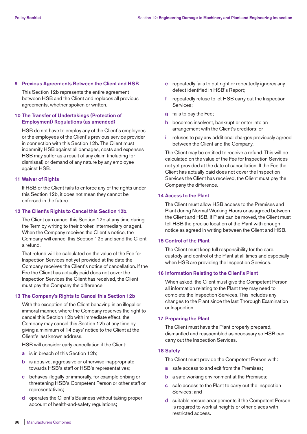#### **9 Previous Agreements Between the Client and HSB**

 This Section 12b represents the entire agreement between HSB and the Client and replaces all previous agreements, whether spoken or written.

## **10 The Transfer of Undertakings (Protection of Employment) Regulations (as amended)**

 HSB do not have to employ any of the Client's employees or the employees of the Client's previous service provider in connection with this Section 12b. The Client must indemnify HSB against all damages, costs and expenses HSB may suffer as a result of any claim (including for dismissal) or demand of any nature by any employee against HSB.

## **11 Waiver of Rights**

 If HSB or the Client fails to enforce any of the rights under this Section 12b, it does not mean they cannot be enforced in the future.

## **12 The Client's Rights to Cancel this Section 12b.**

 The Client can cancel this Section 12b at any time during the Term by writing to their broker, intermediary or agent. When the Company receives the Client's notice, the Company will cancel this Section 12b and send the Client a refund.

 That refund will be calculated on the value of the Fee for Inspection Services not yet provided at the date the Company receives the Client's notice of cancellation. If the Fee the Client has actually paid does not cover the Inspection Services the Client has received, the Client must pay the Company the difference.

## **13 The Company's Rights to Cancel this Section 12b**

 With the exception of the Client behaving in an illegal or immoral manner, where the Company reserves the right to cancel this Section 12b with immediate effect, the Company may cancel this Section 12b at any time by giving a minimum of 14 days' notice to the Client at the Client's last known address.

HSB will consider early cancellation if the Client:

- **a** is in breach of this Section 12b;
- **b** is abusive, aggressive or otherwise inappropriate towards HSB's staff or HSB's representatives;
- **c** behaves illegally or immorally, for example bribing or threatening HSB's Competent Person or other staff or representatives;
- **d** operates the Client's Business without taking proper account of health-and-safety regulations;
- **e** repeatedly fails to put right or repeatedly ignores any defect identified in HSB's Report;
- **f** repeatedly refuse to let HSB carry out the Inspection Services;
- **g** fails to pay the Fee;
- **h** becomes insolvent, bankrupt or enter into an arrangement with the Client's creditors; or
- **i** refuses to pay any additional charges previously agreed between the Client and the Company.

 The Client may be entitled to receive a refund. This will be calculated on the value of the Fee for Inspection Services not yet provided at the date of cancellation. If the Fee the Client has actually paid does not cover the Inspection Services the Client has received, the Client must pay the Company the difference.

#### **14 Access to the Plant**

 The Client must allow HSB access to the Premises and Plant during Normal Working Hours or as agreed between the Client and HSB. If Plant can be moved, the Client must tell HSB the precise location of the Plant with enough notice as agreed in writing between the Client and HSB.

#### **15 Control of the Plant**

 The Client must keep full responsibility for the care, custody and control of the Plant at all times and especially when HSB are providing the Inspection Services.

#### **16 Information Relating to the Client's Plant**

 When asked, the Client must give the Competent Person all information relating to the Plant they may need to complete the Inspection Services. This includes any changes to the Plant since the last Thorough Examination or Inspection.

#### **17 Preparing the Plant**

 The Client must have the Plant properly prepared, dismantled and reassembled as necessary so HSB can carry out the Inspection Services.

## **18 Safety**

The Client must provide the Competent Person with:

- **a** safe access to and exit from the Premises;
- **b** a safe working environment at the Premises;
- **c** safe access to the Plant to carry out the Inspection Services; and
- **d** suitable rescue arrangements if the Competent Person is required to work at heights or other places with restricted access.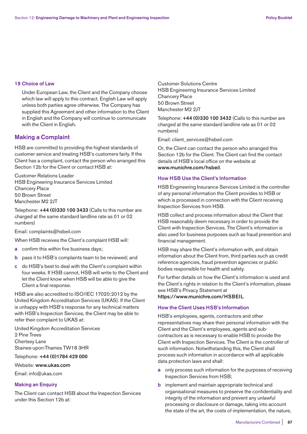#### **19 Choice of Law**

 Under European Law, the Client and the Company choose which law will apply to this contract. English Law will apply unless both parties agree otherwise. The Company has supplied this Agreement and other information to the Client in English and the Company will continue to communicate with the Client in English.

# **Making a Complaint**

HSB are committed to providing the highest standards of customer service and treating HSB's customers fairly. If the Client has a complaint, contact the person who arranged this Section 12b for the Client or contact HSB at:

Customer Relations Leader HSB Engineering Insurance Services Limited Chancery Place 50 Brown Street Manchester M2 2 IT

Telephone: **+44 (0)330 100 3433** (Calls to this number are charged at the same standard landline rate as 01 or 02 numbers)

Email: complaints@hsbeil.com

When HSB receives the Client's complaint HSB will:

- **a** confirm this within five business days;
- **b** pass it to HSB's complaints team to be reviewed; and
- **c** do HSB's best to deal with the Client's complaint within four weeks. If HSB cannot, HSB will write to the Client and let the Client know when HSB will be able to give the Client a final response.

HSB are also accredited to ISO/IEC 17020:2012 by the United Kingdom Accreditation Services (UKAS). If the Client is unhappy with HSB's response for any technical matters with HSB's Inspection Services, the Client may be able to refer their complaint to UKAS at:

United Kingdom Accreditation Services 2 Pine Trees Chertsey Lane Staines-upon-Thames TW18 3HR

Telephone: **+44 (0)1784 429 000**

## Website: **www.ukas.com**

Email: info@ukas.com

#### **Making an Enquiry**

The Client can contact HSB about the Inspection Services under this Section 12b at:

Customer Solutions Centre HSB Engineering Insurance Services Limited Chancery Place 50 Brown Street Manchester M2 2JT

Telephone: **+44 (0)330 100 3432** (Calls to this number are charged at the same standard landline rate as 01 or 02 numbers)

Email: client\_services@hsbeil.com

Or, the Client can contact the person who arranged this Section 12b for the Client. The Client can find the contact details of HSB's local office on the website at **www.munichre.com/hsbeil**.

# **How HSB Use the Client's Information**

HSB Engineering Insurance Services Limited is the controller of any personal information the Client provides to HSB or which is processed in connection with the Client receiving Inspection Services from HSB.

HSB collect and process information about the Client that HSB reasonably deem necessary in order to provide the Client with Inspection Services. The Client's information is also used for business purposes such as fraud prevention and financial management.

HSB may share the Client's information with, and obtain information about the Client from, third parties such as credit reference agencies, fraud prevention agencies or public bodies responsible for health and safety.

For further details on how the Client's information is used and the Client's rights in relation to the Client's information, please see HSB's Privacy Statement at **https://www.munichre.com/HSBEIL**.

## **How the Client Uses HSB's Information**

HSB's employees, agents, contractors and other representatives may share their personal information with the Client and the Client's employees, agents and subcontractors as is necessary to enable HSB to provide the Client with Inspection Services. The Client is the controller of such information. Notwithstanding this, the Client shall process such information in accordance with all applicable data protection laws and shall:

- **a** only process such information for the purposes of receiving Inspection Services from HSB;
- **b** implement and maintain appropriate technical and organisational measures to preserve the confidentiality and integrity of the information and prevent any unlawful processing or disclosure or damage, taking into account the state of the art, the costs of implementation, the nature,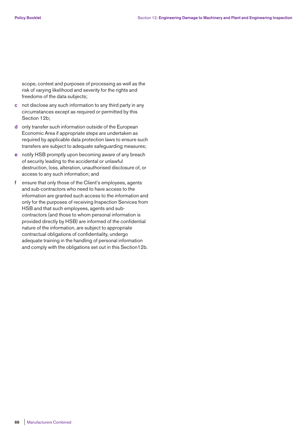scope, context and purposes of processing as well as the risk of varying likelihood and severity for the rights and freedoms of the data subjects;

- **c** not disclose any such information to any third party in any circumstances except as required or permitted by this Section 12b;
- **d** only transfer such information outside of the European Economic Area if appropriate steps are undertaken as required by applicable data protection laws to ensure such transfers are subject to adequate safeguarding measures;
- **e** notify HSB promptly upon becoming aware of any breach of security leading to the accidental or unlawful destruction, loss, alteration, unauthorised disclosure of, or access to any such information; and
- **f** ensure that only those of the Client's employees, agents and sub-contractors who need to have access to the information are granted such access to the information and only for the purposes of receiving Inspection Services from HSB and that such employees, agents and subcontractors (and those to whom personal information is provided directly by HSB) are informed of the confidential nature of the information, are subject to appropriate contractual obligations of confidentiality, undergo adequate training in the handling of personal information and comply with the obligations set out in this Section12b.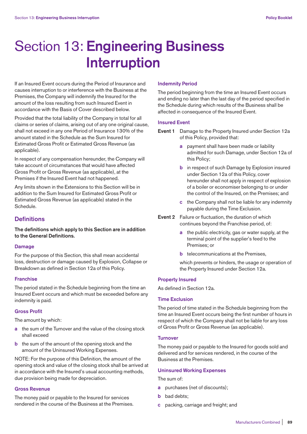# Section 13: **Engineering Business Interruption**

If an Insured Event occurs during the Period of Insurance and causes interruption to or interference with the Business at the Premises, the Company will indemnify the Insured for the amount of the loss resulting from such Insured Event in accordance with the Basis of Cover described below.

Provided that the total liability of the Company in total for all claims or series of claims, arising out of any one original cause, shall not exceed in any one Period of Insurance 130% of the amount stated in the Schedule as the Sum Insured for Estimated Gross Profit or Estimated Gross Revenue (as applicable).

In respect of any compensation hereunder, the Company will take account of circumstances that would have affected Gross Profit or Gross Revenue (as applicable), at the Premises if the Insured Event had not happened.

Any limits shown in the Extensions to this Section will be in addition to the Sum Insured for Estimated Gross Profit or Estimated Gross Revenue (as applicable) stated in the Schedule.

# **Definitions**

**The definitions which apply to this Section are in addition to the General Definitions.** 

## **Damage**

For the purpose of this Section, this shall mean accidental loss, destruction or damage caused by Explosion, Collapse or Breakdown as defined in Section 12a of this Policy.

## **Franchise**

The period stated in the Schedule beginning from the time an Insured Event occurs and which must be exceeded before any indemnity is paid.

## **Gross Profit**

The amount by which:

- **a** the sum of the Turnover and the value of the closing stock shall exceed
- **b** the sum of the amount of the opening stock and the amount of the Uninsured Working Expenses.

NOTE: For the purpose of this Definition, the amount of the opening stock and value of the closing stock shall be arrived at in accordance with the Insured's usual accounting methods, due provision being made for depreciation.

#### **Gross Revenue**

The money paid or payable to the Insured for services rendered in the course of the Business at the Premises.

#### **Indemnity Period**

The period beginning from the time an Insured Event occurs and ending no later than the last day of the period specified in the Schedule during which results of the Business shall be affected in consequence of the Insured Event.

#### **Insured Event**

- **Event 1** Damage to the Property Insured under Section 12a of this Policy, provided that:
	- **a** payment shall have been made or liability admitted for such Damage, under Section 12a of this Policy;
	- **b** in respect of such Damage by Explosion insured under Section 12a of this Policy, cover hereunder shall not apply in respect of explosion of a boiler or economiser belonging to or under the control of the Insured, on the Premises; and
	- **c** the Company shall not be liable for any indemnity payable during the Time Exclusion.
- **Event 2** Failure or fluctuation, the duration of which continues beyond the Franchise period, of:
	- **a** the public electricity, gas or water supply, at the terminal point of the supplier's feed to the Premises; or
	- **b** telecommunications at the Premises.

 which prevents or hinders, the usage or operation of the Property Insured under Section 12a.

# **Property Insured**

As defined in Section 12a.

## **Time Exclusion**

The period of time stated in the Schedule beginning from the time an Insured Event occurs being the first number of hours in respect of which the Company shall not be liable for any loss of Gross Profit or Gross Revenue (as applicable).

#### **Turnover**

The money paid or payable to the Insured for goods sold and delivered and for services rendered, in the course of the Business at the Premises.

#### **Uninsured Working Expenses**

The sum of:

- **a** purchases (net of discounts);
- **b** bad debts;
- **c** packing, carriage and freight; and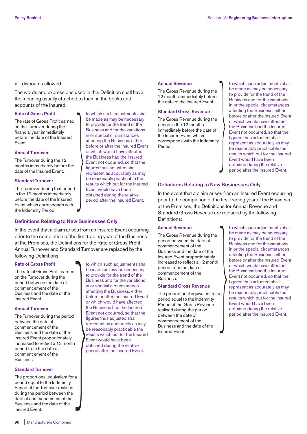#### **d** discounts allowed.

The words and expressions used in this Definition shall have the meaning usually attached to them in the books and accounts of the Insured.

#### **Rate of Gross Profit**

The rate of Gross Profit earned on the Turnover during the financial year immediately before the date of the Insured Event.

#### **Annual Turnover**

The Turnover during the 12 months immediately before the date of the Insured Event.

#### **Standard Turnover**

The Turnover during that period in the 12 months immediately before the date of the Insured Event which corresponds with the Indemnity Period.

# **Definitions Relating to New Businesses Only**

In the event that a claim arises from an Insured Event occurring prior to the completion of the first trading year of the Business at the Premises, the Definitions for the Rate of Gross Profit, Annual Turnover and Standard Turnover are replaced by the following Definitions:

#### **Rate of Gross Profit**

The rate of Gross Profit earned on the Turnover during the period between the date of commencement of the Business and the date of the Insured Event.

#### **Annual Turnover**

The Turnover during the period between the date of commencement of the Business and the date of the Insured Event proportionately increased to reflect a 12 month period from the date of commencement of the **Business** 

#### **Standard Turnover**

The proportional equivalent for a period equal to the Indemnity Period of the Turnover realised during the period between the date of commencement of the Business and the date of the Insured Event.  $\begin{bmatrix} 1 \\ 1 \\ 0 \end{bmatrix}$ 

be made as may be necessary to provide for the trend of the Business and for the variations in or special circumstances affecting the Business, either before or after the Insured Event or which would have affected the Business had the Insured Event not occurred, so that the figures thus adjusted shall represent as accurately as may be reasonably practicable the results which but for the Insured Event would have been obtained during the relative period after the Insured Event. Dusiness and for the variations<br>
in or special circumstances<br>
affecting the Business, either<br>
before or after the Insured Event<br>
or which would have affected<br>
the Business had the Insured<br>
Event not occurred, so that the<br>

to which such adjustments shall be made as may be necessary to provide for the trend of the Business and for the variations in or special circumstances affecting the Business, either before or after the Insured Event or which would have affected the Business had the Insured Event not occurred, so that the figures thus adjusted shall represent as accurately as may be reasonably practicable the results which but for the Insured

Event would have been obtained during the relative period after the Insured Event.

to which such adjustments shall

#### **Annual Revenue**

The Gross Revenue during the 12 months immediately before the date of the Insured Event.

#### **Standard Gross Revenue**

The Gross Revenue during the period in the 12 months immediately before the date of the Insured Event which corresponds with the Indemnity Period.

to which such adjustments shall be made as may be necessary to provide for the trend of the Business and for the variations in or the special circumstances affecting the Business, either before or after the Insured Event or which would have affected the Business had the Insured Event not occurred, so that the figures thus adjusted shall represent as accurately as may be reasonably practicable the results which but for the Insured Event would have been obtained during the relative period after the Insured Event.

#### **Definitions Relating to New Businesses Only**

In the event that a claim arises from an Insured Event occurring prior to the completion of the first trading year of the Business at the Premises, the Definitions for Annual Revenue and Standard Gross Revenue are replaced by the following Definitions:

#### **Annual Revenue**

The Gross Revenue during the period between the date of commencement of the Business and the date of the Insured Event proportionately increased to reflect a 12 month period from the date of commencement of the **Business** 

#### **Standard Gross Revenue**

The proportional equivalent for a period equal to the Indemnity Period of the Gross Revenue realised during the period between the date of commencement of the Business and the date of the Insured Event.  $\begin{array}{c}\n\mathbf{a} \\
\mathbf{b} \\
\mathbf{c} \\
\mathbf{d} \\
\mathbf{e} \\
\mathbf{e} \\
\mathbf{e} \\
\mathbf{e} \\
\mathbf{e} \\
\mathbf{e} \\
\mathbf{e} \\
\mathbf{e} \\
\mathbf{e} \\
\mathbf{e} \\
\mathbf{e} \\
\mathbf{e} \\
\mathbf{e} \\
\mathbf{e} \\
\mathbf{e} \\
\mathbf{e} \\
\mathbf{e} \\
\mathbf{e} \\
\mathbf{e} \\
\mathbf{e} \\
\mathbf{e} \\
\mathbf{e} \\
\mathbf{e} \\
\mathbf{e} \\
\mathbf{e} \\
\mathbf{e} \\
\math$ 

to which such adjustments shall be made as may be necessary to provide for the trend of the Business and for the variations in or the special circumstances affecting the Business, either before or after the Insured Event or which would have affected the Business had the Insured Event not occurred, so that the figures thus adjusted shall represent as accurately as may be reasonably practicable the results which but for the Insured Event would have been obtained during the relative period after the Insured Event.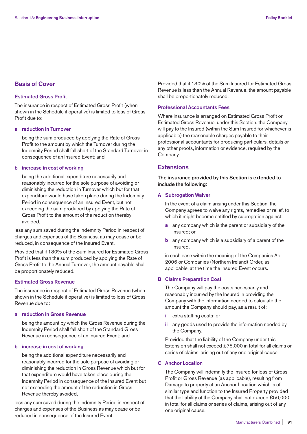# **Basis of Cover**

#### **Estimated Gross Profit**

The insurance in respect of Estimated Gross Profit (when shown in the Schedule if operative) is limited to loss of Gross Profit due to:

#### **a reduction in Turnover**

 being the sum produced by applying the Rate of Gross Profit to the amount by which the Turnover during the Indemnity Period shall fall short of the Standard Turnover in consequence of an Insured Event; and

## **b increase in cost of working**

 being the additional expenditure necessarily and reasonably incurred for the sole purpose of avoiding or diminishing the reduction in Turnover which but for that expenditure would have taken place during the Indemnity Period in consequence of an Insured Event, but not exceeding the sum produced by applying the Rate of Gross Profit to the amount of the reduction thereby avoided,

less any sum saved during the Indemnity Period in respect of charges and expenses of the Business, as may cease or be reduced, in consequence of the Insured Event.

Provided that if 130% of the Sum Insured for Estimated Gross Profit is less than the sum produced by applying the Rate of Gross Profit to the Annual Turnover, the amount payable shall be proportionately reduced.

# **Estimated Gross Revenue**

The insurance in respect of Estimated Gross Revenue (when shown in the Schedule if operative) is limited to loss of Gross Revenue due to:

**a reduction in Gross Revenue** 

 being the amount by which the Gross Revenue during the Indemnity Period shall fall short of the Standard Gross Revenue in consequence of an Insured Event; and

## **b increase in cost of working**

 being the additional expenditure necessarily and reasonably incurred for the sole purpose of avoiding or diminishing the reduction in Gross Revenue which but for that expenditure would have taken place during the Indemnity Period in consequence of the Insured Event but not exceeding the amount of the reduction in Gross Revenue thereby avoided,

less any sum saved during the Indemnity Period in respect of charges and expenses of the Business as may cease or be reduced in consequence of the Insured Event.

Provided that if 130% of the Sum Insured for Estimated Gross Revenue is less than the Annual Revenue, the amount payable shall be proportionately reduced.

#### **Professional Accountants Fees**

Where insurance is arranged on Estimated Gross Profit or Estimated Gross Revenue, under this Section, the Company will pay to the Insured (within the Sum Insured for whichever is applicable) the reasonable charges payable to their professional accountants for producing particulars, details or any other proofs, information or evidence, required by the Company.

# **Extensions**

**The insurance provided by this Section is extended to include the following:** 

## **A Subrogation Waiver**

 In the event of a claim arising under this Section, the Company agrees to waive any rights, remedies or relief, to which it might become entitled by subrogation against:

- **a** any company which is the parent or subsidiary of the Insured; or
- **b** any company which is a subsidiary of a parent of the Insured,

 in each case within the meaning of the Companies Act 2006 or Companies (Northern Ireland) Order, as applicable, at the time the Insured Event occurs.

## **B Claims Preparation Cost**

 The Company will pay the costs necessarily and reasonably incurred by the Insured in providing the Company with the information needed to calculate the amount the Company should pay, as a result of:

- **i** extra staffing costs; or
- **ii** any goods used to provide the information needed by the Company.

 Provided that the liability of the Company under this Extension shall not exceed £75,000 in total for all claims or series of claims, arising out of any one original cause.

#### **C Anchor Location**

 The Company will indemnify the Insured for loss of Gross Profit or Gross Revenue (as applicable), resulting from Damage to property at an Anchor Location which is of similar type and function to the Insured Property provided that the liability of the Company shall not exceed £50,000 in total for all claims or series of claims, arising out of any one original cause.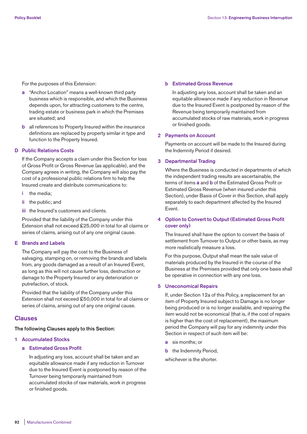For the purposes of this Extension:

- **a** "Anchor Location" means a well-known third party business which is responsible, and which the Business depends upon, for attracting customers to the centre, trading estate or business park in which the Premises are situated; and
- **b** all references to Property Insured within the insurance definitions are replaced by property similar in type and function to the Property Insured.

#### **D Public Relations Costs**

 If the Company accepts a claim under this Section for loss of Gross Profit or Gross Revenue (as applicable), and the Company agrees in writing, the Company will also pay the cost of a professional public relations firm to help the Insured create and distribute communications to:

- **i** the media;
- **ii** the public; and
- **iii** the Insured's customers and clients.

 Provided that the liability of the Company under this Extension shall not exceed £25,000 in total for all claims or series of claims, arising out of any one original cause.

#### **E Brands and Labels**

 The Company will pay the cost to the Business of salvaging, stamping on, or removing the brands and labels from, any goods damaged as a result of an Insured Event, as long as this will not cause further loss, destruction or damage to the Property Insured or any deterioration or putrefaction, of stock.

 Provided that the liability of the Company under this Extension shall not exceed £50,000 in total for all claims or series of claims, arising out of any one original cause.

# **Clauses**

#### **The following Clauses apply to this Section:**

#### **1 Accumulated Stocks**

# **a Estimated Gross Profit**

 In adjusting any loss, account shall be taken and an equitable allowance made if any reduction in Turnover due to the Insured Event is postponed by reason of the Turnover being temporarily maintained from accumulated stocks of raw materials, work in progress or finished goods.

#### **b Estimated Gross Revenue**

 In adjusting any loss, account shall be taken and an equitable allowance made if any reduction in Revenue due to the Insured Event is postponed by reason of the Revenue being temporarily maintained from accumulated stocks of raw materials, work in progress or finished goods.

#### **2 Payments on Account**

 Payments on account will be made to the Insured during the Indemnity Period if desired.

#### **3 Departmental Trading**

 Where the Business is conducted in departments of which the independent trading results are ascertainable, the terms of items **a** and **b** of the Estimated Gross Profit or Estimated Gross Revenue (when insured under this Section), under Basis of Cover in this Section, shall apply separately to each department affected by the Insured Event.

# **4 Option to Convert to Output (Estimated Gross Profit cover only)**

 The Insured shall have the option to convert the basis of settlement from Turnover to Output or other basis, as may more realistically measure a loss.

 For this purpose, Output shall mean the sale value of materials produced by the Insured in the course of the Business at the Premises provided that only one basis shall be operative in connection with any one loss.

#### **5 Uneconomical Repairs**

 If, under Section 12a of this Policy, a replacement for an item of Property Insured subject to Damage is no longer being produced or is no longer available, and repairing the item would not be economical (that is, if the cost of repairs is higher than the cost of replacement), the maximum period the Company will pay for any indemnity under this Section in respect of such item will be:

- **a** six months; or
- **b** the Indemnity Period,

whichever is the shorter.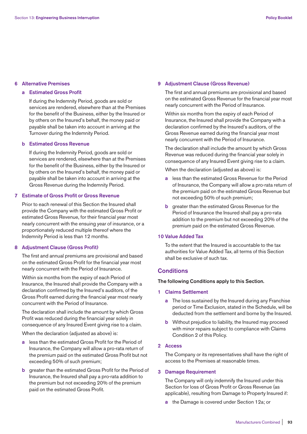#### **6 Alternative Premises**

## **a Estimated Gross Profit**

 If during the Indemnity Period, goods are sold or services are rendered, elsewhere than at the Premises for the benefit of the Business, either by the Insured or by others on the Insured's behalf, the money paid or payable shall be taken into account in arriving at the Turnover during the Indemnity Period.

## **b Estimated Gross Revenue**

 If during the Indemnity Period, goods are sold or services are rendered, elsewhere than at the Premises for the benefit of the Business, either by the Insured or by others on the Insured's behalf, the money paid or payable shall be taken into account in arriving at the Gross Revenue during the Indemnity Period.

# **7 Estimate of Gross Profit or Gross Revenue**

 Prior to each renewal of this Section the Insured shall provide the Company with the estimated Gross Profit or estimated Gross Revenue, for their financial year most nearly concurrent with the ensuing year of insurance, or a proportionately reduced multiple thereof where the Indemnity Period is less than 12 months.

#### **8 Adjustment Clause (Gross Profit)**

 The first and annual premiums are provisional and based on the estimated Gross Profit for the financial year most nearly concurrent with the Period of Insurance.

 Within six months from the expiry of each Period of Insurance, the Insured shall provide the Company with a declaration confirmed by the Insured's auditors, of the Gross Profit earned during the financial year most nearly concurrent with the Period of Insurance.

 The declaration shall include the amount by which Gross Profit was reduced during the financial year solely in consequence of any Insured Event giving rise to a claim.

When the declaration (adjusted as above) is:

- **a** less than the estimated Gross Profit for the Period of Insurance, the Company will allow a pro-rata return of the premium paid on the estimated Gross Profit but not exceeding 50% of such premium;
- **b** greater than the estimated Gross Profit for the Period of Insurance, the Insured shall pay a pro-rata addition to the premium but not exceeding 20% of the premium paid on the estimated Gross Profit.

#### **9 Adjustment Clause (Gross Revenue)**

 The first and annual premiums are provisional and based on the estimated Gross Revenue for the financial year most nearly concurrent with the Period of Insurance.

 Within six months from the expiry of each Period of Insurance, the Insured shall provide the Company with a declaration confirmed by the lnsured's auditors, of the Gross Revenue earned during the financial year most nearly concurrent with the Period of Insurance.

 The declaration shall include the amount by which Gross Revenue was reduced during the financial year solely in consequence of any Insured Event giving rise to a claim.

When the declaration (adjusted as above) is:

- **a** less than the estimated Gross Revenue for the Period of Insurance, the Company will allow a pro-rata return of the premium paid on the estimated Gross Revenue but not exceeding 50% of such premium;
- **b** greater than the estimated Gross Revenue for the Period of Insurance the Insured shall pay a pro-rata addition to the premium but not exceeding 20% of the premium paid on the estimated Gross Revenue.

# **10 Value Added Tax**

 To the extent that the Insured is accountable to the tax authorities for Value Added Tax, all terms of this Section shall be exclusive of such tax.

# **Conditions**

## **The following Conditions apply to this Section.**

- **1 Claims Settlement** 
	- **a** The loss sustained by the Insured during any Franchise period or Time Exclusion, stated in the Schedule, will be deducted from the settlement and borne by the Insured.
	- **b** Without prejudice to liability, the Insured may proceed with minor repairs subject to compliance with Claims Condition 2 of this Policy.

#### **2 Access**

 The Company or its representatives shall have the right of access to the Premises at reasonable times.

#### **3 Damage Requirement**

 The Company will only indemnify the Insured under this Section for loss of Gross Profit or Gross Revenue (as applicable), resulting from Damage to Property Insured if:

**a** the Damage is covered under Section 12a; or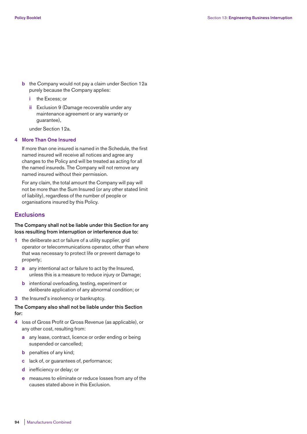- **b** the Company would not pay a claim under Section 12a purely because the Company applies:
	- **i** the Excess; or
	- **ii** Exclusion 9 (Damage recoverable under any maintenance agreement or any warranty or guarantee),

under Section 12a.

## **4 More Than One Insured**

 If more than one insured is named in the Schedule, the first named insured will receive all notices and agree any changes to the Policy and will be treated as acting for all the named insureds. The Company will not remove any named insured without their permission.

 For any claim, the total amount the Company will pay will not be more than the Sum Insured (or any other stated limit of liability), regardless of the number of people or organisations insured by this Policy.

# **Exclusions**

## **The Company shall not be liable under this Section for any loss resulting from interruption or interference due to:**

- **1** the deliberate act or failure of a utility supplier, grid operator or telecommunications operator, other than where that was necessary to protect life or prevent damage to property;
- **2 a** any intentional act or failure to act by the Insured, unless this is a measure to reduce injury or Damage;
	- **b** intentional overloading, testing, experiment or deliberate application of any abnormal condition; or
- **3** the Insured's insolvency or bankruptcy.

# **The Company also shall not be liable under this Section for:**

- **4** loss of Gross Profit or Gross Revenue (as applicable), or any other cost, resulting from:
	- **a** any lease, contract, licence or order ending or being suspended or cancelled;
	- **b** penalties of any kind;
	- **c** lack of, or guarantees of, performance;
	- **d** inefficiency or delay; or
	- **e** measures to eliminate or reduce losses from any of the causes stated above in this Exclusion.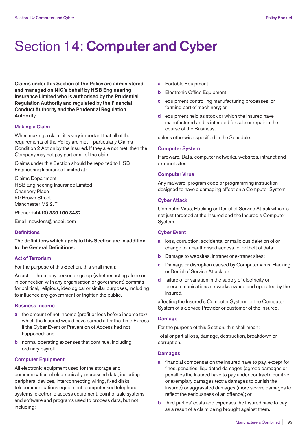# Section 14: **Computer and Cyber**

**Claims under this Section of the Policy are administered and managed on NIG's behalf by HSB Engineering Insurance Limited who is authorised by the Prudential Regulation Authority and regulated by the Financial Conduct Authority and the Prudential Regulation Authority.** 

#### **Making a Claim**

When making a claim, it is very important that all of the requirements of the Policy are met – particularly Claims Condition 2 Action by the Insured. If they are not met, then the Company may not pay part or all of the claim.

Claims under this Section should be reported to HSB Engineering Insurance Limited at:

Claims Department HSB Engineering Insurance Limited Chancery Place 50 Brown Street Manchester M2 2JT

Phone: **+44 (0) 330 100 3432**

Email: new.loss@hsbeil.com

#### **Definitions**

**The definitions which apply to this Section are in addition to the General Definitions.** 

## **Act of Terrorism**

For the purpose of this Section, this shall mean:

An act or threat any person or group (whether acting alone or in connection with any organisation or government) commits for political, religious, ideological or similar purposes, including to influence any government or frighten the public.

#### **Business Income**

- **a** the amount of net income (profit or loss before income tax) which the Insured would have earned after the Time Excess if the Cyber Event or Prevention of Access had not happened; and
- **b** normal operating expenses that continue, including ordinary payroll.

#### **Computer Equipment**

All electronic equipment used for the storage and communication of electronically processed data, including peripheral devices, interconnecting wiring, fixed disks, telecommunications equipment, computerised telephone systems, electronic access equipment, point of sale systems and software and programs used to process data, but not including:

- **a** Portable Equipment;
- **b** Electronic Office Equipment;
- **c** equipment controlling manufacturing processes, or forming part of machinery; or
- **d** equipment held as stock or which the Insured have manufactured and is intended for sale or repair in the course of the Business,

unless otherwise specified in the Schedule.

#### **Computer System**

Hardware, Data, computer networks, websites, intranet and extranet sites.

#### **Computer Virus**

Any malware, program code or programming instruction designed to have a damaging effect on a Computer System.

# **Cyber Attack**

Computer Virus, Hacking or Denial of Service Attack which is not just targeted at the Insured and the Insured's Computer System.

#### **Cyber Event**

- **a** loss, corruption, accidental or malicious deletion of or change to, unauthorised access to, or theft of data;
- **b** Damage to websites, intranet or extranet sites;
- **c** Damage or disruption caused by Computer Virus, Hacking or Denial of Service Attack; or
- **d** failure of or variation in the supply of electricity or telecommunications networks owned and operated by the Insured,

affecting the Insured's Computer System, or the Computer System of a Service Provider or customer of the Insured.

#### **Damage**

For the purpose of this Section, this shall mean:

Total or partial loss, damage, destruction, breakdown or corruption.

## **Damages**

- **a** financial compensation the Insured have to pay, except for fines, penalties, liquidated damages (agreed damages or penalties the Insured have to pay under contract), punitive or exemplary damages (extra damages to punish the Insured) or aggravated damages (more severe damages to reflect the seriousness of an offence); or
- **b** third parties' costs and expenses the Insured have to pay as a result of a claim being brought against them.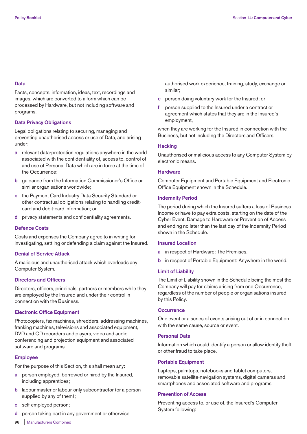## **Data**

Facts, concepts, information, ideas, text, recordings and images, which are converted to a form which can be processed by Hardware, but not including software and programs.

## **Data Privacy Obligations**

Legal obligations relating to securing, managing and preventing unauthorised access or use of Data, and arising under:

- **a** relevant data-protection regulations anywhere in the world associated with the confidentiality of, access to, control of and use of Personal Data which are in force at the time of the Occurrence;
- **b** guidance from the Information Commissioner's Office or similar organisations worldwide;
- **c** the Payment Card Industry Data Security Standard or other contractual obligations relating to handling creditcard and debit-card information; or
- **d** privacy statements and confidentiality agreements.

## **Defence Costs**

Costs and expenses the Company agree to in writing for investigating, settling or defending a claim against the Insured.

## **Denial of Service Attack**

A malicious and unauthorised attack which overloads any Computer System.

# **Directors and Officers**

Directors, officers, principals, partners or members while they are employed by the Insured and under their control in connection with the Business.

## **Electronic Office Equipment**

Photocopiers, fax machines, shredders, addressing machines, franking machines, televisions and associated equipment, DVD and CD recorders and players, video and audio conferencing and projection equipment and associated software and programs.

## **Employee**

For the purpose of this Section, this shall mean any:

- **a** person employed, borrowed or hired by the Insured, including apprentices;
- **b** labour master or labour-only subcontractor (or a person supplied by any of them);
- **c** self-employed person;
- **d** person taking part in any government or otherwise

authorised work experience, training, study, exchange or similar;

- **e** person doing voluntary work for the Insured; or
- **f** person supplied to the Insured under a contract or agreement which states that they are in the Insured's employment,

when they are working for the Insured in connection with the Business, but not including the Directors and Officers.

## **Hacking**

Unauthorised or malicious access to any Computer System by electronic means.

## **Hardware**

Computer Equipment and Portable Equipment and Electronic Office Equipment shown in the Schedule.

## **Indemnity Period**

The period during which the Insured suffers a loss of Business Income or have to pay extra costs, starting on the date of the Cyber Event, Damage to Hardware or Prevention of Access and ending no later than the last day of the Indemnity Period shown in the Schedule.

## **Insured Location**

- **a** in respect of Hardware: The Premises.
- **b** in respect of Portable Equipment: Anywhere in the world.

## **Limit of Liability**

The Limit of Liability shown in the Schedule being the most the Company will pay for claims arising from one Occurrence, regardless of the number of people or organisations insured by this Policy.

## **Occurrence**

One event or a series of events arising out of or in connection with the same cause, source or event.

## **Personal Data**

Information which could identify a person or allow identity theft or other fraud to take place.

## **Portable Equipment**

Laptops, palmtops, notebooks and tablet computers, removable satellite-navigation systems, digital cameras and smartphones and associated software and programs.

## **Prevention of Access**

Preventing access to, or use of, the Insured's Computer System following:

**96** | Manufacturers Combined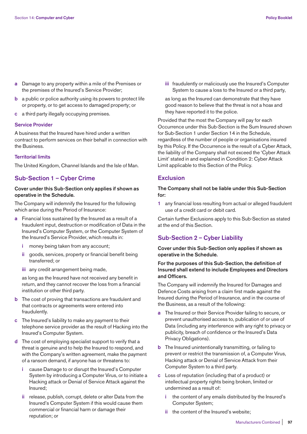- **a** Damage to any property within a mile of the Premises or the premises of the Insured's Service Provider;
- **b** a public or police authority using its powers to protect life or property, or to get access to damaged property; or
- **c** a third party illegally occupying premises.

#### **Service Provider**

A business that the Insured have hired under a written contract to perform services on their behalf in connection with the Business.

#### **Territorial limits**

The United Kingdom, Channel Islands and the Isle of Man.

# **Sub-Section 1 – Cyber Crime**

## **Cover under this Sub-Section only applies if shown as operative in the Schedule.**

The Company will indemnify the Insured for the following which arise during the Period of Insurance:

- **a** Financial loss sustained by the Insured as a result of a fraudulent input, destruction or modification of Data in the Insured's Computer System, or the Computer System of the Insured's Service Provider, which results in:
	- **i** money being taken from any account;
	- **ii** goods, services, property or financial benefit being transferred; or
	- **iii** any credit arrangement being made,

 as long as the Insured have not received any benefit in return, and they cannot recover the loss from a financial institution or other third party.

- **b** The cost of proving that transactions are fraudulent and that contracts or agreements were entered into fraudulently.
- **c** The Insured's liability to make any payment to their telephone service provider as the result of Hacking into the Insured's Computer System.
- **d** The cost of employing specialist support to verify that a threat is genuine and to help the Insured to respond, and with the Company's written agreement, make the payment of a ransom demand, if anyone has or threatens to:
	- **i** cause Damage to or disrupt the Insured's Computer System by introducing a Computer Virus, or to initiate a Hacking attack or Denial of Service Attack against the Insured;
	- **ii** release, publish, corrupt, delete or alter Data from the Insured's Computer System if this would cause them commercial or financial harm or damage their reputation; or

 **iii** fraudulently or maliciously use the Insured's Computer System to cause a loss to the Insured or a third party,

 as long as the Insured can demonstrate that they have good reason to believe that the threat is not a hoax and they have reported it to the police.

Provided that the most the Company will pay for each Occurrence under this Sub-Section is the Sum Insured shown for Sub-Section 1 under Section 14 in the Schedule, regardless of the number of people or organisations insured by this Policy. If the Occurrence is the result of a Cyber Attack, the liability of the Company shall not exceed the 'Cyber Attack Limit' stated in and explained in Condition 2: Cyber Attack Limit applicable to this Section of the Policy.

# **Exclusion**

**The Company shall not be liable under this Sub-Section for:** 

**1** any financial loss resulting from actual or alleged fraudulent use of a credit card or debit card.

Certain further Exclusions apply to this Sub-Section as stated at the end of this Section.

# **Sub-Section 2 – Cyber Liability**

**Cover under this Sub-Section only applies if shown as operative in the Schedule.** 

# **For the purposes of this Sub-Section, the definition of Insured shall extend to include Employees and Directors and Officers.**

The Company will indemnify the Insured for Damages and Defence Costs arising from a claim first made against the Insured during the Period of Insurance, and in the course of the Business, as a result of the following:

- **a** The Insured or their Service Provider failing to secure, or prevent unauthorised access to, publication of or use of Data (including any interference with any right to privacy or publicity, breach of confidence or the Insured's Data Privacy Obligations).
- **b** The Insured unintentionally transmitting, or failing to prevent or restrict the transmission of, a Computer Virus, Hacking attack or Denial of Service Attack from their Computer System to a third party.
- **c** Loss of reputation (including that of a product) or intellectual property rights being broken, limited or undermined as a result of:
	- **i** the content of any emails distributed by the Insured's Computer System;
	- **ii** the content of the Insured's website;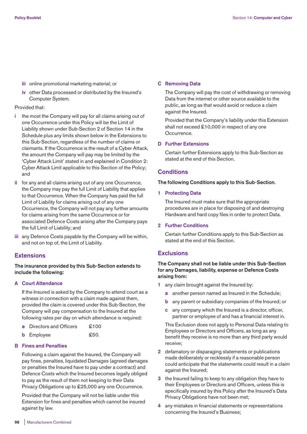- **iii** online promotional marketing material; or
- **iv** other Data processed or distributed by the Insured's Computer System.

## Provided that:

- **i** the most the Company will pay for all claims arising out of one Occurrence under this Policy will be the Limit of Liability shown under Sub-Section 2 of Section 14 in the Schedule plus any limits shown below in the Extensions to this Sub-Section, regardless of the number of claims or claimants. If the Occurrence is the result of a Cyber Attack, the amount the Company will pay may be limited by the 'Cyber Attack Limit' stated in and explained in Condition 2: Cyber Attack Limit applicable to this Section of the Policy; and
- **ii** for any and all claims arising out of any one Occurrence, the Company may pay the full Limit of Liability that applies to that Occurrence. When the Company has paid the full Limit of Liability for claims arising out of any one Occurrence, the Company will not pay any further amounts for claims arising from the same Occurrence or for associated Defence Costs arising after the Company pays the full Limit of Liability; and
- **iii** any Defence Costs payable by the Company will be within, and not on top of, the Limit of Liability.

## **Extensions**

## **The insurance provided by this Sub-Section extends to include the following:**

#### **A Court Attendance**

 If the Insured is asked by the Company to attend court as a witness in connection with a claim made against them, provided the claim is covered under this Sub-Section, the Company will pay compensation to the Insured at the following rates per day on which attendance is required:

| <b>a</b> Directors and Officers | £100 |
|---------------------------------|------|
|                                 |      |

**b** Employee  $\text{\$50.}$ 

## **B Fines and Penalties**

 Following a claim against the Insured, the Company will pay fines, penalties, liquidated Damages (agreed damages or penalties the Insured have to pay under a contract) and Defence Costs which the Insured becomes legally obliged to pay as the result of them not keeping to their Data Privacy Obligations up to £25,000 any one Occurrence.

 Provided that the Company will not be liable under this Extension for fines and penalties which cannot be insured against by law.

#### **C Removing Data**

 The Company will pay the cost of withdrawing or removing Data from the internet or other source available to the public, as long as that would avoid or reduce a claim against the Insured.

 Provided that the Company's liability under this Extension shall not exceed £10,000 in respect of any one Occurrence.

## **D Further Extensions**

 Certain further Extensions apply to this Sub-Section as stated at the end of this Section.

# **Conditions**

**The following Conditions apply to this Sub-Section.** 

**1 Protecting Data** 

 The Insured must make sure that the appropriate procedures are in place for disposing of and destroying Hardware and hard copy files in order to protect Data.

**2 Further Conditions** 

 Certain further Conditions apply to this Sub-Section as stated at the end of this Section.

#### **Exclusions**

# **The Company shall not be liable under this Sub-Section for any Damages, liability, expense or Defence Costs arising from:**

- **1** any claim brought against the Insured by:
	- **a** another person named as Insured in the Schedule;
	- **b** any parent or subsidiary companies of the Insured; or
	- **c** any company which the Insured is a director, officer, partner or employee of and has a financial interest in.

 This Exclusion does not apply to Personal Data relating to Employees or Directors and Officers, as long as any benefit they receive is no more than any third party would receive;

- **2** defamatory or disparaging statements or publications made deliberately or recklessly if a reasonable person could anticipate that the statements could result in a claim against the Insured;
- **3** the Insured failing to keep to any obligation they have to their Employees or Directors and Officers, unless this is specifically insured by this Policy after the Insured's Data Privacy Obligations have not been met;
- **4** any mistakes in financial statements or representations concerning the Insured's Business;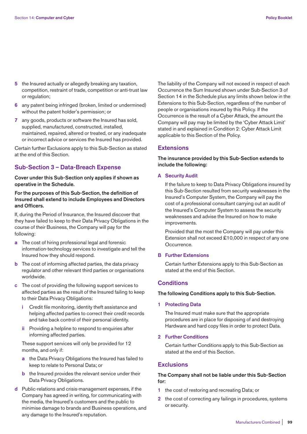- **5** the Insured actually or allegedly breaking any taxation, competition, restraint of trade, competition or anti-trust law or regulation;
- **6** any patent being infringed (broken, limited or undermined) without the patent holder's permission; or
- **7** any goods, products or software the Insured has sold, supplied, manufactured, constructed, installed, maintained, repaired, altered or treated, or any inadequate or incorrect advice or services the Insured has provided.

Certain further Exclusions apply to this Sub-Section as stated at the end of this Section.

# **Sub-Section 3 – Data-Breach Expense**

**Cover under this Sub-Section only applies if shown as operative in the Schedule.** 

# **For the purposes of this Sub-Section, the definition of Insured shall extend to include Employees and Directors and Officers.**

If, during the Period of Insurance, the Insured discover that they have failed to keep to their Data Privacy Obligations in the course of their Business, the Company will pay for the following:

- **a** The cost of hiring professional legal and forensic information-technology services to investigate and tell the Insured how they should respond.
- **b** The cost of informing affected parties, the data privacy regulator and other relevant third parties or organisations worldwide.
- **c** The cost of providing the following support services to affected parties as the result of the Insured failing to keep to their Data Privacy Obligations:
	- **i** Credit file monitoring, identity theft assistance and helping affected parties to correct their credit records and take back control of their personal identity.
	- **ii** Providing a helpline to respond to enquiries after informing affected parties.

 These support services will only be provided for 12 months, and only if:

- **a** the Data Privacy Obligations the Insured has failed to keep to relate to Personal Data; or
- **b** the Insured provides the relevant service under their Data Privacy Obligations.
- **d** Public-relations and crisis-management expenses, if the Company has agreed in writing, for communicating with the media, the Insured's customers and the public to minimise damage to brands and Business operations, and any damage to the Insured's reputation.

The liability of the Company will not exceed in respect of each Occurrence the Sum Insured shown under Sub-Section 3 of Section 14 in the Schedule plus any limits shown below in the Extensions to this Sub-Section, regardless of the number of people or organisations insured by this Policy. If the Occurrence is the result of a Cyber Attack, the amount the Company will pay may be limited by the 'Cyber Attack Limit' stated in and explained in Condition 2: Cyber Attack Limit applicable to this Section of the Policy.

# **Extensions**

# **The insurance provided by this Sub-Section extends to include the following:**

#### **A Security Audit**

 If the failure to keep to Data Privacy Obligations insured by this Sub-Section resulted from security weaknesses in the Insured's Computer System, the Company will pay the cost of a professional consultant carrying out an audit of the Insured's Computer System to assess the security weaknesses and advise the Insured on how to make improvements.

 Provided that the most the Company will pay under this Extension shall not exceed £10,000 in respect of any one Occurrence.

## **B Further Extensions**

 Certain further Extensions apply to this Sub-Section as stated at the end of this Section.

# **Conditions**

#### **The following Conditions apply to this Sub-Section.**

**1 Protecting Data** 

 The Insured must make sure that the appropriate procedures are in place for disposing of and destroying Hardware and hard copy files in order to protect Data.

#### **2 Further Conditions**

 Certain further Conditions apply to this Sub-Section as stated at the end of this Section.

# **Exclusions**

# **The Company shall not be liable under this Sub-Section for:**

- **1** the cost of restoring and recreating Data; or
- **2** the cost of correcting any failings in procedures, systems or security.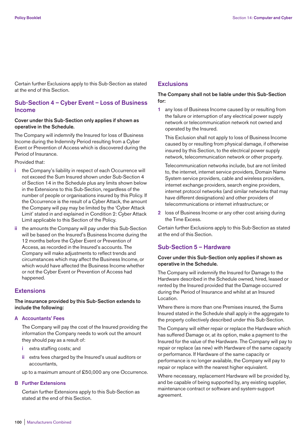Certain further Exclusions apply to this Sub-Section as stated at the end of this Section.

# **Sub-Section 4 – Cyber Event – Loss of Business Income**

#### **Cover under this Sub-Section only applies if shown as operative in the Schedule.**

The Company will indemnify the Insured for loss of Business Income during the Indemnity Period resulting from a Cyber Event or Prevention of Access which is discovered during the Period of Insurance.

Provided that:

- **i** the Company's liability in respect of each Occurrence will not exceed the Sum Insured shown under Sub-Section 4 of Section 14 in the Schedule plus any limits shown below in the Extensions to this Sub-Section, regardless of the number of people or organisations insured by this Policy. If the Occurrence is the result of a Cyber Attack, the amount the Company will pay may be limited by the 'Cyber Attack Limit' stated in and explained in Condition 2: Cyber Attack Limit applicable to this Section of the Policy.
- **ii** the amounts the Company will pay under this Sub-Section will be based on the Insured's Business Income during the 12 months before the Cyber Event or Prevention of Access, as recorded in the Insured's accounts. The Company will make adjustments to reflect trends and circumstances which may affect the Business Income, or which would have affected the Business Income whether or not the Cyber Event or Prevention of Access had happened.

# **Extensions**

# **The insurance provided by this Sub-Section extends to include the following:**

## **A Accountants' Fees**

 The Company will pay the cost of the Insured providing the information the Company needs to work out the amount they should pay as a result of:

- **i** extra staffing costs; and
- **ii** extra fees charged by the Insured's usual auditors or accountants,
- up to a maximum amount of £50,000 any one Occurrence.

# **B Further Extensions**

 Certain further Extensions apply to this Sub-Section as stated at the end of this Section.

# **Exclusions**

# **The Company shall not be liable under this Sub-Section for:**

**1** any loss of Business Income caused by or resulting from the failure or interruption of any electrical power supply network or telecommunication network not owned and operated by the Insured.

 This Exclusion shall not apply to loss of Business Income caused by or resulting from physical damage, if otherwise insured by this Section, to the electrical power supply network, telecommunication network or other property.

 Telecommunication networks include, but are not limited to, the internet, internet service providers, Domain Name System service providers, cable and wireless providers, internet exchange providers, search engine providers, internet protocol networks (and similar networks that may have different designations) and other providers of telecommunications or internet infrastructure; or

**2** loss of Business Income or any other cost arising during the Time Excess.

Certain further Exclusions apply to this Sub-Section as stated at the end of this Section.

# **Sub-Section 5 – Hardware**

# **Cover under this Sub-Section only applies if shown as operative in the Schedule.**

The Company will indemnify the Insured for Damage to the Hardware described in the Schedule owned, hired, leased or rented by the Insured provided that the Damage occurred during the Period of Insurance and whilst at an Insured Location.

Where there is more than one Premises insured, the Sums Insured stated in the Schedule shall apply in the aggregate to the property collectively described under this Sub-Section.

The Company will either repair or replace the Hardware which has suffered Damage or, at its option, make a payment to the Insured for the value of the Hardware. The Company will pay to repair or replace (as new) with Hardware of the same capacity or performance. If Hardware of the same capacity or performance is no longer available, the Company will pay to repair or replace with the nearest higher equivalent.

Where necessary, replacement Hardware will be provided by, and be capable of being supported by, any existing supplier, maintenance contract or software and system-support agreement.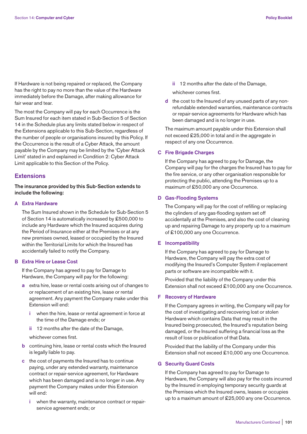If Hardware is not being repaired or replaced, the Company has the right to pay no more than the value of the Hardware immediately before the Damage, after making allowance for fair wear and tear.

The most the Company will pay for each Occurrence is the Sum Insured for each item stated in Sub-Section 5 of Section 14 in the Schedule plus any limits stated below in respect of the Extensions applicable to this Sub-Section, regardless of the number of people or organisations insured by this Policy. If the Occurrence is the result of a Cyber Attack, the amount payable by the Company may be limited by the 'Cyber Attack Limit' stated in and explained in Condition 2: Cyber Attack Limit applicable to this Section of the Policy.

# **Extensions**

**The insurance provided by this Sub-Section extends to include the following:** 

## **A Extra Hardware**

 The Sum Insured shown in the Schedule for Sub-Section 5 of Section 14 is automatically increased by £500,000 to include any Hardware which the Insured acquires during the Period of Insurance either at the Premises or at any new premises owned, leased or occupied by the Insured within the Territorial Limits for which the Insured has accidentally failed to notify the Company.

# **B Extra Hire or Lease Cost**

 If the Company has agreed to pay for Damage to Hardware, the Company will pay for the following:

- **a** extra hire, lease or rental costs arising out of changes to or replacement of an existing hire, lease or rental agreement. Any payment the Company make under this Extension will end:
	- **i** when the hire, lease or rental agreement in force at the time of the Damage ends; or
	- **ii** 12 months after the date of the Damage,

whichever comes first.

- **b** continuing hire, lease or rental costs which the Insured is legally liable to pay.
- **c** the cost of payments the Insured has to continue paying, under any extended warranty, maintenance contract or repair-service agreement, for Hardware which has been damaged and is no longer in use. Any payment the Company makes under this Extension will end:
	- **i** when the warranty, maintenance contract or repairservice agreement ends; or

**ii** 12 months after the date of the Damage,

whichever comes first.

 **d** the cost to the Insured of any unused parts of any nonrefundable extended warranties, maintenance contracts or repair-service agreements for Hardware which has been damaged and is no longer in use.

 The maximum amount payable under this Extension shall not exceed £25,000 in total and in the aggregate in respect of any one Occurrence.

## **C Fire Brigade Charges**

 If the Company has agreed to pay for Damage, the Company will pay for the charges the Insured has to pay for the fire service, or any other organisation responsible for protecting the public, attending the Premises up to a maximum of £50,000 any one Occurrence.

## **D Gas-Flooding Systems**

 The Company will pay for the cost of refilling or replacing the cylinders of any gas-flooding system set off accidentally at the Premises, and also the cost of cleaning up and repairing Damage to any property up to a maximum of £100,000 any one Occurrence.

## **E Incompatibility**

 If the Company has agreed to pay for Damage to Hardware, the Company will pay the extra cost of modifying the Insured's Computer System if replacement parts or software are incompatible with it.

 Provided that the liability of the Company under this Extension shall not exceed £100,000 any one Occurrence.

#### **F Recovery of Hardware**

 If the Company agrees in writing, the Company will pay for the cost of investigating and recovering lost or stolen Hardware which contains Data that may result in the Insured being prosecuted, the Insured's reputation being damaged, or the Insured suffering a financial loss as the result of loss or publication of that Data.

 Provided that the liability of the Company under this Extension shall not exceed £10,000 any one Occurrence.

#### **G Security Guard Costs**

 If the Company has agreed to pay for Damage to Hardware, the Company will also pay for the costs incurred by the Insured in employing temporary security guards at the Premises which the Insured owns, leases or occupies up to a maximum amount of £25,000 any one Occurrence.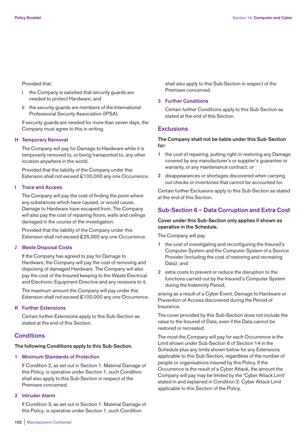Provided that:

- **i** the Company is satisfied that security guards are needed to protect Hardware; and
- **ii** the security guards are members of the International Professional Security Association (IPSA).

 If security guards are needed for more than seven days, the Company must agree to this in writing.

#### **H Temporary Removal**

 The Company will pay for Damage to Hardware while it is temporarily removed to, or being transported to, any other location anywhere in the world.

 Provided that the liability of the Company under this Extension shall not exceed £100,000 any one Occurrence.

#### **I Trace and Access**

 The Company will pay the cost of finding the point where any substances which have caused, or would cause, Damage to Hardware have escaped from. The Company will also pay the cost of repairing floors, walls and ceilings damaged in the course of the investigation.

 Provided that the liability of the Company under this Extension shall not exceed £25,000 any one Occurrence.

#### **J Waste Disposal Costs**

 If the Company has agreed to pay for Damage to Hardware, the Company will pay the cost of removing and disposing of damaged Hardware. The Company will also pay the cost of the Insured keeping to the Waste Electrical and Electronic Equipment Directive and any revisions to it.

 The maximum amount the Company will pay under this Extension shall not exceed £100,000 any one Occurrence.

## **K Further Extensions**

 Certain further Extensions apply to this Sub-Section as stated at the end of this Section.

# **Conditions**

#### **The following Conditions apply to this Sub-Section.**

#### **1 Minimum Standards of Protection**

 If Condition 2, as set out in Section 1: Material Damage of this Policy, is operative under Section 1, such Condition shall also apply to this Sub-Section in respect of the Premises concerned.

## **2 Intruder Alarm**

 If Condition 3, as set out in Section 1: Material Damage of this Policy, is operative under Section 1, such Condition

shall also apply to this Sub-Section in respect of the Premises concerned.

#### **3 Further Conditions**

 Certain further Conditions apply to this Sub-Section as stated at the end of this Section.

# **Exclusions**

# **The Company shall not be liable under this Sub-Section for:**

- **1** the cost of repairing, putting right or restoring any Damage covered by any manufacturer's or supplier's guarantee or warranty, or any maintenance contract; or
- **2** disappearances or shortages discovered when carrying out checks or inventories that cannot be accounted for.

Certain further Exclusions apply to this Sub-Section as stated at the end of this Section.

## **Sub-Section 6 – Data Corruption and Extra Cost**

# **Cover under this Sub-Section only applies if shown as operative in the Schedule.**

The Company will pay:

- **1** the cost of investigating and reconfiguring the Insured's Computer System and the Computer System of a Service Provider (including the cost of restoring and recreating Data); and
- **2** extra costs to prevent or reduce the disruption to the functions carried out by the Insured's Computer System during the Indemnity Period,

arising as a result of a Cyber Event, Damage to Hardware or Prevention of Access discovered during the Period of Insurance.

The cover provided by this Sub-Section does not include the value to the Insured of Data, even if the Data cannot be restored or recreated.

The most the Company will pay for each Occurrence is the Limit shown under Sub-Section 6 of Section 14 in the Schedule plus any limits shown below for any Extensions applicable to this Sub-Section, regardless of the number of people or organisations insured by this Policy. If the Occurrence is the result of a Cyber Attack, the amount the Company will pay may be limited by the 'Cyber Attack Limit' stated in and explained in Condition 2: Cyber Attack Limit applicable to this Section of the Policy.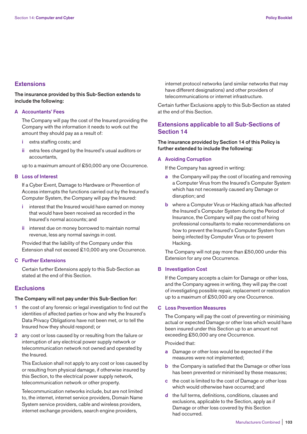# **Extensions**

# **The insurance provided by this Sub-Section extends to include the following:**

## **A Accountants' Fees**

 The Company will pay the cost of the Insured providing the Company with the information it needs to work out the amount they should pay as a result of:

- **i** extra staffing costs; and
- **ii** extra fees charged by the Insured's usual auditors or accountants,

up to a maximum amount of £50,000 any one Occurrence.

#### **B Loss of Interest**

 If a Cyber Event, Damage to Hardware or Prevention of Access interrupts the functions carried out by the Insured's Computer System, the Company will pay the Insured:

- **i** interest that the Insured would have earned on money that would have been received as recorded in the Insured's normal accounts; and
- **ii** interest due on money borrowed to maintain normal revenue, less any normal savings in cost.

 Provided that the liability of the Company under this Extension shall not exceed £10,000 any one Occurrence.

## **C Further Extensions**

 Certain further Extensions apply to this Sub-Section as stated at the end of this Section.

# **Exclusions**

## **The Company will not pay under this Sub-Section for:**

- **1** the cost of any forensic or legal investigation to find out the identities of affected parties or how and why the Insured's Data Privacy Obligations have not been met, or to tell the Insured how they should respond; or
- **2** any cost or loss caused by or resulting from the failure or interruption of any electrical power supply network or telecommunication network not owned and operated by the Insured.

 This Exclusion shall not apply to any cost or loss caused by or resulting from physical damage, if otherwise insured by this Section, to the electrical power supply network, telecommunication network or other property.

 Telecommunication networks include, but are not limited to, the internet, internet service providers, Domain Name System service providers, cable and wireless providers, internet exchange providers, search engine providers,

internet protocol networks (and similar networks that may have different designations) and other providers of telecommunications or internet infrastructure.

Certain further Exclusions apply to this Sub-Section as stated at the end of this Section.

# **Extensions applicable to all Sub-Sections of Section 14**

**The insurance provided by Section 14 of this Policy is further extended to include the following:** 

#### **A Avoiding Corruption**

If the Company has agreed in writing:

- **a** the Company will pay the cost of locating and removing a Computer Virus from the Insured's Computer System which has not necessarily caused any Damage or disruption; and
- **b** where a Computer Virus or Hacking attack has affected the Insured's Computer System during the Period of Insurance, the Company will pay the cost of hiring professional consultants to make recommendations on how to prevent the Insured's Computer System from being infected by Computer Virus or to prevent Hacking.

 The Company will not pay more than £50,000 under this Extension for any one Occurrence.

## **B Investigation Cost**

 If the Company accepts a claim for Damage or other loss, and the Company agrees in writing, they will pay the cost of investigating possible repair, replacement or restoration up to a maximum of £50,000 any one Occurrence.

# **C Loss Prevention Measures**

 The Company will pay the cost of preventing or minimising actual or expected Damage or other loss which would have been insured under this Section up to an amount not exceeding £50,000 any one Occurrence.

Provided that:

- **a** Damage or other loss would be expected if the measures were not implemented;
- **b** the Company is satisfied that the Damage or other loss has been prevented or minimised by these measures;
- **c** the cost is limited to the cost of Damage or other loss which would otherwise have occurred; and
- **d** the full terms, definitions, conditions, clauses and exclusions, applicable to the Section, apply as if Damage or other loss covered by this Section had occurred.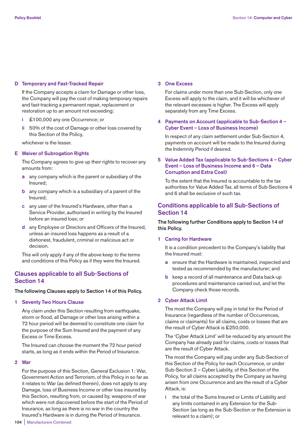## **D Temporary and Fast-Tracked Repair**

 If the Company accepts a claim for Damage or other loss, the Company will pay the cost of making temporary repairs and fast-tracking a permanent repair, replacement or restoration up to an amount not exceeding:

- **i** £100,000 any one Occurrence; or
- **ii** 50% of the cost of Damage or other loss covered by this Section of the Policy,

whichever is the lesser.

## **E Waiver of Subrogation Rights**

 The Company agrees to give up their rights to recover any amounts from:

- **a** any company which is the parent or subsidiary of the Insured;
- **b** any company which is a subsidiary of a parent of the Insured;
- **c** any user of the Insured's Hardware, other than a Service Provider, authorised in writing by the Insured before an insured loss; or
- **d** any Employee or Directors and Officers of the Insured, unless an insured loss happens as a result of a dishonest, fraudulent, criminal or malicious act or decision.

 This will only apply if any of the above keep to the terms and conditions of this Policy as if they were the Insured.

# **Clauses applicable to all Sub-Sections of Section 14**

#### **The following Clauses apply to Section 14 of this Policy.**

**1 Seventy Two Hours Clause** 

 Any claim under this Section resulting from earthquake, storm or flood, all Damage or other loss arising within a 72 hour period will be deemed to constitute one claim for the purpose of the Sum Insured and the payment of any Excess or Time Excess.

 The Insured can choose the moment the 72 hour period starts, as long as it ends within the Period of Insurance.

#### **2 War**

 For the purpose of this Section, General Exclusion 1: War, Government Action and Terrorism, of this Policy in so far as it relates to War (as defined therein), does not apply to any Damage, loss of Business Income or other loss insured by this Section, resulting from, or caused by, weapons of war which were not discovered before the start of the Period of Insurance, as long as there is no war in the country the Insured's Hardware is in during the Period of Insurance.

#### **3 One Excess**

 For claims under more than one Sub-Section, only one Excess will apply to the claim, and it will be whichever of the relevant excesses is higher. The Excess will apply separately from any Time Excess.

## **4 Payments on Account (applicable to Sub-Section 4 – Cyber Event – Loss of Business Income)**

 In respect of any claim settlement under Sub-Section 4, payments on account will be made to the Insured during the Indemnity Period if desired.

# **5 Value Added Tax (applicable to Sub-Sections 4 – Cyber Event – Loss of Business Income and 6 – Data Corruption and Extra Cost)**

 To the extent that the Insured is accountable to the tax authorities for Value Added Tax, all terms of Sub-Sections 4 and 6 shall be exclusive of such tax.

# **Conditions applicable to all Sub-Sections of Section 14**

# **The following further Conditions apply to Section 14 of this Policy.**

#### **1 Caring for Hardware**

 It is a condition precedent to the Company's liability that the Insured must:

- **a** ensure that the Hardware is maintained, inspected and tested as recommended by the manufacturer; and
- **b** keep a record of all maintenance and Data back-up procedures and maintenance carried out, and let the Company check those records.

## **2 Cyber Attack Limit**

 The most the Company will pay in total for the Period of Insurance (regardless of the number of Occurrences, claims or claimants) for all claims, costs or losses that are the result of Cyber Attack is £250,000.

 The 'Cyber Attack Limit' will be reduced by any amount the Company has already paid for claims, costs or losses that are the result of Cyber Attack.

 The most the Company will pay under any Sub-Section of this Section of the Policy for each Occurrence, or under Sub-Section 2 – Cyber Liability, of this Section of the Policy, for all claims accepted by the Company as having arisen from one Occurrence and are the result of a Cyber Attack, is:

 **i** the total of the Sums Insured or Limits of Liability and any limits contained in any Extension for the Sub-Section (as long as the Sub-Section or the Extension is relevant to a claim); or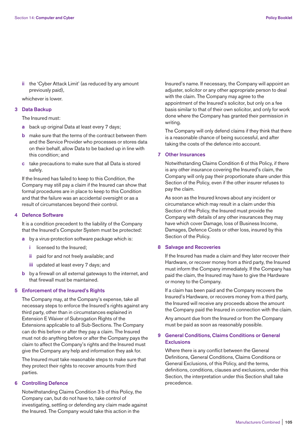**ii** the 'Cyber Attack Limit' (as reduced by any amount previously paid),

whichever is lower.

# **3 Data Backup**

The Insured must:

- **a** back up original Data at least every 7 days;
- **b** make sure that the terms of the contract between them and the Service Provider who processes or stores data on their behalf, allow Data to be backed up in line with this condition; and
- **c** take precautions to make sure that all Data is stored safely.

 If the Insured has failed to keep to this Condition, the Company may still pay a claim if the Insured can show that formal procedures are in place to keep to this Condition and that the failure was an accidental oversight or as a result of circumstances beyond their control.

#### **4 Defence Software**

 It is a condition precedent to the liability of the Company that the Insured's Computer System must be protected:

- **a** by a virus-protection software package which is:
	- **i** licensed to the Insured;
	- **ii** paid for and not freely available; and
	- **iii** updated at least every 7 days; and
- **b** by a firewall on all external gateways to the internet, and that firewall must be maintained.

## **5 Enforcement of the Insured's Rights**

 The Company may, at the Company's expense, take all necessary steps to enforce the Insured's rights against any third party, other than in circumstances explained in Extension E Waiver of Subrogation Rights of the Extensions applicable to all Sub-Sections. The Company can do this before or after they pay a claim. The Insured must not do anything before or after the Company pays the claim to affect the Company's rights and the Insured must give the Company any help and information they ask for.

 The Insured must take reasonable steps to make sure that they protect their rights to recover amounts from third parties.

#### **6 Controlling Defence**

 Notwithstanding Claims Condition 3 b of this Policy, the Company can, but do not have to, take control of investigating, settling or defending any claim made against the Insured. The Company would take this action in the

Insured's name. If necessary, the Company will appoint an adjuster, solicitor or any other appropriate person to deal with the claim. The Company may agree to the appointment of the Insured's solicitor, but only on a fee basis similar to that of their own solicitor, and only for work done where the Company has granted their permission in writing.

 The Company will only defend claims if they think that there is a reasonable chance of being successful, and after taking the costs of the defence into account.

#### **7 Other Insurances**

 Notwithstanding Claims Condition 6 of this Policy, if there is any other insurance covering the Insured's claim, the Company will only pay their proportionate share under this Section of the Policy, even if the other insurer refuses to pay the claim.

 As soon as the Insured knows about any incident or circumstance which may result in a claim under this Section of the Policy, the Insured must provide the Company with details of any other insurances they may have which cover Damage, loss of Business Income, Damages, Defence Costs or other loss, insured by this Section of the Policy.

#### **8 Salvage and Recoveries**

 If the Insured has made a claim and they later recover their Hardware, or recover money from a third party, the Insured must inform the Company immediately. If the Company has paid the claim, the Insured may have to give the Hardware or money to the Company.

 If a claim has been paid and the Company recovers the Insured's Hardware, or recovers money from a third party, the Insured will receive any proceeds above the amount the Company paid the Insured in connection with the claim.

 Any amount due from the Insured or from the Company must be paid as soon as reasonably possible.

#### **9 General Conditions, Claims Conditions or General Exclusions**

 Where there is any conflict between the General Definitions, General Conditions, Claims Conditions or General Exclusions, of this Policy, and the terms, definitions, conditions, clauses and exclusions, under this Section, the interpretation under this Section shall take precedence.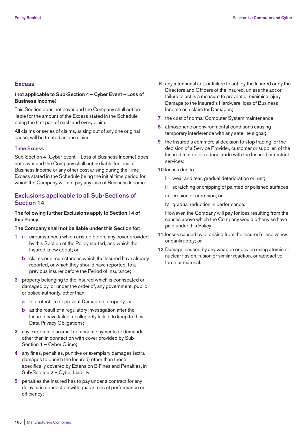# **Excess**

# **(not applicable to Sub-Section 4 – Cyber Event – Loss of Business Income)**

This Section does not cover and the Company shall not be liable for the amount of the Excess stated in the Schedule being the first part of each and every claim.

All claims or series of claims, arising out of any one original cause, will be treated as one claim.

#### **Time Excess**

Sub-Section 4 (Cyber Event – Loss of Business Income) does not cover and the Company shall not be liable for loss of Business Income or any other cost arising during the Time Excess stated in the Schedule being the initial time period for which the Company will not pay any loss of Business Income.

# **Exclusions applicable to all Sub-Sections of Section 14**

## **The following further Exclusions apply to Section 14 of this Policy.**

#### **The Company shall not be liable under this Section for:**

- **1 a** circumstances which existed before any cover provided by this Section of the Policy started, and which the Insured knew about; or
	- **b** claims or circumstances which the Insured have already reported, or which they should have reported, to a previous insurer before the Period of Insurance;
- **2** property belonging to the Insured which is confiscated or damaged by, or under the order of, any government, public or police authority, other than:
	- **a** to protect life or prevent Damage to property; or
	- **b** as the result of a regulatory investigation after the Insured have failed, or allegedly failed, to keep to their Data Privacy Obligations;
- **3** any extortion, blackmail or ransom payments or demands, other than in connection with cover provided by Sub-Section 1 – Cyber Crime;
- **4** any fines, penalties, punitive or exemplary damages (extra damages to punish the Insured) other than those specifically covered by Extension B Fines and Penalties, in Sub-Section 2 – Cyber Liability;
- **5** penalties the Insured has to pay under a contract for any delay or in connection with guarantees of performance or efficiency;
- **6** any intentional act, or failure to act, by the Insured or by the Directors and Officers of the Insured, unless the act or failure to act is a measure to prevent or minimise injury, Damage to the Insured's Hardware, loss of Business Income or a claim for Damages;
- **7** the cost of normal Computer System maintenance;
- **8** atmospheric or environmental conditions causing temporary interference with any satellite signal;
- **9** the Insured's commercial decision to stop trading, or the decision of a Service Provider, customer or supplier, of the Insured to stop or reduce trade with the Insured or restrict services;
- **10** losses due to:
	- **i** wear and tear, gradual deterioration or rust:
	- **ii** scratching or chipping of painted or polished surfaces;
	- **iii** erosion or corrosion; or
	- **iv** gradual reduction in performance.

 However, the Company will pay for loss resulting from the causes above which the Company would otherwise have paid under this Policy;

- **11** losses caused by or arising from the Insured's insolvency or bankruptcy; or
- **12** Damage caused by any weapon or device using atomic or nuclear fission, fusion or similar reaction, or radioactive force or material.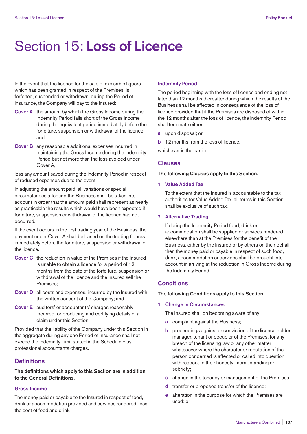# Section 15: **Loss of Licence**

In the event that the licence for the sale of excisable liquors which has been granted in respect of the Premises, is forfeited, suspended or withdrawn, during the Period of Insurance, the Company will pay to the Insured:

- **Cover A** the amount by which the Gross Income during the Indemnity Period falls short of the Gross Income during the equivalent period immediately before the forfeiture, suspension or withdrawal of the licence; and
- **Cover B** any reasonable additional expenses incurred in maintaining the Gross Income during the Indemnity Period but not more than the loss avoided under Cover A,

less any amount saved during the Indemnity Period in respect of reduced expenses due to the event.

In adjusting the amount paid, all variations or special circumstances affecting the Business shall be taken into account in order that the amount paid shall represent as nearly as practicable the results which would have been expected if forfeiture, suspension or withdrawal of the licence had not occurred.

If the event occurs in the first trading year of the Business, the payment under Cover A shall be based on the trading figures immediately before the forfeiture, suspension or withdrawal of the licence.

- **Cover C** the reduction in value of the Premises if the Insured is unable to obtain a licence for a period of 12 months from the date of the forfeiture, suspension or withdrawal of the licence and the Insured sell the Premises;
- **Cover D** all costs and expenses, incurred by the Insured with the written consent of the Company; and
- **Cover E** auditors' or accountants' charges reasonably incurred for producing and certifying details of a claim under this Section.

Provided that the liability of the Company under this Section in the aggregate during any one Period of Insurance shall not exceed the Indemnity Limit stated in the Schedule plus professional accountants charges.

# **Definitions**

**The definitions which apply to this Section are in addition to the General Definitions.** 

# **Gross Income**

The money paid or payable to the Insured in respect of food, drink or accommodation provided and services rendered, less the cost of food and drink.

#### **Indemnity Period**

The period beginning with the loss of licence and ending not later than 12 months thereafter during which the results of the Business shall be affected in consequence of the loss of licence provided that if the Premises are disposed of within the 12 months after the loss of licence, the Indemnity Period shall terminate either:

- **a** upon disposal; or
- **b** 12 months from the loss of licence,

whichever is the earlier.

## **Clauses**

## **The following Clauses apply to this Section.**

# **1 Value Added Tax**

 To the extent that the Insured is accountable to the tax authorities for Value Added Tax, all terms in this Section shall be exclusive of such tax.

## **2 Alternative Trading**

 If during the Indemnity Period food, drink or accommodation shall be supplied or services rendered, elsewhere than at the Premises for the benefit of the Business, either by the Insured or by others on their behalf then the money paid or payable in respect of such food, drink, accommodation or services shall be brought into account in arriving at the reduction in Gross Income during the Indemnity Period.

# **Conditions**

#### **The following Conditions apply to this Section.**

## **1 Change in Circumstances**

The Insured shall on becoming aware of any:

- **a** complaint against the Business;
- **b** proceedings against or conviction of the licence holder, manager, tenant or occupier of the Premises, for any breach of the licensing law or any other matter whatsoever where the character or reputation of the person concerned is affected or called into question with respect to their honesty, moral, standing or sobriety;
- **c** change in the tenancy or management of the Premises;
- **d** transfer or proposed transfer of the licence;
- **e** alteration in the purpose for which the Premises are used; or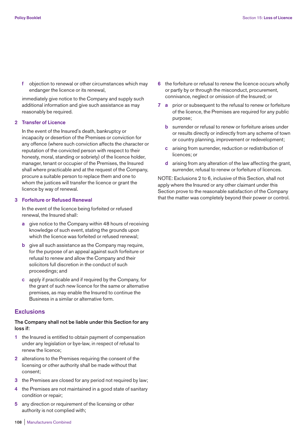**f** objection to renewal or other circumstances which may endanger the licence or its renewal,

 immediately give notice to the Company and supply such additional information and give such assistance as may reasonably be required.

#### **2 Transfer of Licence**

 In the event of the Insured's death, bankruptcy or incapacity or desertion of the Premises or conviction for any offence (where such conviction affects the character or reputation of the convicted person with respect to their honesty, moral, standing or sobriety) of the licence holder, manager, tenant or occupier of the Premises, the Insured shall where practicable and at the request of the Company, procure a suitable person to replace them and one to whom the justices will transfer the licence or grant the licence by way of renewal.

## **3 Forfeiture or Refused Renewal**

 In the event of the licence being forfeited or refused renewal, the Insured shall:

- **a** give notice to the Company within 48 hours of receiving knowledge of such event, stating the grounds upon which the licence was forfeited or refused renewal;
- **b** give all such assistance as the Company may require, for the purpose of an appeal against such forfeiture or refusal to renew and allow the Company and their solicitors full discretion in the conduct of such proceedings; and
- **c** apply if practicable and if required by the Company, for the grant of such new licence for the same or alternative premises, as may enable the Insured to continue the Business in a similar or alternative form.

#### **Exclusions**

## **The Company shall not be liable under this Section for any loss if:**

- **1** the Insured is entitled to obtain payment of compensation under any legislation or bye-law, in respect of refusal to renew the licence;
- **2** alterations to the Premises requiring the consent of the licensing or other authority shall be made without that consent;
- **3** the Premises are closed for any period not required by law;
- **4** the Premises are not maintained in a good state of sanitary condition or repair;
- **5** any direction or requirement of the licensing or other authority is not complied with;
- **6** the forfeiture or refusal to renew the licence occurs wholly or partly by or through the misconduct, procurement, connivance, neglect or omission of the Insured; or
- **7 a** prior or subsequent to the refusal to renew or forfeiture of the licence, the Premises are required for any public purpose;
	- **b** surrender or refusal to renew or forfeiture arises under or results directly or indirectly from any scheme of town or country planning, improvement or redevelopment;
	- **c** arising from surrender, reduction or redistribution of licences; or
	- **d** arising from any alteration of the law affecting the grant, surrender, refusal to renew or forfeiture of licences.

NOTE: Exclusions 2 to 6, inclusive of this Section, shall not apply where the Insured or any other claimant under this Section prove to the reasonable satisfaction of the Company that the matter was completely beyond their power or control.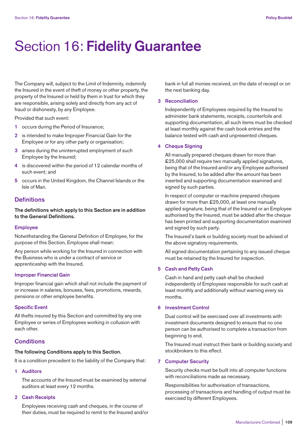# Section 16: **Fidelity Guarantee**

The Company will, subject to the Limit of Indemnity, indemnify the Insured in the event of theft of money or other property, the property of the Insured or held by them in trust for which they are responsible, arising solely and directly from any act of fraud or dishonesty, by any Employee.

Provided that such event:

- **1** occurs during the Period of Insurance;
- **2** is intended to make Improper Financial Gain for the Employee or for any other party or organisation;
- **3** arises during the uninterrupted employment of such Employee by the Insured;
- **4** is discovered within the period of 12 calendar months of such event; and
- **5** occurs in the United Kingdom, the Channel Islands or the Isle of Man.

## **Definitions**

**The definitions which apply to this Section are in addition to the General Definitions.** 

#### **Employee**

Notwithstanding the General Definition of Employee, for the purpose of this Section, Employee shall mean:

Any person while working for the Insured in connection with the Business who is under a contract of service or apprenticeship with the Insured.

## **Improper Financial Gain**

Improper financial gain which shall not include the payment of or increase in salaries, bonuses, fees, promotions, rewards, pensions or other employee benefits.

## **Specific Event**

All thefts insured by this Section and committed by any one Employee or series of Employees working in collusion with each other.

# **Conditions**

## **The following Conditions apply to this Section.**

It is a condition precedent to the liability of the Company that:

**1 Auditors** 

 The accounts of the Insured must be examined by external auditors at least every 12 months.

## **2 Cash Receipts**

 Employees receiving cash and cheques, in the course of their duties, must be required to remit to the Insured and/or bank in full all monies received, on the date of receipt or on the next banking day.

#### **3 Reconciliation**

 Independently of Employees required by the Insured to administer bank statements, receipts, counterfoils and supporting documentation, all such items must be checked at least monthly against the cash book entries and the balance tested with cash and unpresented cheques.

## **4 Cheque Signing**

 All manually prepared cheques drawn for more than £25,000 shall require two manually applied signatures, being that of the Insured and/or any Employee authorised by the Insured, to be added after the amount has been inserted and supporting documentation examined and signed by such parties.

 In respect of computer or machine prepared cheques drawn for more than £25,000, at least one manually applied signature, being that of the Insured or an Employee authorised by the Insured, must be added after the cheque has been printed and supporting documentation examined and signed by such party.

 The Insured's bank or building society must be advised of the above signatory requirements.

 All signed documentation pertaining to any issued cheque must be retained by the Insured for inspection.

## **5 Cash and Petty Cash**

 Cash in hand and petty cash shall be checked independently of Employees responsible for such cash at least monthly and additionally without warning every six months.

## **6 Investment Control**

 Dual control will be exercised over all investments with investment documents designed to ensure that no one person can be authorised to complete a transaction from beginning to end.

 The Insured must instruct their bank or building society and stockbrokers to this effect.

#### **7 Computer Security**

 Security checks must be built into all computer functions with reconciliations made as necessary.

 Responsibilities for authorisation of transactions, processing of transactions and handling of output must be exercised by different Employees.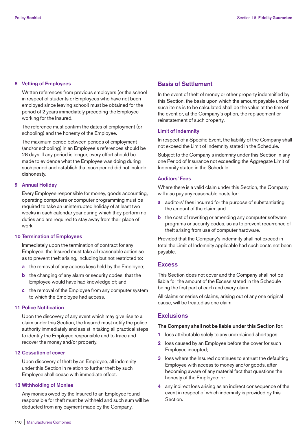## **8 Vetting of Employees**

 Written references from previous employers (or the school in respect of students or Employees who have not been employed since leaving school) must be obtained for the period of 2 years immediately preceding the Employee working for the Insured.

 The reference must confirm the dates of employment (or schooling) and the honesty of the Employee.

 The maximum period between periods of employment (and/or schooling) in an Employee's references should be 28 days. If any period is longer, every effort should be made to evidence what the Employee was doing during such period and establish that such period did not include dishonesty.

## **9 Annual Holiday**

 Every Employee responsible for money, goods accounting, operating computers or computer programming must be required to take an uninterrupted holiday of at least two weeks in each calendar year during which they perform no duties and are required to stay away from their place of work.

## **10 Termination of Employees**

 Immediately upon the termination of contract for any Employee, the Insured must take all reasonable action so as to prevent theft arising, including but not restricted to:

- **a** the removal of any access keys held by the Employee;
- **b** the changing of any alarm or security codes, that the Employee would have had knowledge of; and
- **c** the removal of the Employee from any computer system to which the Employee had access.

## **11 Police Notification**

 Upon the discovery of any event which may give rise to a claim under this Section, the Insured must notify the police authority immediately and assist in taking all practical steps to identify the Employee responsible and to trace and recover the money and/or property.

## **12 Cessation of cover**

 Upon discovery of theft by an Employee, all indemnity under this Section in relation to further theft by such Employee shall cease with immediate effect.

## **13 Withholding of Monies**

 Any monies owed by the Insured to an Employee found responsible for theft must be withheld and such sum will be deducted from any payment made by the Company.

# **Basis of Settlement**

In the event of theft of money or other property indemnified by this Section, the basis upon which the amount payable under such items is to be calculated shall be the value at the time of the event or, at the Company's option, the replacement or reinstatement of such property.

#### **Limit of Indemnity**

In respect of a Specific Event, the liability of the Company shall not exceed the Limit of Indemnity stated in the Schedule.

Subject to the Company's indemnity under this Section in any one Period of Insurance not exceeding the Aggregate Limit of Indemnity stated in the Schedule.

## **Auditors' Fees**

Where there is a valid claim under this Section, the Company will also pay any reasonable costs for:

- **a** auditors' fees incurred for the purpose of substantiating the amount of the claim; and
- **b** the cost of rewriting or amending any computer software programs or security codes, so as to prevent recurrence of theft arising from use of computer hardware.

Provided that the Company's indemnity shall not exceed in total the Limit of Indemnity applicable had such costs not been payable.

# **Excess**

This Section does not cover and the Company shall not be liable for the amount of the Excess stated in the Schedule being the first part of each and every claim.

All claims or series of claims, arising out of any one original cause, will be treated as one claim.

# **Exclusions**

## **The Company shall not be liable under this Section for:**

- **1** loss attributable solely to any unexplained shortages;
- **2** loss caused by an Employee before the cover for such Employee incepted;
- **3** loss where the Insured continues to entrust the defaulting Employee with access to money and/or goods, after becoming aware of any material fact that questions the honesty of the Employee; or
- **4** any indirect loss arising as an indirect consequence of the event in respect of which indemnity is provided by this Section.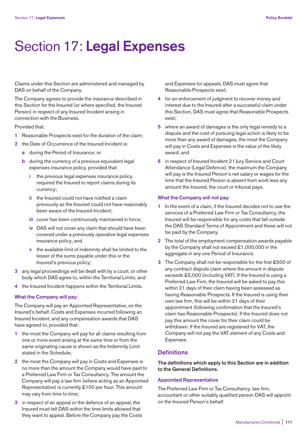# Section 17: **Legal Expenses**

Claims under this Section are administered and managed by DAS on behalf of the Company.

The Company agrees to provide the insurance described in this Section for the Insured (or where specified, the Insured Person) in respect of any Insured Incident arising in connection with the Business.

Provided that:

- **1** Reasonable Prospects exist for the duration of the claim;
- **2** the Date of Occurrence of the Insured Incident is:
	- **a** during the Period of Insurance; or
	- **b** during the currency of a previous equivalent legal expenses insurance policy, provided that:
		- **i** the previous legal expenses insurance policy required the Insured to report claims during its currency;
		- **ii** the Insured could not have notified a claim previously as the Insured could not have reasonably been aware of the Insured Incident;
		- **iii** cover has been continuously maintained in force;
		- **iv** DAS will not cover any claim that should have been covered under a previously operative legal expenses insurance policy; and
		- **v** the available limit of indemnity shall be limited to the lesser of the sums payable under this or the Insured's previous policy;
- **3** any legal proceedings will be dealt with by a court, or other body which DAS agree to, within the Territorial Limits; and
- **4** the Insured Incident happens within the Territorial Limits.

## **What the Company will pay:**

The Company will pay an Appointed Representative, on the Insured's behalf, Costs and Expenses incurred following an Insured Incident, and any compensation awards that DAS have agreed to, provided that:

- **1** the most the Company will pay for all claims resulting from one or more event arising at the same time or from the same originating cause is shown as the Indemnity Limit stated in the Schedule;
- **2** the most the Company will pay in Costs and Expenses is no more than the amount the Company would have paid to a Preferred Law Firm or Tax Consultancy. The amount the Company will pay a law firm (where acting as an Appointed Representative) is currently £100 per hour. This amount may vary from time to time;
- **3** in respect of an appeal or the defence of an appeal, the Insured must tell DAS within the time limits allowed that they want to appeal. Before the Company pay the Costs

and Expenses for appeals, DAS must agree that Reasonable Prospects exist;

- **4** for an enforcement of judgment to recover money and interest due to the Insured after a successful claim under this Section, DAS must agree that Reasonable Prospects exist;
- **5** where an award of damages is the only legal remedy to a dispute and the cost of pursuing legal action is likely to be more than any award of damages, the most the Company will pay in Costs and Expenses is the value of the likely award; and
- **6** in respect of Insured Incident 2 f Jury Service and Court Attendance (Legal Defence), the maximum the Company will pay is the Insured Person's net salary or wages for the time that the Insured Person is absent from work less any amount the Insured, the court or tribunal pays.

#### **What the Company will not pay:**

- **1** In the event of a claim, if the Insured decides not to use the services of a Preferred Law Firm or Tax Consultancy, the Insured will be responsible for any costs that fall outside the DAS Standard Terms of Appointment and these will not be paid by the Company.
- **2** The total of the employment compensation awards payable by the Company shall not exceed £1,000,000 in the aggregate in any one Period of Insurance.
- **3** The Company shall not be responsible for the first £500 of any contract dispute claim where the amount in dispute exceeds £5,000 (including VAT). If the Insured is using a Preferred Law Firm, the Insured will be asked to pay this within 21 days of their claim having been assessed as having Reasonable Prospects. If the Insured is using their own law firm, this will be within 21 days of their appointment (following confirmation that the Insured's claim has Reasonable Prospects). If the Insured does not pay this amount the cover for their claim could be withdrawn. If the Insured are registered for VAT, the Company will not pay the VAT element of any Costs and Expenses.

# **Definitions**

**The definitions which apply to this Section are in addition to the General Definitions.** 

## **Appointed Representative**

The Preferred Law Firm or Tax Consultancy, law firm, accountant or other suitably qualified person DAS will appoint on the Insured Person's behalf.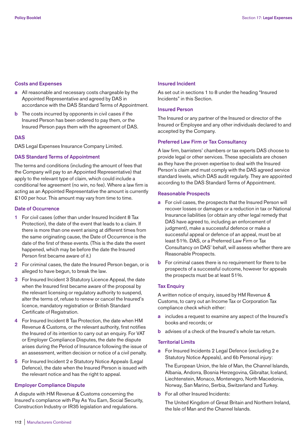## **Costs and Expenses**

- **a** All reasonable and necessary costs chargeable by the Appointed Representative and agreed by DAS in accordance with the DAS Standard Terms of Appointment.
- **b** The costs incurred by opponents in civil cases if the Insured Person has been ordered to pay them, or the Insured Person pays them with the agreement of DAS.

## **DAS**

DAS Legal Expenses Insurance Company Limited.

## **DAS Standard Terms of Appointment**

The terms and conditions (including the amount of fees that the Company will pay to an Appointed Representative) that apply to the relevant type of claim, which could include a conditional fee agreement (no win, no fee). Where a law firm is acting as an Appointed Representative the amount is currently £100 per hour. This amount may vary from time to time.

## **Date of Occurrence**

- **1** For civil cases (other than under Insured Incident 8 Tax Protection), the date of the event that leads to a claim. If there is more than one event arising at different times from the same originating cause, the Date of Occurrence is the date of the first of these events. (This is the date the event happened, which may be before the date the Insured Person first became aware of it.)
- **2** For criminal cases, the date the Insured Person began, or is alleged to have begun, to break the law.
- **3** For Insured Incident 3 Statutory Licence Appeal, the date when the Insured first became aware of the proposal by the relevant licensing or regulatory authority to suspend, alter the terms of, refuse to renew or cancel the Insured's licence, mandatory registration or British Standard Certificate of Registration.
- **4** For Insured Incident 8 Tax Protection, the date when HM Revenue & Customs, or the relevant authority, first notifies the Insured of its intention to carry out an enquiry. For VAT or Employer Compliance Disputes, the date the dispute arises during the Period of Insurance following the issue of an assessment, written decision or notice of a civil penalty.
- **5** For Insured Incident 2 e Statutory Notice Appeals (Legal Defence), the date when the Insured Person is issued with the relevant notice and has the right to appeal.

# **Employer Compliance Dispute**

A dispute with HM Revenue & Customs concerning the Insured's compliance with Pay As You Earn, Social Security, Construction Industry or IR35 legislation and regulations.

## **Insured Incident**

As set out in sections 1 to 8 under the heading "Insured Incidents" in this Section.

## **Insured Person**

The Insured or any partner of the Insured or director of the Insured or Employee and any other individuals declared to and accepted by the Company.

## **Preferred Law Firm or Tax Consultancy**

A law firm, barristers' chambers or tax experts DAS choose to provide legal or other services. These specialists are chosen as they have the proven expertise to deal with the Insured Person's claim and must comply with the DAS agreed service standard levels, which DAS audit regularly. They are appointed according to the DAS Standard Terms of Appointment.

## **Reasonable Prospects**

- **a** For civil cases, the prospects that the Insured Person will recover losses or damages or a reduction in tax or National Insurance liabilities (or obtain any other legal remedy that DAS have agreed to, including an enforcement of judgment), make a successful defence or make a successful appeal or defence of an appeal, must be at least 51%. DAS, or a Preferred Law Firm or Tax Consultancy on DAS' behalf, will assess whether there are Reasonable Prospects.
- **b** For criminal cases there is no requirement for there to be prospects of a successful outcome, however for appeals the prospects must be at least 51%.

# **Tax Enquiry**

A written notice of enquiry, issued by HM Revenue & Customs, to carry out an Income Tax or Corporation Tax compliance check which either:

- **a** includes a request to examine any aspect of the Insured's books and records; or
- **b** advises of a check of the Insured's whole tax return.

## **Territorial Limits**

**a** For Insured Incidents 2 Legal Defence (excluding 2 e Statutory Notice Appeals), and 6b Personal injury:

 The European Union, the Isle of Man, the Channel Islands, Albania, Andorra, Bosnia Herzegovina, Gibraltar, Iceland, Liechtenstein, Monaco, Montenegro, North Macedonia, Norway, San Marino, Serbia, Switzerland and Turkey.

**b** For all other Insured Incidents:

 The United Kingdom of Great Britain and Northern Ireland, the Isle of Man and the Channel Islands.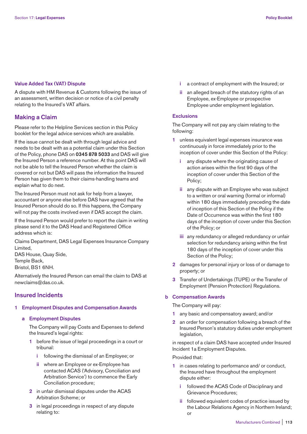#### **Value Added Tax (VAT) Dispute**

A dispute with HM Revenue & Customs following the issue of an assessment, written decision or notice of a civil penalty relating to the Insured's VAT affairs.

# **Making a Claim**

Please refer to the Helpline Services section in this Policy booklet for the legal advice services which are available.

If the issue cannot be dealt with through legal advice and needs to be dealt with as a potential claim under this Section of the Policy, phone DAS on **0345 878 5033** and DAS will give the Insured Person a reference number. At this point DAS will not be able to tell the Insured Person whether the claim is covered or not but DAS will pass the information the Insured Person has given them to their claims-handling teams and explain what to do next.

The Insured Person must not ask for help from a lawyer, accountant or anyone else before DAS have agreed that the Insured Person should do so. If this happens, the Company will not pay the costs involved even if DAS accept the claim.

If the Insured Person would prefer to report the claim in writing please send it to the DAS Head and Registered Office address which is:

Claims Department, DAS Legal Expenses Insurance Company Limited,

DAS House, Quay Side, Temple Back, Bristol, BS1 6NH.

Alternatively the Insured Person can email the claim to DAS at newclaims@das.co.uk.

# **Insured Incidents**

## **1 Employment Disputes and Compensation Awards**

 **a Employment Disputes** 

 The Company will pay Costs and Expenses to defend the Insured's legal rights:

- **1** before the issue of legal proceedings in a court or tribunal:
	- **i** following the dismissal of an Employee; or
	- **ii** where an Employee or ex-Employee has contacted ACAS ('Advisory, Conciliation and Arbitration Service') to commence the Early Conciliation procedure;
- **2** in unfair dismissal disputes under the ACAS Arbitration Scheme; or
- **3** in legal proceedings in respect of any dispute relating to:
- **i** a contract of employment with the Insured; or
- **ii** an alleged breach of the statutory rights of an Employee, ex-Employee or prospective Employee under employment legislation.

## **Exclusions**

 The Company will not pay any claim relating to the following:

- **1** unless equivalent legal expenses insurance was continuously in force immediately prior to the inception of cover under this Section of the Policy:
	- **i** any dispute where the originating cause of action arises within the first 90 days of the inception of cover under this Section of the Policy;
	- **ii** any dispute with an Employee who was subject to a written or oral warning (formal or informal) within 180 days immediately preceding the date of inception of this Section of the Policy if the Date of Occurrence was within the first 180 days of the inception of cover under this Section of the Policy; or
	- **iii** any redundancy or alleged redundancy or unfair selection for redundancy arising within the first 180 days of the inception of cover under this Section of the Policy;
- **2** damages for personal injury or loss of or damage to property; or
- **3** Transfer of Undertakings (TUPE) or the Transfer of Employment (Pension Protection) Regulations.

# **b Compensation Awards**

The Company will pay:

- **1** any basic and compensatory award; and/or
- **2** an order for compensation following a breach of the Insured Person's statutory duties under employment legislation,

 in respect of a claim DAS have accepted under Insured Incident 1a Employment Disputes.

Provided that:

- **1** in cases relating to performance and/ or conduct, the Insured have throughout the employment dispute either:
	- **i** followed the ACAS Code of Disciplinary and Grievance Procedures;
	- **ii** followed equivalent codes of practice issued by the Labour Relations Agency in Northern Ireland; or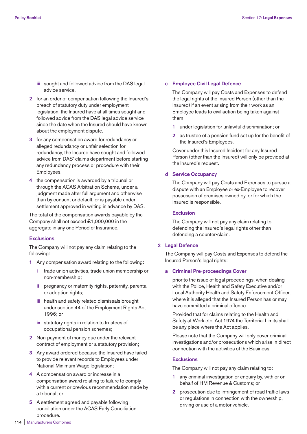- **iii** sought and followed advice from the DAS legal advice service.
- **2** for an order of compensation following the Insured's breach of statutory duty under employment legislation, the Insured have at all times sought and followed advice from the DAS legal advice service since the date when the Insured should have known about the employment dispute.
- **3** for any compensation award for redundancy or alleged redundancy or unfair selection for redundancy, the Insured have sought and followed advice from DAS' claims department before starting any redundancy process or procedure with their Employees.
- **4** the compensation is awarded by a tribunal or through the ACAS Arbitration Scheme, under a judgment made after full argument and otherwise than by consent or default, or is payable under settlement approved in writing in advance by DAS.

 The total of the compensation awards payable by the Company shall not exceed £1,000,000 in the aggregate in any one Period of Insurance.

#### **Exclusions**

 The Company will not pay any claim relating to the following:

- **1** Any compensation award relating to the following:
	- **i** trade union activities, trade union membership or non-membership;
	- **ii** pregnancy or maternity rights, paternity, parental or adoption rights;
	- **iii** health and safety related dismissals brought under section 44 of the Employment Rights Act 1996; or
	- **iv** statutory rights in relation to trustees of occupational pension schemes;
- **2** Non-payment of money due under the relevant contract of employment or a statutory provision;
- **3** Any award ordered because the Insured have failed to provide relevant records to Employees under National Minimum Wage legislation;
- **4** A compensation award or increase in a compensation award relating to failure to comply with a current or previous recommendation made by a tribunal; or
- **5** A settlement agreed and payable following conciliation under the ACAS Early Conciliation procedure.

## **c Employee Civil Legal Defence**

 The Company will pay Costs and Expenses to defend the legal rights of the Insured Person (other than the Insured) if an event arising from their work as an Employee leads to civil action being taken against them:

- **1** under legislation for unlawful discrimination; or
- **2** as trustee of a pension fund set up for the benefit of the Insured's Employees.

 Cover under this Insured Incident for any Insured Person (other than the Insured) will only be provided at the Insured's request.

## **d Service Occupancy**

 The Company will pay Costs and Expenses to pursue a dispute with an Employee or ex-Employee to recover possession of premises owned by, or for which the Insured is responsible.

## **Exclusion**

 The Company will not pay any claim relating to defending the Insured's legal rights other than defending a counter-claim.

#### **2 Legal Defence**

 The Company will pay Costs and Expenses to defend the Insured Person's legal rights:

## **a Criminal Pre-proceedings Cover**

 prior to the issue of legal proceedings, when dealing with the Police, Health and Safety Executive and/or Local Authority Health and Safety Enforcement Officer, where it is alleged that the Insured Person has or may have committed a criminal offence.

 Provided that for claims relating to the Health and Safety at Work etc. Act 1974 the Territorial Limits shall be any place where the Act applies.

 Please note that the Company will only cover criminal investigations and/or prosecutions which arise in direct connection with the activities of the Business.

#### **Exclusions**

The Company will not pay any claim relating to:

- **1** any criminal investigation or enquiry by, with or on behalf of HM Revenue & Customs; or
- **2** prosecution due to infringement of road traffic laws or regulations in connection with the ownership, driving or use of a motor vehicle.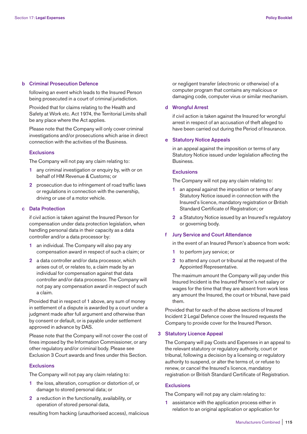#### **b Criminal Prosecution Defence**

 following an event which leads to the Insured Person being prosecuted in a court of criminal jurisdiction.

 Provided that for claims relating to the Health and Safety at Work etc. Act 1974, the Territorial Limits shall be any place where the Act applies.

 Please note that the Company will only cover criminal investigations and/or prosecutions which arise in direct connection with the activities of the Business.

#### **Exclusions**

The Company will not pay any claim relating to:

- **1** any criminal investigation or enquiry by, with or on behalf of HM Revenue & Customs; or
- **2** prosecution due to infringement of road traffic laws or regulations in connection with the ownership, driving or use of a motor vehicle.

## **c Data Protection**

 if civil action is taken against the Insured Person for compensation under data protection legislation, when handling personal data in their capacity as a data controller and/or a data processor by:

- **1** an individual. The Company will also pay any compensation award in respect of such a claim; or
- **2** a data controller and/or data processor, which arises out of, or relates to, a claim made by an individual for compensation against that data controller and/or data processor. The Company will not pay any compensation award in respect of such a claim.

 Provided that in respect of 1 above, any sum of money in settlement of a dispute is awarded by a court under a judgment made after full argument and otherwise than by consent or default, or is payable under settlement approved in advance by DAS.

 Please note that the Company will not cover the cost of fines imposed by the Information Commissioner, or any other regulatory and/or criminal body. Please see Exclusion 3 Court awards and fines under this Section.

#### **Exclusions**

The Company will not pay any claim relating to:

- **1** the loss, alteration, corruption or distortion of, or damage to stored personal data; or
- **2** a reduction in the functionality, availability, or operation of stored personal data,

resulting from hacking (unauthorised access), malicious

or negligent transfer (electronic or otherwise) of a computer program that contains any malicious or damaging code, computer virus or similar mechanism.

## **d Wrongful Arrest**

 if civil action is taken against the Insured for wrongful arrest in respect of an accusation of theft alleged to have been carried out during the Period of Insurance.

#### **e Statutory Notice Appeals**

 in an appeal against the imposition or terms of any Statutory Notice issued under legislation affecting the Business.

## **Exclusions**

The Company will not pay any claim relating to:

- **1** an appeal against the imposition or terms of any Statutory Notice issued in connection with the Insured's licence, mandatory registration or British Standard Certificate of Registration; or
- **2** a Statutory Notice issued by an Insured's regulatory or governing body.

#### **f Jury Service and Court Attendance**

in the event of an Insured Person's absence from work:

- **1** to perform jury service; or
- **2** to attend any court or tribunal at the request of the Appointed Representative.

 The maximum amount the Company will pay under this Insured Incident is the Insured Person's net salary or wages for the time that they are absent from work less any amount the Insured, the court or tribunal, have paid them.

 Provided that for each of the above sections of Insured Incident 2 Legal Defence cover the Insured requests the Company to provide cover for the Insured Person.

#### **3 Statutory Licence Appeal**

 The Company will pay Costs and Expenses in an appeal to the relevant statutory or regulatory authority, court or tribunal, following a decision by a licensing or regulatory authority to suspend, or alter the terms of, or refuse to renew, or cancel the Insured's licence, mandatory registration or British Standard Certificate of Registration.

## **Exclusions**

The Company will not pay any claim relating to:

 **1** assistance with the application process either in relation to an original application or application for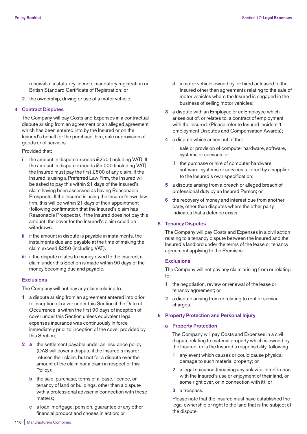renewal of a statutory licence, mandatory registration or British Standard Certificate of Registration; or

**2** the ownership, driving or use of a motor vehicle.

## **4 Contract Disputes**

 The Company will pay Costs and Expenses in a contractual dispute arising from an agreement or an alleged agreement which has been entered into by the Insured or on the Insured's behalf for the purchase, hire, sale or provision of goods or of services.

Provided that:

- **i** the amount in dispute exceeds £250 (including VAT). If the amount in dispute exceeds £5,000 (including VAT), the Insured must pay the first £500 of any claim. If the Insured is using a Preferred Law Firm, the Insured will be asked to pay this within 21 days of the Insured's claim having been assessed as having Reasonable Prospects. If the Insured is using the Insured's own law firm, this will be within 21 days of their appointment (following confirmation that the Insured's claim has Reasonable Prospects). If the Insured does not pay this amount, the cover for the Insured's claim could be withdrawn.
- **ii** if the amount in dispute is payable in instalments, the instalments due and payable at the time of making the claim exceed £250 (including VAT).
- **iii** if the dispute relates to money owed to the Insured, a claim under this Section is made within 90 days of the money becoming due and payable.

## **Exclusions**

The Company will not pay any claim relating to:

- **1** a dispute arising from an agreement entered into prior to inception of cover under this Section if the Date of Occurrence is within the first 90 days of inception of cover under this Section unless equivalent legal expenses insurance was continuously in force immediately prior to inception of the cover provided by this Section;
- **2 a** the settlement payable under an insurance policy (DAS will cover a dispute if the Insured's insurer refuses their claim, but not for a dispute over the amount of the claim nor a claim in respect of this Policy);
	- **b** the sale, purchase, terms of a lease, licence, or tenancy of land or buildings, other than a dispute with a professional adviser in connection with these matters;
	- **c** a loan, mortgage, pension, guarantee or any other financial product and choses in action; or
- **d** a motor vehicle owned by, or hired or leased to the Insured other than agreements relating to the sale of motor vehicles where the Insured is engaged in the business of selling motor vehicles;
- **3** a dispute with an Employee or ex-Employee which arises out of, or relates to, a contract of employment with the Insured. (Please refer to Insured Incident 1 Employment Disputes and Compensation Awards);
- **4** a dispute which arises out of the:
	- **i** sale or provision of computer hardware, software, systems or services; or
	- **ii** the purchase or hire of computer hardware, software, systems or services tailored by a supplier to the Insured's own specification;
- **5** a dispute arising from a breach or alleged breach of professional duty by an Insured Person; or
- **6** the recovery of money and interest due from another party, other than disputes where the other party indicates that a defence exists.

## **5 Tenancy Disputes**

 The Company will pay Costs and Expenses in a civil action relating to a tenancy dispute between the Insured and the Insured's landlord under the terms of the lease or tenancy agreement applying to the Premises.

#### **Exclusions**

 The Company will not pay any claim arising from or relating to:

- **1** the negotiation, review or renewal of the lease or tenancy agreement; or
- **2** a dispute arising from or relating to rent or service charges.

## **6 Property Protection and Personal Injury**

## **a Property Protection**

 The Company will pay Costs and Expenses in a civil dispute relating to material property which is owned by the Insured, or is the Insured's responsibility, following:

- **1** any event which causes or could cause physical damage to such material property; or
- **2** a legal nuisance (meaning any unlawful interference with the Insured's use or enjoyment of their land, or some right over, or in connection with it); or
- **3** a trespass.

 Please note that the Insured must have established the legal ownership or right to the land that is the subject of the dispute.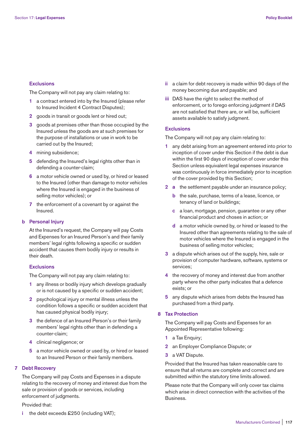#### **Exclusions**

The Company will not pay any claim relating to:

- **1** a contract entered into by the Insured (please refer to Insured Incident 4 Contract Disputes);
- **2** goods in transit or goods lent or hired out;
- **3** goods at premises other than those occupied by the Insured unless the goods are at such premises for the purpose of installations or use in work to be carried out by the Insured;
- **4** mining subsidence;
- **5** defending the Insured's legal rights other than in defending a counter-claim;
- **6** a motor vehicle owned or used by, or hired or leased to the Insured (other than damage to motor vehicles where the Insured is engaged in the business of selling motor vehicles); or
- **7** the enforcement of a covenant by or against the Insured.

#### **b Personal Injury**

 At the Insured's request, the Company will pay Costs and Expenses for an Insured Person's and their family members' legal rights following a specific or sudden accident that causes them bodily injury or results in their death.

#### **Exclusions**

The Company will not pay any claim relating to:

- **1** any illness or bodily injury which develops gradually or is not caused by a specific or sudden accident;
- **2** psychological injury or mental illness unless the condition follows a specific or sudden accident that has caused physical bodily injury;
- **3** the defence of an Insured Person's or their family members' legal rights other than in defending a counter-claim;
- **4** clinical negligence; or
- **5** a motor vehicle owned or used by, or hired or leased to an Insured Person or their family members.

#### **7 Debt Recovery**

 The Company will pay Costs and Expenses in a dispute relating to the recovery of money and interest due from the sale or provision of goods or services, including enforcement of judgments.

## Provided that:

**i** the debt exceeds £250 (including VAT);

- **ii** a claim for debt recovery is made within 90 days of the money becoming due and payable; and
- **iii** DAS have the right to select the method of enforcement, or to forego enforcing judgment if DAS are not satisfied that there are, or will be, sufficient assets available to satisfy judgment.

#### **Exclusions**

The Company will not pay any claim relating to:

- **1** any debt arising from an agreement entered into prior to inception of cover under this Section if the debt is due within the first 90 days of inception of cover under this Section unless equivalent legal expenses insurance was continuously in force immediately prior to inception of the cover provided by this Section;
- **2 a** the settlement payable under an insurance policy;
	- **b** the sale, purchase, terms of a lease, licence, or tenancy of land or buildings;
	- **c** a loan, mortgage, pension, guarantee or any other financial product and choses in action; or
	- **d** a motor vehicle owned by, or hired or leased to the Insured other than agreements relating to the sale of motor vehicles where the Insured is engaged in the business of selling motor vehicles;
- **3** a dispute which arises out of the supply, hire, sale or provision of computer hardware, software, systems or services;
- **4** the recovery of money and interest due from another party where the other party indicates that a defence exists; or
- **5** any dispute which arises from debts the Insured has purchased from a third party.

## **8 Tax Protection**

 The Company will pay Costs and Expenses for an Appointed Representative following:

- **1** a Tax Enquiry;
- **2** an Employer Compliance Dispute; or
- **3** a VAT Dispute.

 Provided that the Insured has taken reasonable care to ensure that all returns are complete and correct and are submitted within the statutory time limits allowed.

 Please note that the Company will only cover tax claims which arise in direct connection with the activities of the Business.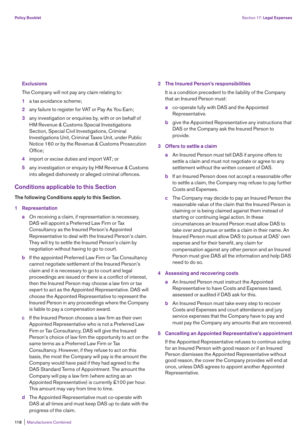#### **Exclusions**

The Company will not pay any claim relating to:

- **1** a tax avoidance scheme;
- **2** any failure to register for VAT or Pay As You Earn;
- **3** any investigation or enquiries by, with or on behalf of HM Revenue & Customs Special Investigations Section, Special Civil Investigations, Criminal Investigations Unit, Criminal Taxes Unit, under Public Notice 160 or by the Revenue & Customs Prosecution Office;
- **4** import or excise duties and import VAT; or
- **5** any investigation or enquiry by HM Revenue & Customs into alleged dishonesty or alleged criminal offences.

# **Conditions applicable to this Section**

## **The following Conditions apply to this Section.**

- **1 Representation** 
	- **a** On receiving a claim, if representation is necessary, DAS will appoint a Preferred Law Firm or Tax Consultancy as the Insured Person's Appointed Representative to deal with the Insured Person's claim. They will try to settle the Insured Person's claim by negotiation without having to go to court.
	- **b** If the appointed Preferred Law Firm or Tax Consultancy cannot negotiate settlement of the Insured Person's claim and it is necessary to go to court and legal proceedings are issued or there is a conflict of interest, then the Insured Person may choose a law firm or tax expert to act as the Appointed Representative. DAS will choose the Appointed Representative to represent the Insured Person in any proceedings where the Company is liable to pay a compensation award.
	- **c** If the Insured Person chooses a law firm as their own Appointed Representative who is not a Preferred Law Firm or Tax Consultancy, DAS will give the Insured Person's choice of law firm the opportunity to act on the same terms as a Preferred Law Firm or Tax Consultancy. However, if they refuse to act on this basis, the most the Company will pay is the amount the Company would have paid if they had agreed to the DAS Standard Terms of Appointment. The amount the Company will pay a law firm (where acting as an Appointed Representative) is currently £100 per hour. This amount may vary from time to time.
	- **d** The Appointed Representative must co-operate with DAS at all times and must keep DAS up to date with the progress of the claim.

#### **2 The Insured Person's responsibilities**

 It is a condition precedent to the liability of the Company that an Insured Person must:

- **a** co-operate fully with DAS and the Appointed Representative.
- **b** give the Appointed Representative any instructions that DAS or the Company ask the Insured Person to provide.

#### **3 Offers to settle a claim**

- **a** An Insured Person must tell DAS if anyone offers to settle a claim and must not negotiate or agree to any settlement without the written consent of DAS.
- **b** If an Insured Person does not accept a reasonable offer to settle a claim, the Company may refuse to pay further Costs and Expenses.
- **c** The Company may decide to pay an Insured Person the reasonable value of the claim that the Insured Person is claiming or is being claimed against them instead of starting or continuing legal action. In these circumstances an Insured Person must allow DAS to take over and pursue or settle a claim in their name. An Insured Person must allow DAS to pursue at DAS' own expense and for their benefit, any claim for compensation against any other person and an Insured Person must give DAS all the information and help DAS need to do so.

## **4 Assessing and recovering costs**

- **a** An Insured Person must instruct the Appointed Representative to have Costs and Expenses taxed, assessed or audited if DAS ask for this.
- **b** An Insured Person must take every step to recover Costs and Expenses and court attendance and jury service expenses that the Company have to pay and must pay the Company any amounts that are recovered.

#### **5 Cancelling an Appointed Representative's appointment**

 If the Appointed Representative refuses to continue acting for an Insured Person with good reason or if an Insured Person dismisses the Appointed Representative without good reason, the cover the Company provides will end at once, unless DAS agrees to appoint another Appointed Representative.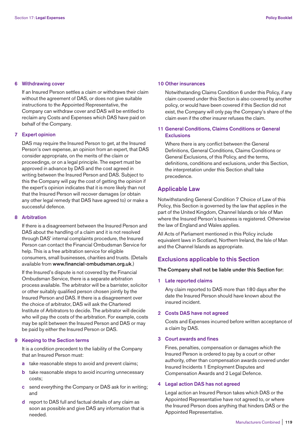#### **6 Withdrawing cover**

 If an Insured Person settles a claim or withdraws their claim without the agreement of DAS, or does not give suitable instructions to the Appointed Representative, the Company can withdraw cover and DAS will be entitled to reclaim any Costs and Expenses which DAS have paid on behalf of the Company.

## **7 Expert opinion**

 DAS may require the Insured Person to get, at the Insured Person's own expense, an opinion from an expert, that DAS consider appropriate, on the merits of the claim or proceedings, or on a legal principle. The expert must be approved in advance by DAS and the cost agreed in writing between the Insured Person and DAS. Subject to this the Company will pay the cost of getting the opinion if the expert's opinion indicates that it is more likely than not that the Insured Person will recover damages (or obtain any other legal remedy that DAS have agreed to) or make a successful defence.

# **8 Arbitration**

 If there is a disagreement between the Insured Person and DAS about the handling of a claim and it is not resolved through DAS' internal complaints procedure, the Insured Person can contact the Financial Ombudsman Service for help. This is a free arbitration service for eligible consumers, small businesses, charities and trusts. (Details available from **www.financial-ombudsman.org.uk**.)

 If the Insured's dispute is not covered by the Financial Ombudsman Service, there is a separate arbitration process available. The arbitrator will be a barrister, solicitor or other suitably qualified person chosen jointly by the Insured Person and DAS. If there is a disagreement over the choice of arbitrator, DAS will ask the Chartered Institute of Arbitrators to decide. The arbitrator will decide who will pay the costs of the arbitration. For example, costs may be split between the Insured Person and DAS or may be paid by either the Insured Person or DAS.

#### **9 Keeping to the Section terms**

 It is a condition precedent to the liability of the Company that an Insured Person must:

- **a** take reasonable steps to avoid and prevent claims;
- **b** take reasonable steps to avoid incurring unnecessary costs;
- **c** send everything the Company or DAS ask for in writing; and
- **d** report to DAS full and factual details of any claim as soon as possible and give DAS any information that is needed.

#### **10 Other insurances**

 Notwithstanding Claims Condition 6 under this Policy, if any claim covered under this Section is also covered by another policy, or would have been covered if this Section did not exist, the Company will only pay the Company's share of the claim even if the other insurer refuses the claim.

# **11 General Conditions, Claims Conditions or General Exclusions**

 Where there is any conflict between the General Definitions, General Conditions, Claims Conditions or General Exclusions, of this Policy, and the terms, definitions, conditions and exclusions, under this Section, the interpretation under this Section shall take precedence.

# **Applicable Law**

Notwithstanding General Condition 7 Choice of Law of this Policy, this Section is governed by the law that applies in the part of the United Kingdom, Channel Islands or Isle of Man where the Insured Person's business is registered. Otherwise the law of England and Wales applies.

All Acts of Parliament mentioned in this Policy include equivalent laws in Scotland, Northern Ireland, the Isle of Man and the Channel Islands as appropriate.

# **Exclusions applicable to this Section**

#### **The Company shall not be liable under this Section for:**

#### **1 Late reported claims**

 Any claim reported to DAS more than 180 days after the date the Insured Person should have known about the insured incident.

## **2 Costs DAS have not agreed**

 Costs and Expenses incurred before written acceptance of a claim by DAS.

## **3 Court awards and fines**

 Fines, penalties, compensation or damages which the Insured Person is ordered to pay by a court or other authority, other than compensation awards covered under Insured Incidents 1 Employment Disputes and Compensation Awards and 2 Legal Defence.

#### **4 Legal action DAS has not agreed**

 Legal action an Insured Person takes which DAS or the Appointed Representative have not agreed to, or where the Insured Person does anything that hinders DAS or the Appointed Representative.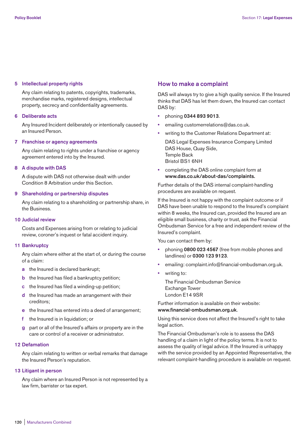### **5 Intellectual property rights**

 Any claim relating to patents, copyrights, trademarks, merchandise marks, registered designs, intellectual property, secrecy and confidentiality agreements.

## **6 Deliberate acts**

 Any Insured Incident deliberately or intentionally caused by an Insured Person.

#### **7 Franchise or agency agreements**

Any claim relating to rights under a franchise or agency agreement entered into by the Insured.

#### **8 A dispute with DAS**

 A dispute with DAS not otherwise dealt with under Condition 8 Arbitration under this Section.

### **9 Shareholding or partnership disputes**

 Any claim relating to a shareholding or partnership share, in the Business.

#### **10 Judicial review**

 Costs and Expenses arising from or relating to judicial review, coroner's inquest or fatal accident inquiry.

#### **11 Bankruptcy**

 Any claim where either at the start of, or during the course of a claim:

- **a** the Insured is declared bankrupt:
- **b** the Insured has filed a bankruptcy petition;
- **c** the Insured has filed a winding-up petition;
- **d** the Insured has made an arrangement with their creditors;
- **e** the Insured has entered into a deed of arrangement;
- **f** the Insured is in liquidation; or
- **g** part or all of the Insured's affairs or property are in the care or control of a receiver or administrator.

## **12 Defamation**

 Any claim relating to written or verbal remarks that damage the Insured Person's reputation.

#### **13 Litigant in person**

 Any claim where an Insured Person is not represented by a law firm, barrister or tax expert.

## **How to make a complaint**

DAS will always try to give a high quality service. If the Insured thinks that DAS has let them down, the Insured can contact DAS by:

- **•** phoning **0344 893 9013**.
- **•** emailing customerrelations@das.co.uk.
- **•** writing to the Customer Relations Department at: DAS Legal Expenses Insurance Company Limited DAS House, Quay Side, Temple Back Bristol BS1 6NH
- **•** completing the DAS online complaint form at **www.das.co.uk/about-das/complaints.**

Further details of the DAS internal complaint-handling procedures are available on request.

If the Insured is not happy with the complaint outcome or if DAS have been unable to respond to the Insured's complaint within 8 weeks, the Insured can, provided the Insured are an eligible small business, charity or trust, ask the Financial Ombudsman Service for a free and independent review of the Insured's complaint.

You can contact them by:

- **•** phoning **0800 023 4567** (free from mobile phones and landlines) or **0300 123 9123**.
- emailing: complaint.info@financial-ombudsman.org.uk.
- **•** writing to:

 The Financial Ombudsman Service Exchange Tower London E14 9SR

Further information is available on their website: **www.financial-ombudsman.org.uk**.

Using this service does not affect the Insured's right to take legal action.

The Financial Ombudsman's role is to assess the DAS handling of a claim in light of the policy terms. It is not to assess the quality of legal advice. If the Insured is unhappy with the service provided by an Appointed Representative, the relevant complaint-handling procedure is available on request.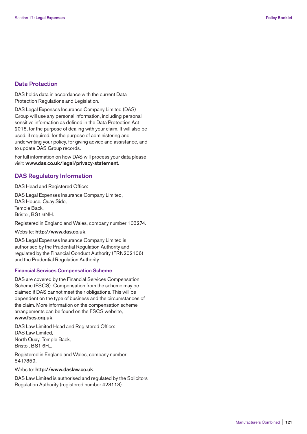# **Data Protection**

DAS holds data in accordance with the current Data Protection Regulations and Legislation.

DAS Legal Expenses Insurance Company Limited (DAS) Group will use any personal information, including personal sensitive information as defined in the Data Protection Act 2018, for the purpose of dealing with your claim. It will also be used, if required, for the purpose of administering and underwriting your policy, for giving advice and assistance, and to update DAS Group records.

For full information on how DAS will process your data please visit: **www.das.co.uk/legal/privacy-statement**.

# **DAS Regulatory Information**

DAS Head and Registered Office:

DAS Legal Expenses Insurance Company Limited, DAS House, Quay Side, Temple Back, Bristol, BS1 6NH.

Registered in England and Wales, company number 103274.

#### Website: **http://www.das.co.uk**.

DAS Legal Expenses Insurance Company Limited is authorised by the Prudential Regulation Authority and regulated by the Financial Conduct Authority (FRN202106) and the Prudential Regulation Authority.

## **Financial Services Compensation Scheme**

DAS are covered by the Financial Services Compensation Scheme (FSCS). Compensation from the scheme may be claimed if DAS cannot meet their obligations. This will be dependent on the type of business and the circumstances of the claim. More information on the compensation scheme arrangements can be found on the FSCS website, **www.fscs.org.uk**.

DAS Law Limited Head and Registered Office: DAS Law Limited, North Quay, Temple Back, Bristol, BS1 6FL.

Registered in England and Wales, company number 5417859.

## Website: **http://www.daslaw.co.uk**.

DAS Law Limited is authorised and regulated by the Solicitors Regulation Authority (registered number 423113).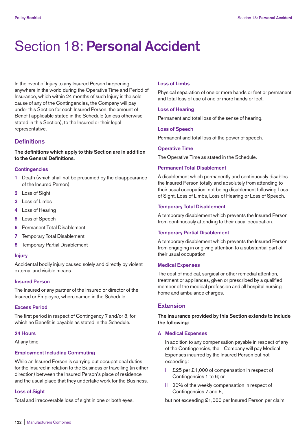# Section 18: **Personal Accident**

In the event of Injury to any Insured Person happening anywhere in the world during the Operative Time and Period of Insurance, which within 24 months of such Injury is the sole cause of any of the Contingencies, the Company will pay under this Section for each Insured Person, the amount of Benefit applicable stated in the Schedule (unless otherwise stated in this Section), to the Insured or their legal representative.

# **Definitions**

**The definitions which apply to this Section are in addition to the General Definitions.** 

#### **Contingencies**

- **1** Death (which shall not be presumed by the disappearance of the Insured Person)
- **2** Loss of Sight
- **3** Loss of Limbs
- **4** Loss of Hearing
- **5** Loss of Speech
- **6** Permanent Total Disablement
- **7** Temporary Total Disablement
- **8** Temporary Partial Disablement

## **Injury**

Accidental bodily injury caused solely and directly by violent external and visible means.

## **Insured Person**

The Insured or any partner of the Insured or director of the Insured or Employee, where named in the Schedule.

# **Excess Period**

The first period in respect of Contingency 7 and/or 8, for which no Benefit is payable as stated in the Schedule.

#### **24 Hours**

At any time.

#### **Employment Including Commuting**

While an Insured Person is carrying out occupational duties for the Insured in relation to the Business or travelling (in either direction) between the Insured Person's place of residence and the usual place that they undertake work for the Business.

## **Loss of Sight**

Total and irrecoverable loss of sight in one or both eyes.

#### **Loss of Limbs**

Physical separation of one or more hands or feet or permanent and total loss of use of one or more hands or feet.

## **Loss of Hearing**

Permanent and total loss of the sense of hearing.

## **Loss of Speech**

Permanent and total loss of the power of speech.

#### **Operative Time**

The Operative Time as stated in the Schedule.

#### **Permanent Total Disablement**

A disablement which permanently and continuously disables the Insured Person totally and absolutely from attending to their usual occupation, not being disablement following Loss of Sight, Loss of Limbs, Loss of Hearing or Loss of Speech.

## **Temporary Total Disablement**

A temporary disablement which prevents the Insured Person from continuously attending to their usual occupation.

#### **Temporary Partial Disablement**

A temporary disablement which prevents the Insured Person from engaging in or giving attention to a substantial part of their usual occupation.

## **Medical Expenses**

The cost of medical, surgical or other remedial attention, treatment or appliances, given or prescribed by a qualified member of the medical profession and all hospital nursing home and ambulance charges.

# **Extension**

**The insurance provided by this Section extends to include the following:** 

#### **A Medical Expenses**

 In addition to any compensation payable in respect of any of the Contingencies, the Company will pay Medical Expenses incurred by the Insured Person but not exceeding:

- **i** £25 per £1,000 of compensation in respect of Contingencies 1 to 6; or
- **ii** 20% of the weekly compensation in respect of Contingencies 7 and 8,

but not exceeding £1,000 per Insured Person per claim.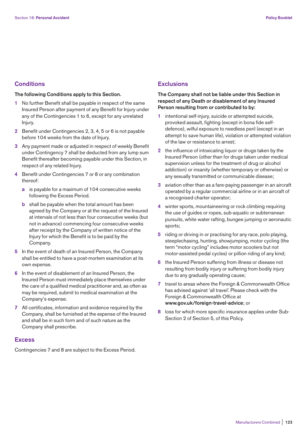# **Conditions**

## **The following Conditions apply to this Section.**

- **1** No further Benefit shall be payable in respect of the same Insured Person after payment of any Benefit for Injury under any of the Contingencies 1 to 6, except for any unrelated Injury.
- **2** Benefit under Contingencies 2, 3, 4, 5 or 6 is not payable before 104 weeks from the date of Injury.
- **3** Any payment made or adjusted in respect of weekly Benefit under Contingency 7 shall be deducted from any lump sum Benefit thereafter becoming payable under this Section, in respect of any related Injury.
- **4** Benefit under Contingencies 7 or 8 or any combination thereof:
	- **a** is payable for a maximum of 104 consecutive weeks following the Excess Period.
	- **b** shall be payable when the total amount has been agreed by the Company or at the request of the Insured at intervals of not less than four consecutive weeks (but not in advance) commencing four consecutive weeks after receipt by the Company of written notice of the Injury for which the Benefit is to be paid by the Company.
- **5** In the event of death of an Insured Person, the Company shall be entitled to have a post-mortem examination at its own expense.
- **6** In the event of disablement of an Insured Person, the Insured Person must immediately place themselves under the care of a qualified medical practitioner and, as often as may be required, submit to medical examination at the Company's expense.
- **7** All certificates, information and evidence required by the Company, shall be furnished at the expense of the Insured and shall be in such form and of such nature as the Company shall prescribe.

# **Excess**

Contingencies 7 and 8 are subject to the Excess Period.

# **Exclusions**

# **The Company shall not be liable under this Section in respect of any Death or disablement of any Insured Person resulting from or contributed to by:**

- **1** intentional self-injury, suicide or attempted suicide, provoked assault, fighting (except in bona fide selfdefence), wilful exposure to needless peril (except in an attempt to save human life), violation or attempted violation of the law or resistance to arrest;
- **2** the influence of intoxicating liquor or drugs taken by the Insured Person (other than for drugs taken under medical supervision unless for the treatment of drug or alcohol addiction) or insanity (whether temporary or otherwise) or any sexually transmitted or communicable disease;
- **3** aviation other than as a fare-paying passenger in an aircraft operated by a regular commercial airline or in an aircraft of a recognised charter operator;
- **4** winter sports, mountaineering or rock climbing requiring the use of guides or ropes, sub-aquatic or subterranean pursuits, white water rafting, bungee jumping or aeronautic sports;
- **5** riding or driving in or practising for any race, polo playing, steeplechasing, hunting, showjumping, motor cycling (the term "motor cycling" includes motor scooters but not motor-assisted pedal cycles) or pillion riding of any kind;
- **6** the Insured Person suffering from illness or disease not resulting from bodily injury or suffering from bodily injury due to any gradually operating cause;
- **7** travel to areas where the Foreign & Commonwealth Office has advised against 'all travel'. Please check with the Foreign & Commonwealth Office at **www.gov.uk/foreign-travel-advice**; or
- **8** loss for which more specific insurance applies under Sub-Section 2 of Section 5, of this Policy.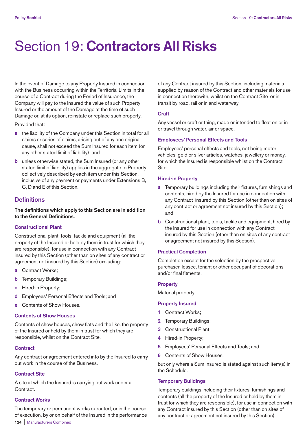# Section 19: **Contractors All Risks**

In the event of Damage to any Property Insured in connection with the Business occurring within the Territorial Limits in the course of a Contract during the Period of Insurance, the Company will pay to the Insured the value of such Property Insured or the amount of the Damage at the time of such Damage or, at its option, reinstate or replace such property. Provided that:

**a** the liability of the Company under this Section in total for all claims or series of claims, arising out of any one original cause, shall not exceed the Sum Insured for each item (or any other stated limit of liability); and

**b** unless otherwise stated, the Sum Insured (or any other stated limit of liability) applies in the aggregate to Property collectively described by each item under this Section, inclusive of any payment or payments under Extensions B, C, D and E of this Section.

# **Definitions**

**The definitions which apply to this Section are in addition to the General Definitions.** 

## **Constructional Plant**

Constructional plant, tools, tackle and equipment (all the property of the Insured or held by them in trust for which they are responsible), for use in connection with any Contract insured by this Section (other than on sites of any contract or agreement not insured by this Section) excluding:

- **a** Contract Works;
- **b** Temporary Buildings;
- **c** Hired-in Property;
- **d** Employees' Personal Effects and Tools; and
- **e** Contents of Show Houses.

#### **Contents of Show Houses**

Contents of show houses, show flats and the like, the property of the Insured or held by them in trust for which they are responsible, whilst on the Contract Site.

## **Contract**

Any contract or agreement entered into by the Insured to carry out work in the course of the Business.

## **Contract Site**

A site at which the Insured is carrying out work under a Contract.

## **Contract Works**

The temporary or permanent works executed, or in the course of execution, by or on behalf of the Insured in the performance of any Contract insured by this Section, including materials supplied by reason of the Contract and other materials for use in connection therewith, whilst on the Contract Site or in transit by road, rail or inland waterway.

## **Craft**

Any vessel or craft or thing, made or intended to float on or in or travel through water, air or space.

## **Employees' Personal Effects and Tools**

Employees' personal effects and tools, not being motor vehicles, gold or silver articles, watches, jewellery or money, for which the Insured is responsible whilst on the Contract Site.

## **Hired-in Property**

- **a** Temporary buildings including their fixtures, furnishings and contents, hired by the Insured for use in connection with any Contract insured by this Section (other than on sites of any contract or agreement not insured by this Section); and
- **b** Constructional plant, tools, tackle and equipment, hired by the Insured for use in connection with any Contract insured by this Section (other than on sites of any contract or agreement not insured by this Section).

## **Practical Completion**

Completion except for the selection by the prospective purchaser, lessee, tenant or other occupant of decorations and/or final fitments.

## **Property**

Material property.

## **Property Insured**

- **1** Contract Works;
- **2** Temporary Buildings;
- **3** Constructional Plant;
- **4** Hired-in Property;
- **5** Employees' Personal Effects and Tools; and
- **6** Contents of Show Houses,

but only where a Sum Insured is stated against such item(s) in the Schedule.

## **Temporary Buildings**

Temporary buildings including their fixtures, furnishings and contents (all the property of the Insured or held by them in trust for which they are responsible), for use in connection with any Contract insured by this Section (other than on sites of any contract or agreement not insured by this Section).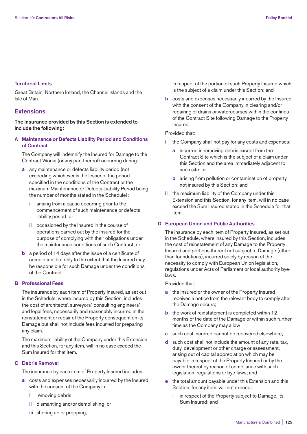## **Territorial Limits**

Great Britain, Northern Ireland, the Channel Islands and the Isle of Man.

# **Extensions**

**The insurance provided by this Section is extended to include the following:** 

**A Maintenance or Defects Liability Period and Conditions of Contract** 

 The Company will indemnify the Insured for Damage to the Contract Works (or any part thereof) occurring during:

- **a** any maintenance or defects liability period (not exceeding whichever is the lesser of the period specified in the conditions of the Contract or the maximum Maintenance or Defects Liability Period being the number of months stated in the Schedule):
	- **i** arising from a cause occurring prior to the commencement of such maintenance or defects liability period; or
	- **ii** occasioned by the Insured in the course of operations carried out by the Insured for the purpose of complying with their obligations under the maintenance conditions of such Contract; or
- **b** a period of 14 days after the issue of a certificate of completion, but only to the extent that the Insured may be responsible for such Damage under the conditions of the Contract.

#### **B Professional Fees**

 The insurance by each item of Property Insured, as set out in the Schedule, where insured by this Section, includes the cost of architects', surveyors', consulting engineers' and legal fees, necessarily and reasonably incurred in the reinstatement or repair of the Property consequent on its Damage but shall not include fees incurred for preparing any claim.

 The maximum liability of the Company under this Extension and this Section, for any item, will in no case exceed the Sum Insured for that item.

## **C Debris Removal**

The insurance by each item of Property Insured includes:

- **a** costs and expenses necessarily incurred by the Insured with the consent of the Company in:
	- **i** removing debris;
	- **ii** dismantling and/or demolishing; or
	- **iii** shoring up or propping,

 in respect of the portion of such Property Insured which is the subject of a claim under this Section; and

 **b** costs and expenses necessarily incurred by the Insured with the consent of the Company in clearing and/or repairing of drains or watercourses within the confines of the Contract Site following Damage to the Property Insured.

Provided that:

- **i** the Company shall not pay for any costs and expenses:
	- **a** incurred in removing debris except from the Contract Site which is the subject of a claim under this Section and the area immediately adjacent to such site; or
	- **b** arising from pollution or contamination of property not insured by this Section; and
- **ii** the maximum liability of the Company under this Extension and this Section, for any item, will in no case exceed the Sum Insured stated in the Schedule for that item.

## **D European Union and Public Authorities**

 The insurance by each item of Property Insured, as set out in the Schedule, where insured by this Section, includes the cost of reinstatement of any Damage to the Property Insured and portions thereof not subject to Damage (other than foundations), incurred solely by reason of the necessity to comply with European Union legislation, regulations under Acts of Parliament or local authority byelaws.

## Provided that:

- **a** the Insured or the owner of the Property Insured receives a notice from the relevant body to comply after the Damage occurs;
- **b** the work of reinstatement is completed within 12 months of the date of the Damage or within such further time as the Company may allow;
- **c** such cost incurred cannot be recovered elsewhere;
- **d** such cost shall not include the amount of any rate, tax, duty, development or other charge or assessment, arising out of capital appreciation which may be payable in respect of the Property Insured or by the owner thereof by reason of compliance with such legislation, regulations or bye-laws; and
- **e** the total amount payable under this Extension and this Section, for any item, will not exceed:
	- **i** in respect of the Property subject to Damage, its Sum Insured; and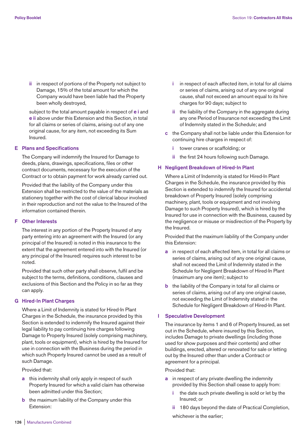**ii** in respect of portions of the Property not subject to Damage, 15% of the total amount for which the Company would have been liable had the Property been wholly destroyed,

 subject to the total amount payable in respect of **e i** and **e ii** above under this Extension and this Section, in total for all claims or series of claims, arising out of any one original cause, for any item, not exceeding its Sum Insured.

#### **E Plans and Specifications**

 The Company will indemnify the Insured for Damage to deeds, plans, drawings, specifications, files or other contract documents, necessary for the execution of the Contract or to obtain payment for work already carried out.

 Provided that the liability of the Company under this Extension shall be restricted to the value of the materials as stationery together with the cost of clerical labour involved in their reproduction and not the value to the Insured of the information contained therein.

#### **F Other Interests**

 The interest in any portion of the Property Insured of any party entering into an agreement with the Insured (or any principal of the Insured) is noted in this insurance to the extent that the agreement entered into with the Insured (or any principal of the Insured) requires such interest to be noted.

 Provided that such other party shall observe, fulfil and be subject to the terms, definitions, conditions, clauses and exclusions of this Section and the Policy in so far as they can apply.

### **G Hired-In Plant Charges**

 Where a Limit of Indemnity is stated for Hired-In Plant Charges in the Schedule, the insurance provided by this Section is extended to indemnify the Insured against their legal liability to pay continuing hire charges following Damage to Property Insured (solely comprising machinery, plant, tools or equipment), which is hired by the Insured for use in connection with the Business during the period in which such Property Insured cannot be used as a result of such Damage.

Provided that:

- **a** this indemnity shall only apply in respect of such Property Insured for which a valid claim has otherwise been admitted under this Section;
- **b** the maximum liability of the Company under this Extension:
- **i** in respect of each affected item, in total for all claims or series of claims, arising out of any one original cause, shall not exceed an amount equal to its hire charges for 90 days; subject to
- **ii** the liability of the Company in the aggregate during any one Period of Insurance not exceeding the Limit of Indemnity stated in the Schedule; and
- **c** the Company shall not be liable under this Extension for continuing hire charges in respect of:
	- **i** tower cranes or scaffolding; or
	- **ii** the first 24 hours following such Damage.

## **H Negligent Breakdown of Hired-In Plant**

 Where a Limit of Indemnity is stated for Hired-In Plant Charges in the Schedule, the insurance provided by this Section is extended to indemnify the Insured for accidental breakdown of Property Insured (solely comprising machinery, plant, tools or equipment and not involving Damage to such Property Insured), which is hired by the Insured for use in connection with the Business, caused by the negligence or misuse or misdirection of the Property by the Insured.

 Provided that the maximum liability of the Company under this Extension:

- **a** in respect of each affected item, in total for all claims or series of claims, arising out of any one original cause, shall not exceed the Limit of Indemnity stated in the Schedule for Negligent Breakdown of Hired-In Plant (maximum any one item); subject to
- **b** the liability of the Company in total for all claims or series of claims, arising out of any one original cause, not exceeding the Limit of Indemnity stated in the Schedule for Negligent Breakdown of Hired-In Plant.

## **I Speculative Development**

 The insurance by items 1 and 6 of Property Insured, as set out in the Schedule, where insured by this Section, includes Damage to private dwellings (including those used for show purposes and their contents) and other buildings, erected, altered or renovated for sale or letting out by the Insured other than under a Contract or agreement for a principal.

Provided that:

- **a** in respect of any private dwelling the indemnity provided by this Section shall cease to apply from:
	- **i** the date such private dwelling is sold or let by the Insured; or
	- **ii** 180 days beyond the date of Practical Completion,

whichever is the earlier;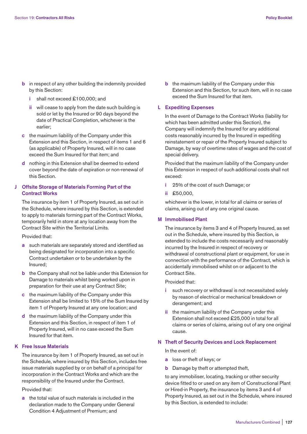- **b** in respect of any other building the indemnity provided by this Section:
	- **i** shall not exceed £100,000; and
	- **ii** will cease to apply from the date such building is sold or let by the Insured or 90 days beyond the date of Practical Completion, whichever is the earlier;
- **c** the maximum liability of the Company under this Extension and this Section, in respect of items 1 and 6 (as applicable) of Property Insured, will in no case exceed the Sum Insured for that item; and
- **d** nothing in this Extension shall be deemed to extend cover beyond the date of expiration or non-renewal of this Section.

# **J Offsite Storage of Materials Forming Part of the Contract Works**

 The insurance by item 1 of Property Insured, as set out in the Schedule, where insured by this Section, is extended to apply to materials forming part of the Contract Works, temporarily held in store at any location away from the Contract Site within the Territorial Limits.

Provided that:

- **a** such materials are separately stored and identified as being designated for incorporation into a specific Contract undertaken or to be undertaken by the Insured;
- **b** the Company shall not be liable under this Extension for Damage to materials whilst being worked upon in preparation for their use at any Contract Site;
- **c** the maximum liability of the Company under this Extension shall be limited to 15% of the Sum Insured by item 1 of Property Insured at any one location; and
- **d** the maximum liability of the Company under this Extension and this Section, in respect of item 1 of Property Insured, will in no case exceed the Sum Insured for that item.

# **K Free Issue Materials**

 The insurance by item 1 of Property Insured, as set out in the Schedule, where insured by this Section, includes free issue materials supplied by or on behalf of a principal for incorporation in the Contract Works and which are the responsibility of the Insured under the Contract.

Provided that:

 **a** the total value of such materials is included in the declaration made to the Company under General Condition 4 Adjustment of Premium; and

**b** the maximum liability of the Company under this Extension and this Section, for such item, will in no case exceed the Sum Insured for that item.

## **L Expediting Expenses**

 In the event of Damage to the Contract Works (liability for which has been admitted under this Section), the Company will indemnify the Insured for any additional costs reasonably incurred by the Insured in expediting reinstatement or repair of the Property Insured subject to Damage, by way of overtime rates of wages and the cost of special delivery.

 Provided that the maximum liability of the Company under this Extension in respect of such additional costs shall not exceed:

- **i** 25% of the cost of such Damage; or
- **ii** £50,000,

 whichever is the lower, in total for all claims or series of claims, arising out of any one original cause.

#### **M Immobilised Plant**

 The insurance by items 3 and 4 of Property Insured, as set out in the Schedule, where insured by this Section, is extended to include the costs necessarily and reasonably incurred by the Insured in respect of recovery or withdrawal of constructional plant or equipment, for use in connection with the performance of the Contract, which is accidentally immobilised whilst on or adjacent to the Contract Site.

## Provided that:

- such recovery or withdrawal is not necessitated solely by reason of electrical or mechanical breakdown or derangement; and
- **ii** the maximum liability of the Company under this Extension shall not exceed £25,000 in total for all claims or series of claims, arising out of any one original cause.

## **N Theft of Security Devices and Lock Replacement**

In the event of:

- **a** loss or theft of keys; or
- **b** Damage by theft or attempted theft,

 to any immobiliser, locating, tracking or other security device fitted to or used on any item of Constructional Plant or Hired-in Property, the insurance by items 3 and 4 of Property Insured, as set out in the Schedule, where insured by this Section, is extended to include: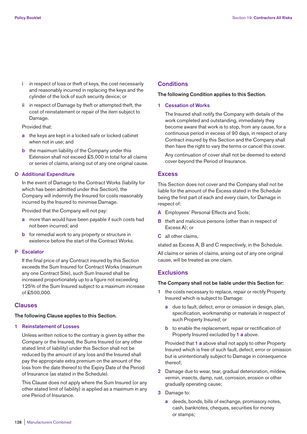- **i** in respect of loss or theft of keys, the cost necessarily and reasonably incurred in replacing the keys and the cylinder of the lock of such security device; or
- **ii** in respect of Damage by theft or attempted theft, the cost of reinstatement or repair of the item subject to Damage.

### Provided that:

- **a** the keys are kept in a locked safe or locked cabinet when not in use; and
- **b** the maximum liability of the Company under this Extension shall not exceed £5,000 in total for all claims or series of claims, arising out of any one original cause.

### **O Additional Expenditure**

 In the event of Damage to the Contract Works (liability for which has been admitted under this Section), the Company will indemnify the Insured for costs reasonably incurred by the Insured to minimise Damage.

Provided that the Company will not pay:

- **a** more than would have been payable if such costs had not been incurred; and
- **b** for remedial work to any property or structure in existence before the start of the Contract Works.

#### **P Escalator**

 If the final price of any Contract insured by this Section exceeds the Sum Insured for Contract Works (maximum any one Contract Site), such Sum Insured shall be increased proportionately up to a figure not exceeding 125% of the Sum Insured subject to a maximum increase of £500,000.

## **Clauses**

#### **The following Clause applies to this Section.**

#### **1 Reinstatement of Losses**

 Unless written notice to the contrary is given by either the Company or the Insured, the Sums Insured (or any other stated limit of liability) under this Section shall not be reduced by the amount of any loss and the Insured shall pay the appropriate extra premium on the amount of the loss from the date thereof to the Expiry Date of the Period of Insurance (as stated in the Schedule).

 This Clause does not apply where the Sum Insured (or any other stated limit of liability) is applied as a maximum in any one Period of Insurance.

## **Conditions**

#### **The following Condition applies to this Section.**

**1 Cessation of Works** 

 The Insured shall notify the Company with details of the work completed and outstanding, immediately they become aware that work is to stop, from any cause, for a continuous period in excess of 90 days, in respect of any Contract insured by this Section and the Company shall then have the right to vary the terms or cancel this cover.

 Any continuation of cover shall not be deemed to extend cover beyond the Period of Insurance.

## **Excess**

This Section does not cover and the Company shall not be liable for the amount of the Excess stated in the Schedule being the first part of each and every claim, for Damage in respect of:

- **A** Employees' Personal Effects and Tools;
- **B** theft and malicious persons (other than in respect of Excess A); or
- **C** all other claims,

stated as Excess A, B and C respectively, in the Schedule.

All claims or series of claims, arising out of any one original cause, will be treated as one claim.

## **Exclusions**

#### **The Company shall not be liable under this Section for:**

- **1** the costs necessary to replace, repair or rectify Property Insured which is subject to Damage:
	- **a** due to fault, defect, error or omission in design, plan, specification, workmanship or materials in respect of such Property Insured; or
	- **b** to enable the replacement, repair or rectification of Property Insured excluded by **1 a** above.

 Provided that **1 a** above shall not apply to other Property Insured which is free of such fault, defect, error or omission but is unintentionally subject to Damage in consequence thereof;

- **2** Damage due to wear, tear, gradual deterioration, mildew, vermin, insects, damp, rust, corrosion, erosion or other gradually operating cause;
- **3** Damage to:
	- **a** deeds, bonds, bills of exchange, promissory notes, cash, banknotes, cheques, securities for money or stamps;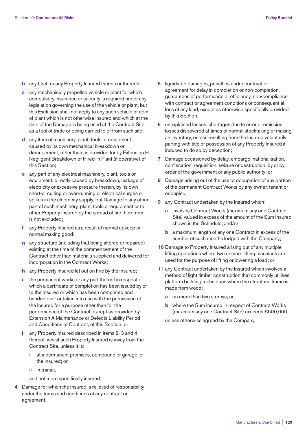- **b** any Craft or any Property Insured therein or thereon;
- **c** any mechanically propelled vehicle or plant for which compulsory insurance or security is required under any legislation governing the use of the vehicle or plant, but this Exclusion shall not apply to any such vehicle or item of plant which is not otherwise insured and which at the time of the Damage is being used at the Contract Site as a tool of trade or being carried to or from such site;
- **d** any item of machinery, plant, tools or equipment, caused by its own mechanical breakdown or derangement, other than as provided for by Extension H Negligent Breakdown of Hired-In Plant (if operative) of this Section;
- **e** any part of any electrical machinery, plant, tools or equipment, directly caused by breakdown, leakage of electricity or excessive pressure therein, by its own short-circuiting or over-running or electrical surges or spikes in the electricity supply, but Damage to any other part of such machinery, plant, tools or equipment or to other Property Insured by the spread of fire therefrom, is not excluded;
- **f** any Property Insured as a result of normal upkeep or normal making good;
- **g** any structure (including that being altered or repaired) existing at the time of the commencement of the Contract other than materials supplied and delivered for incorporation in the Contract Works;
- **h** any Property Insured let out on hire by the Insured;
- **i** the permanent works or any part thereof in respect of which a certificate of completion has been issued by or to the Insured or which has been completed and handed over or taken into use with the permission of the Insured for a purpose other than for the performance of the Contract, except as provided by Extension A Maintenance or Defects Liability Period and Conditions of Contract, of this Section; or
- **j** any Property Insured described in items 2, 3 and 4 thereof, whilst such Property Insured is away from the Contract Site, unless it is:
	- **i** at a permanent premises, compound or garage, of the Insured; or
	- **ii** in transit,
	- and not more specifically insured;
- **4** Damage for which the Insured is relieved of responsibility under the terms and conditions of any contract or agreement;
- **5** liquidated damages, penalties under contract or agreement for delay in completion or non-completion, guarantees of performance or efficiency, non-compliance with contract or agreement conditions or consequential loss of any kind, except as otherwise specifically provided by this Section;
- **6** unexplained losses, shortages due to error or omission, losses discovered at times of normal stocktaking or making an inventory, or loss resulting from the Insured voluntarily parting with title or possession of any Property Insured if induced to do so by deception;
- **7** Damage occasioned by delay, embargo, nationalisation, confiscation, requisition, seizure or destruction, by or by order of the government or any public authority; or
- **8** Damage arising out of the use or occupation of any portion of the permanent Contract Works by any owner, tenant or occupier.
- **9** any Contract undertaken by the Insured which:
	- **a** involves Contract Works (maximum any one Contract Site) valued in excess of the amount of the Sum Insured shown in the Schedule; and/or
	- **b** a maximum length of any one Contract in excess of the number of such months lodged with the Company;
- **10** Damage to Property Insured arising out of any multiple lifting operations where two or more lifting machines are used for the purpose of lifting or lowering a load; or
- **11** any Contract undertaken by the Insured which involves a method of light timber construction that commonly utilises platform building techniques where the structural frame is made from wood:
	- **a** on more than two storeys; or
	- **b** where the Sum Insured in respect of Contract Works (maximum any one Contract Site) exceeds £500,000,

unless otherwise agreed by the Company.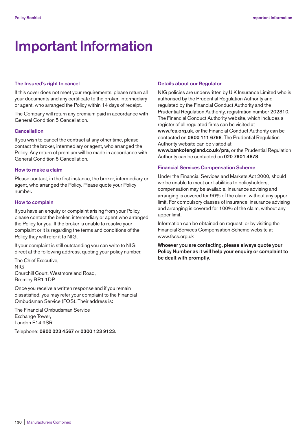# **Important Information**

#### **The Insured's right to cancel**

If this cover does not meet your requirements, please return all your documents and any certificate to the broker, intermediary or agent, who arranged the Policy within 14 days of receipt.

The Company will return any premium paid in accordance with General Condition 5 Cancellation.

#### **Cancellation**

If you wish to cancel the contract at any other time, please contact the broker, intermediary or agent, who arranged the Policy. Any return of premium will be made in accordance with General Condition 5 Cancellation.

## **How to make a claim**

Please contact, in the first instance, the broker, intermediary or agent, who arranged the Policy. Please quote your Policy number.

#### **How to complain**

If you have an enquiry or complaint arising from your Policy, please contact the broker, intermediary or agent who arranged the Policy for you. If the broker is unable to resolve your complaint or it is regarding the terms and conditions of the Policy they will refer it to NIG.

If your complaint is still outstanding you can write to NIG direct at the following address, quoting your policy number.

The Chief Executive, NIG Churchill Court, Westmoreland Road, Bromley BR1 1DP

Once you receive a written response and if you remain dissatisfied, you may refer your complaint to the Financial Ombudsman Service (FOS). Their address is:

The Financial Ombudsman Service Exchange Tower, London E14 9SR

Telephone: **0800 023 4567** or **0300 123 9123**.

#### **Details about our Regulator**

NIG policies are underwritten by U K Insurance Limited who is authorised by the Prudential Regulation Authority and regulated by the Financial Conduct Authority and the Prudential Regulation Authority, registration number 202810. The Financial Conduct Authority website, which includes a register of all regulated firms can be visited at **www.fca.org.uk**, or the Financial Conduct Authority can be contacted on **0800 111 6768**. The Prudential Regulation Authority website can be visited at

**www.bankofengland.co.uk/pra**, or the Prudential Regulation Authority can be contacted on **020 7601 4878**.

## **Financial Services Compensation Scheme**

Under the Financial Services and Markets Act 2000, should we be unable to meet our liabilities to policyholders, compensation may be available. Insurance advising and arranging is covered for 90% of the claim, without any upper limit. For compulsory classes of insurance, insurance advising and arranging is covered for 100% of the claim, without any upper limit.

Information can be obtained on request, or by visiting the Financial Services Compensation Scheme website at www.fscs.org.uk

**Whoever you are contacting, please always quote your Policy Number as it will help your enquiry or complaint to be dealt with promptly.**